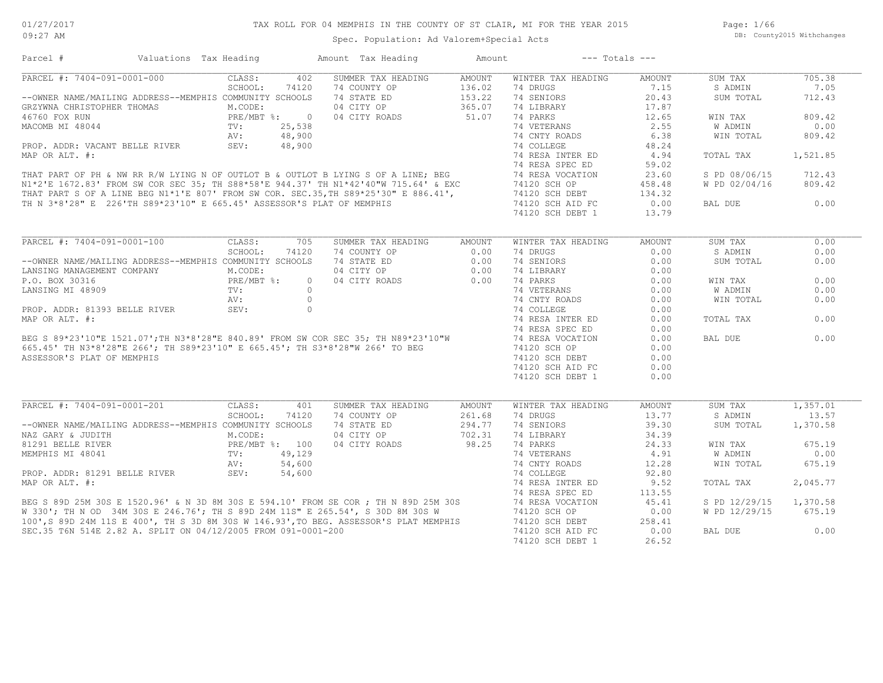## TAX ROLL FOR 04 MEMPHIS IN THE COUNTY OF ST CLAIR, MI FOR THE YEAR 2015

Spec. Population: Ad Valorem+Special Acts

Page: 1/66 DB: County2015 Withchanges

| Parcel #                                                                                                                                                                                                                                                                                              | Valuations Tax Heading                    | Amount Tax Heading        | Amount        | $---$ Totals $---$ |               |                |          |
|-------------------------------------------------------------------------------------------------------------------------------------------------------------------------------------------------------------------------------------------------------------------------------------------------------|-------------------------------------------|---------------------------|---------------|--------------------|---------------|----------------|----------|
| PARCEL #: 7404-091-0001-000                                                                                                                                                                                                                                                                           | CLASS:<br>402                             | SUMMER TAX HEADING        | AMOUNT        | WINTER TAX HEADING | AMOUNT        | SUM TAX        | 705.38   |
|                                                                                                                                                                                                                                                                                                       | SCHOOL:<br>74120                          | 74 COUNTY OP              | 136.02        | 74 DRUGS           | 7.15          | S ADMIN        | 7.05     |
| --OWNER NAME/MAILING ADDRESS--MEMPHIS COMMUNITY SCHOOLS                                                                                                                                                                                                                                               |                                           | 74 STATE ED               | 153.22        | 74 SENIORS         | 20.43         | SUM TOTAL      | 712.43   |
| GRZYWNA CHRISTOPHER THOMAS                                                                                                                                                                                                                                                                            | M.CODE:                                   | 04 CITY OP                | 365.07        | 74 LIBRARY         | 17.87         |                |          |
| 46760 FOX RUN                                                                                                                                                                                                                                                                                         | PRE/MBT $\frac{8}{2}$ :<br>$\overline{0}$ | 04 CITY ROADS             | 51.07         | 74 PARKS           | 12.65         | WIN TAX        | 809.42   |
| MACOMB MI 48044                                                                                                                                                                                                                                                                                       | 25,538                                    |                           |               | 74 VETERANS        | 2.55          | W ADMIN        | 0.00     |
|                                                                                                                                                                                                                                                                                                       | 48,900<br>AV:                             |                           |               | 74 CNTY ROADS      | 6.38          | WIN TOTAL      | 809.42   |
| PROP. ADDR: VACANT BELLE RIVER                                                                                                                                                                                                                                                                        | SEV:<br>48,900                            |                           |               | 74 COLLEGE         | 48.24         |                |          |
| MAP OR ALT. #:                                                                                                                                                                                                                                                                                        |                                           |                           |               | 74 RESA INTER ED   | 4.94          | TOTAL TAX      | 1,521.85 |
|                                                                                                                                                                                                                                                                                                       |                                           |                           |               |                    | 59.02         |                |          |
| MAP OR ALT. #:<br>THAT PART OF PH & NW RR R/W LYING N OF OUTLOT B & OUTLOT B LYING S OF A LINE; BEG<br>N1*2'E 1672.83' FROM SW COR SEC 35; TH S88*58'E 944.37' TH N1*42'40"W 715.64' & EXC 74 RESA VOCATION<br>THAT PART S OF A LINE                                                                  |                                           |                           |               |                    | 23.60         | S PD 08/06/15  | 712.43   |
|                                                                                                                                                                                                                                                                                                       |                                           |                           |               |                    | 458.48        | W PD 02/04/16  | 809.42   |
|                                                                                                                                                                                                                                                                                                       |                                           |                           |               | 74120 SCH DEBT     | 134.32        |                |          |
| TH N 3*8'28" E 226'TH S89*23'10" E 665.45' ASSESSOR'S PLAT OF MEMPHIS                                                                                                                                                                                                                                 |                                           |                           |               | 74120 SCH AID FC   | 0.00          | BAL DUE        | 0.00     |
|                                                                                                                                                                                                                                                                                                       |                                           |                           |               | 74120 SCH DEBT 1   | 13.79         |                |          |
|                                                                                                                                                                                                                                                                                                       |                                           |                           |               |                    |               |                |          |
| PARCEL #: 7404-091-0001-100                                                                                                                                                                                                                                                                           | CLASS:<br>705                             | SUMMER TAX HEADING        | <b>AMOUNT</b> | WINTER TAX HEADING | <b>AMOUNT</b> | SUM TAX        | 0.00     |
|                                                                                                                                                                                                                                                                                                       | SCHOOL:<br>74120                          | 74 COUNTY OP              | 0.00          | 74 DRUGS           | 0.00          | S ADMIN        | 0.00     |
| --OWNER NAME/MAILING ADDRESS--MEMPHIS COMMUNITY SCHOOLS                                                                                                                                                                                                                                               |                                           | 74 STATE ED               | 0.00          | 74 SENIORS         | 0.00          | SUM TOTAL      | 0.00     |
| LANSING MANAGEMENT COMPANY                                                                                                                                                                                                                                                                            | M.CODE:                                   | 04 CITY OP                | 0.00          | 74 LIBRARY         | 0.00          |                |          |
| P.O. BOX 30316                                                                                                                                                                                                                                                                                        | PRE/MBT %:                                | $\Omega$<br>04 CITY ROADS | 0.00          | 74 PARKS           | 0.00          | WIN TAX        | 0.00     |
|                                                                                                                                                                                                                                                                                                       |                                           | $\Omega$                  |               | 74 VETERANS        |               | <b>W ADMIN</b> | 0.00     |
| LANSING MI 48909                                                                                                                                                                                                                                                                                      | TV:                                       |                           |               |                    | 0.00          |                |          |
|                                                                                                                                                                                                                                                                                                       |                                           |                           |               | 74 CNTY ROADS      | 0.00          | WIN TOTAL      | 0.00     |
|                                                                                                                                                                                                                                                                                                       |                                           |                           |               | 74 COLLEGE         | 0.00          |                |          |
|                                                                                                                                                                                                                                                                                                       |                                           |                           |               | 74 RESA INTER ED   | 0.00          | TOTAL TAX      | 0.00     |
|                                                                                                                                                                                                                                                                                                       |                                           |                           |               | 74 RESA SPEC ED    | 0.00          |                |          |
|                                                                                                                                                                                                                                                                                                       |                                           |                           |               | 74 RESA VOCATION   | 0.00          | BAL DUE        | 0.00     |
|                                                                                                                                                                                                                                                                                                       |                                           |                           |               | 74120 SCH OP       | 0.00          |                |          |
|                                                                                                                                                                                                                                                                                                       |                                           |                           |               | 74120 SCH DEBT     | 0.00          |                |          |
|                                                                                                                                                                                                                                                                                                       |                                           |                           |               | 74120 SCH AID FC   | 0.00          |                |          |
|                                                                                                                                                                                                                                                                                                       |                                           |                           |               | 74120 SCH DEBT 1   | 0.00          |                |          |
| SEV:<br>BEG S 89*23'10"E 1521.07';TH N3*8'28"E 840.89' FROM SW COR SEC 35; TH N89*23'10"W<br>565.45' TH N3*8'28"E 266'; TH S89*23'10" E 665.45'; TH S3*8'28"W 266' TO BEG<br>SSESSOR'S PLAT OF MEMPHIS<br>NORT T                                                                                      |                                           |                           |               |                    |               |                |          |
| PARCEL #: 7404-091-0001-201                                                                                                                                                                                                                                                                           | CLASS:<br>401                             | SUMMER TAX HEADING        | <b>AMOUNT</b> | WINTER TAX HEADING | <b>AMOUNT</b> | SUM TAX        | 1,357.01 |
|                                                                                                                                                                                                                                                                                                       | SCHOOL:<br>74120                          | 74 COUNTY OP              | 261.68        | 74 DRUGS           | 13.77         | S ADMIN        | 13.57    |
| --OWNER NAME/MAILING ADDRESS--MEMPHIS COMMUNITY SCHOOLS                                                                                                                                                                                                                                               |                                           | 74 STATE ED               | 294.77        | 74 SENIORS         | 39.30         | SUM TOTAL      | 1,370.58 |
| NAZ GARY & JUDITH                                                                                                                                                                                                                                                                                     | M.CODE:                                   | 04 CITY OP                | 702.31        | 74 LIBRARY         | 34.39         |                |          |
| 81291 BELLE RIVER                                                                                                                                                                                                                                                                                     | PRE/MBT %: 100                            | 04 CITY ROADS             | 98.25         | 74 PARKS           | 24.33         | WIN TAX        | 675.19   |
| MEMPHIS MI 48041                                                                                                                                                                                                                                                                                      | TV:<br>49,129                             |                           |               | 74 VETERANS        | 4.91          | W ADMIN        | 0.00     |
|                                                                                                                                                                                                                                                                                                       | 54,600<br>AV:                             |                           |               | 74 CNTY ROADS      | 12.28         | WIN TOTAL      | 675.19   |
| PROP. ADDR: 81291 BELLE RIVER                                                                                                                                                                                                                                                                         | SEV:<br>54,600                            |                           |               | 74 COLLEGE         | 92.80         |                |          |
|                                                                                                                                                                                                                                                                                                       |                                           |                           |               |                    | 9.52          | TOTAL TAX      | 2,045.77 |
|                                                                                                                                                                                                                                                                                                       |                                           |                           |               |                    | 113.55        |                |          |
|                                                                                                                                                                                                                                                                                                       |                                           |                           |               |                    | 45.41         | S PD 12/29/15  | 1,370.58 |
|                                                                                                                                                                                                                                                                                                       |                                           |                           |               |                    | 0.00          | W PD 12/29/15  | 675.19   |
|                                                                                                                                                                                                                                                                                                       |                                           |                           |               |                    | 258.41        |                |          |
| MAP OR ALT. #:<br>BEG S 89D 25M 30S E 1520.96' & N 3D 8M 30S E 594.10' FROM SE COR ; TH N 89D 25M 30S<br>W 330'; TH N OD 34M 30S E 246.76'; TH S 89D 24M 11S" E 265.54', S 30D 8M 30S W 74 RESA VOCATION<br>100', S 89D 24M 11S E 40<br>SEC.35 T6N 514E 2.82 A. SPLIT ON 04/12/2005 FROM 091-0001-200 |                                           |                           |               | 74120 SCH AID FC   | 0.00          | BAL DUE        | 0.00     |
|                                                                                                                                                                                                                                                                                                       |                                           |                           |               | 74120 SCH DEBT 1   | 26.52         |                |          |
|                                                                                                                                                                                                                                                                                                       |                                           |                           |               |                    |               |                |          |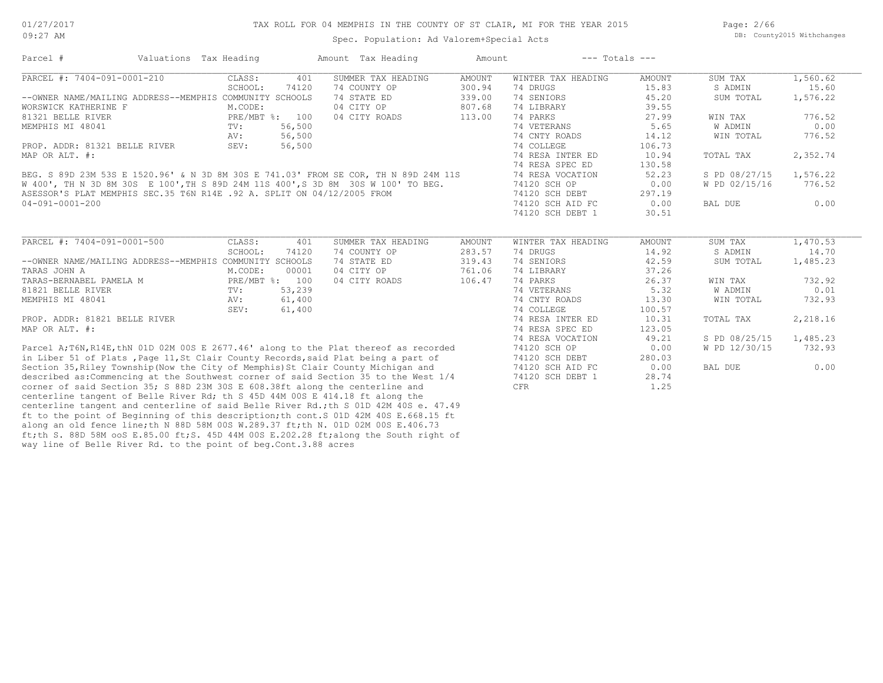Page: 2/66 DB: County2015 Withchanges

| Parcel #                                                                             | Valuations Tax Heading |                | Amount Tax Heading | Amount        | $---$ Totals $---$ |               |               |          |
|--------------------------------------------------------------------------------------|------------------------|----------------|--------------------|---------------|--------------------|---------------|---------------|----------|
| PARCEL #: 7404-091-0001-210                                                          | CLASS:                 | 401            | SUMMER TAX HEADING | <b>AMOUNT</b> | WINTER TAX HEADING | <b>AMOUNT</b> | SUM TAX       | 1,560.62 |
|                                                                                      | SCHOOL:                | 74120          | 74 COUNTY OP       | 300.94        | 74 DRUGS           | 15.83         | S ADMIN       | 15.60    |
| --OWNER NAME/MAILING ADDRESS--MEMPHIS COMMUNITY SCHOOLS                              |                        |                | 74 STATE ED        | 339.00        | 74 SENIORS         | 45.20         | SUM TOTAL     | 1,576.22 |
| WORSWICK KATHERINE F                                                                 | M.CODE:                |                | 04 CITY OP         | 807.68        | 74 LIBRARY         | 39.55         |               |          |
| 81321 BELLE RIVER                                                                    |                        | PRE/MBT %: 100 | 04 CITY ROADS      | 113.00        | 74 PARKS           | 27.99         | WIN TAX       | 776.52   |
| MEMPHIS MI 48041                                                                     | $\text{TV}$ :          | 56,500         |                    |               | 74 VETERANS        | 5.65          | W ADMIN       | 0.00     |
|                                                                                      | AV:                    | 56,500         |                    |               | 74 CNTY ROADS      | 14.12         | WIN TOTAL     | 776.52   |
| PROP. ADDR: 81321 BELLE RIVER                                                        | SEV:                   | 56,500         |                    |               | 74 COLLEGE         | 106.73        |               |          |
| MAP OR ALT. #:                                                                       |                        |                |                    |               | 74 RESA INTER ED   | 10.94         | TOTAL TAX     | 2,352.74 |
|                                                                                      |                        |                |                    |               | 74 RESA SPEC ED    | 130.58        |               |          |
| BEG. S 89D 23M 53S E 1520.96' & N 3D 8M 30S E 741.03' FROM SE COR, TH N 89D 24M 11S  |                        |                |                    |               | 74 RESA VOCATION   | 52.23         | S PD 08/27/15 | 1,576.22 |
| W 400', TH N 3D 8M 30S E 100', TH S 89D 24M 11S 400', S 3D 8M 30S W 100' TO BEG.     |                        |                |                    |               | 74120 SCH OP       | 0.00          | W PD 02/15/16 | 776.52   |
| ASESSOR'S PLAT MEMPHIS SEC.35 T6N R14E .92 A. SPLIT ON 04/12/2005 FROM               |                        |                |                    |               | 74120 SCH DEBT     | 297.19        |               |          |
| 04-091-0001-200                                                                      |                        |                |                    |               | 74120 SCH AID FC   | 0.00          | BAL DUE       | 0.00     |
|                                                                                      |                        |                |                    |               | 74120 SCH DEBT 1   | 30.51         |               |          |
|                                                                                      |                        |                |                    |               |                    |               |               |          |
| PARCEL #: 7404-091-0001-500                                                          | CLASS:                 | 401            | SUMMER TAX HEADING | AMOUNT        | WINTER TAX HEADING | AMOUNT        | SUM TAX       | 1,470.53 |
|                                                                                      | SCHOOL:                | 74120          | 74 COUNTY OP       | 283.57        | 74 DRUGS           | 14.92         | S ADMIN       | 14.70    |
| --OWNER NAME/MAILING ADDRESS--MEMPHIS COMMUNITY SCHOOLS                              |                        |                | 74 STATE ED        | 319.43        | 74 SENIORS         | 42.59         | SUM TOTAL     | 1,485.23 |
| TARAS JOHN A                                                                         | M.CODE:                | 00001          | 04 CITY OP         | 761.06        | 74 LIBRARY         | 37.26         |               |          |
| TARAS-BERNABEL PAMELA M                                                              |                        | PRE/MBT %: 100 | 04 CITY ROADS      | 106.47        | 74 PARKS           | 26.37         | WIN TAX       | 732.92   |
| 81821 BELLE RIVER                                                                    | TV:                    | 53,239         |                    |               | 74 VETERANS        | 5.32          | W ADMIN       | 0.01     |
| MEMPHIS MI 48041                                                                     | AV:                    | 61,400         |                    |               | 74 CNTY ROADS      | 13.30         | WIN TOTAL     | 732.93   |
|                                                                                      | SEV:                   | 61,400         |                    |               | 74 COLLEGE         | 100.57        |               |          |
| PROP. ADDR: 81821 BELLE RIVER                                                        |                        |                |                    |               | 74 RESA INTER ED   | 10.31         | TOTAL TAX     | 2,218.16 |
| MAP OR ALT. #:                                                                       |                        |                |                    |               | 74 RESA SPEC ED    | 123.05        |               |          |
|                                                                                      |                        |                |                    |               | 74 RESA VOCATION   | 49.21         | S PD 08/25/15 | 1,485.23 |
| Parcel A;T6N, R14E, thN 01D 02M 00S E 2677.46' along to the Plat thereof as recorded |                        |                |                    |               | 74120 SCH OP       | 0.00          | W PD 12/30/15 | 732.93   |
| in Liber 51 of Plats, Page 11, St Clair County Records, said Plat being a part of    |                        |                |                    |               | 74120 SCH DEBT     | 280.03        |               |          |
| Section 35, Riley Township (Now the City of Memphis) St Clair County Michigan and    |                        |                |                    |               | 74120 SCH AID FC   | 0.00          | BAL DUE       | 0.00     |
| described as: Commencing at the Southwest corner of said Section 35 to the West 1/4  |                        |                |                    |               | 74120 SCH DEBT 1   | 28.74         |               |          |
| corner of said Section 35; S 88D 23M 30S E 608.38ft along the centerline and         |                        |                |                    |               | CFR                | 1.25          |               |          |
| centerline tangent of Belle River Rd; th S 45D 44M 00S E 414.18 ft along the         |                        |                |                    |               |                    |               |               |          |
| centerline tangent and centerline of said Belle River Rd.; th S 01D 42M 40S e. 47.49 |                        |                |                    |               |                    |               |               |          |

way line of Belle River Rd. to the point of beg.Cont.3.88 acres ft;th S. 88D 58M ooS E.85.00 ft;S. 45D 44M 00S E.202.28 ft;along the South right of along an old fence line;th N 88D 58M 00S W.289.37 ft;th N. 01D 02M 00S E.406.73 ft to the point of Beginning of this description;th cont.S 01D 42M 40S E.668.15 ft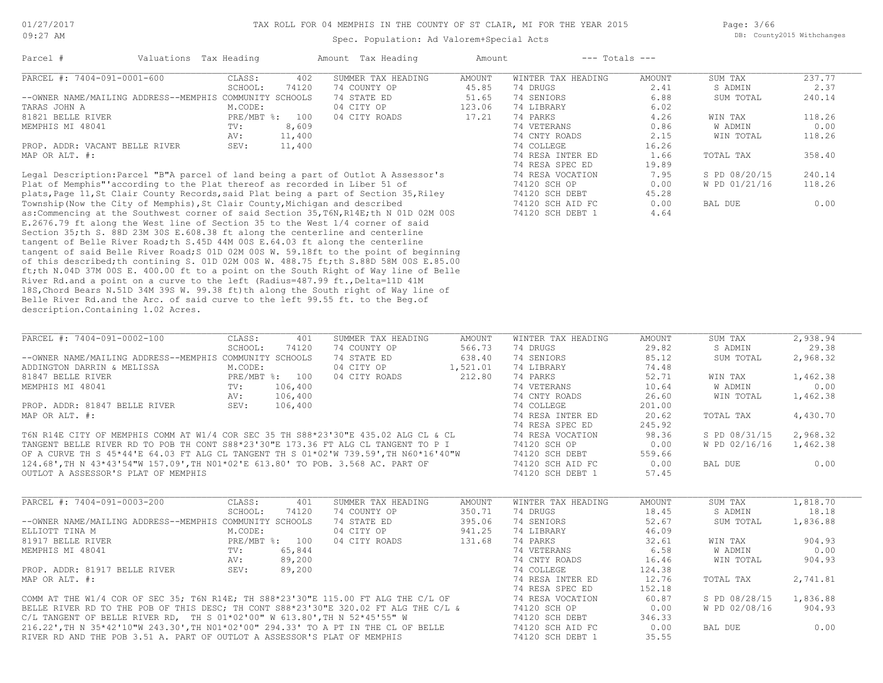#### TAX ROLL FOR 04 MEMPHIS IN THE COUNTY OF ST CLAIR, MI FOR THE YEAR 2015

Spec. Population: Ad Valorem+Special Acts

Page: 3/66 DB: County2015 Withchanges

| Parcel #                                                                          | Valuations Tax Heading |        | Amount Tax Heading | Amount | $---$ Totals $---$ |        |               |        |
|-----------------------------------------------------------------------------------|------------------------|--------|--------------------|--------|--------------------|--------|---------------|--------|
| PARCEL #: 7404-091-0001-600                                                       | CLASS:                 | 402    | SUMMER TAX HEADING | AMOUNT | WINTER TAX HEADING | AMOUNT | SUM TAX       | 237.77 |
|                                                                                   | SCHOOL:                | 74120  | 74 COUNTY OP       | 45.85  | 74 DRUGS           | 2.41   | S ADMIN       | 2.37   |
| --OWNER NAME/MAILING ADDRESS--MEMPHIS COMMUNITY SCHOOLS                           |                        |        | 74 STATE ED        | 51.65  | 74 SENIORS         | 6.88   | SUM TOTAL     | 240.14 |
| TARAS JOHN A                                                                      | M.CODE:                |        | 04 CITY OP         | 123.06 | 74 LIBRARY         | 6.02   |               |        |
| 81821 BELLE RIVER                                                                 | $PRE/MBT$ %:           | 100    | 04 CITY ROADS      | 17.21  | 74 PARKS           | 4.26   | WIN TAX       | 118.26 |
| MEMPHIS MI 48041                                                                  | TV:                    | 8,609  |                    |        | 74 VETERANS        | 0.86   | W ADMIN       | 0.00   |
|                                                                                   | AV:                    | 11,400 |                    |        | 74 CNTY ROADS      | 2.15   | WIN TOTAL     | 118.26 |
| PROP. ADDR: VACANT BELLE RIVER                                                    | SEV:                   | 11,400 |                    |        | 74 COLLEGE         | 16.26  |               |        |
| MAP OR ALT. #:                                                                    |                        |        |                    |        | 74 RESA INTER ED   | 1.66   | TOTAL TAX     | 358.40 |
|                                                                                   |                        |        |                    |        | 74 RESA SPEC ED    | 19.89  |               |        |
| Legal Description: Parcel "B"A parcel of land being a part of Outlot A Assessor's |                        |        |                    |        | 74 RESA VOCATION   | 7.95   | S PD 08/20/15 | 240.14 |
| Plat of Memphis" according to the Plat thereof as recorded in Liber 51 of         |                        |        |                    |        | 74120 SCH OP       | 0.00   | W PD 01/21/16 | 118.26 |
| nlats Page 11 St Clair County Records said Plat being a part of Section 35 Riley  |                        |        |                    |        | $74120$ SCH DRRT   | 45, 28 |               |        |

description.Containing 1.02 Acres. Belle River Rd.and the Arc. of said curve to the left 99.55 ft. to the Beg.of 18S,Chord Bears N.51D 34M 39S W. 99.38 ft)th along the South right of Way line of River Rd.and a point on a curve to the left (Radius=487.99 ft., Delta=11D 41M ft;th N.04D 37M 00S E. 400.00 ft to a point on the South Right of Way line of Belle of this described;th contining S. 01D 02M 00S W. 488.75 ft;th S.88D 58M 00S E.85.00 tangent of said Belle River Road;S 01D 02M 00S W. 59.18ft to the point of beginning tangent of Belle River Road;th S.45D 44M 00S E.64.03 ft along the centerline Section 35;th S. 88D 23M 30S E.608.38 ft along the centerline and centerline E.2676.79 ft along the West line of Section 35 to the West 1/4 corner of said as:Commencing at the Southwest corner of said Section 35, T6N, R14E;th N 01D 02M 00S 74120 SCH DEBT 1 4.64 Township(Now the City of Memphis),St Clair County,Michigan and described 74120 SCH AID FC 0.00 BAL DUE 0.00 plats, Page 11, St Clair County Records, said Plat being a part of Section 35, Riley 74120 SCH DEBT 45.28

| PARCEL #: 7404-091-0002-100                                                          | CLASS:  | 401            | SUMMER TAX HEADING | AMOUNT   | WINTER TAX HEADING | AMOUNT | SUM TAX       | 2,938.94 |
|--------------------------------------------------------------------------------------|---------|----------------|--------------------|----------|--------------------|--------|---------------|----------|
|                                                                                      | SCHOOL: | 74120          | 74 COUNTY OP       | 566.73   | 74 DRUGS           | 29.82  | S ADMIN       | 29.38    |
| --OWNER NAME/MAILING ADDRESS--MEMPHIS COMMUNITY SCHOOLS                              |         |                | 74 STATE ED        | 638.40   | 74 SENIORS         | 85.12  | SUM TOTAL     | 2,968.32 |
| ADDINGTON DARRIN & MELISSA                                                           | M.CODE: |                | 04 CITY OP         | 1,521.01 | 74 LIBRARY         | 74.48  |               |          |
| 81847 BELLE RIVER                                                                    |         | PRE/MBT %: 100 | 04 CITY ROADS      | 212.80   | 74 PARKS           | 52.71  | WIN TAX       | 1,462.38 |
| MEMPHIS MI 48041                                                                     | TV:     | 106,400        |                    |          | 74 VETERANS        | 10.64  | W ADMIN       | 0.00     |
|                                                                                      | AV:     | 106,400        |                    |          | 74 CNTY ROADS      | 26.60  | WIN TOTAL     | 1,462.38 |
| PROP. ADDR: 81847 BELLE RIVER                                                        | SEV:    | 106,400        |                    |          | 74 COLLEGE         | 201.00 |               |          |
| MAP OR ALT. #:                                                                       |         |                |                    |          | 74 RESA INTER ED   | 20.62  | TOTAL TAX     | 4,430.70 |
|                                                                                      |         |                |                    |          | 74 RESA SPEC ED    | 245.92 |               |          |
| T6N R14E CITY OF MEMPHIS COMM AT W1/4 COR SEC 35 TH S88*23'30"E 435.02 ALG CL & CL   |         |                |                    |          | 74 RESA VOCATION   | 98.36  | S PD 08/31/15 | 2,968.32 |
| TANGENT BELLE RIVER RD TO POB TH CONT S88*23'30"E 173.36 FT ALG CL TANGENT TO P I    |         |                |                    |          | 74120 SCH OP       | 0.00   | W PD 02/16/16 | 1,462.38 |
| OF A CURVE TH S 45*44'E 64.03 FT ALG CL TANGENT TH S 01*02'W 739.59', TH N60*16'40"W |         |                |                    |          | 74120 SCH DEBT     | 559.66 |               |          |

OUTLOT A ASSESSOR'S PLAT OF MEMPHIS **1990 COULD A SET ASSESSOR'S PLAT OF MEMPHIS** 74120 SCH DEBT 1 57.45 124.68',TH N 43\*43'54"W 157.09',TH N01\*02'E 613.80' TO POB. 3.568 AC. PART OF 74120 SCH AID FC 0.00 BAL DUE 0.00

| PARCEL #: 7404-091-0003-200                                                         | CLASS:  | 401            | SUMMER TAX HEADING | AMOUNT | WINTER TAX HEADING | AMOUNT | SUM TAX       | 1,818.70 |
|-------------------------------------------------------------------------------------|---------|----------------|--------------------|--------|--------------------|--------|---------------|----------|
|                                                                                     | SCHOOL: | 74120          | 74 COUNTY OP       | 350.71 | 74 DRUGS           | 18.45  | S ADMIN       | 18.18    |
| --OWNER NAME/MAILING ADDRESS--MEMPHIS COMMUNITY SCHOOLS                             |         |                | 74 STATE ED        | 395.06 | 74 SENIORS         | 52.67  | SUM TOTAL     | 1,836.88 |
| ELLIOTT TINA M                                                                      | M.CODE: |                | 04 CITY OP         | 941.25 | 74 LIBRARY         | 46.09  |               |          |
| 81917 BELLE RIVER                                                                   |         | PRE/MBT %: 100 | 04 CITY ROADS      | 131.68 | 74 PARKS           | 32.61  | WIN TAX       | 904.93   |
| MEMPHIS MI 48041                                                                    | TV:     | 65,844         |                    |        | 74 VETERANS        | 6.58   | W ADMIN       | 0.00     |
|                                                                                     | AV:     | 89,200         |                    |        | 74 CNTY ROADS      | 16.46  | WIN TOTAL     | 904.93   |
| PROP. ADDR: 81917 BELLE RIVER                                                       | SEV:    | 89,200         |                    |        | 74 COLLEGE         | 124.38 |               |          |
| MAP OR ALT. #:                                                                      |         |                |                    |        | 74 RESA INTER ED   | 12.76  | TOTAL TAX     | 2,741.81 |
|                                                                                     |         |                |                    |        | 74 RESA SPEC ED    | 152.18 |               |          |
| COMM AT THE W1/4 COR OF SEC 35; T6N R14E; TH S88*23'30"E 115.00 FT ALG THE C/L OF   |         |                |                    |        | 74 RESA VOCATION   | 60.87  | S PD 08/28/15 | 1,836.88 |
| BELLE RIVER RD TO THE POB OF THIS DESC; TH CONT S88*23'30"E 320.02 FT ALG THE C/L & |         |                |                    |        | 74120 SCH OP       | 0.00   | W PD 02/08/16 | 904.93   |
| C/L TANGENT OF BELLE RIVER RD, TH S $01*02'00''$ W $613.80'$ . Th N $52*45'55''$ W  |         |                |                    |        | 74120 SCH DEBT     | 346.33 |               |          |

216.22',TH N 35\*42'10"W 243.30',TH N01\*02'00" 294.33' TO A PT IN THE CL OF BELLE 74120 SCH AID FC 0.00 BAL DUE 0.00

RIVER RD AND THE POB 3.51 A. PART OF OUTLOT A ASSESSOR'S PLAT OF MEMPHIS 74120 SCH DEBT 1 35.55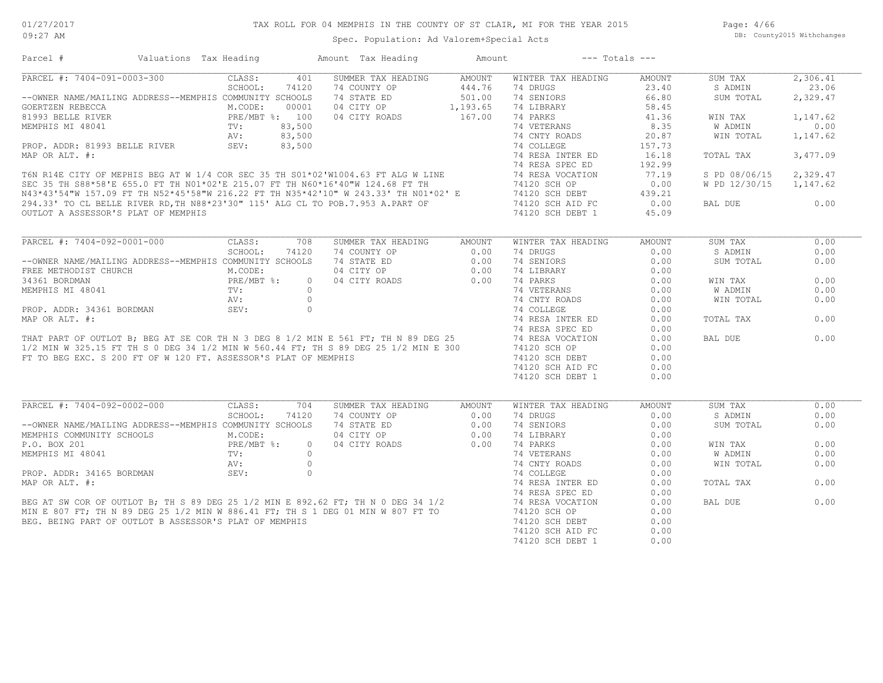Page: 4/66 DB: County2015 Withchanges

## Spec. Population: Ad Valorem+Special Acts

| Parcel #                                                                                                                                                                                                                                   | Valuations Tax Heading   | Amount Tax Heading        | Amount   | $---$ Totals $---$ |               |                |          |
|--------------------------------------------------------------------------------------------------------------------------------------------------------------------------------------------------------------------------------------------|--------------------------|---------------------------|----------|--------------------|---------------|----------------|----------|
| PARCEL #: 7404-091-0003-300                                                                                                                                                                                                                | CLASS:<br>401            | SUMMER TAX HEADING        | AMOUNT   | WINTER TAX HEADING | <b>AMOUNT</b> | SUM TAX        | 2,306.41 |
|                                                                                                                                                                                                                                            | SCHOOL:<br>74120         | 74 COUNTY OP              | 444.76   | 74 DRUGS           | 23.40         | S ADMIN        | 23.06    |
| --OWNER NAME/MAILING ADDRESS--MEMPHIS COMMUNITY SCHOOLS                                                                                                                                                                                    |                          | 74 STATE ED               | 501.00   | 74 SENIORS         | 66.80         | SUM TOTAL      | 2,329.47 |
| GOERTZEN REBECCA                                                                                                                                                                                                                           | M.CODE:<br>00001         | 04 CITY OP                | 1,193.65 | 74 LIBRARY         | 58.45         |                |          |
| 81993 BELLE RIVER                                                                                                                                                                                                                          | PRE/MBT %: 100           | 04 CITY ROADS             | 167.00   | 74 PARKS           | 41.36         | WIN TAX        | 1,147.62 |
| MEMPHIS MI 48041                                                                                                                                                                                                                           | 83,500<br>TV:            |                           |          | 74 VETERANS        | 8.35          | W ADMIN        | 0.00     |
|                                                                                                                                                                                                                                            | 83,500<br>AV:            |                           |          | 74 CNTY ROADS      | 20.87         | WIN TOTAL      | 1,147.62 |
|                                                                                                                                                                                                                                            |                          |                           |          |                    | 157.73        |                |          |
|                                                                                                                                                                                                                                            |                          |                           |          |                    | 16.18         | TOTAL TAX      | 3,477.09 |
|                                                                                                                                                                                                                                            |                          |                           |          |                    | 192.99        |                |          |
|                                                                                                                                                                                                                                            |                          |                           |          |                    | 77.19         | S PD 08/06/15  | 2,329.47 |
|                                                                                                                                                                                                                                            |                          |                           |          |                    | 0.00          | W PD 12/30/15  | 1,147.62 |
|                                                                                                                                                                                                                                            |                          |                           |          |                    | 439.21        |                |          |
|                                                                                                                                                                                                                                            |                          |                           |          |                    | 0.00          | BAL DUE        | 0.00     |
| ROP. ADDR: 81993 BELLE RIVER<br>MAP OR ALT. #:<br>T6N R14E CITY OF MEPHIS BEG AT W 1/4 COR SEC 35 TH S01*02'W1004.63 FT ALG W LINE<br>SEC 35 TH S88*58'E 655.0 FT TH N01*02'E 215.07 FT TH N60*16'40"W 124.68 FT TH<br>N43*43'54"W 157     |                          |                           |          |                    | 45.09         |                |          |
|                                                                                                                                                                                                                                            |                          |                           |          |                    |               |                |          |
| PARCEL #: 7404-092-0001-000                                                                                                                                                                                                                | CLASS:<br>708            | SUMMER TAX HEADING        | AMOUNT   | WINTER TAX HEADING | AMOUNT        | SUM TAX        | 0.00     |
|                                                                                                                                                                                                                                            | SCHOOL:<br>74120         | 74 COUNTY OP              | 0.00     | 74 DRUGS           | 0.00          | S ADMIN        | 0.00     |
| --OWNER NAME/MAILING ADDRESS--MEMPHIS COMMUNITY SCHOOLS                                                                                                                                                                                    |                          | 74 STATE ED               | 0.00     | 74 SENIORS         | 0.00          | SUM TOTAL      | 0.00     |
| FREE METHODIST CHURCH                                                                                                                                                                                                                      | M.CODE:                  | 04 CITY OP                | 0.00     | 74 LIBRARY         | 0.00          |                |          |
| 34361 BORDMAN                                                                                                                                                                                                                              | PRE/MBT %:<br>TV:<br>AV: | 04 CITY ROADS<br>$\circ$  | 0.00     | 74 PARKS           | 0.00          | WIN TAX        | 0.00     |
| MEMPHIS MI 48041                                                                                                                                                                                                                           |                          | $\bigcirc$                |          | 74 VETERANS        | 0.00          | <b>W ADMIN</b> | 0.00     |
|                                                                                                                                                                                                                                            |                          |                           |          |                    | 0.00          | WIN TOTAL      | 0.00     |
|                                                                                                                                                                                                                                            |                          |                           |          |                    | 0.00          |                |          |
|                                                                                                                                                                                                                                            |                          |                           |          |                    | 0.00          | TOTAL TAX      | 0.00     |
|                                                                                                                                                                                                                                            |                          |                           |          |                    | 0.00          |                |          |
|                                                                                                                                                                                                                                            |                          |                           |          |                    | 0.00          | BAL DUE        | 0.00     |
| PROP. ADDR: 34361 BORDMAN<br>MAP OR ALT. #:<br>MAP OR ALT. #:<br>THAT PART OF OUTLOT B; BEG AT SE COR TH N 3 DEG 8 1/2 MIN E 561 FT; TH N 89 DEG 25<br>1/2 MIN E 561 FT; TH N 89 DEG 25<br>1/2 MIN E 561 FT; TH N 89 DEG 25<br>1/2 MIN E 3 |                          |                           |          |                    | 0.00          |                |          |
| FT TO BEG EXC. S 200 FT OF W 120 FT. ASSESSOR'S PLAT OF MEMPHIS                                                                                                                                                                            |                          |                           |          | 74120 SCH DEBT     | 0.00          |                |          |
|                                                                                                                                                                                                                                            |                          |                           |          | 74120 SCH AID FC   | 0.00          |                |          |
|                                                                                                                                                                                                                                            |                          |                           |          | 74120 SCH DEBT 1   | 0.00          |                |          |
|                                                                                                                                                                                                                                            |                          |                           |          |                    |               |                |          |
| PARCEL #: 7404-092-0002-000                                                                                                                                                                                                                | CLASS:<br>704            | SUMMER TAX HEADING        | AMOUNT   | WINTER TAX HEADING | AMOUNT        | SUM TAX        | 0.00     |
|                                                                                                                                                                                                                                            | SCHOOL:<br>74120         | 74 COUNTY OP              | 0.00     | 74 DRUGS           | 0.00          | S ADMIN        | 0.00     |
| --OWNER NAME/MAILING ADDRESS--MEMPHIS COMMUNITY SCHOOLS                                                                                                                                                                                    |                          | 74 STATE ED               | 0.00     | 74 SENIORS         | 0.00          | SUM TOTAL      | 0.00     |
| MEMPHIS COMMUNITY SCHOOLS                                                                                                                                                                                                                  | M.CODE:                  | 04 CITY OP                | 0.00     | 74 LIBRARY         | 0.00          |                |          |
| P.O. BOX 201                                                                                                                                                                                                                               | PRE/MBT %:               | 04 CITY ROADS<br>$\Omega$ | 0.00     | 74 PARKS           | 0.00          | WIN TAX        | 0.00     |
|                                                                                                                                                                                                                                            |                          |                           |          |                    | 0.00          | W ADMIN        | 0.00     |
|                                                                                                                                                                                                                                            |                          |                           |          |                    | 0.00          | WIN TOTAL      | 0.00     |
|                                                                                                                                                                                                                                            |                          |                           |          |                    | 0.00          |                |          |
|                                                                                                                                                                                                                                            |                          |                           |          |                    | 0.00          | TOTAL TAX      | 0.00     |
|                                                                                                                                                                                                                                            |                          |                           |          |                    | 0.00          |                |          |
|                                                                                                                                                                                                                                            |                          |                           |          |                    | 0.00          | BAL DUE        | 0.00     |
|                                                                                                                                                                                                                                            |                          |                           |          |                    | 0.00          |                |          |
|                                                                                                                                                                                                                                            |                          |                           |          |                    | 0.00          |                |          |
|                                                                                                                                                                                                                                            |                          |                           |          |                    | 0.00          |                |          |
|                                                                                                                                                                                                                                            |                          |                           |          |                    | 0.00          |                |          |
|                                                                                                                                                                                                                                            |                          |                           |          |                    |               |                |          |
|                                                                                                                                                                                                                                            |                          |                           |          |                    |               |                |          |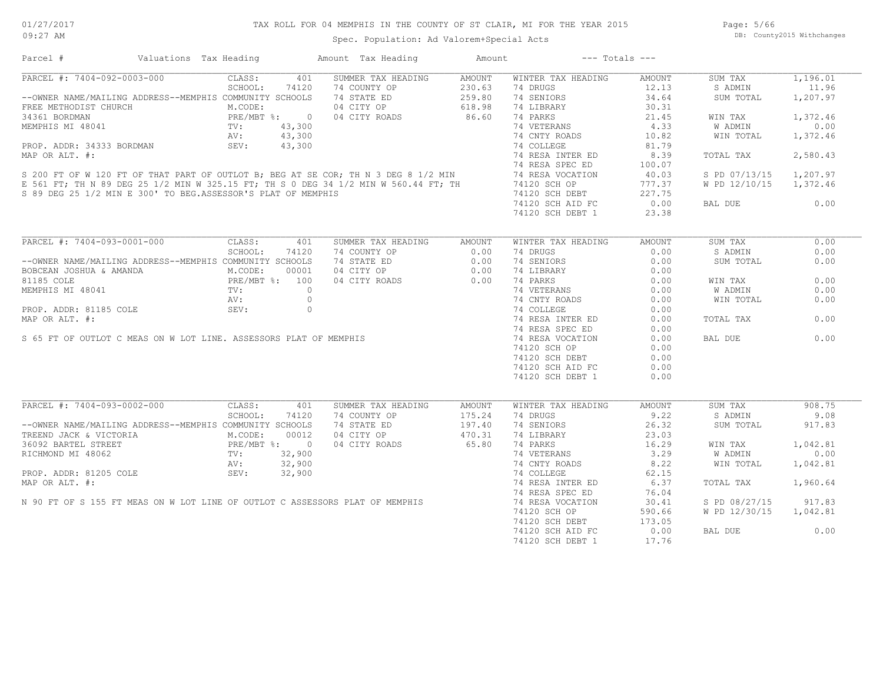## TAX ROLL FOR 04 MEMPHIS IN THE COUNTY OF ST CLAIR, MI FOR THE YEAR 2015

Spec. Population: Ad Valorem+Special Acts

Page: 5/66 DB: County2015 Withchanges

| Parcel #                                                                                                                                                                                                                                                                                                                                                                                                                                                                               | Valuations Tax Heading |         |       | Amount Tax Heading Mount                                                              |        | $---$ Totals $---$                                                                               |                                                     |                        |          |
|----------------------------------------------------------------------------------------------------------------------------------------------------------------------------------------------------------------------------------------------------------------------------------------------------------------------------------------------------------------------------------------------------------------------------------------------------------------------------------------|------------------------|---------|-------|---------------------------------------------------------------------------------------|--------|--------------------------------------------------------------------------------------------------|-----------------------------------------------------|------------------------|----------|
| PARCEL #: 7404-092-0003-000                                                                                                                                                                                                                                                                                                                                                                                                                                                            |                        | CLASS:  | 401   | SUMMER TAX HEADING AMOUNT                                                             |        | WINTER TAX HEADING                                                                               | AMOUNT                                              | SUM TAX                | 1,196.01 |
|                                                                                                                                                                                                                                                                                                                                                                                                                                                                                        |                        |         |       |                                                                                       |        | 74 DRUGS                                                                                         |                                                     | S ADMIN                | 11.96    |
| $\begin{tabular}{lcccccc} \multicolumn{4}{c }{\multicolumn{4}{c}{\multicolumn{4}{c}{\multicolumn{4}{c}{\multicolumn{4}{c}{\multicolumn{4}{c}{\multicolumn{4}{c}{\multicolumn{4}{c}{\multicolumn{4}{c}{\multicolumn{4}{c}{\multicolumn{4}{c}{\multicolumn{4}{c}{\multicolumn{4}{c}{\multicolumn{4}{c}{\multicolumn{4}{c}{\multicolumn{4}{c}{\multicolumn{4}{c}{\multicolumn{4}{c}{\multicolumn{4}{c}{\multicolumn{4}{c}{\multicolumn{4}{c}{\multicolumn{4}{c}{\multicolumn{4}{c}{\mult$ |                        |         |       |                                                                                       |        | 74 SENIORS                                                                                       | ADING<br>$\frac{12.1}{34.64}$<br>$\frac{34.64}{31}$ | SUM TOTAL              | 1,207.97 |
|                                                                                                                                                                                                                                                                                                                                                                                                                                                                                        |                        |         |       |                                                                                       |        |                                                                                                  |                                                     |                        |          |
|                                                                                                                                                                                                                                                                                                                                                                                                                                                                                        |                        |         |       |                                                                                       |        | 74 LIBRARY 30.31<br>74 PARKS 21.45<br>74 VETERANS 4.33<br>74 CNTY ROADS 10.82                    |                                                     | WIN TAX                | 1,372.46 |
|                                                                                                                                                                                                                                                                                                                                                                                                                                                                                        |                        |         |       |                                                                                       |        |                                                                                                  |                                                     | W ADMIN                | 0.00     |
|                                                                                                                                                                                                                                                                                                                                                                                                                                                                                        |                        |         |       |                                                                                       |        |                                                                                                  |                                                     | WIN TOTAL              | 1,372.46 |
|                                                                                                                                                                                                                                                                                                                                                                                                                                                                                        |                        |         |       |                                                                                       |        |                                                                                                  |                                                     |                        |          |
|                                                                                                                                                                                                                                                                                                                                                                                                                                                                                        |                        |         |       |                                                                                       |        |                                                                                                  |                                                     | TOTAL TAX              | 2,580.43 |
|                                                                                                                                                                                                                                                                                                                                                                                                                                                                                        |                        |         |       |                                                                                       |        |                                                                                                  |                                                     |                        |          |
|                                                                                                                                                                                                                                                                                                                                                                                                                                                                                        |                        |         |       |                                                                                       |        |                                                                                                  |                                                     |                        |          |
|                                                                                                                                                                                                                                                                                                                                                                                                                                                                                        |                        |         |       |                                                                                       |        |                                                                                                  |                                                     | S PD 07/13/15 1,207.97 |          |
|                                                                                                                                                                                                                                                                                                                                                                                                                                                                                        |                        |         |       |                                                                                       |        |                                                                                                  |                                                     | W PD 12/10/15 1,372.46 |          |
|                                                                                                                                                                                                                                                                                                                                                                                                                                                                                        |                        |         |       |                                                                                       |        |                                                                                                  |                                                     |                        |          |
|                                                                                                                                                                                                                                                                                                                                                                                                                                                                                        |                        |         |       |                                                                                       |        |                                                                                                  |                                                     | BAL DUE 0.00           |          |
|                                                                                                                                                                                                                                                                                                                                                                                                                                                                                        |                        |         |       |                                                                                       |        | 74120 SCH DEBT 1                                                                                 | 23.38                                               |                        |          |
|                                                                                                                                                                                                                                                                                                                                                                                                                                                                                        |                        |         |       |                                                                                       |        |                                                                                                  |                                                     |                        |          |
| PARCEL #: 7404-093-0001-000 CLASS: 401                                                                                                                                                                                                                                                                                                                                                                                                                                                 |                        |         |       | SUMMER TAX HEADING AMOUNT                                                             |        | WINTER TAX HEADING                                                                               | AMOUNT                                              | SUM TAX                | 0.00     |
|                                                                                                                                                                                                                                                                                                                                                                                                                                                                                        |                        |         |       |                                                                                       |        | 74 DRUGS                                                                                         | 0.00                                                | S ADMIN                | 0.00     |
|                                                                                                                                                                                                                                                                                                                                                                                                                                                                                        |                        |         |       |                                                                                       |        | 74 SENIORS                                                                                       | 0.00                                                | SUM TOTAL              | 0.00     |
|                                                                                                                                                                                                                                                                                                                                                                                                                                                                                        |                        |         |       |                                                                                       |        | 74 LIBRARY 0.00<br>74 PARKS 0.00<br>74 VETERANS 0.00<br>74 CNTY ROADS 0.00<br>74 CNTY ROADS 0.00 |                                                     |                        |          |
|                                                                                                                                                                                                                                                                                                                                                                                                                                                                                        |                        |         |       |                                                                                       |        |                                                                                                  |                                                     | WIN TAX                | 0.00     |
|                                                                                                                                                                                                                                                                                                                                                                                                                                                                                        |                        |         |       |                                                                                       |        |                                                                                                  |                                                     | W ADMIN                | 0.00     |
|                                                                                                                                                                                                                                                                                                                                                                                                                                                                                        |                        |         |       |                                                                                       |        |                                                                                                  |                                                     | WIN TOTAL              | 0.00     |
|                                                                                                                                                                                                                                                                                                                                                                                                                                                                                        |                        |         |       |                                                                                       |        |                                                                                                  |                                                     |                        |          |
|                                                                                                                                                                                                                                                                                                                                                                                                                                                                                        |                        |         |       |                                                                                       |        | 74 COLLEGE                                                                                       | 0.00                                                |                        |          |
|                                                                                                                                                                                                                                                                                                                                                                                                                                                                                        |                        |         |       |                                                                                       |        | 74 RESA INTER ED 0.00                                                                            |                                                     | TOTAL TAX              | 0.00     |
|                                                                                                                                                                                                                                                                                                                                                                                                                                                                                        |                        |         |       |                                                                                       |        | 74 RESA SPEC ED                                                                                  | 0.00                                                |                        |          |
|                                                                                                                                                                                                                                                                                                                                                                                                                                                                                        |                        |         |       |                                                                                       |        | 74 RESA VOCATION                                                                                 | 0.00                                                | BAL DUE                | 0.00     |
|                                                                                                                                                                                                                                                                                                                                                                                                                                                                                        |                        |         |       |                                                                                       |        | 74120 SCH OP                                                                                     | 0.00                                                |                        |          |
|                                                                                                                                                                                                                                                                                                                                                                                                                                                                                        |                        |         |       |                                                                                       |        | 74120 SCH DEBT 0.00                                                                              |                                                     |                        |          |
|                                                                                                                                                                                                                                                                                                                                                                                                                                                                                        |                        |         |       |                                                                                       |        | 74120 SCH AID FC                                                                                 | 0.00                                                |                        |          |
|                                                                                                                                                                                                                                                                                                                                                                                                                                                                                        |                        |         |       |                                                                                       |        | 74120 SCH DEBT 1                                                                                 | 0.00                                                |                        |          |
|                                                                                                                                                                                                                                                                                                                                                                                                                                                                                        |                        |         |       |                                                                                       |        |                                                                                                  |                                                     |                        |          |
| PARCEL #: 7404-093-0002-000 CLASS:                                                                                                                                                                                                                                                                                                                                                                                                                                                     |                        |         | 401   | SUMMER TAX HEADING                                                                    | AMOUNT | WINTER TAX HEADING                                                                               | AMOUNT                                              | SUM TAX                | 908.75   |
|                                                                                                                                                                                                                                                                                                                                                                                                                                                                                        |                        | SCHOOL: | 74120 |                                                                                       |        | 74 DRUGS                                                                                         | 9.22                                                | S ADMIN                | 9.08     |
| --OWNER NAME/MAILING ADDRESS--MEMPHIS COMMUNITY SCHOOLS                                                                                                                                                                                                                                                                                                                                                                                                                                |                        |         |       |                                                                                       |        | 74 SENIORS                                                                                       | 26.32                                               | SUM TOTAL              | 917.83   |
| TREEND JACK & VICTORIA M.CODE: 00012<br>36092 BARTEL STREET PRE/MBT %: 0<br>RICHMOND MI 48062 TV: 32,900<br>PROP. ADDR: 81205 COLE SEV: 32,900                                                                                                                                                                                                                                                                                                                                         |                        |         |       | 74 COUNTY OP 175.24<br>74 STATE ED 197.40<br>04 CITY OP 470.31<br>04 CITY ROADS 65.80 |        | 74 SENIUNU<br>74 LIBRARY 23.03<br>74 PARKS 16.29<br>16.29<br>3.29                                |                                                     |                        |          |
|                                                                                                                                                                                                                                                                                                                                                                                                                                                                                        |                        |         |       |                                                                                       |        |                                                                                                  |                                                     | WIN TAX                | 1,042.81 |
|                                                                                                                                                                                                                                                                                                                                                                                                                                                                                        |                        |         |       |                                                                                       |        |                                                                                                  |                                                     | W ADMIN                | 0.00     |
|                                                                                                                                                                                                                                                                                                                                                                                                                                                                                        |                        |         |       |                                                                                       |        | 74 VETERANS 3.29<br>74 CNTY ROADS 8.22                                                           |                                                     |                        |          |
|                                                                                                                                                                                                                                                                                                                                                                                                                                                                                        |                        |         |       |                                                                                       |        |                                                                                                  |                                                     | WIN TOTAL              | 1,042.81 |
|                                                                                                                                                                                                                                                                                                                                                                                                                                                                                        |                        |         |       |                                                                                       |        | 74 COLLEGE                                                                                       | 62.15                                               |                        |          |
|                                                                                                                                                                                                                                                                                                                                                                                                                                                                                        |                        |         |       |                                                                                       |        | 74 RESA INTER ED 6.37                                                                            |                                                     | TOTAL TAX              | 1,960.64 |
|                                                                                                                                                                                                                                                                                                                                                                                                                                                                                        |                        |         |       |                                                                                       |        | 74 RESA SPEC ED                                                                                  | 76.04                                               |                        |          |
| RICHMOND MI 48062<br>RICHMOND MI 48062<br>PROP. ADDR: 81205 COLE<br>MAP OR ALT. #:<br>N 90 FT OF S 155 FT MEAS ON W LOT LINE OF OUTLOT C ASSESSORS PLAT OF MEMPHIS                                                                                                                                                                                                                                                                                                                     |                        |         |       |                                                                                       |        | 74 RESA VOCATION                                                                                 | 30.41                                               | S PD 08/27/15          | 917.83   |
|                                                                                                                                                                                                                                                                                                                                                                                                                                                                                        |                        |         |       |                                                                                       |        | 74120 SCH OP                                                                                     | 590.66                                              | W PD 12/30/15 1,042.81 |          |
|                                                                                                                                                                                                                                                                                                                                                                                                                                                                                        |                        |         |       |                                                                                       |        | 74120 SCH DEBT                                                                                   | 173.05                                              |                        |          |
|                                                                                                                                                                                                                                                                                                                                                                                                                                                                                        |                        |         |       |                                                                                       |        | 74120 SCH AID FC                                                                                 | 0.00                                                | BAL DUE                | 0.00     |
|                                                                                                                                                                                                                                                                                                                                                                                                                                                                                        |                        |         |       |                                                                                       |        | 74120 SCH DEBT 1                                                                                 | 17.76                                               |                        |          |
|                                                                                                                                                                                                                                                                                                                                                                                                                                                                                        |                        |         |       |                                                                                       |        |                                                                                                  |                                                     |                        |          |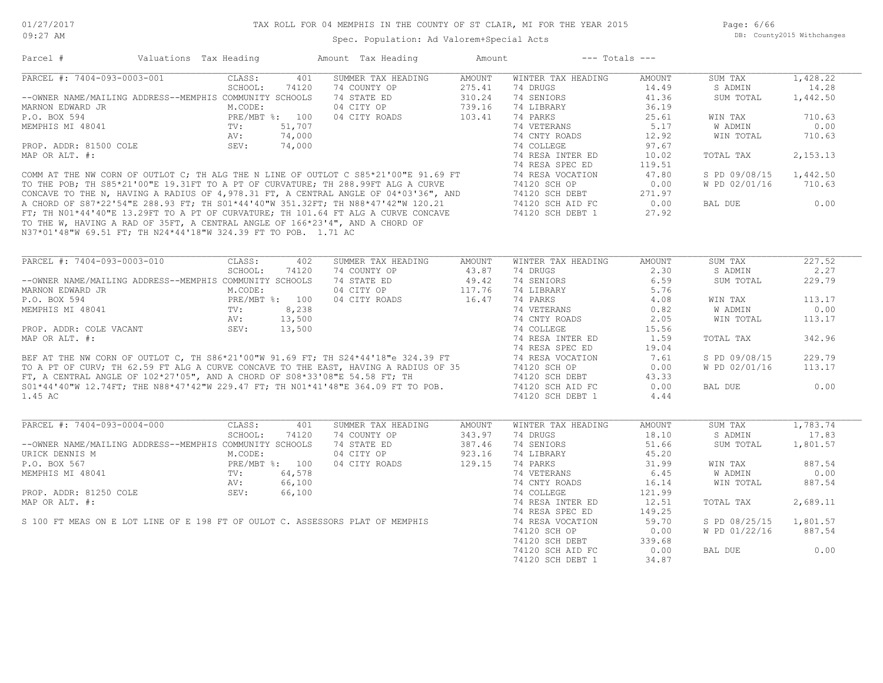Page: 6/66 DB: County2015 Withchanges

| Parcel #                                                                                                                                                                                                                             | Valuations Tax Heading | Amount Tax Heading        | Amount                         |                        | $---$ Totals $---$ |               |          |
|--------------------------------------------------------------------------------------------------------------------------------------------------------------------------------------------------------------------------------------|------------------------|---------------------------|--------------------------------|------------------------|--------------------|---------------|----------|
| PARCEL #: 7404-093-0003-001                                                                                                                                                                                                          | CLASS:                 | 401<br>SUMMER TAX HEADING | AMOUNT                         | WINTER TAX HEADING     | AMOUNT             | SUM TAX       | 1,428.22 |
|                                                                                                                                                                                                                                      | SCHOOL:                | 74120<br>74 COUNTY OP     | 275.41                         | 74 DRUGS               | 14.49              | S ADMIN       | 14.28    |
| --OWNER NAME/MAILING ADDRESS--MEMPHIS COMMUNITY SCHOOLS                                                                                                                                                                              |                        | 74 STATE ED               | 310.24                         | 74 SENIORS             | 41.36              | SUM TOTAL     | 1,442.50 |
| MARNON EDWARD JR                                                                                                                                                                                                                     | M.CODE:                | 04 CITY OP                | 739.16                         | 74 LIBRARY             | 36.19              |               |          |
| P.O. BOX 594                                                                                                                                                                                                                         | PRE/MBT %: 100         | 04 CITY ROADS             | 103.41                         | 74 PARKS               | 25.61              | WIN TAX       | 710.63   |
| MEMPHIS MI 48041                                                                                                                                                                                                                     | TV:                    | 51,707                    |                                | 74 VETERANS            | 5.17               | W ADMIN       | 0.00     |
|                                                                                                                                                                                                                                      | 74,000<br>AV:          |                           |                                | 74 CNTY ROADS          | 12.92              | WIN TOTAL     | 710.63   |
| PROP. ADDR: 81500 COLE                                                                                                                                                                                                               | SEV:<br>74,000         |                           |                                | 74 COLLEGE             | 97.67              |               |          |
| MAP OR ALT. #:                                                                                                                                                                                                                       |                        |                           |                                | 74 RESA INTER ED       | 10.02              | TOTAL TAX     | 2,153.13 |
|                                                                                                                                                                                                                                      |                        |                           |                                | 74 RESA SPEC ED        | 119.51             |               |          |
| COMM AT THE NW CORN OF OUTLOT C; TH ALG THE N LINE OF OUTLOT C S85*21'00"E 91.69 FT                                                                                                                                                  |                        |                           |                                | 74 RESA VOCATION       | 47.80              | S PD 09/08/15 | 1,442.50 |
| TO THE POB; TH S85*21'00"E 19.31FT TO A PT OF CURVATURE; TH 288.99FT ALG A CURVE                                                                                                                                                     |                        |                           |                                | 74120 SCH OP           | 0.00               | W PD 02/01/16 | 710.63   |
|                                                                                                                                                                                                                                      |                        |                           |                                |                        |                    |               |          |
| CONCAVE TO THE N, HAVING A RADIUS OF 4,978.31 FT, A CENTRAL ANGLE OF 04*03'36", AND A CHORD OF S87*22'54"E 288.93 FT; TH S01*44'40"W 351.32FT; TH N88*47'42"W 120.21 FT; TH N01*44'40"E 13.29FT TO A PT OF CURVATURE; TH 101.        |                        |                           |                                | 74120 SCH DEBT         | 271.97             |               |          |
|                                                                                                                                                                                                                                      |                        |                           |                                | 74120 SCH AID FC       | 0.00               | BAL DUE       | 0.00     |
|                                                                                                                                                                                                                                      |                        |                           |                                | 74120 SCH DEBT 1 27.92 |                    |               |          |
| N37*01'48"W 69.51 FT; TH N24*44'18"W 324.39 FT TO POB. 1.71 AC                                                                                                                                                                       |                        |                           |                                |                        |                    |               |          |
|                                                                                                                                                                                                                                      |                        |                           |                                |                        |                    |               |          |
| PARCEL #: 7404-093-0003-010                                                                                                                                                                                                          | CLASS:                 | 402<br>SUMMER TAX HEADING | AMOUNT                         | WINTER TAX HEADING     | AMOUNT             | SUM TAX       | 227.52   |
|                                                                                                                                                                                                                                      | SCHOOL:                | 74120<br>74 COUNTY OP     | 43.87                          | 74 DRUGS               | 2.30               | S ADMIN       | 2,27     |
| --OWNER NAME/MAILING ADDRESS--MEMPHIS COMMUNITY SCHOOLS                                                                                                                                                                              |                        | 74 STATE ED               | $49.42$<br>$117.76$<br>$16.47$ | 74 SENIORS             | 6.59               | SUM TOTAL     | 229.79   |
| MARNON EDWARD JR                                                                                                                                                                                                                     | M.CODE:                | 04 CITY OP                |                                | 74 LIBRARY             | 5.76               |               |          |
| P.O. BOX 594                                                                                                                                                                                                                         | $PRE/MBT$ %: 100       | 04 CITY ROADS             | 16.47                          | 74 PARKS               | 4.08               | WIN TAX       | 113.17   |
| MEMPHIS MI 48041                                                                                                                                                                                                                     |                        | 8,238                     |                                | 74 VETERANS            | 0.82               | W ADMIN       | 0.00     |
|                                                                                                                                                                                                                                      | 13,500<br>AV:          |                           |                                | 74 CNTY ROADS          | 2.05               | WIN TOTAL     | 113.17   |
| PROP. ADDR: COLE VACANT                                                                                                                                                                                                              | SEV:<br>13,500         |                           |                                | 74 COLLEGE             | 15.56              |               |          |
| MAP OR ALT. #:                                                                                                                                                                                                                       |                        |                           |                                | 74 RESA INTER ED       | 1.59               | TOTAL TAX     | 342.96   |
|                                                                                                                                                                                                                                      |                        |                           |                                |                        |                    |               |          |
|                                                                                                                                                                                                                                      |                        |                           |                                | 74 RESA SPEC ED        | 19.04              |               |          |
| BEF AT THE NW CORN OF OUTLOT C, TH S86*21'00"W 91.69 FT; TH S24*44'18"e 324.39 FT<br>TO A PT OF CURV; TH 62.59 FT ALG A CURVE CONCAVE TO THE EAST, HAVING A RADIUS OF 35<br>FT, A CENTRAL ANGLE OF 102*27'05", AND A CHORD OF S08*33 |                        |                           |                                | 74 RESA VOCATION       | 7.61               | S PD 09/08/15 | 229.79   |
|                                                                                                                                                                                                                                      |                        |                           |                                | 74120 SCH OP           | 0.00               | W PD 02/01/16 | 113.17   |
|                                                                                                                                                                                                                                      |                        |                           |                                | 74120 SCH DEBT         | 43.33              |               |          |
|                                                                                                                                                                                                                                      |                        |                           |                                | 74120 SCH AID FC       | 0.00               | BAL DUE       | 0.00     |
| 1.45 AC                                                                                                                                                                                                                              |                        |                           |                                | 74120 SCH DEBT 1       | 4.44               |               |          |
|                                                                                                                                                                                                                                      |                        |                           |                                |                        |                    |               |          |
| PARCEL #: 7404-093-0004-000                                                                                                                                                                                                          | CLASS:                 | 401<br>SUMMER TAX HEADING | AMOUNT                         | WINTER TAX HEADING     | AMOUNT             | SUM TAX       | 1,783.74 |
|                                                                                                                                                                                                                                      | SCHOOL:                | 74120<br>74 COUNTY OP     | 343.97                         | 74 DRUGS               | 18.10              | S ADMIN       | 17.83    |
| --OWNER NAME/MAILING ADDRESS--MEMPHIS COMMUNITY SCHOOLS                                                                                                                                                                              |                        | 74 STATE ED               | 387.46                         | 74 SENIORS             | 51.66              | SUM TOTAL     | 1,801.57 |
| URICK DENNIS M                                                                                                                                                                                                                       | M.CODE:                | 04 CITY OP                | 923.16                         | 74 LIBRARY             | 45.20              |               |          |
| P.O. BOX 567                                                                                                                                                                                                                         | PRE/MBT %: 100         | 04 CITY ROADS             | 129.15                         | 74 PARKS               | 31.99              | WIN TAX       | 887.54   |
| MEMPHIS MI 48041                                                                                                                                                                                                                     | TV:                    | 64,578                    |                                | 74 VETERANS            | 6.45               | W ADMIN       | 0.00     |
|                                                                                                                                                                                                                                      | AV:                    | 66,100                    |                                | 74 CNTY ROADS          | 16.14              | WIN TOTAL     | 887.54   |
| PROP. ADDR: 81250 COLE                                                                                                                                                                                                               | SEV:                   | 66,100                    |                                | 74 COLLEGE             | 121.99             |               |          |
| MAP OR ALT. #:                                                                                                                                                                                                                       |                        |                           |                                | 74 RESA INTER ED       | 12.51              | TOTAL TAX     | 2,689.11 |
|                                                                                                                                                                                                                                      |                        |                           |                                | 74 RESA SPEC ED        | 149.25             |               |          |
| S 100 FT MEAS ON E LOT LINE OF E 198 FT OF OULOT C. ASSESSORS PLAT OF MEMPHIS                                                                                                                                                        |                        |                           |                                | 74 RESA VOCATION       | 59.70              | S PD 08/25/15 | 1,801.57 |
|                                                                                                                                                                                                                                      |                        |                           |                                | 74120 SCH OP           | 0.00               | W PD 01/22/16 | 887.54   |
|                                                                                                                                                                                                                                      |                        |                           |                                | 74120 SCH DEBT         | 339.68             |               |          |
|                                                                                                                                                                                                                                      |                        |                           |                                | 74120 SCH AID FC       | 0.00               | BAL DUE       | 0.00     |
|                                                                                                                                                                                                                                      |                        |                           |                                |                        |                    |               |          |
|                                                                                                                                                                                                                                      |                        |                           |                                | 74120 SCH DEBT 1       | 34.87              |               |          |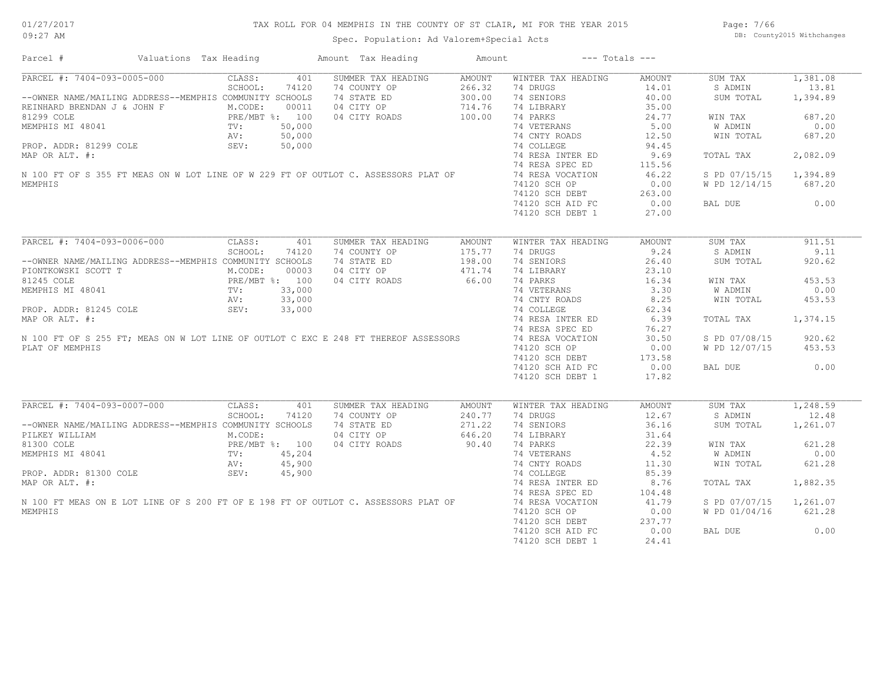## TAX ROLL FOR 04 MEMPHIS IN THE COUNTY OF ST CLAIR, MI FOR THE YEAR 2015

Spec. Population: Ad Valorem+Special Acts

Page: 7/66 DB: County2015 Withchanges

| Parcel #                                                                                                                                    | Valuations Tax Heading                     |         |        | Amount Tax Heading | Amount |                    | $---$ Totals $---$ |               |          |
|---------------------------------------------------------------------------------------------------------------------------------------------|--------------------------------------------|---------|--------|--------------------|--------|--------------------|--------------------|---------------|----------|
| PARCEL #: 7404-093-0005-000                                                                                                                 |                                            | CLASS:  | 401    | SUMMER TAX HEADING | AMOUNT | WINTER TAX HEADING | AMOUNT             | SUM TAX       | 1,381.08 |
|                                                                                                                                             |                                            | SCHOOL: | 74120  | 74 COUNTY OP       | 266.32 | 74 DRUGS           | 14.01              | S ADMIN       | 13.81    |
| --OWNER NAME/MAILING ADDRESS--MEMPHIS COMMUNITY SCHOOLS                                                                                     |                                            |         |        | 74 STATE ED        | 300.00 | 74 SENIORS         | 40.00              | SUM TOTAL     | 1,394.89 |
| REINHARD BRENDAN J & JOHN F M.CODE: 00011<br>81299 COLE PRE/MBT %: 100<br>MEMPHIS MI 48041 TV: 50,000<br>PROP. ADDR: 81299 COLE SEV: 50,000 |                                            |         |        | 04 CITY OP         | 714.76 | 74 LIBRARY         | 35.00              |               |          |
|                                                                                                                                             |                                            |         |        | 04 CITY ROADS      | 100.00 | 74 PARKS           | 24.77              | WIN TAX       | 687.20   |
|                                                                                                                                             |                                            |         |        |                    |        | 74 VETERANS        | 5.00               | W ADMIN       | 0.00     |
|                                                                                                                                             |                                            |         |        |                    |        | 74 CNTY ROADS      | 12.50              | WIN TOTAL     | 687.20   |
|                                                                                                                                             |                                            |         |        |                    |        |                    |                    |               |          |
|                                                                                                                                             |                                            |         |        |                    |        | 74 COLLEGE         | 94.45              |               |          |
| MAP OR ALT. #:                                                                                                                              |                                            |         |        |                    |        | 74 RESA INTER ED   | 9.69               | TOTAL TAX     | 2,082.09 |
|                                                                                                                                             |                                            |         |        |                    |        | 74 RESA SPEC ED    | 115.56             |               |          |
| N 100 FT OF S 355 FT MEAS ON W LOT LINE OF W 229 FT OF OUTLOT C. ASSESSORS PLAT OF                                                          |                                            |         |        |                    |        | 74 RESA VOCATION   | 46.22              | S PD 07/15/15 | 1,394.89 |
| MEMPHIS                                                                                                                                     |                                            |         |        |                    |        | 74120 SCH OP       | 0.00               | W PD 12/14/15 | 687.20   |
|                                                                                                                                             |                                            |         |        |                    |        | 74120 SCH DEBT     | 263.00             |               |          |
|                                                                                                                                             |                                            |         |        |                    |        | 74120 SCH AID FC   | 0.00               | BAL DUE       | 0.00     |
|                                                                                                                                             |                                            |         |        |                    |        | 74120 SCH DEBT 1   | 27.00              |               |          |
|                                                                                                                                             |                                            |         |        |                    |        |                    |                    |               |          |
| PARCEL #: 7404-093-0006-000                                                                                                                 |                                            | CLASS:  | 401    | SUMMER TAX HEADING | AMOUNT | WINTER TAX HEADING | <b>AMOUNT</b>      | SUM TAX       | 911.51   |
|                                                                                                                                             |                                            | SCHOOL: | 74120  | 74 COUNTY OP       | 175.77 | 74 DRUGS           | 9.24               | S ADMIN       | 9.11     |
| --OWNER NAME/MAILING ADDRESS--MEMPHIS COMMUNITY SCHOOLS                                                                                     |                                            |         |        | 74 STATE ED        | 198.00 | 74 SENIORS         | 26.40              | SUM TOTAL     | 920.62   |
| PIONTKOWSKI SCOTT T                                                                                                                         |                                            |         |        | 04 CITY OP         | 471.74 | 74 LIBRARY         | 23.10              |               |          |
| 81245 COLE                                                                                                                                  |                                            |         |        | 04 CITY ROADS      | 66.00  | 74 PARKS           | 16.34              | WIN TAX       | 453.53   |
| MEMPHIS MI 48041                                                                                                                            |                                            |         |        |                    |        | 74 VETERANS        | 3.30               | W ADMIN       | 0.00     |
|                                                                                                                                             |                                            |         |        |                    |        | 74 CNTY ROADS      |                    |               |          |
|                                                                                                                                             |                                            |         |        |                    |        |                    | 8.25               | WIN TOTAL     | 453.53   |
| PROP. ADDR: 81245 COLE                                                                                                                      |                                            | SEV:    | 33,000 |                    |        | 74 COLLEGE         | 62.34              |               |          |
|                                                                                                                                             |                                            |         |        |                    |        | 74 RESA INTER ED   | 6.39               | TOTAL TAX     | 1,374.15 |
| MAP OR ALT. #:<br>MAP OR ALT. #:<br>N 100 FT OF S 255 FT; MEAS ON W LOT LINE OF OUTLOT C EXC E 248 FT THEREOF ASSESSORS                     |                                            |         |        |                    |        | 74 RESA SPEC ED    | 76.27              |               |          |
|                                                                                                                                             |                                            |         |        |                    |        | 74 RESA VOCATION   | 30.50              | S PD 07/08/15 | 920.62   |
| PLAT OF MEMPHIS                                                                                                                             |                                            |         |        |                    |        | 74120 SCH OP       | 0.00               | W PD 12/07/15 | 453.53   |
|                                                                                                                                             |                                            |         |        |                    |        | 74120 SCH DEBT     | 173.58             |               |          |
|                                                                                                                                             |                                            |         |        |                    |        | 74120 SCH AID FC   | 0.00               | BAL DUE       | 0.00     |
|                                                                                                                                             |                                            |         |        |                    |        | 74120 SCH DEBT 1   | 17.82              |               |          |
|                                                                                                                                             |                                            |         |        |                    |        |                    |                    |               |          |
| PARCEL #: 7404-093-0007-000                                                                                                                 |                                            | CLASS:  | 401    | SUMMER TAX HEADING | AMOUNT | WINTER TAX HEADING | <b>AMOUNT</b>      | SUM TAX       | 1,248.59 |
|                                                                                                                                             |                                            | SCHOOL: | 74120  | 74 COUNTY OP       | 240.77 | 74 DRUGS           | 12.67              | S ADMIN       | 12.48    |
| --OWNER NAME/MAILING ADDRESS--MEMPHIS COMMUNITY SCHOOLS                                                                                     |                                            |         |        | 74 STATE ED        | 271.22 | 74 SENIORS         | 36.16              | SUM TOTAL     | 1,261.07 |
| PILKEY WILLIAM                                                                                                                              |                                            | M.CODE: |        | 04 CITY OP         | 646.20 | 74 LIBRARY         | 31.64              |               |          |
| 81300 COLE                                                                                                                                  |                                            |         |        | 04 CITY ROADS      | 90.40  | 74 PARKS           | 22.39              | WIN TAX       | 621.28   |
| MEMPHIS MI 48041                                                                                                                            | PRE/MBT %: 100<br>TV: 45,204<br>NV: 45,900 |         |        |                    |        | 74 VETERANS        | 4.52               |               | 0.00     |
|                                                                                                                                             |                                            |         |        |                    |        |                    |                    | W ADMIN       |          |
|                                                                                                                                             |                                            | AV:     | 45,900 |                    |        | 74 CNTY ROADS      | 11.30              | WIN TOTAL     | 621.28   |
|                                                                                                                                             |                                            |         | 45,900 |                    |        | 74 COLLEGE         | 85.39              |               |          |
| MAP OR ALT. #:                                                                                                                              |                                            |         |        |                    |        | 74 RESA INTER ED   | 8.76               | TOTAL TAX     | 1,882.35 |
|                                                                                                                                             |                                            |         |        |                    |        | 74 RESA SPEC ED    | 104.48             |               |          |
| N 100 FT MEAS ON E LOT LINE OF S 200 FT OF E 198 FT OF OUTLOT C. ASSESSORS PLAT OF                                                          |                                            |         |        |                    |        | 74 RESA VOCATION   | 41.79              | S PD 07/07/15 | 1,261.07 |
| MEMPHIS                                                                                                                                     |                                            |         |        |                    |        | 74120 SCH OP       | 0.00               | W PD 01/04/16 | 621.28   |
|                                                                                                                                             |                                            |         |        |                    |        | 74120 SCH DEBT     | 237.77             |               |          |
|                                                                                                                                             |                                            |         |        |                    |        | 74120 SCH AID FC   | 0.00               | BAL DUE       | 0.00     |
|                                                                                                                                             |                                            |         |        |                    |        | 74120 SCH DEBT 1   | 24.41              |               |          |
|                                                                                                                                             |                                            |         |        |                    |        |                    |                    |               |          |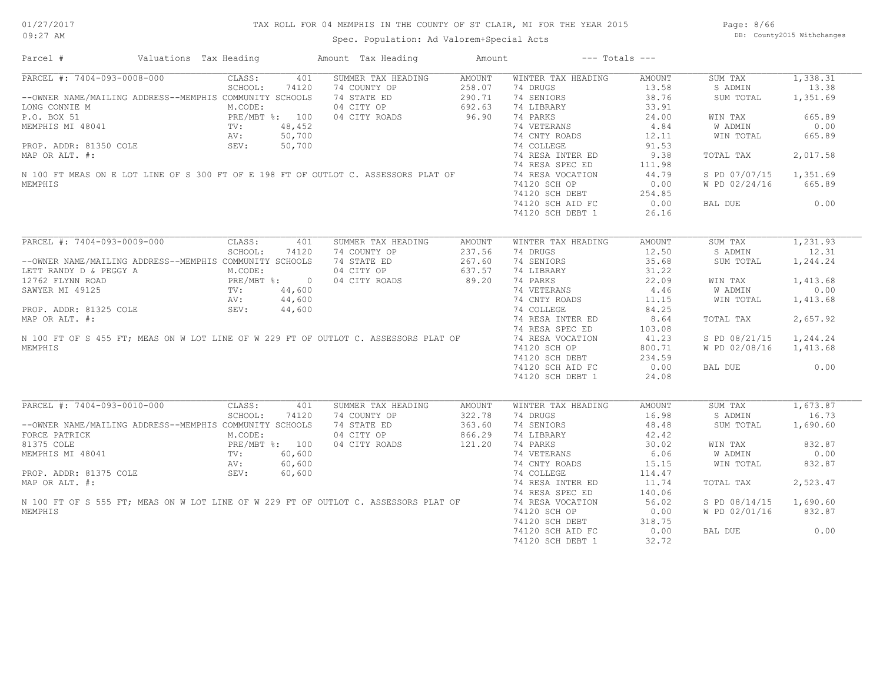## TAX ROLL FOR 04 MEMPHIS IN THE COUNTY OF ST CLAIR, MI FOR THE YEAR 2015

Spec. Population: Ad Valorem+Special Acts

Page: 8/66 DB: County2015 Withchanges

| SUMMER TAX HEADING<br>WINTER TAX HEADING<br>1,338.31<br>CLASS:<br>401<br><b>AMOUNT</b><br><b>AMOUNT</b><br>SUM TAX<br>SCHOOL:<br>74120<br>74 COUNTY OP<br>258.07<br>74 DRUGS<br>13.58<br>S ADMIN<br>13.38<br>290.71<br>74 SENIORS<br>38.76<br>1,351.69<br>--OWNER NAME/MAILING ADDRESS--MEMPHIS COMMUNITY SCHOOLS<br>74 STATE ED<br>SUM TOTAL<br>M.CODE:<br>04 CITY OP<br>692.63<br>74 LIBRARY<br>33.91<br>96.90<br>24.00<br>665.89<br>P.O. BOX 51<br>PRE/MBT %: 100<br>04 CITY ROADS<br>74 PARKS<br>WIN TAX<br>74 VETERANS<br>4.84<br>0.00<br>MEMPHIS MI 48041<br>48,452<br>W ADMIN<br>TV:<br>50,700<br>74 CNTY ROADS<br>12.11<br>665.89<br>AV:<br>WIN TOTAL<br>PROP. ADDR: 81350 COLE<br>SEV:<br>50,700<br>74 COLLEGE<br>91.53<br>74 RESA INTER ED<br>9.38<br>2,017.58<br>MAP OR ALT. #:<br>TOTAL TAX<br>74 RESA SPEC ED<br>111.98<br>N 100 FT MEAS ON E LOT LINE OF S 300 FT OF E 198 FT OF OUTLOT C. ASSESSORS PLAT OF<br>1,351.69<br>74 RESA VOCATION<br>44.79<br>S PD 07/07/15<br>74120 SCH OP<br>0.00<br>665.89<br>W PD 02/24/16<br>74120 SCH DEBT<br>254.85<br>0.00<br>0.00<br>74120 SCH AID FC<br>BAL DUE<br>26.16<br>74120 SCH DEBT 1<br>PARCEL #: 7404-093-0009-000<br>1,231.93<br>CLASS:<br>401<br>SUMMER TAX HEADING<br><b>AMOUNT</b><br>WINTER TAX HEADING<br><b>AMOUNT</b><br>SUM TAX<br>237.56<br>12.50<br>12.31<br>SCHOOL:<br>74120<br>74 COUNTY OP<br>74 DRUGS<br>S ADMIN<br>267.60<br>74 SENIORS<br>35.68<br>1,244.24<br>--OWNER NAME/MAILING ADDRESS--MEMPHIS COMMUNITY SCHOOLS<br>74 STATE ED<br>SUM TOTAL<br>M.CODE:<br>04 CITY OP<br>637.57<br>31.22<br>LETT RANDY D & PEGGY A<br>74 LIBRARY<br>89.20<br>22.09<br>12762 FLYNN ROAD<br>PRE/MBT %: 0<br>TV: 44,600<br>04 CITY ROADS<br>74 PARKS<br>1,413.68<br>WIN TAX<br>0.00<br>74 VETERANS<br>4.46<br>W ADMIN<br>44,600<br>11.15<br>74 CNTY ROADS<br>WIN TOTAL<br>1,413.68<br>AV:<br>PROP. ADDR: 81325 COLE<br>SEV:<br>44,600<br>74 COLLEGE<br>84.25<br>2,657.92<br>MAP OR ALT. #:<br>74 RESA INTER ED<br>8.64<br>TOTAL TAX<br>74 RESA SPEC ED<br>103.08<br>N 100 FT OF S 455 FT; MEAS ON W LOT LINE OF W 229 FT OF OUTLOT C. ASSESSORS PLAT OF<br>74 RESA VOCATION<br>41.23<br>S PD 08/21/15<br>1,244.24<br>MEMPHIS<br>74120 SCH OP<br>800.71<br>W PD 02/08/16<br>1,413.68<br>74120 SCH DEBT<br>234.59<br>0.00<br>0.00<br>74120 SCH AID FC<br>BAL DUE<br>74120 SCH DEBT 1<br>24.08<br>1,673.87<br>CLASS:<br>SUM TAX<br>401<br>SUMMER TAX HEADING<br>AMOUNT<br>WINTER TAX HEADING<br><b>AMOUNT</b><br>16.73<br>SCHOOL:<br>74120<br>74 COUNTY OP<br>322.78<br>74 DRUGS<br>16.98<br>S ADMIN<br>--OWNER NAME/MAILING ADDRESS--MEMPHIS COMMUNITY SCHOOLS<br>74 STATE ED<br>363.60<br>74 SENIORS<br>48.48<br>SUM TOTAL<br>1,690.60<br>866.29<br>M.CODE:<br>04 CITY OP<br>74 LIBRARY<br>42.42<br>121.20<br>PRE/MBT %: 100<br>04 CITY ROADS<br>30.02<br>832.87<br>74 PARKS<br>WIN TAX<br>60,600<br>74 VETERANS<br>6.06<br>0.00<br>TV:<br>W ADMIN<br>AV:<br>60,600<br>74 CNTY ROADS<br>15.15<br>WIN TOTAL<br>832.87<br>60,600<br>PROP. ADDR: 81375 COLE<br>SEV:<br>74 COLLEGE<br>114.47<br>MAP OR ALT. #:<br>74 RESA INTER ED<br>11.74<br>2,523.47<br>TOTAL TAX<br>74 RESA SPEC ED<br>140.06<br>N 100 FT OF S 555 FT; MEAS ON W LOT LINE OF W 229 FT OF OUTLOT C. ASSESSORS PLAT OF<br>74 RESA VOCATION<br>56.02<br>S PD 08/14/15<br>1,690.60<br>74120 SCH OP<br>0.00<br>W PD 02/01/16<br>832.87<br>74120 SCH DEBT<br>318.75<br>0.00<br>74120 SCH AID FC<br>0.00<br>BAL DUE | Parcel #                    | Valuations Tax Heading | Amount Tax Heading | Amount | $---$ Totals $---$ |       |  |
|---------------------------------------------------------------------------------------------------------------------------------------------------------------------------------------------------------------------------------------------------------------------------------------------------------------------------------------------------------------------------------------------------------------------------------------------------------------------------------------------------------------------------------------------------------------------------------------------------------------------------------------------------------------------------------------------------------------------------------------------------------------------------------------------------------------------------------------------------------------------------------------------------------------------------------------------------------------------------------------------------------------------------------------------------------------------------------------------------------------------------------------------------------------------------------------------------------------------------------------------------------------------------------------------------------------------------------------------------------------------------------------------------------------------------------------------------------------------------------------------------------------------------------------------------------------------------------------------------------------------------------------------------------------------------------------------------------------------------------------------------------------------------------------------------------------------------------------------------------------------------------------------------------------------------------------------------------------------------------------------------------------------------------------------------------------------------------------------------------------------------------------------------------------------------------------------------------------------------------------------------------------------------------------------------------------------------------------------------------------------------------------------------------------------------------------------------------------------------------------------------------------------------------------------------------------------------------------------------------------------------------------------------------------------------------------------------------------------------------------------------------------------------------------------------------------------------------------------------------------------------------------------------------------------------------------------------------------------------------------------------------------------------------------------------------------------------------------------------------------------------------------------------------------------------------------------------------------------------------------------------------------------------------------------------------------------------------------------------------------------------------------------------------------------------------------------|-----------------------------|------------------------|--------------------|--------|--------------------|-------|--|
|                                                                                                                                                                                                                                                                                                                                                                                                                                                                                                                                                                                                                                                                                                                                                                                                                                                                                                                                                                                                                                                                                                                                                                                                                                                                                                                                                                                                                                                                                                                                                                                                                                                                                                                                                                                                                                                                                                                                                                                                                                                                                                                                                                                                                                                                                                                                                                                                                                                                                                                                                                                                                                                                                                                                                                                                                                                                                                                                                                                                                                                                                                                                                                                                                                                                                                                                                                                                                                             | PARCEL #: 7404-093-0008-000 |                        |                    |        |                    |       |  |
|                                                                                                                                                                                                                                                                                                                                                                                                                                                                                                                                                                                                                                                                                                                                                                                                                                                                                                                                                                                                                                                                                                                                                                                                                                                                                                                                                                                                                                                                                                                                                                                                                                                                                                                                                                                                                                                                                                                                                                                                                                                                                                                                                                                                                                                                                                                                                                                                                                                                                                                                                                                                                                                                                                                                                                                                                                                                                                                                                                                                                                                                                                                                                                                                                                                                                                                                                                                                                                             |                             |                        |                    |        |                    |       |  |
|                                                                                                                                                                                                                                                                                                                                                                                                                                                                                                                                                                                                                                                                                                                                                                                                                                                                                                                                                                                                                                                                                                                                                                                                                                                                                                                                                                                                                                                                                                                                                                                                                                                                                                                                                                                                                                                                                                                                                                                                                                                                                                                                                                                                                                                                                                                                                                                                                                                                                                                                                                                                                                                                                                                                                                                                                                                                                                                                                                                                                                                                                                                                                                                                                                                                                                                                                                                                                                             |                             |                        |                    |        |                    |       |  |
|                                                                                                                                                                                                                                                                                                                                                                                                                                                                                                                                                                                                                                                                                                                                                                                                                                                                                                                                                                                                                                                                                                                                                                                                                                                                                                                                                                                                                                                                                                                                                                                                                                                                                                                                                                                                                                                                                                                                                                                                                                                                                                                                                                                                                                                                                                                                                                                                                                                                                                                                                                                                                                                                                                                                                                                                                                                                                                                                                                                                                                                                                                                                                                                                                                                                                                                                                                                                                                             | LONG CONNIE M               |                        |                    |        |                    |       |  |
|                                                                                                                                                                                                                                                                                                                                                                                                                                                                                                                                                                                                                                                                                                                                                                                                                                                                                                                                                                                                                                                                                                                                                                                                                                                                                                                                                                                                                                                                                                                                                                                                                                                                                                                                                                                                                                                                                                                                                                                                                                                                                                                                                                                                                                                                                                                                                                                                                                                                                                                                                                                                                                                                                                                                                                                                                                                                                                                                                                                                                                                                                                                                                                                                                                                                                                                                                                                                                                             |                             |                        |                    |        |                    |       |  |
|                                                                                                                                                                                                                                                                                                                                                                                                                                                                                                                                                                                                                                                                                                                                                                                                                                                                                                                                                                                                                                                                                                                                                                                                                                                                                                                                                                                                                                                                                                                                                                                                                                                                                                                                                                                                                                                                                                                                                                                                                                                                                                                                                                                                                                                                                                                                                                                                                                                                                                                                                                                                                                                                                                                                                                                                                                                                                                                                                                                                                                                                                                                                                                                                                                                                                                                                                                                                                                             |                             |                        |                    |        |                    |       |  |
|                                                                                                                                                                                                                                                                                                                                                                                                                                                                                                                                                                                                                                                                                                                                                                                                                                                                                                                                                                                                                                                                                                                                                                                                                                                                                                                                                                                                                                                                                                                                                                                                                                                                                                                                                                                                                                                                                                                                                                                                                                                                                                                                                                                                                                                                                                                                                                                                                                                                                                                                                                                                                                                                                                                                                                                                                                                                                                                                                                                                                                                                                                                                                                                                                                                                                                                                                                                                                                             |                             |                        |                    |        |                    |       |  |
|                                                                                                                                                                                                                                                                                                                                                                                                                                                                                                                                                                                                                                                                                                                                                                                                                                                                                                                                                                                                                                                                                                                                                                                                                                                                                                                                                                                                                                                                                                                                                                                                                                                                                                                                                                                                                                                                                                                                                                                                                                                                                                                                                                                                                                                                                                                                                                                                                                                                                                                                                                                                                                                                                                                                                                                                                                                                                                                                                                                                                                                                                                                                                                                                                                                                                                                                                                                                                                             |                             |                        |                    |        |                    |       |  |
|                                                                                                                                                                                                                                                                                                                                                                                                                                                                                                                                                                                                                                                                                                                                                                                                                                                                                                                                                                                                                                                                                                                                                                                                                                                                                                                                                                                                                                                                                                                                                                                                                                                                                                                                                                                                                                                                                                                                                                                                                                                                                                                                                                                                                                                                                                                                                                                                                                                                                                                                                                                                                                                                                                                                                                                                                                                                                                                                                                                                                                                                                                                                                                                                                                                                                                                                                                                                                                             |                             |                        |                    |        |                    |       |  |
|                                                                                                                                                                                                                                                                                                                                                                                                                                                                                                                                                                                                                                                                                                                                                                                                                                                                                                                                                                                                                                                                                                                                                                                                                                                                                                                                                                                                                                                                                                                                                                                                                                                                                                                                                                                                                                                                                                                                                                                                                                                                                                                                                                                                                                                                                                                                                                                                                                                                                                                                                                                                                                                                                                                                                                                                                                                                                                                                                                                                                                                                                                                                                                                                                                                                                                                                                                                                                                             |                             |                        |                    |        |                    |       |  |
|                                                                                                                                                                                                                                                                                                                                                                                                                                                                                                                                                                                                                                                                                                                                                                                                                                                                                                                                                                                                                                                                                                                                                                                                                                                                                                                                                                                                                                                                                                                                                                                                                                                                                                                                                                                                                                                                                                                                                                                                                                                                                                                                                                                                                                                                                                                                                                                                                                                                                                                                                                                                                                                                                                                                                                                                                                                                                                                                                                                                                                                                                                                                                                                                                                                                                                                                                                                                                                             |                             |                        |                    |        |                    |       |  |
|                                                                                                                                                                                                                                                                                                                                                                                                                                                                                                                                                                                                                                                                                                                                                                                                                                                                                                                                                                                                                                                                                                                                                                                                                                                                                                                                                                                                                                                                                                                                                                                                                                                                                                                                                                                                                                                                                                                                                                                                                                                                                                                                                                                                                                                                                                                                                                                                                                                                                                                                                                                                                                                                                                                                                                                                                                                                                                                                                                                                                                                                                                                                                                                                                                                                                                                                                                                                                                             |                             |                        |                    |        |                    |       |  |
|                                                                                                                                                                                                                                                                                                                                                                                                                                                                                                                                                                                                                                                                                                                                                                                                                                                                                                                                                                                                                                                                                                                                                                                                                                                                                                                                                                                                                                                                                                                                                                                                                                                                                                                                                                                                                                                                                                                                                                                                                                                                                                                                                                                                                                                                                                                                                                                                                                                                                                                                                                                                                                                                                                                                                                                                                                                                                                                                                                                                                                                                                                                                                                                                                                                                                                                                                                                                                                             | MEMPHIS                     |                        |                    |        |                    |       |  |
|                                                                                                                                                                                                                                                                                                                                                                                                                                                                                                                                                                                                                                                                                                                                                                                                                                                                                                                                                                                                                                                                                                                                                                                                                                                                                                                                                                                                                                                                                                                                                                                                                                                                                                                                                                                                                                                                                                                                                                                                                                                                                                                                                                                                                                                                                                                                                                                                                                                                                                                                                                                                                                                                                                                                                                                                                                                                                                                                                                                                                                                                                                                                                                                                                                                                                                                                                                                                                                             |                             |                        |                    |        |                    |       |  |
|                                                                                                                                                                                                                                                                                                                                                                                                                                                                                                                                                                                                                                                                                                                                                                                                                                                                                                                                                                                                                                                                                                                                                                                                                                                                                                                                                                                                                                                                                                                                                                                                                                                                                                                                                                                                                                                                                                                                                                                                                                                                                                                                                                                                                                                                                                                                                                                                                                                                                                                                                                                                                                                                                                                                                                                                                                                                                                                                                                                                                                                                                                                                                                                                                                                                                                                                                                                                                                             |                             |                        |                    |        |                    |       |  |
|                                                                                                                                                                                                                                                                                                                                                                                                                                                                                                                                                                                                                                                                                                                                                                                                                                                                                                                                                                                                                                                                                                                                                                                                                                                                                                                                                                                                                                                                                                                                                                                                                                                                                                                                                                                                                                                                                                                                                                                                                                                                                                                                                                                                                                                                                                                                                                                                                                                                                                                                                                                                                                                                                                                                                                                                                                                                                                                                                                                                                                                                                                                                                                                                                                                                                                                                                                                                                                             |                             |                        |                    |        |                    |       |  |
|                                                                                                                                                                                                                                                                                                                                                                                                                                                                                                                                                                                                                                                                                                                                                                                                                                                                                                                                                                                                                                                                                                                                                                                                                                                                                                                                                                                                                                                                                                                                                                                                                                                                                                                                                                                                                                                                                                                                                                                                                                                                                                                                                                                                                                                                                                                                                                                                                                                                                                                                                                                                                                                                                                                                                                                                                                                                                                                                                                                                                                                                                                                                                                                                                                                                                                                                                                                                                                             |                             |                        |                    |        |                    |       |  |
|                                                                                                                                                                                                                                                                                                                                                                                                                                                                                                                                                                                                                                                                                                                                                                                                                                                                                                                                                                                                                                                                                                                                                                                                                                                                                                                                                                                                                                                                                                                                                                                                                                                                                                                                                                                                                                                                                                                                                                                                                                                                                                                                                                                                                                                                                                                                                                                                                                                                                                                                                                                                                                                                                                                                                                                                                                                                                                                                                                                                                                                                                                                                                                                                                                                                                                                                                                                                                                             |                             |                        |                    |        |                    |       |  |
|                                                                                                                                                                                                                                                                                                                                                                                                                                                                                                                                                                                                                                                                                                                                                                                                                                                                                                                                                                                                                                                                                                                                                                                                                                                                                                                                                                                                                                                                                                                                                                                                                                                                                                                                                                                                                                                                                                                                                                                                                                                                                                                                                                                                                                                                                                                                                                                                                                                                                                                                                                                                                                                                                                                                                                                                                                                                                                                                                                                                                                                                                                                                                                                                                                                                                                                                                                                                                                             |                             |                        |                    |        |                    |       |  |
|                                                                                                                                                                                                                                                                                                                                                                                                                                                                                                                                                                                                                                                                                                                                                                                                                                                                                                                                                                                                                                                                                                                                                                                                                                                                                                                                                                                                                                                                                                                                                                                                                                                                                                                                                                                                                                                                                                                                                                                                                                                                                                                                                                                                                                                                                                                                                                                                                                                                                                                                                                                                                                                                                                                                                                                                                                                                                                                                                                                                                                                                                                                                                                                                                                                                                                                                                                                                                                             |                             |                        |                    |        |                    |       |  |
|                                                                                                                                                                                                                                                                                                                                                                                                                                                                                                                                                                                                                                                                                                                                                                                                                                                                                                                                                                                                                                                                                                                                                                                                                                                                                                                                                                                                                                                                                                                                                                                                                                                                                                                                                                                                                                                                                                                                                                                                                                                                                                                                                                                                                                                                                                                                                                                                                                                                                                                                                                                                                                                                                                                                                                                                                                                                                                                                                                                                                                                                                                                                                                                                                                                                                                                                                                                                                                             |                             |                        |                    |        |                    |       |  |
|                                                                                                                                                                                                                                                                                                                                                                                                                                                                                                                                                                                                                                                                                                                                                                                                                                                                                                                                                                                                                                                                                                                                                                                                                                                                                                                                                                                                                                                                                                                                                                                                                                                                                                                                                                                                                                                                                                                                                                                                                                                                                                                                                                                                                                                                                                                                                                                                                                                                                                                                                                                                                                                                                                                                                                                                                                                                                                                                                                                                                                                                                                                                                                                                                                                                                                                                                                                                                                             |                             |                        |                    |        |                    |       |  |
|                                                                                                                                                                                                                                                                                                                                                                                                                                                                                                                                                                                                                                                                                                                                                                                                                                                                                                                                                                                                                                                                                                                                                                                                                                                                                                                                                                                                                                                                                                                                                                                                                                                                                                                                                                                                                                                                                                                                                                                                                                                                                                                                                                                                                                                                                                                                                                                                                                                                                                                                                                                                                                                                                                                                                                                                                                                                                                                                                                                                                                                                                                                                                                                                                                                                                                                                                                                                                                             |                             |                        |                    |        |                    |       |  |
|                                                                                                                                                                                                                                                                                                                                                                                                                                                                                                                                                                                                                                                                                                                                                                                                                                                                                                                                                                                                                                                                                                                                                                                                                                                                                                                                                                                                                                                                                                                                                                                                                                                                                                                                                                                                                                                                                                                                                                                                                                                                                                                                                                                                                                                                                                                                                                                                                                                                                                                                                                                                                                                                                                                                                                                                                                                                                                                                                                                                                                                                                                                                                                                                                                                                                                                                                                                                                                             | SAWYER MI 49125             |                        |                    |        |                    |       |  |
|                                                                                                                                                                                                                                                                                                                                                                                                                                                                                                                                                                                                                                                                                                                                                                                                                                                                                                                                                                                                                                                                                                                                                                                                                                                                                                                                                                                                                                                                                                                                                                                                                                                                                                                                                                                                                                                                                                                                                                                                                                                                                                                                                                                                                                                                                                                                                                                                                                                                                                                                                                                                                                                                                                                                                                                                                                                                                                                                                                                                                                                                                                                                                                                                                                                                                                                                                                                                                                             |                             |                        |                    |        |                    |       |  |
|                                                                                                                                                                                                                                                                                                                                                                                                                                                                                                                                                                                                                                                                                                                                                                                                                                                                                                                                                                                                                                                                                                                                                                                                                                                                                                                                                                                                                                                                                                                                                                                                                                                                                                                                                                                                                                                                                                                                                                                                                                                                                                                                                                                                                                                                                                                                                                                                                                                                                                                                                                                                                                                                                                                                                                                                                                                                                                                                                                                                                                                                                                                                                                                                                                                                                                                                                                                                                                             |                             |                        |                    |        |                    |       |  |
|                                                                                                                                                                                                                                                                                                                                                                                                                                                                                                                                                                                                                                                                                                                                                                                                                                                                                                                                                                                                                                                                                                                                                                                                                                                                                                                                                                                                                                                                                                                                                                                                                                                                                                                                                                                                                                                                                                                                                                                                                                                                                                                                                                                                                                                                                                                                                                                                                                                                                                                                                                                                                                                                                                                                                                                                                                                                                                                                                                                                                                                                                                                                                                                                                                                                                                                                                                                                                                             |                             |                        |                    |        |                    |       |  |
|                                                                                                                                                                                                                                                                                                                                                                                                                                                                                                                                                                                                                                                                                                                                                                                                                                                                                                                                                                                                                                                                                                                                                                                                                                                                                                                                                                                                                                                                                                                                                                                                                                                                                                                                                                                                                                                                                                                                                                                                                                                                                                                                                                                                                                                                                                                                                                                                                                                                                                                                                                                                                                                                                                                                                                                                                                                                                                                                                                                                                                                                                                                                                                                                                                                                                                                                                                                                                                             |                             |                        |                    |        |                    |       |  |
|                                                                                                                                                                                                                                                                                                                                                                                                                                                                                                                                                                                                                                                                                                                                                                                                                                                                                                                                                                                                                                                                                                                                                                                                                                                                                                                                                                                                                                                                                                                                                                                                                                                                                                                                                                                                                                                                                                                                                                                                                                                                                                                                                                                                                                                                                                                                                                                                                                                                                                                                                                                                                                                                                                                                                                                                                                                                                                                                                                                                                                                                                                                                                                                                                                                                                                                                                                                                                                             |                             |                        |                    |        |                    |       |  |
|                                                                                                                                                                                                                                                                                                                                                                                                                                                                                                                                                                                                                                                                                                                                                                                                                                                                                                                                                                                                                                                                                                                                                                                                                                                                                                                                                                                                                                                                                                                                                                                                                                                                                                                                                                                                                                                                                                                                                                                                                                                                                                                                                                                                                                                                                                                                                                                                                                                                                                                                                                                                                                                                                                                                                                                                                                                                                                                                                                                                                                                                                                                                                                                                                                                                                                                                                                                                                                             |                             |                        |                    |        |                    |       |  |
|                                                                                                                                                                                                                                                                                                                                                                                                                                                                                                                                                                                                                                                                                                                                                                                                                                                                                                                                                                                                                                                                                                                                                                                                                                                                                                                                                                                                                                                                                                                                                                                                                                                                                                                                                                                                                                                                                                                                                                                                                                                                                                                                                                                                                                                                                                                                                                                                                                                                                                                                                                                                                                                                                                                                                                                                                                                                                                                                                                                                                                                                                                                                                                                                                                                                                                                                                                                                                                             |                             |                        |                    |        |                    |       |  |
|                                                                                                                                                                                                                                                                                                                                                                                                                                                                                                                                                                                                                                                                                                                                                                                                                                                                                                                                                                                                                                                                                                                                                                                                                                                                                                                                                                                                                                                                                                                                                                                                                                                                                                                                                                                                                                                                                                                                                                                                                                                                                                                                                                                                                                                                                                                                                                                                                                                                                                                                                                                                                                                                                                                                                                                                                                                                                                                                                                                                                                                                                                                                                                                                                                                                                                                                                                                                                                             |                             |                        |                    |        |                    |       |  |
|                                                                                                                                                                                                                                                                                                                                                                                                                                                                                                                                                                                                                                                                                                                                                                                                                                                                                                                                                                                                                                                                                                                                                                                                                                                                                                                                                                                                                                                                                                                                                                                                                                                                                                                                                                                                                                                                                                                                                                                                                                                                                                                                                                                                                                                                                                                                                                                                                                                                                                                                                                                                                                                                                                                                                                                                                                                                                                                                                                                                                                                                                                                                                                                                                                                                                                                                                                                                                                             |                             |                        |                    |        |                    |       |  |
|                                                                                                                                                                                                                                                                                                                                                                                                                                                                                                                                                                                                                                                                                                                                                                                                                                                                                                                                                                                                                                                                                                                                                                                                                                                                                                                                                                                                                                                                                                                                                                                                                                                                                                                                                                                                                                                                                                                                                                                                                                                                                                                                                                                                                                                                                                                                                                                                                                                                                                                                                                                                                                                                                                                                                                                                                                                                                                                                                                                                                                                                                                                                                                                                                                                                                                                                                                                                                                             |                             |                        |                    |        |                    |       |  |
|                                                                                                                                                                                                                                                                                                                                                                                                                                                                                                                                                                                                                                                                                                                                                                                                                                                                                                                                                                                                                                                                                                                                                                                                                                                                                                                                                                                                                                                                                                                                                                                                                                                                                                                                                                                                                                                                                                                                                                                                                                                                                                                                                                                                                                                                                                                                                                                                                                                                                                                                                                                                                                                                                                                                                                                                                                                                                                                                                                                                                                                                                                                                                                                                                                                                                                                                                                                                                                             |                             |                        |                    |        |                    |       |  |
|                                                                                                                                                                                                                                                                                                                                                                                                                                                                                                                                                                                                                                                                                                                                                                                                                                                                                                                                                                                                                                                                                                                                                                                                                                                                                                                                                                                                                                                                                                                                                                                                                                                                                                                                                                                                                                                                                                                                                                                                                                                                                                                                                                                                                                                                                                                                                                                                                                                                                                                                                                                                                                                                                                                                                                                                                                                                                                                                                                                                                                                                                                                                                                                                                                                                                                                                                                                                                                             | PARCEL #: 7404-093-0010-000 |                        |                    |        |                    |       |  |
|                                                                                                                                                                                                                                                                                                                                                                                                                                                                                                                                                                                                                                                                                                                                                                                                                                                                                                                                                                                                                                                                                                                                                                                                                                                                                                                                                                                                                                                                                                                                                                                                                                                                                                                                                                                                                                                                                                                                                                                                                                                                                                                                                                                                                                                                                                                                                                                                                                                                                                                                                                                                                                                                                                                                                                                                                                                                                                                                                                                                                                                                                                                                                                                                                                                                                                                                                                                                                                             |                             |                        |                    |        |                    |       |  |
|                                                                                                                                                                                                                                                                                                                                                                                                                                                                                                                                                                                                                                                                                                                                                                                                                                                                                                                                                                                                                                                                                                                                                                                                                                                                                                                                                                                                                                                                                                                                                                                                                                                                                                                                                                                                                                                                                                                                                                                                                                                                                                                                                                                                                                                                                                                                                                                                                                                                                                                                                                                                                                                                                                                                                                                                                                                                                                                                                                                                                                                                                                                                                                                                                                                                                                                                                                                                                                             |                             |                        |                    |        |                    |       |  |
|                                                                                                                                                                                                                                                                                                                                                                                                                                                                                                                                                                                                                                                                                                                                                                                                                                                                                                                                                                                                                                                                                                                                                                                                                                                                                                                                                                                                                                                                                                                                                                                                                                                                                                                                                                                                                                                                                                                                                                                                                                                                                                                                                                                                                                                                                                                                                                                                                                                                                                                                                                                                                                                                                                                                                                                                                                                                                                                                                                                                                                                                                                                                                                                                                                                                                                                                                                                                                                             | FORCE PATRICK               |                        |                    |        |                    |       |  |
|                                                                                                                                                                                                                                                                                                                                                                                                                                                                                                                                                                                                                                                                                                                                                                                                                                                                                                                                                                                                                                                                                                                                                                                                                                                                                                                                                                                                                                                                                                                                                                                                                                                                                                                                                                                                                                                                                                                                                                                                                                                                                                                                                                                                                                                                                                                                                                                                                                                                                                                                                                                                                                                                                                                                                                                                                                                                                                                                                                                                                                                                                                                                                                                                                                                                                                                                                                                                                                             | 81375 COLE                  |                        |                    |        |                    |       |  |
|                                                                                                                                                                                                                                                                                                                                                                                                                                                                                                                                                                                                                                                                                                                                                                                                                                                                                                                                                                                                                                                                                                                                                                                                                                                                                                                                                                                                                                                                                                                                                                                                                                                                                                                                                                                                                                                                                                                                                                                                                                                                                                                                                                                                                                                                                                                                                                                                                                                                                                                                                                                                                                                                                                                                                                                                                                                                                                                                                                                                                                                                                                                                                                                                                                                                                                                                                                                                                                             | MEMPHIS MI 48041            |                        |                    |        |                    |       |  |
|                                                                                                                                                                                                                                                                                                                                                                                                                                                                                                                                                                                                                                                                                                                                                                                                                                                                                                                                                                                                                                                                                                                                                                                                                                                                                                                                                                                                                                                                                                                                                                                                                                                                                                                                                                                                                                                                                                                                                                                                                                                                                                                                                                                                                                                                                                                                                                                                                                                                                                                                                                                                                                                                                                                                                                                                                                                                                                                                                                                                                                                                                                                                                                                                                                                                                                                                                                                                                                             |                             |                        |                    |        |                    |       |  |
|                                                                                                                                                                                                                                                                                                                                                                                                                                                                                                                                                                                                                                                                                                                                                                                                                                                                                                                                                                                                                                                                                                                                                                                                                                                                                                                                                                                                                                                                                                                                                                                                                                                                                                                                                                                                                                                                                                                                                                                                                                                                                                                                                                                                                                                                                                                                                                                                                                                                                                                                                                                                                                                                                                                                                                                                                                                                                                                                                                                                                                                                                                                                                                                                                                                                                                                                                                                                                                             |                             |                        |                    |        |                    |       |  |
|                                                                                                                                                                                                                                                                                                                                                                                                                                                                                                                                                                                                                                                                                                                                                                                                                                                                                                                                                                                                                                                                                                                                                                                                                                                                                                                                                                                                                                                                                                                                                                                                                                                                                                                                                                                                                                                                                                                                                                                                                                                                                                                                                                                                                                                                                                                                                                                                                                                                                                                                                                                                                                                                                                                                                                                                                                                                                                                                                                                                                                                                                                                                                                                                                                                                                                                                                                                                                                             |                             |                        |                    |        |                    |       |  |
|                                                                                                                                                                                                                                                                                                                                                                                                                                                                                                                                                                                                                                                                                                                                                                                                                                                                                                                                                                                                                                                                                                                                                                                                                                                                                                                                                                                                                                                                                                                                                                                                                                                                                                                                                                                                                                                                                                                                                                                                                                                                                                                                                                                                                                                                                                                                                                                                                                                                                                                                                                                                                                                                                                                                                                                                                                                                                                                                                                                                                                                                                                                                                                                                                                                                                                                                                                                                                                             |                             |                        |                    |        |                    |       |  |
|                                                                                                                                                                                                                                                                                                                                                                                                                                                                                                                                                                                                                                                                                                                                                                                                                                                                                                                                                                                                                                                                                                                                                                                                                                                                                                                                                                                                                                                                                                                                                                                                                                                                                                                                                                                                                                                                                                                                                                                                                                                                                                                                                                                                                                                                                                                                                                                                                                                                                                                                                                                                                                                                                                                                                                                                                                                                                                                                                                                                                                                                                                                                                                                                                                                                                                                                                                                                                                             |                             |                        |                    |        |                    |       |  |
|                                                                                                                                                                                                                                                                                                                                                                                                                                                                                                                                                                                                                                                                                                                                                                                                                                                                                                                                                                                                                                                                                                                                                                                                                                                                                                                                                                                                                                                                                                                                                                                                                                                                                                                                                                                                                                                                                                                                                                                                                                                                                                                                                                                                                                                                                                                                                                                                                                                                                                                                                                                                                                                                                                                                                                                                                                                                                                                                                                                                                                                                                                                                                                                                                                                                                                                                                                                                                                             |                             |                        |                    |        |                    |       |  |
|                                                                                                                                                                                                                                                                                                                                                                                                                                                                                                                                                                                                                                                                                                                                                                                                                                                                                                                                                                                                                                                                                                                                                                                                                                                                                                                                                                                                                                                                                                                                                                                                                                                                                                                                                                                                                                                                                                                                                                                                                                                                                                                                                                                                                                                                                                                                                                                                                                                                                                                                                                                                                                                                                                                                                                                                                                                                                                                                                                                                                                                                                                                                                                                                                                                                                                                                                                                                                                             | MEMPHIS                     |                        |                    |        |                    |       |  |
|                                                                                                                                                                                                                                                                                                                                                                                                                                                                                                                                                                                                                                                                                                                                                                                                                                                                                                                                                                                                                                                                                                                                                                                                                                                                                                                                                                                                                                                                                                                                                                                                                                                                                                                                                                                                                                                                                                                                                                                                                                                                                                                                                                                                                                                                                                                                                                                                                                                                                                                                                                                                                                                                                                                                                                                                                                                                                                                                                                                                                                                                                                                                                                                                                                                                                                                                                                                                                                             |                             |                        |                    |        |                    |       |  |
|                                                                                                                                                                                                                                                                                                                                                                                                                                                                                                                                                                                                                                                                                                                                                                                                                                                                                                                                                                                                                                                                                                                                                                                                                                                                                                                                                                                                                                                                                                                                                                                                                                                                                                                                                                                                                                                                                                                                                                                                                                                                                                                                                                                                                                                                                                                                                                                                                                                                                                                                                                                                                                                                                                                                                                                                                                                                                                                                                                                                                                                                                                                                                                                                                                                                                                                                                                                                                                             |                             |                        |                    |        |                    |       |  |
|                                                                                                                                                                                                                                                                                                                                                                                                                                                                                                                                                                                                                                                                                                                                                                                                                                                                                                                                                                                                                                                                                                                                                                                                                                                                                                                                                                                                                                                                                                                                                                                                                                                                                                                                                                                                                                                                                                                                                                                                                                                                                                                                                                                                                                                                                                                                                                                                                                                                                                                                                                                                                                                                                                                                                                                                                                                                                                                                                                                                                                                                                                                                                                                                                                                                                                                                                                                                                                             |                             |                        |                    |        | 74120 SCH DEBT 1   | 32.72 |  |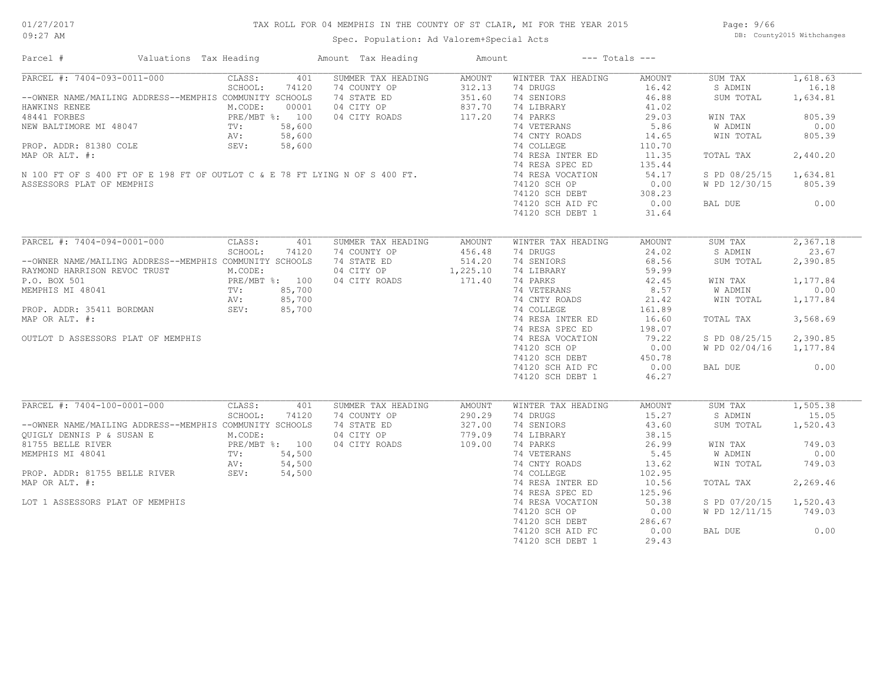## TAX ROLL FOR 04 MEMPHIS IN THE COUNTY OF ST CLAIR, MI FOR THE YEAR 2015

Spec. Population: Ad Valorem+Special Acts

Page: 9/66 DB: County2015 Withchanges

| Parcel #                                                                    | Valuations Tax Heading | Amount Tax Heading          | Amount           |                        | $---$ Totals $---$ |                      |                   |
|-----------------------------------------------------------------------------|------------------------|-----------------------------|------------------|------------------------|--------------------|----------------------|-------------------|
| PARCEL #: 7404-093-0011-000                                                 | CLASS:<br>401          | SUMMER TAX HEADING          | <b>AMOUNT</b>    | WINTER TAX HEADING     | <b>AMOUNT</b>      | SUM TAX              | 1,618.63          |
| --OWNER NAME/MAILING ADDRESS--MEMPHIS COMMUNITY SCHOOLS                     | SCHOOL:<br>74120       | 74 COUNTY OP<br>74 STATE ED | 312.13<br>351.60 | 74 DRUGS<br>74 SENIORS | 16.42<br>46.88     | S ADMIN<br>SUM TOTAL | 16.18<br>1,634.81 |
| HAWKINS RENEE                                                               | M.CODE:<br>00001       | 04 CITY OP                  | 837.70           | 74 LIBRARY             | 41.02              |                      |                   |
| 48441 FORBES                                                                | PRE/MBT %: 100         | 04 CITY ROADS               | 117.20           | 74 PARKS               | 29.03              | WIN TAX              | 805.39            |
| NEW BALTIMORE MI 48047                                                      | 58,600<br>TV:          |                             |                  | 74 VETERANS            | 5.86               | W ADMIN              | 0.00              |
|                                                                             | 58,600<br>AV:          |                             |                  | 74 CNTY ROADS          | 14.65              | WIN TOTAL            | 805.39            |
| PROP. ADDR: 81380 COLE                                                      | SEV:<br>58,600         |                             |                  | 74 COLLEGE             | 110.70             |                      |                   |
| MAP OR ALT. #:                                                              |                        |                             |                  | 74 RESA INTER ED       | 11.35              | TOTAL TAX            | 2,440.20          |
|                                                                             |                        |                             |                  | 74 RESA SPEC ED        | 135.44             |                      |                   |
| N 100 FT OF S 400 FT OF E 198 FT OF OUTLOT C & E 78 FT LYING N OF S 400 FT. |                        |                             |                  | 74 RESA VOCATION       | 54.17              | S PD 08/25/15        | 1,634.81          |
| ASSESSORS PLAT OF MEMPHIS                                                   |                        |                             |                  | 74120 SCH OP           | 0.00               | W PD 12/30/15        | 805.39            |
|                                                                             |                        |                             |                  | 74120 SCH DEBT         | 308.23             |                      |                   |
|                                                                             |                        |                             |                  |                        | 0.00               | BAL DUE              | 0.00              |
|                                                                             |                        |                             |                  | 74120 SCH AID FC       |                    |                      |                   |
|                                                                             |                        |                             |                  | 74120 SCH DEBT 1       | 31.64              |                      |                   |
| PARCEL #: 7404-094-0001-000                                                 | CLASS:<br>401          | SUMMER TAX HEADING          | <b>AMOUNT</b>    | WINTER TAX HEADING     | <b>AMOUNT</b>      | SUM TAX              | 2,367.18          |
|                                                                             | SCHOOL:<br>74120       | 74 COUNTY OP                | 456.48           | 74 DRUGS               | 24.02              | S ADMIN              | 23.67             |
| --OWNER NAME/MAILING ADDRESS--MEMPHIS COMMUNITY SCHOOLS                     |                        | 74 STATE ED                 | 514.20           | 74 SENIORS             | 68.56              | SUM TOTAL            | 2,390.85          |
|                                                                             | M.CODE:                | 04 CITY OP                  | 1,225.10         | 74 LIBRARY             | 59.99              |                      |                   |
| RAYMOND HARRISON REVOC TRUST                                                |                        |                             |                  |                        |                    |                      |                   |
| P.O. BOX 501                                                                | PRE/MBT %: 100         | 04 CITY ROADS               | 171.40           | 74 PARKS               | 42.45              | WIN TAX              | 1,177.84          |
| MEMPHIS MI 48041                                                            | 85,700<br>TV:          |                             |                  | 74 VETERANS            | 8.57               | W ADMIN              | 0.00              |
|                                                                             | 85,700<br>AV:          |                             |                  | 74 CNTY ROADS          | 21.42              | WIN TOTAL            | 1,177.84          |
| PROP. ADDR: 35411 BORDMAN                                                   | SEV:<br>85,700         |                             |                  | 74 COLLEGE             | 161.89             |                      |                   |
| MAP OR ALT. #:                                                              |                        |                             |                  | 74 RESA INTER ED       | 16.60              | TOTAL TAX            | 3,568.69          |
|                                                                             |                        |                             |                  | 74 RESA SPEC ED        | 198.07             |                      |                   |
| OUTLOT D ASSESSORS PLAT OF MEMPHIS                                          |                        |                             |                  | 74 RESA VOCATION       | 79.22              | S PD 08/25/15        | 2,390.85          |
|                                                                             |                        |                             |                  | 74120 SCH OP           | 0.00               | W PD 02/04/16        | 1,177.84          |
|                                                                             |                        |                             |                  | 74120 SCH DEBT         | 450.78             |                      |                   |
|                                                                             |                        |                             |                  | 74120 SCH AID FC       | 0.00               | BAL DUE              | 0.00              |
|                                                                             |                        |                             |                  | 74120 SCH DEBT 1       | 46.27              |                      |                   |
|                                                                             |                        |                             |                  |                        |                    |                      |                   |
| PARCEL #: 7404-100-0001-000                                                 | CLASS:<br>401          | SUMMER TAX HEADING          | AMOUNT           | WINTER TAX HEADING     | <b>AMOUNT</b>      | SUM TAX              | 1,505.38          |
|                                                                             | SCHOOL:<br>74120       | 74 COUNTY OP                | 290.29           | 74 DRUGS               | 15.27              | S ADMIN              | 15.05             |
| --OWNER NAME/MAILING ADDRESS--MEMPHIS COMMUNITY SCHOOLS                     |                        | 74 STATE ED                 | 327.00           | 74 SENIORS             | 43.60              | SUM TOTAL            | 1,520.43          |
| OUIGLY DENNIS P & SUSAN E                                                   | M.CODE:                | 04 CITY OP                  | 779.09           | 74 LIBRARY             | 38.15              |                      |                   |
| 81755 BELLE RIVER                                                           | PRE/MBT %: 100         | 04 CITY ROADS               | 109.00           | 74 PARKS               | 26.99              | WIN TAX              | 749.03            |
| MEMPHIS MI 48041                                                            | 54,500<br>TV:          |                             |                  | 74 VETERANS            | 5.45               | W ADMIN              | 0.00              |
|                                                                             | AV:<br>54,500          |                             |                  | 74 CNTY ROADS          | 13.62              | WIN TOTAL            | 749.03            |
| PROP. ADDR: 81755 BELLE RIVER                                               | AV:<br>SEV:<br>54,500  |                             |                  | 74 COLLEGE             | 102.95             |                      |                   |
| MAP OR ALT. #:                                                              |                        |                             |                  | 74 RESA INTER ED       | 10.56              | TOTAL TAX            | 2,269.46          |
|                                                                             |                        |                             |                  | 74 RESA SPEC ED        | 125.96             |                      |                   |
| LOT 1 ASSESSORS PLAT OF MEMPHIS                                             |                        |                             |                  | 74 RESA VOCATION       | 50.38              | S PD 07/20/15        | 1,520.43          |
|                                                                             |                        |                             |                  | 74120 SCH OP           | 0.00               | W PD 12/11/15        | 749.03            |
|                                                                             |                        |                             |                  | 74120 SCH DEBT         | 286.67             |                      |                   |
|                                                                             |                        |                             |                  | 74120 SCH AID FC       | 0.00               | BAL DUE              | 0.00              |
|                                                                             |                        |                             |                  | 74120 SCH DEBT 1       | 29.43              |                      |                   |
|                                                                             |                        |                             |                  |                        |                    |                      |                   |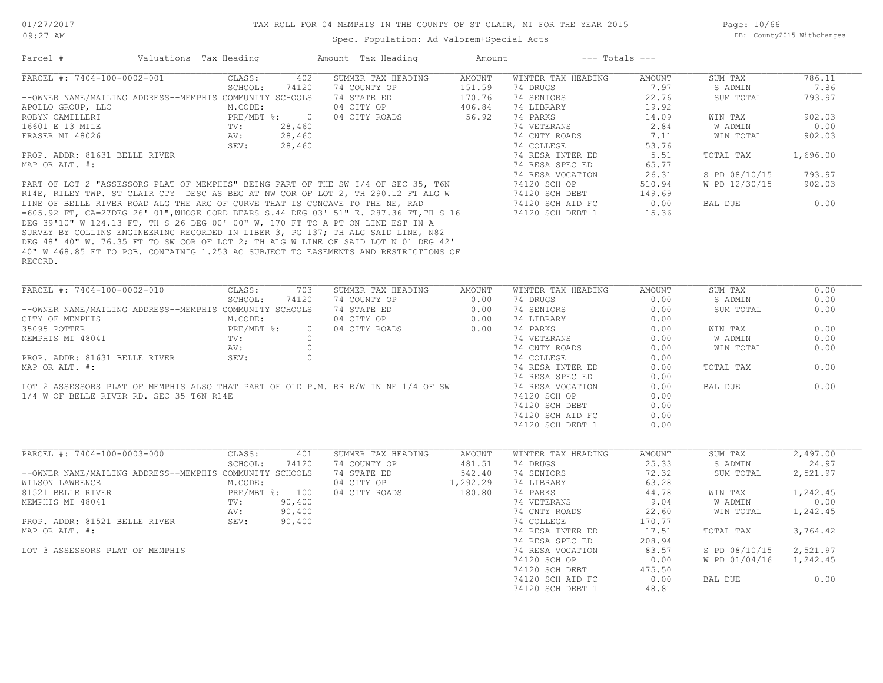Page: 10/66 DB: County2015 Withchanges

| Parcel #                                                                              | Valuations Tax Heading |                |                | Amount Tax Heading | Amount        | $---$ Totals $---$ |        |               |          |
|---------------------------------------------------------------------------------------|------------------------|----------------|----------------|--------------------|---------------|--------------------|--------|---------------|----------|
| PARCEL #: 7404-100-0002-001                                                           | CLASS:                 |                | 402            | SUMMER TAX HEADING | <b>AMOUNT</b> | WINTER TAX HEADING | AMOUNT | SUM TAX       | 786.11   |
|                                                                                       | SCHOOL:                |                | 74120          | 74 COUNTY OP       | 151.59        | 74 DRUGS           | 7.97   | S ADMIN       | 7.86     |
| --OWNER NAME/MAILING ADDRESS--MEMPHIS COMMUNITY SCHOOLS                               |                        |                |                | 74 STATE ED        | 170.76        | 74 SENIORS         | 22.76  | SUM TOTAL     | 793.97   |
| APOLLO GROUP, LLC                                                                     | M.CODE:                |                |                | 04 CITY OP         | 406.84        | 74 LIBRARY         | 19.92  |               |          |
| ROBYN CAMILLERI                                                                       |                        | PRE/MBT %:     | $\overline{0}$ | 04 CITY ROADS      | 56.92         | 74 PARKS           | 14.09  | WIN TAX       | 902.03   |
| 16601 E 13 MILE                                                                       | TV:                    |                | 28,460         |                    |               | 74 VETERANS        | 2.84   | W ADMIN       | 0.00     |
|                                                                                       |                        |                |                |                    |               |                    |        |               |          |
| FRASER MI 48026                                                                       | AV:                    |                | 28,460         |                    |               | 74 CNTY ROADS      | 7.11   | WIN TOTAL     | 902.03   |
|                                                                                       | SEV:                   |                | 28,460         |                    |               | 74 COLLEGE         | 53.76  |               |          |
| PROP. ADDR: 81631 BELLE RIVER                                                         |                        |                |                |                    |               | 74 RESA INTER ED   | 5.51   | TOTAL TAX     | 1,696.00 |
| MAP OR ALT. #:                                                                        |                        |                |                |                    |               | 74 RESA SPEC ED    | 65.77  |               |          |
|                                                                                       |                        |                |                |                    |               | 74 RESA VOCATION   | 26.31  | S PD 08/10/15 | 793.97   |
| PART OF LOT 2 "ASSESSORS PLAT OF MEMPHIS" BEING PART OF THE SW I/4 OF SEC 35, T6N     |                        |                |                |                    |               | 74120 SCH OP       | 510.94 | W PD 12/30/15 | 902.03   |
| R14E, RILEY TWP. ST CLAIR CTY DESC AS BEG AT NW COR OF LOT 2, TH 290.12 FT ALG W      |                        |                |                |                    |               | 74120 SCH DEBT     | 149.69 |               |          |
| LINE OF BELLE RIVER ROAD ALG THE ARC OF CURVE THAT IS CONCAVE TO THE NE, RAD          |                        |                |                |                    |               | 74120 SCH AID FC   | 0.00   | BAL DUE       | 0.00     |
| =605.92 FT, CA=27DEG 26' 01", WHOSE CORD BEARS S.44 DEG 03' 51" E. 287.36 FT, TH S 16 |                        |                |                |                    |               | 74120 SCH DEBT 1   | 15.36  |               |          |
| DEG 39'10" W 124.13 FT, TH S 26 DEG 00' 00" W, 170 FT TO A PT ON LINE EST IN A        |                        |                |                |                    |               |                    |        |               |          |
| SURVEY BY COLLINS ENGINEERING RECORDED IN LIBER 3, PG 137; TH ALG SAID LINE, N82      |                        |                |                |                    |               |                    |        |               |          |
| DEG 48' 40" W. 76.35 FT TO SW COR OF LOT 2; TH ALG W LINE OF SAID LOT N 01 DEG 42'    |                        |                |                |                    |               |                    |        |               |          |
| 40" W 468.85 FT TO POB. CONTAINIG 1.253 AC SUBJECT TO EASEMENTS AND RESTRICTIONS OF   |                        |                |                |                    |               |                    |        |               |          |
|                                                                                       |                        |                |                |                    |               |                    |        |               |          |
| RECORD.                                                                               |                        |                |                |                    |               |                    |        |               |          |
|                                                                                       |                        |                |                |                    |               |                    |        |               |          |
| PARCEL #: 7404-100-0002-010                                                           | CLASS:                 |                | 703            | SUMMER TAX HEADING | AMOUNT        | WINTER TAX HEADING | AMOUNT | SUM TAX       | 0.00     |
|                                                                                       | SCHOOL:                |                | 74120          | 74 COUNTY OP       | 0.00          | 74 DRUGS           | 0.00   | S ADMIN       | 0.00     |
| --OWNER NAME/MAILING ADDRESS--MEMPHIS COMMUNITY SCHOOLS                               |                        |                |                | 74 STATE ED        | 0.00          | 74 SENIORS         | 0.00   | SUM TOTAL     | 0.00     |
| CITY OF MEMPHIS                                                                       | M.CODE:                |                |                | 04 CITY OP         | 0.00          | 74 LIBRARY         | 0.00   |               |          |
|                                                                                       |                        |                |                |                    |               |                    |        |               |          |
| 35095 POTTER                                                                          |                        | PRE/MBT %:     | $\circ$        | 04 CITY ROADS      | 0.00          | 74 PARKS           | 0.00   | WIN TAX       | 0.00     |
| MEMPHIS MI 48041                                                                      | TV:                    |                | $\circ$        |                    |               | 74 VETERANS        | 0.00   | W ADMIN       | 0.00     |
|                                                                                       | AV:                    |                | $\circ$        |                    |               | 74 CNTY ROADS      | 0.00   | WIN TOTAL     | 0.00     |
| PROP. ADDR: 81631 BELLE RIVER                                                         | SEV:                   |                | $\circ$        |                    |               | 74 COLLEGE         | 0.00   |               |          |
| MAP OR ALT. #:                                                                        |                        |                |                |                    |               | 74 RESA INTER ED   | 0.00   | TOTAL TAX     | 0.00     |
|                                                                                       |                        |                |                |                    |               | 74 RESA SPEC ED    | 0.00   |               |          |
| LOT 2 ASSESSORS PLAT OF MEMPHIS ALSO THAT PART OF OLD P.M. RR R/W IN NE 1/4 OF SW     |                        |                |                |                    |               | 74 RESA VOCATION   | 0.00   | BAL DUE       | 0.00     |
| 1/4 W OF BELLE RIVER RD. SEC 35 T6N R14E                                              |                        |                |                |                    |               | 74120 SCH OP       | 0.00   |               |          |
|                                                                                       |                        |                |                |                    |               | 74120 SCH DEBT     | 0.00   |               |          |
|                                                                                       |                        |                |                |                    |               | 74120 SCH AID FC   | 0.00   |               |          |
|                                                                                       |                        |                |                |                    |               | 74120 SCH DEBT 1   | 0.00   |               |          |
|                                                                                       |                        |                |                |                    |               |                    |        |               |          |
|                                                                                       |                        |                |                |                    |               |                    |        |               |          |
| PARCEL #: 7404-100-0003-000                                                           | CLASS:                 |                | 401            | SUMMER TAX HEADING | <b>AMOUNT</b> | WINTER TAX HEADING | AMOUNT | SUM TAX       | 2,497.00 |
|                                                                                       | SCHOOL:                |                | 74120          | 74 COUNTY OP       | 481.51        | 74 DRUGS           | 25.33  | S ADMIN       | 24.97    |
| --OWNER NAME/MAILING ADDRESS--MEMPHIS COMMUNITY SCHOOLS                               |                        |                |                | 74 STATE ED        | 542.40        | 74 SENIORS         | 72.32  | SUM TOTAL     | 2,521.97 |
| WILSON LAWRENCE                                                                       | M.CODE:                |                |                | 04 CITY OP         | 1,292.29      | 74 LIBRARY         | 63.28  |               |          |
| 81521 BELLE RIVER                                                                     |                        | PRE/MBT %: 100 |                | 04 CITY ROADS      | 180.80        | 74 PARKS           | 44.78  | WIN TAX       | 1,242.45 |
| MEMPHIS MI 48041                                                                      | TV:                    |                | 90,400         |                    |               | 74 VETERANS        | 9.04   | W ADMIN       | 0.00     |
|                                                                                       | AV:                    |                | 90,400         |                    |               | 74 CNTY ROADS      | 22.60  | WIN TOTAL     | 1,242.45 |
| PROP. ADDR: 81521 BELLE RIVER                                                         | SEV:                   |                | 90,400         |                    |               | 74 COLLEGE         | 170.77 |               |          |
|                                                                                       |                        |                |                |                    |               |                    |        |               |          |
| MAP OR ALT. #:                                                                        |                        |                |                |                    |               | 74 RESA INTER ED   | 17.51  | TOTAL TAX     | 3,764.42 |
|                                                                                       |                        |                |                |                    |               | 74 RESA SPEC ED    | 208.94 |               |          |
| LOT 3 ASSESSORS PLAT OF MEMPHIS                                                       |                        |                |                |                    |               | 74 RESA VOCATION   | 83.57  | S PD 08/10/15 | 2,521.97 |
|                                                                                       |                        |                |                |                    |               | 74120 SCH OP       | 0.00   | W PD 01/04/16 | 1,242.45 |
|                                                                                       |                        |                |                |                    |               | 74120 SCH DEBT     | 475.50 |               |          |
|                                                                                       |                        |                |                |                    |               | 74120 SCH AID FC   | 0.00   | BAL DUE       | 0.00     |
|                                                                                       |                        |                |                |                    |               | 74120 SCH DEBT 1   | 48.81  |               |          |
|                                                                                       |                        |                |                |                    |               |                    |        |               |          |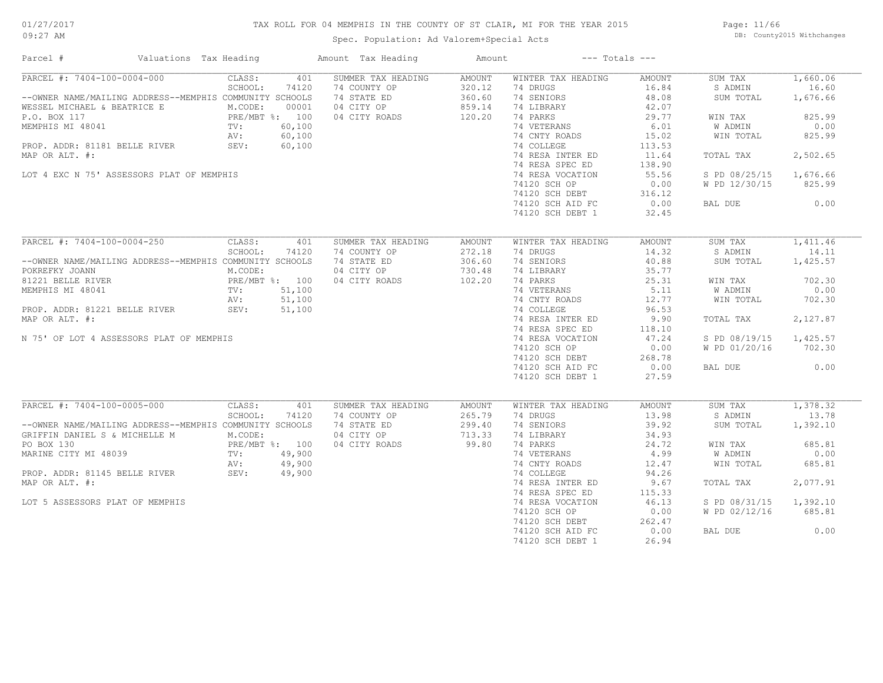## TAX ROLL FOR 04 MEMPHIS IN THE COUNTY OF ST CLAIR, MI FOR THE YEAR 2015

Spec. Population: Ad Valorem+Special Acts

Page: 11/66 DB: County2015 Withchanges

| Parcel #                                                                                                                                                                                                                                                  | Valuations Tax Heading |                                                                      |                                                     | Amount Tax Heading                                                               | Amount                                         |                                                                                                                                                                                 | $---$ Totals $---$                                                                                |                                                                                                         |                                                                                   |
|-----------------------------------------------------------------------------------------------------------------------------------------------------------------------------------------------------------------------------------------------------------|------------------------|----------------------------------------------------------------------|-----------------------------------------------------|----------------------------------------------------------------------------------|------------------------------------------------|---------------------------------------------------------------------------------------------------------------------------------------------------------------------------------|---------------------------------------------------------------------------------------------------|---------------------------------------------------------------------------------------------------------|-----------------------------------------------------------------------------------|
| PARCEL #: 7404-100-0004-000<br>--OWNER NAME/MAILING ADDRESS--MEMPHIS COMMUNITY SCHOOLS<br>WESSEL MICHAEL & BEATRICE E<br>P.O. BOX 117<br>MEMPHIS MI 48041<br>PROP. ADDR: 81181 BELLE RIVER<br>MAP OR ALT. #:<br>LOT 4 EXC N 75' ASSESSORS PLAT OF MEMPHIS |                        | CLASS:<br>SCHOOL:<br>M.CODE:<br>PRE/MBT %: 100<br>TV:<br>AV:<br>SEV: | 401<br>74120<br>00001<br>60,100<br>60,100<br>60,100 | SUMMER TAX HEADING<br>74 COUNTY OP<br>74 STATE ED<br>04 CITY OP<br>04 CITY ROADS | AMOUNT<br>320.12<br>360.60<br>859.14<br>120.20 | WINTER TAX HEADING<br>74 DRUGS<br>74 SENIORS<br>74 LIBRARY<br>74 PARKS<br>74 VETERANS<br>74 CNTY ROADS<br>74 COLLEGE<br>74 RESA INTER ED<br>74 RESA SPEC ED<br>74 RESA VOCATION | AMOUNT<br>16.84<br>48.08<br>42.07<br>29.77<br>6.01<br>15.02<br>113.53<br>11.64<br>138.90<br>55.56 | SUM TAX<br>S ADMIN<br>SUM TOTAL<br>WIN TAX<br><b>W ADMIN</b><br>WIN TOTAL<br>TOTAL TAX<br>S PD 08/25/15 | 1,660.06<br>16.60<br>1,676.66<br>825.99<br>0.00<br>825.99<br>2,502.65<br>1,676.66 |
|                                                                                                                                                                                                                                                           |                        |                                                                      |                                                     |                                                                                  |                                                | 74120 SCH OP<br>74120 SCH DEBT<br>74120 SCH AID FC<br>74120 SCH DEBT 1                                                                                                          | 0.00<br>316.12<br>0.00<br>32.45                                                                   | W PD 12/30/15<br>BAL DUE                                                                                | 825.99<br>0.00                                                                    |
| PARCEL #: 7404-100-0004-250<br>--OWNER NAME/MAILING ADDRESS--MEMPHIS COMMUNITY SCHOOLS                                                                                                                                                                    |                        | CLASS:<br>SCHOOL:                                                    | 401<br>74120                                        | SUMMER TAX HEADING<br>74 COUNTY OP<br>74 STATE ED                                | <b>AMOUNT</b><br>272.18<br>306.60              | WINTER TAX HEADING<br>74 DRUGS<br>74 SENIORS                                                                                                                                    | <b>AMOUNT</b><br>14.32<br>40.88                                                                   | SUM TAX<br>S ADMIN<br>SUM TOTAL                                                                         | 1,411.46<br>14.11<br>1,425.57                                                     |
| POKREFKY JOANN<br>81221 BELLE RIVER<br>MEMPHIS MI 48041<br>PROP. ADDR: 81221 BELLE RIVER                                                                                                                                                                  |                        | M.CODE:<br>PRE/MBT %: 100<br>TV:<br>AV:<br>SEV:                      | 51,100<br>51,100<br>51,100                          | 04 CITY OP<br>04 CITY ROADS                                                      | 730.48<br>102.20                               | 74 LIBRARY<br>74 PARKS<br>74 VETERANS<br>74 CNTY ROADS<br>74 COLLEGE                                                                                                            | 35.77<br>25.31<br>5.11<br>12.77<br>96.53                                                          | WIN TAX<br>W ADMIN<br>WIN TOTAL                                                                         | 702.30<br>0.00<br>702.30                                                          |
| MAP OR ALT. #:<br>N 75' OF LOT 4 ASSESSORS PLAT OF MEMPHIS                                                                                                                                                                                                |                        |                                                                      |                                                     |                                                                                  |                                                | 74 RESA INTER ED<br>74 RESA SPEC ED<br>74 RESA VOCATION                                                                                                                         | 9.90<br>118.10<br>47.24                                                                           | TOTAL TAX<br>S PD 08/19/15                                                                              | 2,127.87<br>1,425.57                                                              |
|                                                                                                                                                                                                                                                           |                        |                                                                      |                                                     |                                                                                  |                                                | 74120 SCH OP<br>74120 SCH DEBT<br>74120 SCH AID FC                                                                                                                              | 0.00<br>268.78<br>0.00                                                                            | W PD 01/20/16<br>BAL DUE                                                                                | 702.30<br>0.00                                                                    |
|                                                                                                                                                                                                                                                           |                        |                                                                      |                                                     |                                                                                  |                                                | 74120 SCH DEBT 1                                                                                                                                                                | 27.59                                                                                             |                                                                                                         |                                                                                   |
| PARCEL #: 7404-100-0005-000<br>--OWNER NAME/MAILING ADDRESS--MEMPHIS COMMUNITY SCHOOLS                                                                                                                                                                    |                        | CLASS:<br>SCHOOL:                                                    | 401<br>74120                                        | SUMMER TAX HEADING<br>74 COUNTY OP<br>74 STATE ED                                | <b>AMOUNT</b><br>265.79<br>299.40              | WINTER TAX HEADING<br>74 DRUGS<br>74 SENIORS                                                                                                                                    | <b>AMOUNT</b><br>13.98<br>39.92                                                                   | SUM TAX<br>S ADMIN<br>SUM TOTAL                                                                         | 1,378.32<br>13.78<br>1,392.10                                                     |
| GRIFFIN DANIEL S & MICHELLE M<br>PO BOX 130<br>MARINE CITY MI 48039                                                                                                                                                                                       |                        | M.CODE:<br>PRE/MBT %: 100<br>TV:<br>AV:                              | 49,900<br>49,900                                    | 04 CITY OP<br>04 CITY ROADS                                                      | 713.33<br>99.80                                | 74 LIBRARY<br>74 PARKS<br>74 VETERANS<br>74 CNTY ROADS                                                                                                                          | 34.93<br>24.72<br>4.99<br>12.47                                                                   | WIN TAX<br>W ADMIN<br>WIN TOTAL                                                                         | 685.81<br>0.00<br>685.81                                                          |
| PROP. ADDR: 81145 BELLE RIVER<br>MAP OR ALT. #:                                                                                                                                                                                                           |                        | SEV:                                                                 | 49,900                                              |                                                                                  |                                                | 74 COLLEGE<br>74 RESA INTER ED<br>74 RESA SPEC ED                                                                                                                               | 94.26<br>9.67<br>115.33                                                                           | TOTAL TAX                                                                                               | 2,077.91                                                                          |
| LOT 5 ASSESSORS PLAT OF MEMPHIS                                                                                                                                                                                                                           |                        |                                                                      |                                                     |                                                                                  |                                                | 74 RESA VOCATION<br>74120 SCH OP<br>74120 SCH DEBT                                                                                                                              | 46.13<br>0.00<br>262.47                                                                           | S PD 08/31/15<br>W PD 02/12/16                                                                          | 1,392.10<br>685.81                                                                |
|                                                                                                                                                                                                                                                           |                        |                                                                      |                                                     |                                                                                  |                                                | 74120 SCH AID FC<br>74120 SCH DEBT 1                                                                                                                                            | 0.00<br>26.94                                                                                     | BAL DUE                                                                                                 | 0.00                                                                              |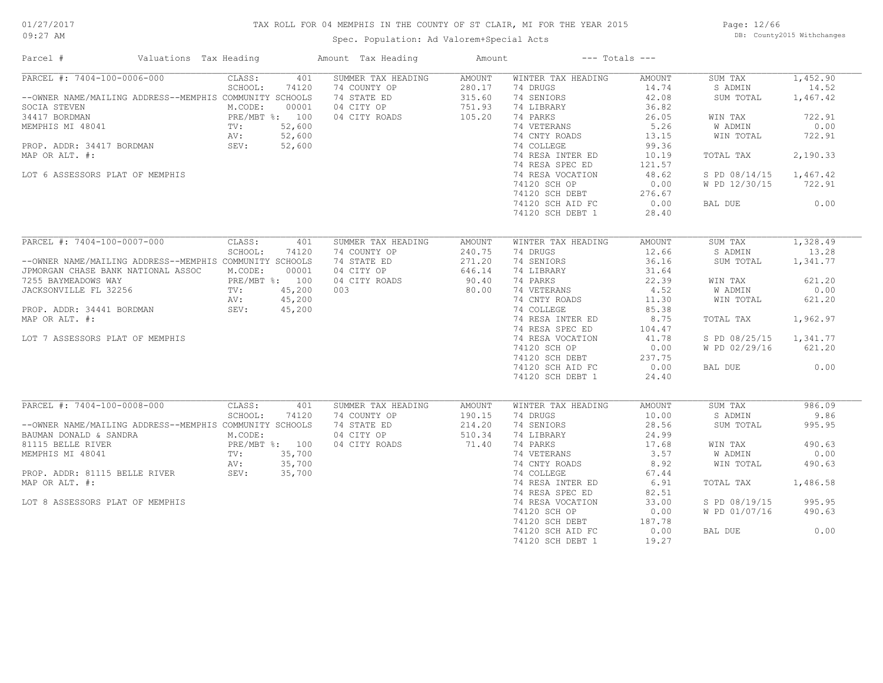## TAX ROLL FOR 04 MEMPHIS IN THE COUNTY OF ST CLAIR, MI FOR THE YEAR 2015

Spec. Population: Ad Valorem+Special Acts

Page: 12/66 DB: County2015 Withchanges

| Parcel #                                                                                                                                                                                                                      | Valuations Tax Heading |                                                                      |                                                     | Amount Tax Heading                                                               | Amount                                                |                                                                                                                                                                                                 | $---$ Totals $---$                                                                                       |                                                                                                                   |                                                                                             |
|-------------------------------------------------------------------------------------------------------------------------------------------------------------------------------------------------------------------------------|------------------------|----------------------------------------------------------------------|-----------------------------------------------------|----------------------------------------------------------------------------------|-------------------------------------------------------|-------------------------------------------------------------------------------------------------------------------------------------------------------------------------------------------------|----------------------------------------------------------------------------------------------------------|-------------------------------------------------------------------------------------------------------------------|---------------------------------------------------------------------------------------------|
| PARCEL #: 7404-100-0006-000<br>--OWNER NAME/MAILING ADDRESS--MEMPHIS COMMUNITY SCHOOLS<br>SOCIA STEVEN<br>34417 BORDMAN<br>MEMPHIS MI 48041<br>PROP. ADDR: 34417 BORDMAN<br>MAP OR ALT. #:<br>LOT 6 ASSESSORS PLAT OF MEMPHIS |                        | CLASS:<br>SCHOOL:<br>M.CODE:<br>PRE/MBT %: 100<br>TV:<br>AV:<br>SEV: | 401<br>74120<br>00001<br>52,600<br>52,600<br>52,600 | SUMMER TAX HEADING<br>74 COUNTY OP<br>74 STATE ED<br>04 CITY OP<br>04 CITY ROADS | <b>AMOUNT</b><br>280.17<br>315.60<br>751.93<br>105.20 | WINTER TAX HEADING<br>74 DRUGS<br>74 SENIORS<br>74 LIBRARY<br>74 PARKS<br>74 VETERANS<br>74 CNTY ROADS<br>74 COLLEGE<br>74 RESA INTER ED<br>74 RESA SPEC ED<br>74 RESA VOCATION<br>74120 SCH OP | AMOUNT<br>14.74<br>42.08<br>36.82<br>26.05<br>5.26<br>13.15<br>99.36<br>10.19<br>121.57<br>48.62<br>0.00 | SUM TAX<br>S ADMIN<br>SUM TOTAL<br>WIN TAX<br>W ADMIN<br>WIN TOTAL<br>TOTAL TAX<br>S PD 08/14/15<br>W PD 12/30/15 | 1,452.90<br>14.52<br>1,467.42<br>722.91<br>0.00<br>722.91<br>2,190.33<br>1,467.42<br>722.91 |
|                                                                                                                                                                                                                               |                        |                                                                      |                                                     |                                                                                  |                                                       | 74120 SCH DEBT<br>74120 SCH AID FC<br>74120 SCH DEBT 1                                                                                                                                          | 276.67<br>0.00<br>28.40                                                                                  | BAL DUE                                                                                                           | 0.00                                                                                        |
| PARCEL #: 7404-100-0007-000<br>--OWNER NAME/MAILING ADDRESS--MEMPHIS COMMUNITY SCHOOLS<br>JPMORGAN CHASE BANK NATIONAL ASSOC                                                                                                  |                        | CLASS:<br>SCHOOL:<br>M.CODE:                                         | 401<br>74120<br>00001                               | SUMMER TAX HEADING<br>74 COUNTY OP<br>74 STATE ED<br>04 CITY OP                  | <b>AMOUNT</b><br>240.75<br>271.20<br>646.14           | WINTER TAX HEADING<br>74 DRUGS<br>74 SENIORS<br>74 LIBRARY                                                                                                                                      | AMOUNT<br>12.66<br>36.16<br>31.64                                                                        | SUM TAX<br>S ADMIN<br>SUM TOTAL                                                                                   | 1,328.49<br>13.28<br>1,341.77                                                               |
| 7255 BAYMEADOWS WAY<br>JACKSONVILLE FL 32256<br>PROP. ADDR: 34441 BORDMAN                                                                                                                                                     |                        | PRE/MBT %: 100<br>TV:<br>AV:<br>SEV:                                 | 45,200<br>45,200<br>45,200                          | 04 CITY ROADS<br>003                                                             | 90.40<br>80.00                                        | 74 PARKS<br>74 VETERANS<br>74 CNTY ROADS<br>74 COLLEGE                                                                                                                                          | 22.39<br>4.52<br>11.30<br>85.38                                                                          | WIN TAX<br>W ADMIN<br>WIN TOTAL                                                                                   | 621.20<br>0.00<br>621.20                                                                    |
| MAP OR ALT. #:<br>LOT 7 ASSESSORS PLAT OF MEMPHIS                                                                                                                                                                             |                        |                                                                      |                                                     |                                                                                  |                                                       | 74 RESA INTER ED<br>74 RESA SPEC ED<br>74 RESA VOCATION<br>74120 SCH OP                                                                                                                         | 8.75<br>104.47<br>41.78<br>0.00                                                                          | TOTAL TAX<br>S PD 08/25/15<br>W PD 02/29/16                                                                       | 1,962.97<br>1,341.77<br>621.20                                                              |
|                                                                                                                                                                                                                               |                        |                                                                      |                                                     |                                                                                  |                                                       | 74120 SCH DEBT<br>74120 SCH AID FC<br>74120 SCH DEBT 1                                                                                                                                          | 237.75<br>0.00<br>24.40                                                                                  | BAL DUE                                                                                                           | 0.00                                                                                        |
| PARCEL #: 7404-100-0008-000<br>--OWNER NAME/MAILING ADDRESS--MEMPHIS COMMUNITY SCHOOLS                                                                                                                                        |                        | CLASS:<br>SCHOOL:                                                    | 401<br>74120                                        | SUMMER TAX HEADING<br>74 COUNTY OP<br>74 STATE ED                                | AMOUNT<br>190.15<br>214.20                            | WINTER TAX HEADING<br>74 DRUGS<br>74 SENIORS                                                                                                                                                    | <b>AMOUNT</b><br>10.00<br>28.56                                                                          | SUM TAX<br>S ADMIN<br>SUM TOTAL                                                                                   | 986.09<br>9.86<br>995.95                                                                    |
| BAUMAN DONALD & SANDRA<br>81115 BELLE RIVER<br>MEMPHIS MI 48041                                                                                                                                                               |                        | M.CODE:<br>PRE/MBT %: 100<br>PRE/M<br>TV:<br>AV:<br>SEV:             | 35,700<br>35,700                                    | 04 CITY OP<br>04 CITY ROADS                                                      | 510.34<br>71.40                                       | 74 LIBRARY<br>74 PARKS<br>74 VETERANS<br>74 CNTY ROADS                                                                                                                                          | 24.99<br>17.68<br>3.57<br>8.92                                                                           | WIN TAX<br>W ADMIN<br>WIN TOTAL                                                                                   | 490.63<br>0.00<br>490.63                                                                    |
| PROP. ADDR: 81115 BELLE RIVER<br>MAP OR ALT. #:                                                                                                                                                                               |                        |                                                                      | 35,700                                              |                                                                                  |                                                       | 74 COLLEGE<br>74 RESA INTER ED<br>74 RESA SPEC ED                                                                                                                                               | 67.44<br>6.91<br>82.51                                                                                   | TOTAL TAX                                                                                                         | 1,486.58                                                                                    |
| LOT 8 ASSESSORS PLAT OF MEMPHIS                                                                                                                                                                                               |                        |                                                                      |                                                     |                                                                                  |                                                       | 74 RESA VOCATION<br>74120 SCH OP<br>74120 SCH DEBT                                                                                                                                              | 33.00<br>0.00<br>187.78                                                                                  | S PD 08/19/15<br>W PD 01/07/16                                                                                    | 995.95<br>490.63                                                                            |
|                                                                                                                                                                                                                               |                        |                                                                      |                                                     |                                                                                  |                                                       | 74120 SCH AID FC<br>74120 SCH DEBT 1                                                                                                                                                            | 0.00<br>19.27                                                                                            | BAL DUE                                                                                                           | 0.00                                                                                        |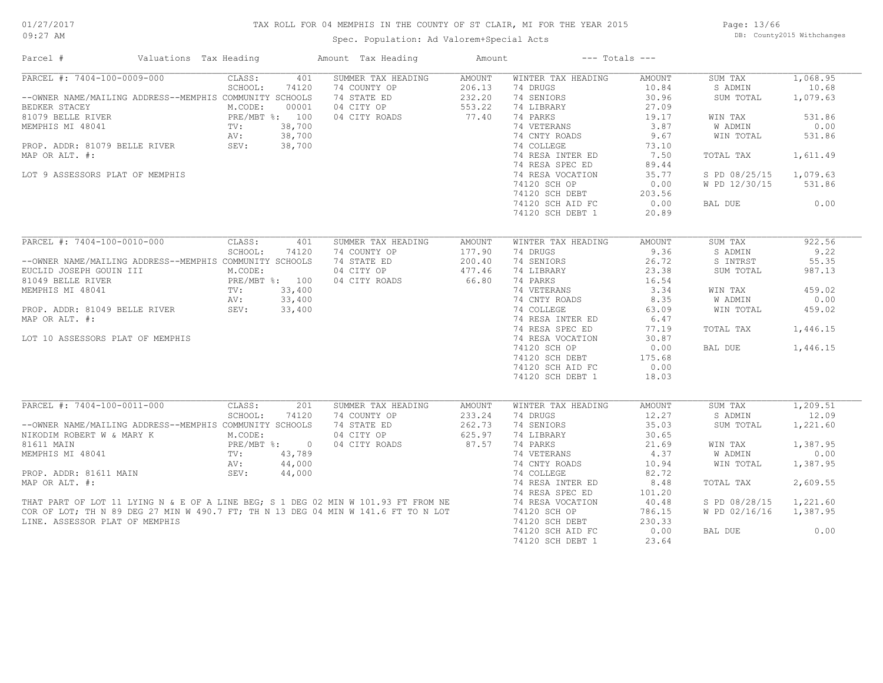## TAX ROLL FOR 04 MEMPHIS IN THE COUNTY OF ST CLAIR, MI FOR THE YEAR 2015

Spec. Population: Ad Valorem+Special Acts

Page: 13/66 DB: County2015 Withchanges

| Parcel #                                                                                                                                                                                                                               | Valuations Tax Heading |                                                                      |                                                     | Amount Tax Heading                                                                                                                                                                       | Amount                                        |                                                                                                                                                                                                                                                           | $---$ Totals $---$                                                                                                                      |                                                                                                                                     |                                                                                                     |
|----------------------------------------------------------------------------------------------------------------------------------------------------------------------------------------------------------------------------------------|------------------------|----------------------------------------------------------------------|-----------------------------------------------------|------------------------------------------------------------------------------------------------------------------------------------------------------------------------------------------|-----------------------------------------------|-----------------------------------------------------------------------------------------------------------------------------------------------------------------------------------------------------------------------------------------------------------|-----------------------------------------------------------------------------------------------------------------------------------------|-------------------------------------------------------------------------------------------------------------------------------------|-----------------------------------------------------------------------------------------------------|
| PARCEL #: 7404-100-0009-000<br>--OWNER NAME/MAILING ADDRESS--MEMPHIS COMMUNITY SCHOOLS<br>BEDKER STACEY<br>81079 BELLE RIVER<br>MEMPHIS MI 48041<br>PROP. ADDR: 81079 BELLE RIVER<br>MAP OR ALT. #:<br>LOT 9 ASSESSORS PLAT OF MEMPHIS |                        | CLASS:<br>SCHOOL:<br>M.CODE:<br>PRE/MBT %: 100<br>TV:<br>AV:<br>SEV: | 401<br>74120<br>00001<br>38,700<br>38,700<br>38,700 | SUMMER TAX HEADING<br>74 COUNTY OP<br>74 STATE ED<br>04 CITY OP<br>04 CITY ROADS                                                                                                         | AMOUNT<br>206.13<br>232.20<br>553.22<br>77.40 | WINTER TAX HEADING<br>74 DRUGS<br>74 SENIORS<br>74 LIBRARY<br>74 PARKS<br>74 VETERANS<br>74 CNTY ROADS<br>74 COLLEGE<br>74 RESA INTER ED<br>74 RESA SPEC ED<br>74 RESA VOCATION<br>74120 SCH OP<br>74120 SCH DEBT<br>74120 SCH AID FC<br>74120 SCH DEBT 1 | <b>AMOUNT</b><br>10.84<br>30.96<br>27.09<br>19.17<br>3.87<br>9.67<br>73.10<br>7.50<br>89.44<br>35.77<br>0.00<br>203.56<br>0.00<br>20.89 | SUM TAX<br>S ADMIN<br>SUM TOTAL<br>WIN TAX<br><b>W ADMIN</b><br>WIN TOTAL<br>TOTAL TAX<br>S PD 08/25/15<br>W PD 12/30/15<br>BAL DUE | 1,068.95<br>10.68<br>1,079.63<br>531.86<br>0.00<br>531.86<br>1,611.49<br>1,079.63<br>531.86<br>0.00 |
| PARCEL #: 7404-100-0010-000                                                                                                                                                                                                            |                        | CLASS:                                                               | 401                                                 | SUMMER TAX HEADING                                                                                                                                                                       | <b>AMOUNT</b>                                 | WINTER TAX HEADING                                                                                                                                                                                                                                        | <b>AMOUNT</b>                                                                                                                           | SUM TAX                                                                                                                             | 922.56                                                                                              |
| --OWNER NAME/MAILING ADDRESS--MEMPHIS COMMUNITY SCHOOLS<br>EUCLID JOSEPH GOUIN III<br>81049 BELLE RIVER<br>MEMPHIS MI 48041<br>PROP. ADDR: 81049 BELLE RIVER<br>MAP OR ALT. #:<br>LOT 10 ASSESSORS PLAT OF MEMPHIS                     |                        | SCHOOL:<br>M.CODE:<br>PRE/MBT %: 100<br>TV:<br>AV:<br>SEV:           | 74120<br>33,400<br>33,400<br>33,400                 | 74 COUNTY OP<br>74 STATE ED<br>04 CITY OP<br>04 CITY ROADS                                                                                                                               | 177.90<br>200.40<br>477.46<br>66.80           | 74 DRUGS<br>74 SENIORS<br>74 LIBRARY<br>74 PARKS<br>74 VETERANS<br>74 CNTY ROADS<br>74 COLLEGE<br>74 RESA INTER ED<br>74 RESA SPEC ED<br>74 RESA VOCATION<br>74120 SCH OP<br>74120 SCH DEBT<br>74120 SCH AID FC<br>74120 SCH DEBT 1                       | 9.36<br>26.72<br>23.38<br>16.54<br>3.34<br>8.35<br>63.09<br>6.47<br>77.19<br>30.87<br>0.00<br>175.68<br>0.00<br>18.03                   | S ADMIN<br>S INTRST<br>SUM TOTAL<br>WIN TAX<br>W ADMIN<br>WIN TOTAL<br>TOTAL TAX<br>BAL DUE                                         | 9.22<br>55.35<br>987.13<br>459.02<br>0.00<br>459.02<br>1,446.15<br>1,446.15                         |
| PARCEL #: 7404-100-0011-000<br>--OWNER NAME/MAILING ADDRESS--MEMPHIS COMMUNITY SCHOOLS<br>NIKODIM ROBERT W & MARY K                                                                                                                    |                        | CLASS:<br>SCHOOL:<br>M.CODE:                                         | 201<br>74120                                        | SUMMER TAX HEADING<br>74 COUNTY OP<br>74 STATE ED<br>04 CITY OP                                                                                                                          | <b>AMOUNT</b><br>233.24<br>262.73<br>625.97   | WINTER TAX HEADING<br>74 DRUGS<br>74 SENIORS<br>74 LIBRARY                                                                                                                                                                                                | <b>AMOUNT</b><br>12.27<br>35.03<br>30.65                                                                                                | SUM TAX<br>S ADMIN<br>SUM TOTAL                                                                                                     | 1,209.51<br>12.09<br>1,221.60                                                                       |
| 81611 MAIN<br>MEMPHIS MI 48041<br>PROP. ADDR: 81611 MAIN                                                                                                                                                                               |                        | PRE/MBT %: 0<br>TV:<br>AV:<br>SEV:                                   | 43,789<br>44,000<br>44,000                          | 04 CITY ROADS                                                                                                                                                                            | 87.57                                         | 74 PARKS<br>74 VETERANS<br>74 CNTY ROADS<br>74 COLLEGE                                                                                                                                                                                                    | 21.69<br>4.37<br>10.94<br>82.72                                                                                                         | WIN TAX<br>W ADMIN<br>WIN TOTAL                                                                                                     | 1,387.95<br>0.00<br>1,387.95                                                                        |
| MAP OR ALT. #:                                                                                                                                                                                                                         |                        |                                                                      |                                                     | MAP OR ALT. #:<br>THAT PART OF LOT 11 LYING N & E OF A LINE BEG; S 1 DEG 02 MIN W 101.93 FT FROM NE<br>COR OF LOT; TH N 89 DEG 27 MIN W 490.7 FT; TH N 13 DEG 04 MIN W 141.6 FT TO N LOT |                                               | 74 RESA INTER ED<br>74 RESA SPEC ED                                                                                                                                                                                                                       | 8.48<br>101.20                                                                                                                          | TOTAL TAX                                                                                                                           | 2,609.55                                                                                            |
|                                                                                                                                                                                                                                        |                        |                                                                      |                                                     | COR OF LOT; TH N 89 DEG 27 MIN W 490.7 FT; TH N 13 DEG 04 MIN W 141.6 FT TO N LOT                                                                                                        |                                               | 74 RESA VOCATION<br>74120 SCH OP                                                                                                                                                                                                                          | 40.48<br>786.15                                                                                                                         | S PD 08/28/15<br>W PD 02/16/16                                                                                                      | 1,221.60<br>1,387.95                                                                                |
| LINE. ASSESSOR PLAT OF MEMPHIS                                                                                                                                                                                                         |                        |                                                                      |                                                     |                                                                                                                                                                                          |                                               | 74120 SCH DEBT<br>74120 SCH AID FC<br>74120 SCH DEBT 1                                                                                                                                                                                                    | 230.33<br>0.00<br>23.64                                                                                                                 | BAL DUE                                                                                                                             | 0.00                                                                                                |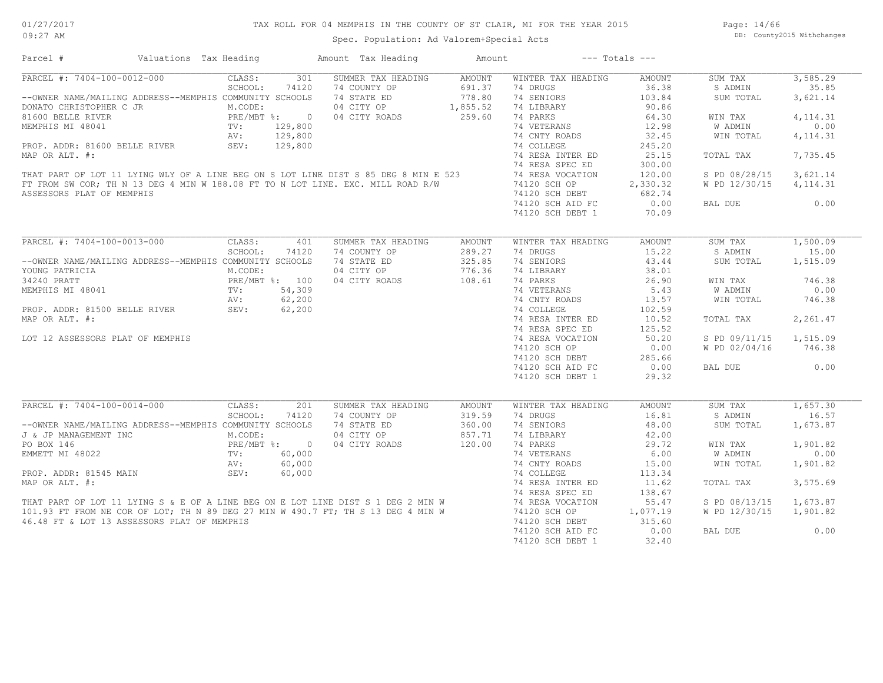## TAX ROLL FOR 04 MEMPHIS IN THE COUNTY OF ST CLAIR, MI FOR THE YEAR 2015

Spec. Population: Ad Valorem+Special Acts

Page: 14/66 DB: County2015 Withchanges

| Parcel #                                                                                                                                                                                                                                                                                                                                                                     | Valuations Tax Heading |         |         | Amount Tax Heading                                           | Amount        | $---$ Totals $---$           |          |                        |           |
|------------------------------------------------------------------------------------------------------------------------------------------------------------------------------------------------------------------------------------------------------------------------------------------------------------------------------------------------------------------------------|------------------------|---------|---------|--------------------------------------------------------------|---------------|------------------------------|----------|------------------------|-----------|
| $PARCH$ #: 7404-100-0012-000                                                                                                                                                                                                                                                                                                                                                 |                        | CLASS:  | 301     | SUMMER TAX HEADING                                           | AMOUNT        | WINTER TAX HEADING           | AMOUNT   | SUM TAX                | 3,585.29  |
|                                                                                                                                                                                                                                                                                                                                                                              |                        | SCHOOL: | 74120   | 74 COUNTY OP                                                 | 691.37        | 74 DRUGS                     | 36.38    | S ADMIN                | 35.85     |
| --OWNER NAME/MAILING ADDRESS--MEMPHIS COMMUNITY SCHOOLS                                                                                                                                                                                                                                                                                                                      |                        |         |         | 74 STATE ED                                                  | 778.80        | 74 SENIORS                   | 103.84   | SUM TOTAL              | 3,621.14  |
| DONATO CHRISTOPHER C JR<br>81600 BELLE RIVER<br>MEMPHIS MI 48041 TV: 129,800<br>AV: 129,800                                                                                                                                                                                                                                                                                  |                        |         |         |                                                              |               | 74 LIBRARY                   | 90.86    |                        |           |
|                                                                                                                                                                                                                                                                                                                                                                              |                        |         |         | 04 CITY OP 1,855.52<br>04 CITY ROADS 259.60<br>04 CITY ROADS |               | 74 PARKS                     | 64.30    | WIN TAX                | 4, 114.31 |
|                                                                                                                                                                                                                                                                                                                                                                              |                        |         |         |                                                              |               | 74 VETERANS                  | 12.98    | W ADMIN                | 0.00      |
|                                                                                                                                                                                                                                                                                                                                                                              |                        |         | 129,800 |                                                              |               | 74 CNTY ROADS                | 32.45    | WIN TOTAL              | 4, 114.31 |
| AV:<br>PROP. ADDR: 81600 BELLE RIVER SEV: SEV:                                                                                                                                                                                                                                                                                                                               |                        |         | 129,800 |                                                              |               | 74 COLLEGE                   | 245.20   |                        |           |
| PROP. ADDR: 81600 BELLE RIVER SEV: 129,800 74 COLLEGE 74 COLLEGE 74 COLLEGE 74 COLLEGE 74 COLLEGE 74 RESA INTER ED<br>THAT PART OF LOT 11 LYING WLY OF A LINE BEG ON S LOT LINE DIST S 85 DEG 8 MIN E 523 74 RESA SPEC ED<br>FIFT                                                                                                                                            |                        |         |         |                                                              |               |                              |          |                        |           |
|                                                                                                                                                                                                                                                                                                                                                                              |                        |         |         |                                                              |               |                              | 25.15    | TOTAL TAX              | 7,735.45  |
|                                                                                                                                                                                                                                                                                                                                                                              |                        |         |         |                                                              |               |                              | 300.00   |                        |           |
|                                                                                                                                                                                                                                                                                                                                                                              |                        |         |         |                                                              |               |                              | 120.00   | S PD 08/28/15          | 3,621.14  |
|                                                                                                                                                                                                                                                                                                                                                                              |                        |         |         |                                                              |               |                              | 2,330.32 | W PD 12/30/15          | 4, 114.31 |
| ASSESSORS PLAT OF MEMPHIS                                                                                                                                                                                                                                                                                                                                                    |                        |         |         |                                                              |               | 74120 SCH DEBT 682.74        |          |                        |           |
|                                                                                                                                                                                                                                                                                                                                                                              |                        |         |         |                                                              |               | 74120 SCH AID FC             | 0.00     | BAL DUE                | 0.00      |
|                                                                                                                                                                                                                                                                                                                                                                              |                        |         |         |                                                              |               | 74120 SCH DEBT 1             | 70.09    |                        |           |
|                                                                                                                                                                                                                                                                                                                                                                              |                        |         |         |                                                              |               |                              |          |                        |           |
| PARCEL #: 7404-100-0013-000                                                                                                                                                                                                                                                                                                                                                  |                        | CLASS:  | 401     | SUMMER TAX HEADING                                           | <b>AMOUNT</b> | WINTER TAX HEADING           | AMOUNT   | SUM TAX                | 1,500.09  |
|                                                                                                                                                                                                                                                                                                                                                                              |                        | SCHOOL: | 74120   | 74 COUNTY OP                                                 | 289.27        | 74 DRUGS                     | 15.22    | S ADMIN                | 15.00     |
| --OWNER NAME/MAILING ADDRESS--MEMPHIS COMMUNITY SCHOOLS                                                                                                                                                                                                                                                                                                                      |                        |         |         | 74 STATE ED                                                  | 325.85        | 74 SENIORS                   | 43.44    | SUM TOTAL              | 1,515.09  |
| YOUNG PATRICIA                                                                                                                                                                                                                                                                                                                                                               |                        | M.CODE: |         | 04 CITY OP                                                   | 776.36        | 74 LIBRARY                   | 38.01    |                        |           |
|                                                                                                                                                                                                                                                                                                                                                                              |                        |         |         | 04 CITY ROADS                                                | 108.61        | 74 PARKS                     | 26.90    | WIN TAX                | 746.38    |
|                                                                                                                                                                                                                                                                                                                                                                              |                        |         |         | TV: $54,309$<br>AV: $62,200$<br>SEV: $62,200$                |               |                              | 5.43     | <b>W ADMIN</b>         | 0.00      |
| 34240 PRATT<br>MEMPHIS MI 48041<br>MEMPHIS MI 48041<br>PRE/MBT %: 54,309<br>PROP. ADDR: 81500 BELLE RIVER<br>SEV: 62,200<br>SEV: 62,200                                                                                                                                                                                                                                      |                        |         |         |                                                              |               | 74 VETERANS<br>74 CNTY ROADS |          |                        |           |
|                                                                                                                                                                                                                                                                                                                                                                              |                        |         |         |                                                              |               |                              | 13.57    | WIN TOTAL              | 746.38    |
|                                                                                                                                                                                                                                                                                                                                                                              |                        |         |         |                                                              |               | 74 COLLEGE                   | 102.59   |                        |           |
| MAP OR ALT. #:                                                                                                                                                                                                                                                                                                                                                               |                        |         |         |                                                              |               | 74 RESA INTER ED             | 10.52    | TOTAL TAX              | 2,261.47  |
|                                                                                                                                                                                                                                                                                                                                                                              |                        |         |         |                                                              |               | 74 RESA SPEC ED              | 125.52   |                        |           |
| LOT 12 ASSESSORS PLAT OF MEMPHIS                                                                                                                                                                                                                                                                                                                                             |                        |         |         |                                                              |               | 74 RESA VOCATION             | 50.20    | S PD 09/11/15 1,515.09 |           |
|                                                                                                                                                                                                                                                                                                                                                                              |                        |         |         |                                                              |               | 74120 SCH OP                 | 0.00     | W PD 02/04/16          | 746.38    |
|                                                                                                                                                                                                                                                                                                                                                                              |                        |         |         |                                                              |               | 74120 SCH DEBT               | 285.66   |                        |           |
|                                                                                                                                                                                                                                                                                                                                                                              |                        |         |         |                                                              |               | 74120 SCH AID FC             | 0.00     | BAL DUE                | 0.00      |
|                                                                                                                                                                                                                                                                                                                                                                              |                        |         |         |                                                              |               | 74120 SCH DEBT 1             | 29.32    |                        |           |
|                                                                                                                                                                                                                                                                                                                                                                              |                        |         |         |                                                              |               |                              |          |                        |           |
| PARCEL #: 7404-100-0014-000                                                                                                                                                                                                                                                                                                                                                  |                        | CLASS:  | 201     | SUMMER TAX HEADING                                           | AMOUNT        | WINTER TAX HEADING           | AMOUNT   | SUM TAX                | 1,657.30  |
|                                                                                                                                                                                                                                                                                                                                                                              |                        | SCHOOL: | 74120   | 74 COUNTY OP                                                 | 319.59        | 74 DRUGS                     | 16.81    | S ADMIN                | 16.57     |
| --OWNER NAME/MAILING ADDRESS--MEMPHIS COMMUNITY SCHOOLS                                                                                                                                                                                                                                                                                                                      |                        |         |         | 74 STATE ED                                                  | 360.00        | 74 SENIORS                   | 48.00    | SUM TOTAL              | 1,673.87  |
|                                                                                                                                                                                                                                                                                                                                                                              |                        |         |         | 04 CITY OP                                                   | 857.71        | 74 LIBRARY                   | 42.00    |                        |           |
| <b>3</b> & JP MANAGEMENT INC<br>FO BOX 146<br>EMMETT MI 48022<br>PO POP. ADDR: 81545 MAIN<br>POP. ADDR: 81545 MAIN<br>POP. ADDR: 81545 MAIN<br>POP. ADDR: 81545 MAIN<br>POP. 60,000                                                                                                                                                                                          |                        |         |         | 04 CITY ROADS                                                | 120.00        | 74 PARKS                     | 29.72    | WIN TAX                | 1,901.82  |
|                                                                                                                                                                                                                                                                                                                                                                              |                        |         |         |                                                              |               | 74 VETERANS                  | 6.00     | W ADMIN                | 0.00      |
|                                                                                                                                                                                                                                                                                                                                                                              |                        |         |         |                                                              |               |                              |          |                        |           |
|                                                                                                                                                                                                                                                                                                                                                                              |                        |         |         |                                                              |               |                              | 15.00    | WIN TOTAL              | 1,901.82  |
| $\begin{array}{lllllllllllllllllllllll} \textsc{EMMET} & \textsc{MI 48022} & \textsc{TV:} & \textsc{ou, you} & \textsc{14.01} & \textsc{14.01} & \textsc{14.01} & \textsc{14.01} & \textsc{14.01} & \textsc{14.01} & \textsc{14.01} & \textsc{14.01} & \textsc{14.01} & \textsc{14.01} & \textsc{14.01} & \textsc{14.01} & \textsc{14.01} & \textsc{14.01} & \textsc{14.01}$ |                        |         |         |                                                              |               |                              | 113.34   |                        |           |
|                                                                                                                                                                                                                                                                                                                                                                              |                        |         |         |                                                              |               |                              | 11.62    | TOTAL TAX              | 3,575.69  |
|                                                                                                                                                                                                                                                                                                                                                                              |                        |         |         |                                                              |               |                              | 138.67   |                        |           |
|                                                                                                                                                                                                                                                                                                                                                                              |                        |         |         |                                                              |               |                              | 55.47    | S PD 08/13/15          | 1,673.87  |
|                                                                                                                                                                                                                                                                                                                                                                              |                        |         |         |                                                              |               | 74120 SCH OP 1,077.19        |          | W PD 12/30/15          | 1,901.82  |
| 46.48 FT & LOT 13 ASSESSORS PLAT OF MEMPHIS                                                                                                                                                                                                                                                                                                                                  |                        |         |         |                                                              |               | 74120 SCH DEBT               | 315.60   |                        |           |
|                                                                                                                                                                                                                                                                                                                                                                              |                        |         |         |                                                              |               | 74120 SCH AID FC             | 0.00     | BAL DUE                | 0.00      |
|                                                                                                                                                                                                                                                                                                                                                                              |                        |         |         |                                                              |               | 74120 SCH DEBT 1             | 32.40    |                        |           |
|                                                                                                                                                                                                                                                                                                                                                                              |                        |         |         |                                                              |               |                              |          |                        |           |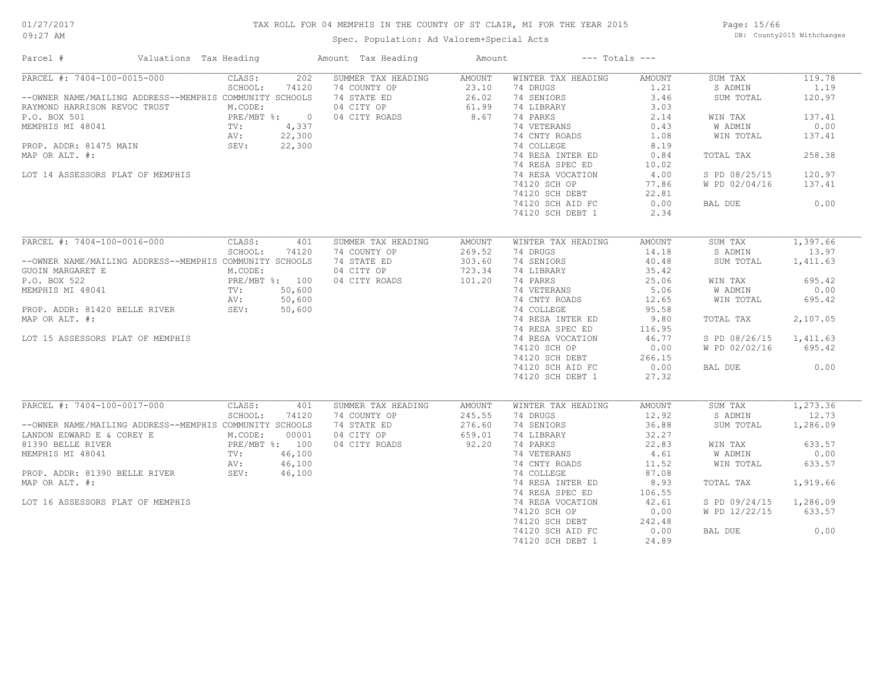## TAX ROLL FOR 04 MEMPHIS IN THE COUNTY OF ST CLAIR, MI FOR THE YEAR 2015

Spec. Population: Ad Valorem+Special Acts

Page: 15/66 DB: County2015 Withchanges

| Parcel #                                                | Valuations Tax Heading         | Amount Tax Heading | Amount        |                    | $---$ Totals $---$ |                |           |
|---------------------------------------------------------|--------------------------------|--------------------|---------------|--------------------|--------------------|----------------|-----------|
| PARCEL #: 7404-100-0015-000                             | CLASS:<br>202                  | SUMMER TAX HEADING | AMOUNT        | WINTER TAX HEADING | AMOUNT             | SUM TAX        | 119.78    |
|                                                         | SCHOOL:<br>74120               | 74 COUNTY OP       | 23.10         | 74 DRUGS           | 1.21               | S ADMIN        | 1.19      |
| --OWNER NAME/MAILING ADDRESS--MEMPHIS COMMUNITY SCHOOLS |                                | 74 STATE ED        | 26.02         | 74 SENIORS         | 3.46               | SUM TOTAL      | 120.97    |
| RAYMOND HARRISON REVOC TRUST                            | M.CODE:                        | 04 CITY OP         | 61.99         | 74 LIBRARY         | 3.03               |                |           |
| P.O. BOX 501                                            | $PRE/MBT$ %:<br>$\overline{0}$ | 04 CITY ROADS      | 8.67          | 74 PARKS           | 2.14               | WIN TAX        | 137.41    |
| MEMPHIS MI 48041                                        | 4,337<br>TV:                   |                    |               | 74 VETERANS        | 0.43               | <b>W ADMIN</b> | 0.00      |
|                                                         | AV:<br>22,300                  |                    |               | 74 CNTY ROADS      | 1.08               | WIN TOTAL      | 137.41    |
| PROP. ADDR: 81475 MAIN                                  | SEV:<br>22,300                 |                    |               | 74 COLLEGE         | 8.19               |                |           |
| MAP OR ALT. #:                                          |                                |                    |               | 74 RESA INTER ED   | 0.84               | TOTAL TAX      | 258.38    |
|                                                         |                                |                    |               | 74 RESA SPEC ED    | 10.02              |                |           |
| LOT 14 ASSESSORS PLAT OF MEMPHIS                        |                                |                    |               | 74 RESA VOCATION   | 4.00               | S PD 08/25/15  | 120.97    |
|                                                         |                                |                    |               |                    | 77.86              |                | 137.41    |
|                                                         |                                |                    |               | 74120 SCH OP       | 22.81              | W PD 02/04/16  |           |
|                                                         |                                |                    |               | 74120 SCH DEBT     |                    |                |           |
|                                                         |                                |                    |               | 74120 SCH AID FC   | 0.00               | BAL DUE        | 0.00      |
|                                                         |                                |                    |               | 74120 SCH DEBT 1   | 2.34               |                |           |
|                                                         |                                |                    |               |                    |                    |                |           |
| PARCEL #: 7404-100-0016-000                             | CLASS:<br>401                  | SUMMER TAX HEADING | <b>AMOUNT</b> | WINTER TAX HEADING | <b>AMOUNT</b>      | SUM TAX        | 1,397.66  |
|                                                         | SCHOOL:<br>74120               | 74 COUNTY OP       | 269.52        | 74 DRUGS           | 14.18              | S ADMIN        | 13.97     |
| --OWNER NAME/MAILING ADDRESS--MEMPHIS COMMUNITY SCHOOLS |                                | 74 STATE ED        | 303.60        | 74 SENIORS         | 40.48              | SUM TOTAL      | 1,411.63  |
| GUOIN MARGARET E                                        | M.CODE:                        | 04 CITY OP         | 723.34        | 74 LIBRARY         | 35.42              |                |           |
| P.O. BOX 522                                            | PRE/MBT %: 100                 | 04 CITY ROADS      | 101.20        | 74 PARKS           | 25.06              | WIN TAX        | 695.42    |
| MEMPHIS MI 48041                                        | 50,600<br>TV:                  |                    |               | 74 VETERANS        | 5.06               | W ADMIN        | 0.00      |
|                                                         | AV:<br>50,600                  |                    |               | 74 CNTY ROADS      | 12.65              | WIN TOTAL      | 695.42    |
| PROP. ADDR: 81420 BELLE RIVER                           | SEV:<br>50,600                 |                    |               | 74 COLLEGE         | 95.58              |                |           |
| MAP OR ALT. #:                                          |                                |                    |               | 74 RESA INTER ED   | 9.80               | TOTAL TAX      | 2,107.05  |
|                                                         |                                |                    |               | 74 RESA SPEC ED    | 116.95             |                |           |
| LOT 15 ASSESSORS PLAT OF MEMPHIS                        |                                |                    |               | 74 RESA VOCATION   | 46.77              | S PD 08/26/15  | 1,411.63  |
|                                                         |                                |                    |               | 74120 SCH OP       | 0.00               | W PD 02/02/16  | 695.42    |
|                                                         |                                |                    |               | 74120 SCH DEBT     | 266.15             |                |           |
|                                                         |                                |                    |               |                    |                    |                |           |
|                                                         |                                |                    |               | 74120 SCH AID FC   | 0.00               | BAL DUE        | 0.00      |
|                                                         |                                |                    |               | 74120 SCH DEBT 1   | 27.32              |                |           |
| PARCEL #: 7404-100-0017-000                             | CLASS:<br>401                  | SUMMER TAX HEADING | <b>AMOUNT</b> | WINTER TAX HEADING | <b>AMOUNT</b>      | SUM TAX        | 1, 273.36 |
|                                                         | SCHOOL:<br>74120               | 74 COUNTY OP       | 245.55        | 74 DRUGS           | 12.92              | S ADMIN        | 12.73     |
| --OWNER NAME/MAILING ADDRESS--MEMPHIS COMMUNITY SCHOOLS |                                | 74 STATE ED        | 276.60        |                    | 36.88              |                |           |
|                                                         |                                |                    |               | 74 SENIORS         |                    | SUM TOTAL      | 1,286.09  |
| LANDON EDWARD E & COREY E                               | M.CODE:<br>00001               | 04 CITY OP         | 659.01        | 74 LIBRARY         | 32.27              |                |           |
| 81390 BELLE RIVER                                       | PRE/MBT %: 100                 | 04 CITY ROADS      | 92.20         | 74 PARKS           | 22.83              | WIN TAX        | 633.57    |
| MEMPHIS MI 48041                                        | 46,100<br>TV:                  |                    |               | 74 VETERANS        | 4.61               | W ADMIN        | 0.00      |
|                                                         | 46,100<br>AV:                  |                    |               | 74 CNTY ROADS      | 11.52              | WIN TOTAL      | 633.57    |
| PROP. ADDR: 81390 BELLE RIVER                           | SEV:<br>46,100                 |                    |               | 74 COLLEGE         | 87.08              |                |           |
| MAP OR ALT. #:                                          |                                |                    |               | 74 RESA INTER ED   | 8.93               | TOTAL TAX      | 1,919.66  |
|                                                         |                                |                    |               | 74 RESA SPEC ED    | 106.55             |                |           |
| LOT 16 ASSESSORS PLAT OF MEMPHIS                        |                                |                    |               | 74 RESA VOCATION   | 42.61              | S PD 09/24/15  | 1,286.09  |
|                                                         |                                |                    |               | 74120 SCH OP       | 0.00               | W PD 12/22/15  | 633.57    |
|                                                         |                                |                    |               | 74120 SCH DEBT     | 242.48             |                |           |
|                                                         |                                |                    |               | 74120 SCH AID FC   | 0.00               | BAL DUE        | 0.00      |
|                                                         |                                |                    |               | 74120 SCH DEBT 1   | 24.89              |                |           |
|                                                         |                                |                    |               |                    |                    |                |           |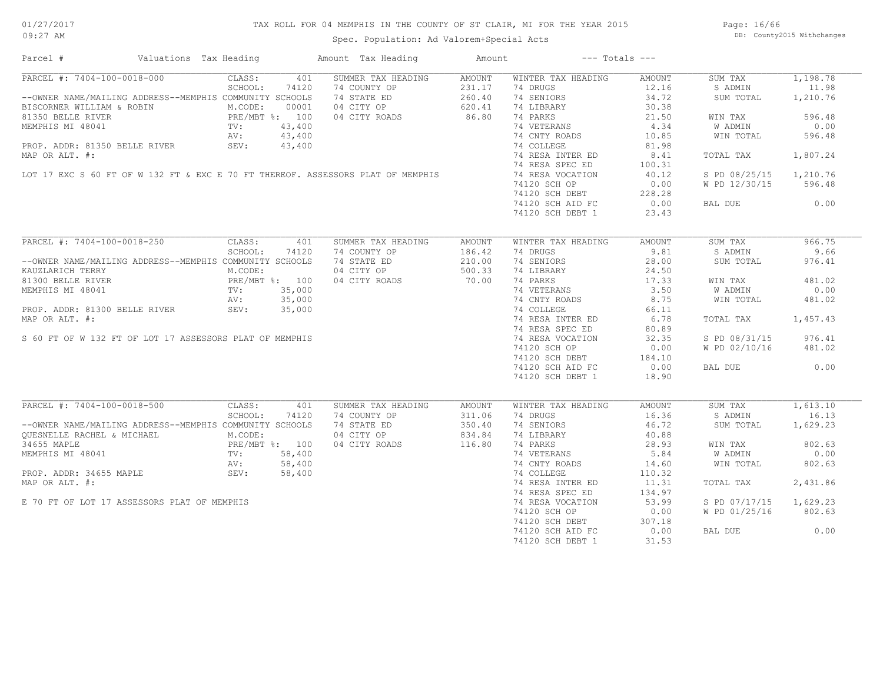## TAX ROLL FOR 04 MEMPHIS IN THE COUNTY OF ST CLAIR, MI FOR THE YEAR 2015

Spec. Population: Ad Valorem+Special Acts

Page: 16/66 DB: County2015 Withchanges

| Parcel #                                                                        | Valuations Tax Heading                                       | Amount Tax Heading        | Amount        |                    | $---$ Totals $---$ |                |          |
|---------------------------------------------------------------------------------|--------------------------------------------------------------|---------------------------|---------------|--------------------|--------------------|----------------|----------|
| PARCEL #: 7404-100-0018-000                                                     | CLASS:                                                       | 401<br>SUMMER TAX HEADING | <b>AMOUNT</b> | WINTER TAX HEADING | AMOUNT             | SUM TAX        | 1,198.78 |
|                                                                                 | SCHOOL:<br>74120                                             | 74 COUNTY OP              | 231.17        | 74 DRUGS           | 12.16              | S ADMIN        | 11.98    |
| --OWNER NAME/MAILING ADDRESS--MEMPHIS COMMUNITY SCHOOLS                         |                                                              | 74 STATE ED               | 260.40        | 74 SENIORS         | 34.72              | SUM TOTAL      | 1,210.76 |
| BISCORNER WILLIAM & ROBIN                                                       | M.CODE:<br>00001                                             | 04 CITY OP                | 620.41        | 74 LIBRARY         | 30.38              |                |          |
| 81350 BELLE RIVER                                                               |                                                              | 04 CITY ROADS             | 86.80         | 74 PARKS           | 21.50              | WIN TAX        | 596.48   |
| MEMPHIS MI 48041                                                                | PRE/MBT %: 100<br>TV: 43,400                                 |                           |               | 74 VETERANS        | 4.34               | W ADMIN        | 0.00     |
|                                                                                 | AV:<br>43,400                                                |                           |               | 74 CNTY ROADS      | 10.85              | WIN TOTAL      | 596.48   |
| PROP. ADDR: 81350 BELLE RIVER                                                   | SEV:<br>43,400                                               |                           |               | 74 COLLEGE         | 81.98              |                |          |
| MAP OR ALT. #:                                                                  |                                                              |                           |               | 74 RESA INTER ED   | 8.41               | TOTAL TAX      | 1,807.24 |
|                                                                                 |                                                              |                           |               | 74 RESA SPEC ED    | 100.31             |                |          |
| LOT 17 EXC S 60 FT OF W 132 FT & EXC E 70 FT THEREOF. ASSESSORS PLAT OF MEMPHIS |                                                              |                           |               | 74 RESA VOCATION   | 40.12              | S PD 08/25/15  | 1,210.76 |
|                                                                                 |                                                              |                           |               | 74120 SCH OP       | 0.00               | W PD 12/30/15  | 596.48   |
|                                                                                 |                                                              |                           |               | 74120 SCH DEBT     | 228.28             |                |          |
|                                                                                 |                                                              |                           |               | 74120 SCH AID FC   | 0.00               | BAL DUE        | 0.00     |
|                                                                                 |                                                              |                           |               | 74120 SCH DEBT 1   | 23.43              |                |          |
|                                                                                 |                                                              |                           |               |                    |                    |                |          |
| PARCEL #: 7404-100-0018-250                                                     | CLASS:                                                       | 401<br>SUMMER TAX HEADING | <b>AMOUNT</b> | WINTER TAX HEADING | AMOUNT             | SUM TAX        | 966.75   |
|                                                                                 | SCHOOL:<br>74120                                             | 74 COUNTY OP              | 186.42        | 74 DRUGS           | 9.81               | S ADMIN        | 9.66     |
| --OWNER NAME/MAILING ADDRESS--MEMPHIS COMMUNITY SCHOOLS                         |                                                              | 74 STATE ED               | 210.00        | 74 SENIORS         | 28.00              | SUM TOTAL      | 976.41   |
| KAUZLARICH TERRY                                                                | M.CODE:                                                      | 04 CITY OP                | 500.33        | 74 LIBRARY         | 24.50              |                |          |
| 81300 BELLE RIVER                                                               | PRE/MBT %: 100                                               | 04 CITY ROADS             | 70.00         | 74 PARKS           | 17.33              |                | 481.02   |
|                                                                                 |                                                              |                           |               |                    |                    | WIN TAX        |          |
| MEMPHIS MI 48041                                                                | 35,000<br>$\text{TV}$ :                                      |                           |               | 74 VETERANS        | 3.50               | W ADMIN        | 0.00     |
|                                                                                 | 35,000<br>AV:                                                |                           |               | 74 CNTY ROADS      | 8.75               | WIN TOTAL      | 481.02   |
| PROP. ADDR: 81300 BELLE RIVER                                                   | SEV:<br>35,000                                               |                           |               | 74 COLLEGE         | 66.11              |                |          |
| MAP OR ALT. #:                                                                  |                                                              |                           |               | 74 RESA INTER ED   | 6.78               | TOTAL TAX      | 1,457.43 |
|                                                                                 |                                                              |                           |               | 74 RESA SPEC ED    | 80.89              |                |          |
| S 60 FT OF W 132 FT OF LOT 17 ASSESSORS PLAT OF MEMPHIS                         |                                                              |                           |               | 74 RESA VOCATION   | 32.35              | S PD 08/31/15  | 976.41   |
|                                                                                 |                                                              |                           |               | 74120 SCH OP       | 0.00               | W PD 02/10/16  | 481.02   |
|                                                                                 |                                                              |                           |               | 74120 SCH DEBT     | 184.10             |                |          |
|                                                                                 |                                                              |                           |               | 74120 SCH AID FC   | 0.00               | BAL DUE        | 0.00     |
|                                                                                 |                                                              |                           |               | 74120 SCH DEBT 1   | 18.90              |                |          |
|                                                                                 |                                                              |                           |               |                    |                    |                |          |
| PARCEL #: 7404-100-0018-500                                                     | CLASS:                                                       | 401<br>SUMMER TAX HEADING | <b>AMOUNT</b> | WINTER TAX HEADING | AMOUNT             | SUM TAX        | 1,613.10 |
|                                                                                 | SCHOOL:<br>74120                                             | 74 COUNTY OP              | 311.06        | 74 DRUGS           | 16.36              | S ADMIN        | 16.13    |
| --OWNER NAME/MAILING ADDRESS--MEMPHIS COMMUNITY SCHOOLS                         |                                                              | 74 STATE ED               | 350.40        | 74 SENIORS         | 46.72              | SUM TOTAL      | 1,629.23 |
| OUESNELLE RACHEL & MICHAEL                                                      | M.CODE:                                                      | 04 CITY OP                | 834.84        | 74 LIBRARY         | 40.88              |                |          |
| 34655 MAPLE                                                                     | PRE/MBT %: 100<br>PRE/MBT %: 100<br>TV: 58,400<br>AV: 58,400 | 04 CITY ROADS             | 116.80        | 74 PARKS           | 28.93              | WIN TAX        | 802.63   |
| MEMPHIS MI 48041                                                                |                                                              |                           |               | 74 VETERANS        | 5.84               | <b>W ADMIN</b> | 0.00     |
|                                                                                 | AV:<br>58,400                                                |                           |               | 74 CNTY ROADS      | 14.60              | WIN TOTAL      | 802.63   |
| PROP. ADDR: 34655 MAPLE                                                         | SEV:<br>58,400                                               |                           |               | 74 COLLEGE         | 110.32             |                |          |
| MAP OR ALT. #:                                                                  |                                                              |                           |               | 74 RESA INTER ED   | 11.31              | TOTAL TAX      | 2,431.86 |
|                                                                                 |                                                              |                           |               | 74 RESA SPEC ED    | 134.97             |                |          |
| E 70 FT OF LOT 17 ASSESSORS PLAT OF MEMPHIS                                     |                                                              |                           |               | 74 RESA VOCATION   | 53.99              | S PD 07/17/15  | 1,629.23 |
|                                                                                 |                                                              |                           |               | 74120 SCH OP       | 0.00               | W PD 01/25/16  | 802.63   |
|                                                                                 |                                                              |                           |               | 74120 SCH DEBT     | 307.18             |                |          |
|                                                                                 |                                                              |                           |               | 74120 SCH AID FC   | 0.00               | BAL DUE        | 0.00     |
|                                                                                 |                                                              |                           |               | 74120 SCH DEBT 1   | 31.53              |                |          |
|                                                                                 |                                                              |                           |               |                    |                    |                |          |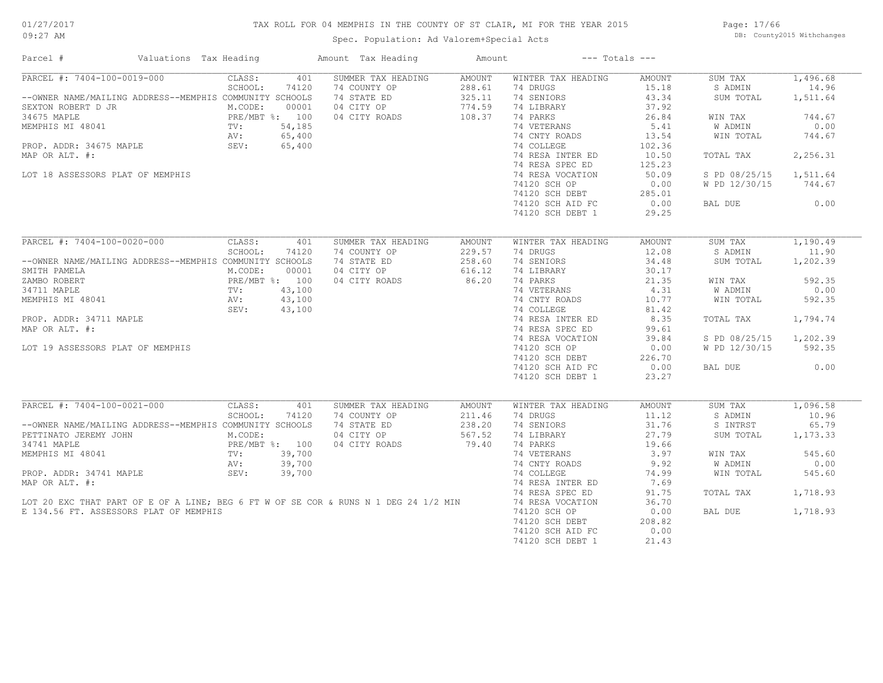## TAX ROLL FOR 04 MEMPHIS IN THE COUNTY OF ST CLAIR, MI FOR THE YEAR 2015

Spec. Population: Ad Valorem+Special Acts

Page: 17/66 DB: County2015 Withchanges

| Parcel #                                                                            | Valuations Tax Heading | Amount Tax Heading | Amount        |                    | $---$ Totals $---$ |               |          |
|-------------------------------------------------------------------------------------|------------------------|--------------------|---------------|--------------------|--------------------|---------------|----------|
| PARCEL #: 7404-100-0019-000                                                         | CLASS:<br>401          | SUMMER TAX HEADING | <b>AMOUNT</b> | WINTER TAX HEADING | <b>AMOUNT</b>      | SUM TAX       | 1,496.68 |
|                                                                                     | SCHOOL:<br>74120       | 74 COUNTY OP       | 288.61        | 74 DRUGS           | 15.18              | S ADMIN       | 14.96    |
| --OWNER NAME/MAILING ADDRESS--MEMPHIS COMMUNITY SCHOOLS                             |                        | 74 STATE ED        | 325.11        | 74 SENIORS         | 43.34              | SUM TOTAL     | 1,511.64 |
| SEXTON ROBERT D JR                                                                  | M.CODE:<br>00001       | 04 CITY OP         | 774.59        | 74 LIBRARY         | 37.92              |               |          |
| 34675 MAPLE                                                                         | PRE/MBT %: 100         | 04 CITY ROADS      | 108.37        | 74 PARKS           | 26.84              | WIN TAX       | 744.67   |
| MEMPHIS MI 48041                                                                    | 54,185<br>TV:          |                    |               | 74 VETERANS        | 5.41               | W ADMIN       | 0.00     |
|                                                                                     | 65,400<br>AV:          |                    |               | 74 CNTY ROADS      | 13.54              | WIN TOTAL     | 744.67   |
| PROP. ADDR: 34675 MAPLE                                                             | SEV:<br>65,400         |                    |               | 74 COLLEGE         | 102.36             |               |          |
| MAP OR ALT. #:                                                                      |                        |                    |               | 74 RESA INTER ED   | 10.50              | TOTAL TAX     | 2,256.31 |
|                                                                                     |                        |                    |               | 74 RESA SPEC ED    | 125.23             |               |          |
| LOT 18 ASSESSORS PLAT OF MEMPHIS                                                    |                        |                    |               | 74 RESA VOCATION   | 50.09              | S PD 08/25/15 | 1,511.64 |
|                                                                                     |                        |                    |               | 74120 SCH OP       | 0.00               | W PD 12/30/15 | 744.67   |
|                                                                                     |                        |                    |               | 74120 SCH DEBT     | 285.01             |               |          |
|                                                                                     |                        |                    |               | 74120 SCH AID FC   | 0.00               | BAL DUE       | 0.00     |
|                                                                                     |                        |                    |               | 74120 SCH DEBT 1   | 29.25              |               |          |
|                                                                                     |                        |                    |               |                    |                    |               |          |
| PARCEL #: 7404-100-0020-000                                                         | CLASS:<br>401          | SUMMER TAX HEADING | <b>AMOUNT</b> | WINTER TAX HEADING | <b>AMOUNT</b>      | SUM TAX       | 1,190.49 |
|                                                                                     | SCHOOL:<br>74120       | 74 COUNTY OP       | 229.57        | 74 DRUGS           | 12.08              | S ADMIN       | 11.90    |
| --OWNER NAME/MAILING ADDRESS--MEMPHIS COMMUNITY SCHOOLS                             |                        | 74 STATE ED        | 258.60        | 74 SENIORS         | 34.48              | SUM TOTAL     | 1,202.39 |
| SMITH PAMELA                                                                        | M.CODE:<br>00001       | 04 CITY OP         | 616.12        | 74 LIBRARY         | 30.17              |               |          |
| ZAMBO ROBERT                                                                        | PRE/MBT %: 100         | 04 CITY ROADS      | 86.20         | 74 PARKS           | 21.35              | WIN TAX       | 592.35   |
| 34711 MAPLE                                                                         | TV:<br>43,100          |                    |               | 74 VETERANS        | 4.31               | W ADMIN       | 0.00     |
| MEMPHIS MI 48041                                                                    | 43,100<br>AV:          |                    |               | 74 CNTY ROADS      | 10.77              | WIN TOTAL     | 592.35   |
|                                                                                     | SEV:<br>43,100         |                    |               | 74 COLLEGE         | 81.42              |               |          |
|                                                                                     |                        |                    |               |                    | 8.35               |               | 1,794.74 |
| PROP. ADDR: 34711 MAPLE                                                             |                        |                    |               | 74 RESA INTER ED   |                    | TOTAL TAX     |          |
| MAP OR ALT. #:                                                                      |                        |                    |               | 74 RESA SPEC ED    | 99.61              |               |          |
|                                                                                     |                        |                    |               | 74 RESA VOCATION   | 39.84              | S PD 08/25/15 | 1,202.39 |
| LOT 19 ASSESSORS PLAT OF MEMPHIS                                                    |                        |                    |               | 74120 SCH OP       | 0.00               | W PD 12/30/15 | 592.35   |
|                                                                                     |                        |                    |               | 74120 SCH DEBT     | 226.70             |               |          |
|                                                                                     |                        |                    |               | 74120 SCH AID FC   | 0.00               | BAL DUE       | 0.00     |
|                                                                                     |                        |                    |               | 74120 SCH DEBT 1   | 23.27              |               |          |
|                                                                                     |                        |                    |               |                    |                    |               |          |
| PARCEL #: 7404-100-0021-000                                                         | CLASS:<br>401          | SUMMER TAX HEADING | AMOUNT        | WINTER TAX HEADING | <b>AMOUNT</b>      | SUM TAX       | 1,096.58 |
|                                                                                     | SCHOOL:<br>74120       | 74 COUNTY OP       | 211.46        | 74 DRUGS           | 11.12              | S ADMIN       | 10.96    |
| --OWNER NAME/MAILING ADDRESS--MEMPHIS COMMUNITY SCHOOLS                             |                        | 74 STATE ED        | 238.20        | 74 SENIORS         | 31.76              | S INTRST      | 65.79    |
| PETTINATO JEREMY JOHN                                                               | M.CODE:                | 04 CITY OP         | 567.52        | 74 LIBRARY         | 27.79              | SUM TOTAL     | 1,173.33 |
| 34741 MAPLE                                                                         | PRE/MBT %: 100         | 04 CITY ROADS      | 79.40         | 74 PARKS           | 19.66              |               |          |
| MEMPHIS MI 48041                                                                    | 39,700<br>TV:          |                    |               | 74 VETERANS        | 3.97               | WIN TAX       | 545.60   |
|                                                                                     | AV:<br>39,700          |                    |               | 74 CNTY ROADS      | 9.92               | W ADMIN       | 0.00     |
| PROP. ADDR: 34741 MAPLE                                                             | 39,700<br>SEV:         |                    |               | 74 COLLEGE         | 74.99              | WIN TOTAL     | 545.60   |
| MAP OR ALT. #:                                                                      |                        |                    |               | 74 RESA INTER ED   | 7.69               |               |          |
|                                                                                     |                        |                    |               | 74 RESA SPEC ED    | 91.75              | TOTAL TAX     | 1,718.93 |
| LOT 20 EXC THAT PART OF E OF A LINE; BEG 6 FT W OF SE COR & RUNS N 1 DEG 24 1/2 MIN |                        |                    |               | 74 RESA VOCATION   | 36.70              |               |          |
| E 134.56 FT. ASSESSORS PLAT OF MEMPHIS                                              |                        |                    |               | 74120 SCH OP       | 0.00               | BAL DUE       | 1,718.93 |
|                                                                                     |                        |                    |               | 74120 SCH DEBT     | 208.82             |               |          |
|                                                                                     |                        |                    |               | 74120 SCH AID FC   | 0.00               |               |          |
|                                                                                     |                        |                    |               | 74120 SCH DEBT 1   | 21.43              |               |          |
|                                                                                     |                        |                    |               |                    |                    |               |          |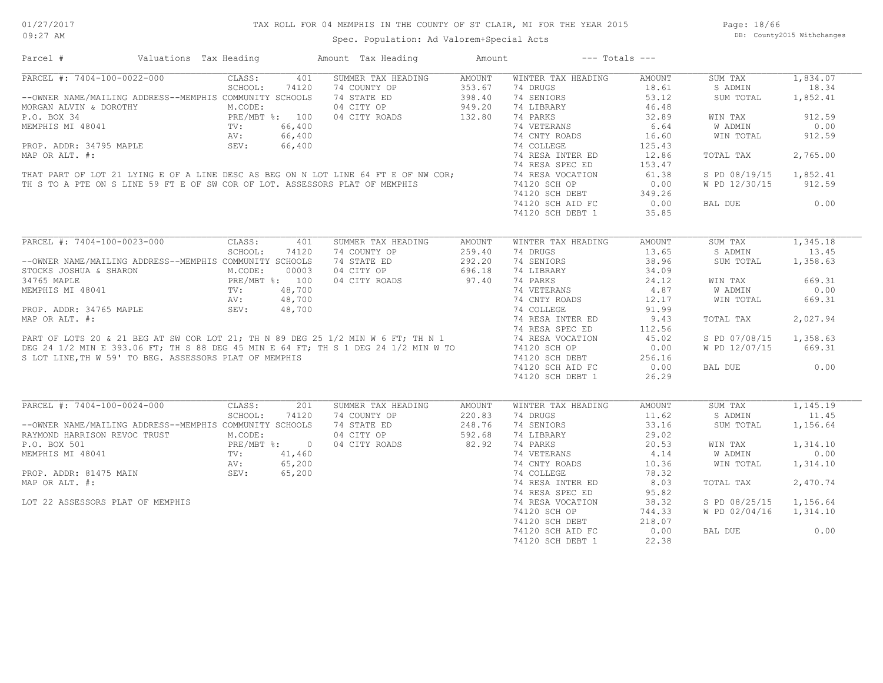## TAX ROLL FOR 04 MEMPHIS IN THE COUNTY OF ST CLAIR, MI FOR THE YEAR 2015

Spec. Population: Ad Valorem+Special Acts

Page: 18/66 DB: County2015 Withchanges

| PARCEL #: 7404-100-0022-000<br>CLASS:<br>401<br>SUMMER TAX HEADING<br>AMOUNT<br>WINTER TAX HEADING<br>AMOUNT<br>SUM TAX                                                                                                                        | 1,834.07 |
|------------------------------------------------------------------------------------------------------------------------------------------------------------------------------------------------------------------------------------------------|----------|
|                                                                                                                                                                                                                                                |          |
| SCHOOL:<br>74120<br>74 COUNTY OP<br>353.67<br>74 DRUGS<br>18.61<br>S ADMIN                                                                                                                                                                     | 18.34    |
| --OWNER NAME/MAILING ADDRESS--MEMPHIS COMMUNITY SCHOOLS<br>74 STATE ED<br>398.40<br>74 SENIORS<br>53.12<br>SUM TOTAL                                                                                                                           | 1,852.41 |
| 04 CITY OP<br>74 LIBRARY<br>46.48<br>949.20<br>MORGAN ALVIN & DOROTHY M.CODE:<br>P.O. BOX 34 PRE/MBT %: 100<br>MEMPHIS MI 48041 TV: 66,400<br>PROP. ADDR: 34795 MAPLE SEV: 66,400                                                              |          |
| 04 CITY ROADS<br>132.80<br>74 PARKS<br>32.89<br>WIN TAX                                                                                                                                                                                        | 912.59   |
| 74 VETERANS<br>6.64<br>W ADMIN                                                                                                                                                                                                                 | 0.00     |
| 74 CNTY ROADS<br>16.60<br>WIN TOTAL                                                                                                                                                                                                            | 912.59   |
| 74 COLLEGE<br>125.43                                                                                                                                                                                                                           |          |
| MAP OR ALT. #:<br>74 RESA INTER ED<br>12.86<br>TOTAL TAX                                                                                                                                                                                       | 2,765.00 |
| 74 RESA SPEC ED<br>153.47                                                                                                                                                                                                                      |          |
| 74 RESA VOCATION<br>61.38<br>S PD 08/19/15                                                                                                                                                                                                     | 1,852.41 |
| THAT PART OF LOT 21 LYING E OF A LINE DESC AS BEG ON N LOT LINE 64 FT E OF NW COR;<br>TH S TO A PTE ON S LINE 59 FT E OF SW COR OF LOT. ASSESSORS PLAT OF MEMPHIS                                                                              | 912.59   |
| 74120 SCH OP<br>0.00<br>W PD 12/30/15                                                                                                                                                                                                          |          |
| 74120 SCH DEBT<br>349.26                                                                                                                                                                                                                       |          |
| 74120 SCH AID FC<br>0.00<br>BAL DUE                                                                                                                                                                                                            | 0.00     |
| 74120 SCH DEBT 1<br>35.85                                                                                                                                                                                                                      |          |
| PARCEL #: 7404-100-0023-000<br>CLASS:<br>401<br>SUMMER TAX HEADING<br>AMOUNT<br>WINTER TAX HEADING<br>AMOUNT<br>SUM TAX                                                                                                                        | 1,345.18 |
| SCHOOL:<br>13.65<br>S ADMIN<br>74120<br>74 COUNTY OP<br>74 DRUGS                                                                                                                                                                               | 13.45    |
| 259.40                                                                                                                                                                                                                                         |          |
| 74 SENIORS<br>38.96<br>--OWNER NAME/MAILING ADDRESS--MEMPHIS COMMUNITY SCHOOLS<br>74 STATE ED<br>292.20<br>SUM TOTAL                                                                                                                           | 1,358.63 |
| 04 CITY OP<br>696.18<br>74 LIBRARY<br>34.09<br>STOCKS JOSHUA & SHARON<br>M.CODE: 00003<br>PRE/MBT %: 100<br>11<br>TV: 48,700<br>AV: 48,700                                                                                                     |          |
| 97.40<br>74 PARKS<br>34765 MAPLE<br>04 CITY ROADS<br>24.12<br>WIN TAX                                                                                                                                                                          | 669.31   |
| MEMPHIS MI 48041<br>74 VETERANS<br>4.87<br>W ADMIN                                                                                                                                                                                             | 0.00     |
| 74 CNTY ROADS<br>12.17<br>WIN TOTAL                                                                                                                                                                                                            | 669.31   |
| 74 COLLEGE<br>91.99<br>PROP. ADDR: 34765 MAPLE<br>SEV:<br>48,700                                                                                                                                                                               |          |
| 9.43<br>TOTAL TAX                                                                                                                                                                                                                              | 2,027.94 |
| MAP OR ALT. #:<br>PART OF LOTS 20 & 21 BEG AT SW COR LOT 21; TH N 89 DEG 25 1/2 MIN W 6 FT; TH N 1 74 RESA INTER ED<br>PART OF LOTS 20 & 21 BEG AT SW COR LOT 21; TH N 89 DEG 25 1/2 MIN W 6 FT; TH N 1 74 RESA SPEC ED<br>DEG 24 1/<br>112.56 |          |
| S PD 07/08/15<br>45.02                                                                                                                                                                                                                         | 1,358.63 |
| 0.00<br>W PD 12/07/15                                                                                                                                                                                                                          | 669.31   |
| S LOT LINE, TH W 59' TO BEG. ASSESSORS PLAT OF MEMPHIS<br>74120 SCH DEBT<br>256.16                                                                                                                                                             |          |
| 0.00<br>74120 SCH AID FC<br>BAL DUE                                                                                                                                                                                                            | 0.00     |
| 74120 SCH DEBT 1<br>26.29                                                                                                                                                                                                                      |          |
|                                                                                                                                                                                                                                                |          |
| PARCEL #: 7404-100-0024-000<br>CLASS:<br>201<br>SUMMER TAX HEADING<br>AMOUNT<br>WINTER TAX HEADING<br>AMOUNT<br>SUM TAX                                                                                                                        | 1,145.19 |
| SCHOOL:<br>74120<br>74 COUNTY OP<br>220.83<br>74 DRUGS<br>11.62<br>S ADMIN                                                                                                                                                                     | 11.45    |
| 248.76<br>33.16<br>--OWNER NAME/MAILING ADDRESS--MEMPHIS COMMUNITY SCHOOLS<br>74 STATE ED<br>74 SENIORS<br>SUM TOTAL                                                                                                                           | 1,156.64 |
| RAYMOND HARRISON REVOC TRUST<br>04 CITY OP<br>592.68<br>74 LIBRARY<br>29.02<br>M.CODE:                                                                                                                                                         |          |
| 82.92<br>04 CITY ROADS<br>74 PARKS<br>20.53<br>WIN TAX                                                                                                                                                                                         | 1,314.10 |
| P.O. BOX 501<br>MEMPHIS MI 48041<br>PROP. ADDR: 81475 MAIN<br>PROP. ADDR: 81475 MAIN<br>BE/Y: 65,200<br>SEV: 65,200<br>74 VETERANS<br>4.14<br>W ADMIN                                                                                          | 0.00     |
| 74 CNTY ROADS<br>10.36<br>WIN TOTAL                                                                                                                                                                                                            | 1,314.10 |
|                                                                                                                                                                                                                                                |          |
| 78.32<br>74 COLLEGE                                                                                                                                                                                                                            |          |
| MAP OR ALT. #:<br>74 RESA INTER ED<br>8.03<br>TOTAL TAX                                                                                                                                                                                        | 2,470.74 |
| 74 RESA SPEC ED<br>95.82                                                                                                                                                                                                                       |          |
| LOT 22 ASSESSORS PLAT OF MEMPHIS<br>74 RESA VOCATION<br>38.32<br>S PD 08/25/15                                                                                                                                                                 | 1,156.64 |
| 74120 SCH OP<br>744.33<br>W PD 02/04/16                                                                                                                                                                                                        | 1,314.10 |
| 218.07<br>74120 SCH DEBT                                                                                                                                                                                                                       |          |
| 0.00<br>74120 SCH AID FC<br>BAL DUE                                                                                                                                                                                                            | 0.00     |
| 22.38<br>74120 SCH DEBT 1                                                                                                                                                                                                                      |          |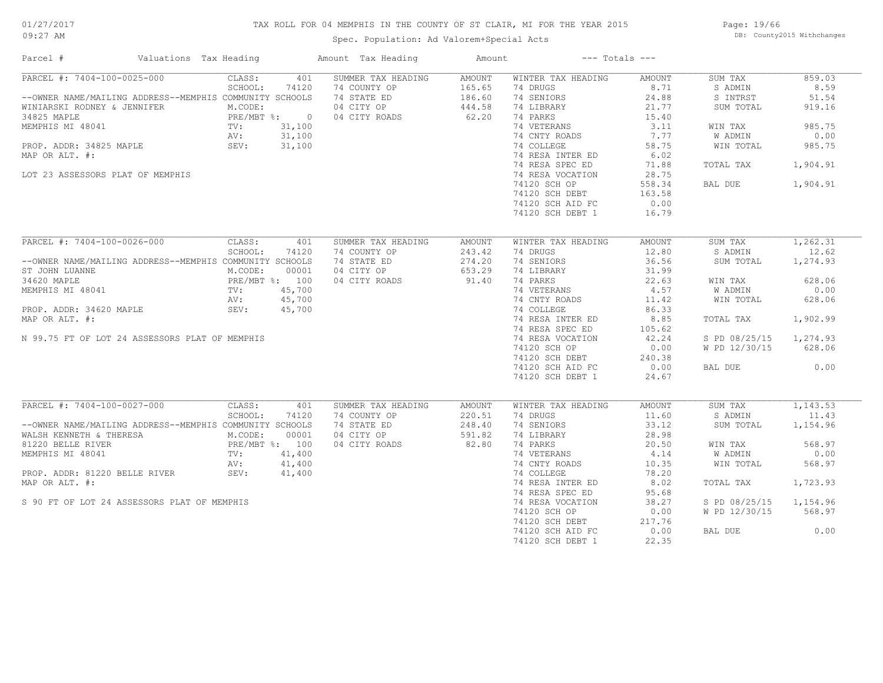## TAX ROLL FOR 04 MEMPHIS IN THE COUNTY OF ST CLAIR, MI FOR THE YEAR 2015

Spec. Population: Ad Valorem+Special Acts

Page: 19/66 DB: County2015 Withchanges

| Parcel #<br>Valuations Tax Heading                      |                  | Amount Tax Heading | Amount        |                    | $---$ Totals $---$ |               |          |
|---------------------------------------------------------|------------------|--------------------|---------------|--------------------|--------------------|---------------|----------|
| PARCEL #: 7404-100-0025-000                             | 401<br>CLASS:    | SUMMER TAX HEADING | <b>AMOUNT</b> | WINTER TAX HEADING | AMOUNT             | SUM TAX       | 859.03   |
|                                                         | SCHOOL:<br>74120 | 74 COUNTY OP       | 165.65        | 74 DRUGS           | 8.71               | S ADMIN       | 8.59     |
| --OWNER NAME/MAILING ADDRESS--MEMPHIS COMMUNITY SCHOOLS |                  | 74 STATE ED        | 186.60        | 74 SENIORS         | 24.88              | S INTRST      | 51.54    |
| WINIARSKI RODNEY & JENNIFER                             | M.CODE:          | 04 CITY OP         | 444.58        | 74 LIBRARY         | 21.77              | SUM TOTAL     | 919.16   |
| 34825 MAPLE                                             | PRE/MBT %: 0     | 04 CITY ROADS      | 62.20         | 74 PARKS           | 15.40              |               |          |
| MEMPHIS MI 48041                                        | 31,100<br>$TV$ : |                    |               | 74 VETERANS        | 3.11               | WIN TAX       | 985.75   |
|                                                         | 31,100<br>AV:    |                    |               | 74 CNTY ROADS      | 7.77               | W ADMIN       | 0.00     |
| PROP. ADDR: 34825 MAPLE                                 | SEV:<br>31,100   |                    |               | 74 COLLEGE         | 58.75              | WIN TOTAL     | 985.75   |
| MAP OR ALT. #:                                          |                  |                    |               | 74 RESA INTER ED   | 6.02               |               |          |
|                                                         |                  |                    |               | 74 RESA SPEC ED    | 71.88              | TOTAL TAX     | 1,904.91 |
| LOT 23 ASSESSORS PLAT OF MEMPHIS                        |                  |                    |               | 74 RESA VOCATION   | 28.75              |               |          |
|                                                         |                  |                    |               | 74120 SCH OP       | 558.34             | BAL DUE       | 1,904.91 |
|                                                         |                  |                    |               |                    |                    |               |          |
|                                                         |                  |                    |               | 74120 SCH DEBT     | 163.58             |               |          |
|                                                         |                  |                    |               | 74120 SCH AID FC   | 0.00               |               |          |
|                                                         |                  |                    |               | 74120 SCH DEBT 1   | 16.79              |               |          |
| PARCEL #: 7404-100-0026-000                             | CLASS:<br>401    | SUMMER TAX HEADING | <b>AMOUNT</b> | WINTER TAX HEADING | AMOUNT             | SUM TAX       | 1,262.31 |
|                                                         |                  |                    |               | 74 DRUGS           | 12.80              |               | 12.62    |
|                                                         | SCHOOL:<br>74120 | 74 COUNTY OP       | 243.42        |                    |                    | S ADMIN       |          |
| --OWNER NAME/MAILING ADDRESS--MEMPHIS COMMUNITY SCHOOLS |                  | 74 STATE ED        | 274.20        | 74 SENIORS         | 36.56              | SUM TOTAL     | 1,274.93 |
| ST JOHN LUANNE                                          | M.CODE:<br>00001 | 04 CITY OP         | 653.29        | 74 LIBRARY         | 31.99              |               |          |
| 34620 MAPLE                                             | PRE/MBT %: 100   | 04 CITY ROADS      | 91.40         | 74 PARKS           | 22.63              | WIN TAX       | 628.06   |
| MEMPHIS MI 48041                                        | TV:<br>45,700    |                    |               | 74 VETERANS        | 4.57               | W ADMIN       | 0.00     |
|                                                         | 45,700<br>AV:    |                    |               | 74 CNTY ROADS      | 11.42              | WIN TOTAL     | 628.06   |
| PROP. ADDR: 34620 MAPLE                                 | SEV:<br>45,700   |                    |               | 74 COLLEGE         | 86.33              |               |          |
| MAP OR ALT. #:                                          |                  |                    |               | 74 RESA INTER ED   | 8.85               | TOTAL TAX     | 1,902.99 |
|                                                         |                  |                    |               | 74 RESA SPEC ED    | 105.62             |               |          |
| N 99.75 FT OF LOT 24 ASSESSORS PLAT OF MEMPHIS          |                  |                    |               | 74 RESA VOCATION   | 42.24              | S PD 08/25/15 | 1,274.93 |
|                                                         |                  |                    |               | 74120 SCH OP       | 0.00               | W PD 12/30/15 | 628.06   |
|                                                         |                  |                    |               | 74120 SCH DEBT     | 240.38             |               |          |
|                                                         |                  |                    |               |                    |                    |               | 0.00     |
|                                                         |                  |                    |               | 74120 SCH AID FC   | 0.00               | BAL DUE       |          |
|                                                         |                  |                    |               | 74120 SCH DEBT 1   | 24.67              |               |          |
| PARCEL #: 7404-100-0027-000                             | CLASS:<br>401    | SUMMER TAX HEADING | AMOUNT        | WINTER TAX HEADING | AMOUNT             | SUM TAX       | 1,143.53 |
|                                                         | SCHOOL:<br>74120 | 74 COUNTY OP       | 220.51        | 74 DRUGS           | 11.60              | S ADMIN       | 11.43    |
| --OWNER NAME/MAILING ADDRESS--MEMPHIS COMMUNITY SCHOOLS |                  | 74 STATE ED        | 248.40        | 74 SENIORS         | 33.12              |               | 1,154.96 |
|                                                         |                  |                    |               |                    |                    | SUM TOTAL     |          |
| WALSH KENNETH & THERESA                                 | M.CODE:<br>00001 | 04 CITY OP         | 591.82        | 74 LIBRARY         | 28.98              |               |          |
| 81220 BELLE RIVER                                       | PRE/MBT %: 100   | 04 CITY ROADS      | 82.80         | 74 PARKS           | 20.50              | WIN TAX       | 568.97   |
| MEMPHIS MI 48041                                        | 41,400<br>TV:    |                    |               | 74 VETERANS        | 4.14               | W ADMIN       | 0.00     |
|                                                         | AV:<br>41,400    |                    |               | 74 CNTY ROADS      | 10.35              | WIN TOTAL     | 568.97   |
| PROP. ADDR: 81220 BELLE RIVER                           | 41,400<br>SEV:   |                    |               | 74 COLLEGE         | 78.20              |               |          |
| MAP OR ALT. #:                                          |                  |                    |               | 74 RESA INTER ED   | 8.02               | TOTAL TAX     | 1,723.93 |
|                                                         |                  |                    |               | 74 RESA SPEC ED    | 95.68              |               |          |
| S 90 FT OF LOT 24 ASSESSORS PLAT OF MEMPHIS             |                  |                    |               | 74 RESA VOCATION   | 38.27              | S PD 08/25/15 | 1,154.96 |
|                                                         |                  |                    |               | 74120 SCH OP       | 0.00               | W PD 12/30/15 | 568.97   |
|                                                         |                  |                    |               | 74120 SCH DEBT     | 217.76             |               |          |
|                                                         |                  |                    |               | 74120 SCH AID FC   | 0.00               | BAL DUE       | 0.00     |
|                                                         |                  |                    |               | 74120 SCH DEBT 1   | 22.35              |               |          |
|                                                         |                  |                    |               |                    |                    |               |          |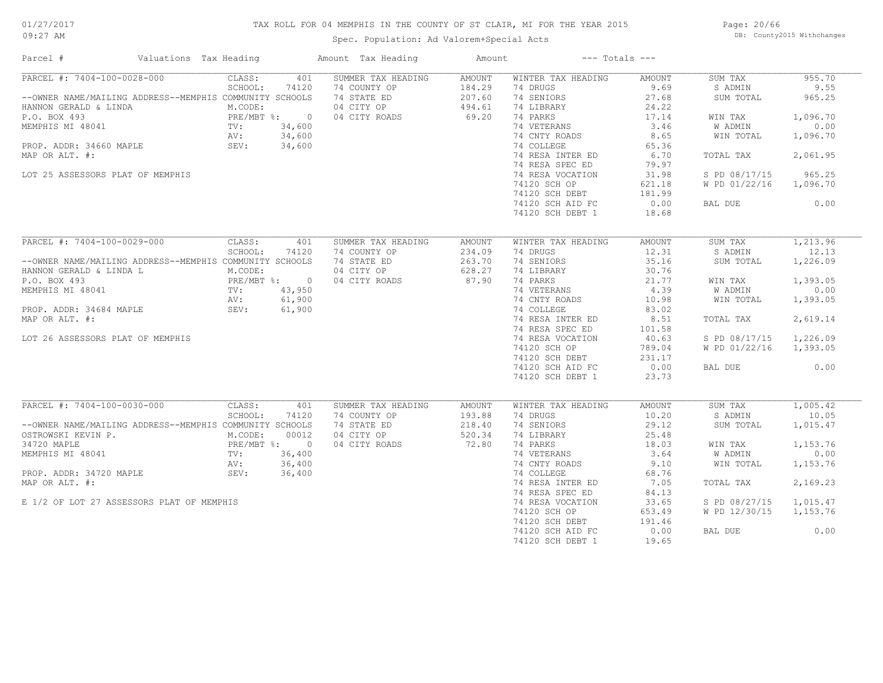## TAX ROLL FOR 04 MEMPHIS IN THE COUNTY OF ST CLAIR, MI FOR THE YEAR 2015

Spec. Population: Ad Valorem+Special Acts

Page: 20/66 DB: County2015 Withchanges

| Parcel #                                                                                                                                                                                                                                  | Valuations Tax Heading |                                                                                                                              | Amount Tax Heading                                                                                        | Amount                                        |                                                                                                                                                                                                                                                           | $---$ Totals $---$                                                                                                                          |                                                                                                                              |                                                                                                           |
|-------------------------------------------------------------------------------------------------------------------------------------------------------------------------------------------------------------------------------------------|------------------------|------------------------------------------------------------------------------------------------------------------------------|-----------------------------------------------------------------------------------------------------------|-----------------------------------------------|-----------------------------------------------------------------------------------------------------------------------------------------------------------------------------------------------------------------------------------------------------------|---------------------------------------------------------------------------------------------------------------------------------------------|------------------------------------------------------------------------------------------------------------------------------|-----------------------------------------------------------------------------------------------------------|
| PARCEL #: 7404-100-0028-000<br>--OWNER NAME/MAILING ADDRESS--MEMPHIS COMMUNITY SCHOOLS<br>HANNON GERALD & LINDA<br>P.O. BOX 493<br>MEMPHIS MI 48041<br>PROP. ADDR: 34660 MAPLE<br>MAP OR ALT. #:                                          |                        | CLASS:<br>SCHOOL:<br>74120<br>M.CODE:<br>$PRE/MBT$ %:<br>34,600<br>TV:<br>34,600<br>AV:<br>SEV:<br>34,600                    | 401<br>SUMMER TAX HEADING<br>74 COUNTY OP<br>74 STATE ED<br>04 CITY OP<br>$\overline{0}$<br>04 CITY ROADS | AMOUNT<br>184.29<br>207.60<br>494.61<br>69.20 | WINTER TAX HEADING<br>74 DRUGS<br>74 SENIORS<br>74 LIBRARY<br>74 PARKS<br>74 VETERANS<br>74 CNTY ROADS<br>74 COLLEGE<br>74 RESA INTER ED<br>74 RESA SPEC ED                                                                                               | AMOUNT<br>9.69<br>27.68<br>24.22<br>17.14<br>3.46<br>8.65<br>65.36<br>6.70<br>79.97                                                         | SUM TAX<br>S ADMIN<br>SUM TOTAL<br>WIN TAX<br>W ADMIN<br>WIN TOTAL<br>TOTAL TAX                                              | 955.70<br>9.55<br>965.25<br>1,096.70<br>0.00<br>1,096.70<br>2,061.95                                      |
| LOT 25 ASSESSORS PLAT OF MEMPHIS                                                                                                                                                                                                          |                        |                                                                                                                              |                                                                                                           |                                               | 74 RESA VOCATION<br>74120 SCH OP<br>74120 SCH DEBT<br>74120 SCH AID FC<br>74120 SCH DEBT 1                                                                                                                                                                | 31.98<br>621.18<br>181.99<br>0.00<br>18.68                                                                                                  | S PD 08/17/15<br>W PD 01/22/16<br>BAL DUE                                                                                    | 965.25<br>1,096.70<br>0.00                                                                                |
| PARCEL #: 7404-100-0029-000<br>--OWNER NAME/MAILING ADDRESS--MEMPHIS COMMUNITY SCHOOLS<br>HANNON GERALD & LINDA L<br>P.O. BOX 493<br>MEMPHIS MI 48041<br>PROP. ADDR: 34684 MAPLE<br>MAP OR ALT. #:<br>LOT 26 ASSESSORS PLAT OF MEMPHIS    |                        | CLASS:<br>SCHOOL:<br>74120<br>M.CODE:<br>PRE/MBT %:<br>TV:<br>43,950<br>61,900<br>AV:<br>SEV:<br>61,900                      | 401<br>SUMMER TAX HEADING<br>74 COUNTY OP<br>74 STATE ED<br>04 CITY OP<br>04 CITY ROADS<br>$\overline{0}$ | AMOUNT<br>234.09<br>263.70<br>628.27<br>87.90 | WINTER TAX HEADING<br>74 DRUGS<br>74 SENIORS<br>74 LIBRARY<br>74 PARKS<br>74 VETERANS<br>74 CNTY ROADS<br>74 COLLEGE<br>74 RESA INTER ED<br>74 RESA SPEC ED<br>74 RESA VOCATION<br>74120 SCH OP<br>74120 SCH DEBT<br>74120 SCH AID FC<br>74120 SCH DEBT 1 | <b>AMOUNT</b><br>12.31<br>35.16<br>30.76<br>21.77<br>4.39<br>10.98<br>83.02<br>8.51<br>101.58<br>40.63<br>789.04<br>231.17<br>0.00<br>23.73 | SUM TAX<br>S ADMIN<br>SUM TOTAL<br>WIN TAX<br>W ADMIN<br>WIN TOTAL<br>TOTAL TAX<br>S PD 08/17/15<br>W PD 01/22/16<br>BAL DUE | 1,213.96<br>12.13<br>1,226.09<br>1,393.05<br>0.00<br>1,393.05<br>2,619.14<br>1,226.09<br>1,393.05<br>0.00 |
| PARCEL #: 7404-100-0030-000<br>--OWNER NAME/MAILING ADDRESS--MEMPHIS COMMUNITY SCHOOLS<br>OSTROWSKI KEVIN P.<br>34720 MAPLE<br>MEMPHIS MI 48041<br>PROP. ADDR: 34720 MAPLE<br>MAP OR ALT. #:<br>E 1/2 OF LOT 27 ASSESSORS PLAT OF MEMPHIS |                        | CLASS:<br>SCHOOL:<br>74120<br>M.CODE:<br>00012<br>PRE/MBT %:<br>$\sim$ 0<br>36,400<br>TV:<br>36,400<br>AV:<br>SEV:<br>36,400 | 401<br>SUMMER TAX HEADING<br>74 COUNTY OP<br>74 STATE ED<br>04 CITY OP<br>04 CITY ROADS                   | AMOUNT<br>193.88<br>218.40<br>520.34<br>72.80 | WINTER TAX HEADING<br>74 DRUGS<br>74 SENIORS<br>74 LIBRARY<br>74 PARKS<br>74 VETERANS<br>74 CNTY ROADS<br>74 COLLEGE<br>74 RESA INTER ED<br>74 RESA SPEC ED<br>74 RESA VOCATION<br>74120 SCH OP<br>74120 SCH DEBT<br>74120 SCH AID FC<br>74120 SCH DEBT 1 | <b>AMOUNT</b><br>10.20<br>29.12<br>25.48<br>18.03<br>3.64<br>9.10<br>68.76<br>7.05<br>84.13<br>33.65<br>653.49<br>191.46<br>0.00<br>19.65   | SUM TAX<br>S ADMIN<br>SUM TOTAL<br>WIN TAX<br>W ADMIN<br>WIN TOTAL<br>TOTAL TAX<br>S PD 08/27/15<br>W PD 12/30/15<br>BAL DUE | 1,005.42<br>10.05<br>1,015.47<br>1,153.76<br>0.00<br>1,153.76<br>2,169.23<br>1,015.47<br>1,153.76<br>0.00 |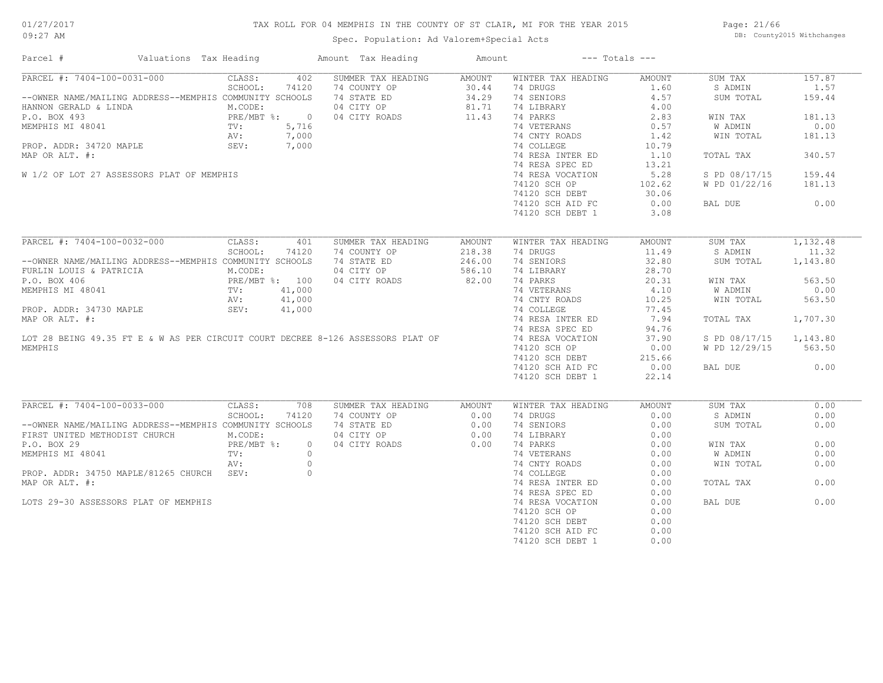## TAX ROLL FOR 04 MEMPHIS IN THE COUNTY OF ST CLAIR, MI FOR THE YEAR 2015

Spec. Population: Ad Valorem+Special Acts

Page: 21/66 DB: County2015 Withchanges

| Parcel #                                                                                                                    | Valuations Tax Heading                     |            |                | Amount Tax Heading                                                                                                  | Amount        |                    | $---$ Totals $---$ |                        |          |
|-----------------------------------------------------------------------------------------------------------------------------|--------------------------------------------|------------|----------------|---------------------------------------------------------------------------------------------------------------------|---------------|--------------------|--------------------|------------------------|----------|
| PARCEL #: 7404-100-0031-000                                                                                                 |                                            | CLASS:     | 402            | SUMMER TAX HEADING                                                                                                  | AMOUNT        | WINTER TAX HEADING | AMOUNT             | SUM TAX                | 157.87   |
|                                                                                                                             |                                            | SCHOOL:    | 74120          | 74 COUNTY OP                                                                                                        | 30.44         | 74 DRUGS           | 1.60               | S ADMIN                | 1.57     |
| --OWNER NAME/MAILING ADDRESS--MEMPHIS COMMUNITY SCHOOLS                                                                     |                                            |            |                | 74 STATE ED                                                                                                         |               | 34.29 74 SENIORS   | 4.57               | SUM TOTAL              | 159.44   |
| HANNON GERALD & LINDA                                                                                                       |                                            | M.CODE:    |                | 04 CITY OP                                                                                                          | 81.71         | 74 LIBRARY         | 4.00               |                        |          |
| P.O. BOX 493<br>MEMPHIS MI 48041<br>P.O. BOX 493<br>MEMPHIS MI 48041<br>PROP. ADDR: 34720 MAPLE<br>SEV: 7,000<br>SEV: 7,000 |                                            |            |                | 04 CITY ROADS                                                                                                       | 11.43         | 74 PARKS           | 2.83               | WIN TAX                | 181.13   |
|                                                                                                                             |                                            |            |                |                                                                                                                     |               | 74 VETERANS        | 0.57               | W ADMIN                | 0.00     |
|                                                                                                                             |                                            |            |                |                                                                                                                     |               | 74 CNTY ROADS      | 1.42               | WIN TOTAL              | 181.13   |
|                                                                                                                             |                                            |            |                |                                                                                                                     |               | 74 COLLEGE         | 10.79              |                        |          |
| MAP OR ALT. #:                                                                                                              |                                            |            |                |                                                                                                                     |               | 74 RESA INTER ED   | 1.10               | TOTAL TAX              | 340.57   |
|                                                                                                                             |                                            |            |                |                                                                                                                     |               | 74 RESA SPEC ED    | 13.21              |                        |          |
|                                                                                                                             |                                            |            |                |                                                                                                                     |               |                    |                    |                        |          |
| W 1/2 OF LOT 27 ASSESSORS PLAT OF MEMPHIS                                                                                   |                                            |            |                |                                                                                                                     |               | 74 RESA VOCATION   | 5.28               | S PD 08/17/15          | 159.44   |
|                                                                                                                             |                                            |            |                |                                                                                                                     |               | 74120 SCH OP       | 102.62             | W PD 01/22/16          | 181.13   |
|                                                                                                                             |                                            |            |                |                                                                                                                     |               | 74120 SCH DEBT     | 30.06              |                        |          |
|                                                                                                                             |                                            |            |                |                                                                                                                     |               | 74120 SCH AID FC   | 0.00               | BAL DUE                | 0.00     |
|                                                                                                                             |                                            |            |                |                                                                                                                     |               | 74120 SCH DEBT 1   | 3.08               |                        |          |
|                                                                                                                             |                                            |            |                |                                                                                                                     |               |                    |                    |                        |          |
| PARCEL #: 7404-100-0032-000                                                                                                 |                                            | CLASS:     | 401            | SUMMER TAX HEADING                                                                                                  | <b>AMOUNT</b> | WINTER TAX HEADING | AMOUNT             | SUM TAX                | 1,132.48 |
|                                                                                                                             |                                            | SCHOOL:    | 74120          | 74 COUNTY OP                                                                                                        | 218.38        | 74 DRUGS           | 11.49              | S ADMIN                | 11.32    |
| --OWNER NAME/MAILING ADDRESS--MEMPHIS COMMUNITY SCHOOLS                                                                     |                                            |            |                | 74 STATE ED                                                                                                         | 246.00        | 74 SENIORS         | 32.80              | SUM TOTAL              | 1,143.80 |
| FURLIN LOUIS & PATRICIA                                                                                                     |                                            | M.CODE:    |                | 04 CITY OP                                                                                                          | 586.10        | 74 LIBRARY         | 28.70              |                        |          |
| P.O. BOX 406                                                                                                                | PRE/MBT %: 100<br>TV: 41,000<br>AV: 41,000 |            |                | 04 CITY ROADS                                                                                                       | 82.00         | 74 PARKS           | 20.31              | WIN TAX                | 563.50   |
| MEMPHIS MI 48041                                                                                                            |                                            |            |                |                                                                                                                     |               | 74 VETERANS        | 4.10               | W ADMIN                | 0.00     |
|                                                                                                                             |                                            |            |                |                                                                                                                     |               | 74 CNTY ROADS      | 10.25              | WIN TOTAL              | 563.50   |
| PROP. ADDR: 34730 MAPLE                                                                                                     |                                            | SEV:       | 41,000         |                                                                                                                     |               | 74 COLLEGE         | 77.45              |                        |          |
|                                                                                                                             |                                            |            |                |                                                                                                                     |               | 74 RESA INTER ED   | 7.94               | TOTAL TAX              | 1,707.30 |
|                                                                                                                             |                                            |            |                |                                                                                                                     |               |                    |                    |                        |          |
|                                                                                                                             |                                            |            |                | MAP OR ALT. #:<br>MAP OR ALT. #:<br>LOT 28 BEING 49.35 FT E & W AS PER CIRCUIT COURT DECREE 8-126 ASSESSORS PLAT OF |               | 74 RESA SPEC ED    | 94.76              |                        |          |
|                                                                                                                             |                                            |            |                |                                                                                                                     |               | 74 RESA VOCATION   | 37.90              | S PD 08/17/15 1,143.80 |          |
| MEMPHIS                                                                                                                     |                                            |            |                |                                                                                                                     |               | 74120 SCH OP       | 0.00               | W PD 12/29/15          | 563.50   |
|                                                                                                                             |                                            |            |                |                                                                                                                     |               | 74120 SCH DEBT     | 215.66             |                        |          |
|                                                                                                                             |                                            |            |                |                                                                                                                     |               | 74120 SCH AID FC   | 0.00               | BAL DUE                | 0.00     |
|                                                                                                                             |                                            |            |                |                                                                                                                     |               | 74120 SCH DEBT 1   | 22.14              |                        |          |
|                                                                                                                             |                                            |            |                |                                                                                                                     |               |                    |                    |                        |          |
| PARCEL #: 7404-100-0033-000                                                                                                 |                                            | CLASS:     | 708            | SUMMER TAX HEADING                                                                                                  | <b>AMOUNT</b> | WINTER TAX HEADING | AMOUNT             | SUM TAX                | 0.00     |
|                                                                                                                             |                                            | SCHOOL:    | 74120          | 74 COUNTY OP                                                                                                        | 0.00          | 74 DRUGS           | 0.00               | S ADMIN                | 0.00     |
| --OWNER NAME/MAILING ADDRESS--MEMPHIS COMMUNITY SCHOOLS                                                                     |                                            |            |                | 74 STATE ED 0.00                                                                                                    |               | 74 SENIORS         | 0.00               | SUM TOTAL              | 0.00     |
| FIRST UNITED METHODIST CHURCH                                                                                               |                                            | M.CODE:    |                | 04 CITY OP                                                                                                          | 0.00          | 74 LIBRARY         | 0.00               |                        |          |
| P.O. BOX 29                                                                                                                 |                                            | PRE/MBT %: | $\overline{0}$ | 04 CITY ROADS                                                                                                       | 0.00          | 74 PARKS           | 0.00               | WIN TAX                | 0.00     |
| MEMPHIS MI 48041                                                                                                            |                                            | TV:        | $\circ$        |                                                                                                                     |               | 74 VETERANS        | 0.00               | W ADMIN                | 0.00     |
|                                                                                                                             |                                            | AV:        | $\overline{0}$ |                                                                                                                     |               | 74 CNTY ROADS      | 0.00               | WIN TOTAL              | 0.00     |
| PROP. ADDR: 34750 MAPLE/81265 CHURCH SEV:                                                                                   |                                            |            | $\circ$        |                                                                                                                     |               | 74 COLLEGE         | 0.00               |                        |          |
| MAP OR ALT. #:                                                                                                              |                                            |            |                |                                                                                                                     |               | 74 RESA INTER ED   | 0.00               | TOTAL TAX              | 0.00     |
|                                                                                                                             |                                            |            |                |                                                                                                                     |               | 74 RESA SPEC ED    | 0.00               |                        |          |
| LOTS 29-30 ASSESSORS PLAT OF MEMPHIS                                                                                        |                                            |            |                |                                                                                                                     |               | 74 RESA VOCATION   | 0.00               | BAL DUE                | 0.00     |
|                                                                                                                             |                                            |            |                |                                                                                                                     |               | 74120 SCH OP       | 0.00               |                        |          |
|                                                                                                                             |                                            |            |                |                                                                                                                     |               | 74120 SCH DEBT     | 0.00               |                        |          |
|                                                                                                                             |                                            |            |                |                                                                                                                     |               |                    | 0.00               |                        |          |
|                                                                                                                             |                                            |            |                |                                                                                                                     |               | 74120 SCH AID FC   |                    |                        |          |
|                                                                                                                             |                                            |            |                |                                                                                                                     |               | 74120 SCH DEBT 1   | 0.00               |                        |          |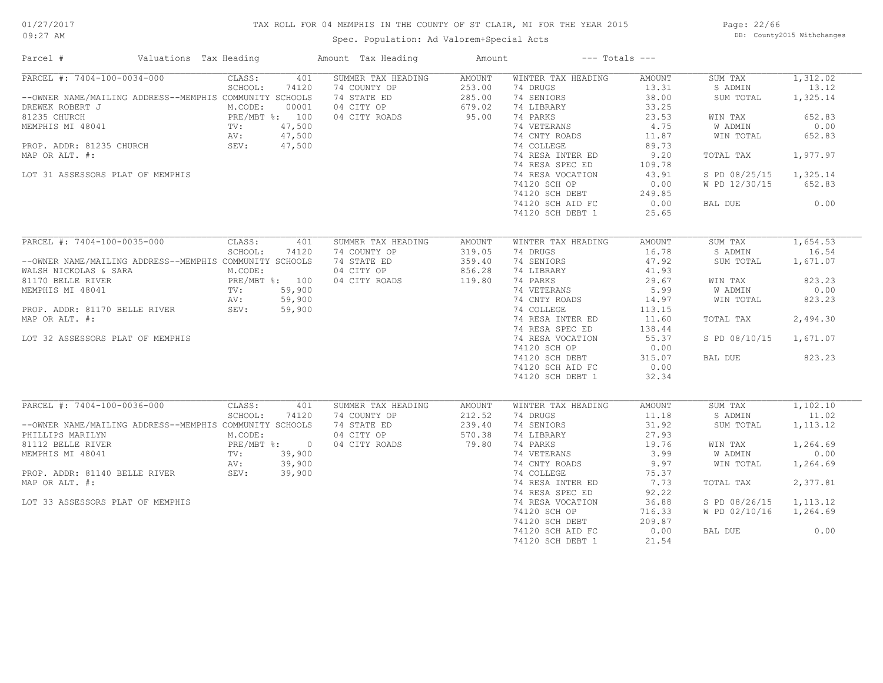## TAX ROLL FOR 04 MEMPHIS IN THE COUNTY OF ST CLAIR, MI FOR THE YEAR 2015

Spec. Population: Ad Valorem+Special Acts

Page: 22/66 DB: County2015 Withchanges

| Parcel #                                                | Valuations Tax Heading       | Amount Tax Heading | Amount        |                    | $---$ Totals $---$ |               |           |
|---------------------------------------------------------|------------------------------|--------------------|---------------|--------------------|--------------------|---------------|-----------|
| PARCEL #: 7404-100-0034-000                             | CLASS:<br>401                | SUMMER TAX HEADING | <b>AMOUNT</b> | WINTER TAX HEADING | AMOUNT             | SUM TAX       | 1,312.02  |
|                                                         | SCHOOL:<br>74120             | 74 COUNTY OP       | 253.00        | 74 DRUGS           | 13.31              | S ADMIN       | 13.12     |
| --OWNER NAME/MAILING ADDRESS--MEMPHIS COMMUNITY SCHOOLS |                              | 74 STATE ED        | 285.00        | 74 SENIORS         | 38.00              | SUM TOTAL     | 1,325.14  |
| DREWEK ROBERT J                                         | M.CODE:<br>00001             | 04 CITY OP         | 679.02        | 74 LIBRARY         | 33.25              |               |           |
| 81235 CHURCH                                            | PRE/MBT %: 100               | 04 CITY ROADS      | 95.00         | 74 PARKS           | 23.53              | WIN TAX       | 652.83    |
| MEMPHIS MI 48041                                        | TV:<br>47,500                |                    |               | 74 VETERANS        | 4.75               | W ADMIN       | 0.00      |
|                                                         | 47,500<br>AV:                |                    |               | 74 CNTY ROADS      | 11.87              | WIN TOTAL     | 652.83    |
| PROP. ADDR: 81235 CHURCH                                | SEV:<br>47,500               |                    |               | 74 COLLEGE         | 89.73              |               |           |
| MAP OR ALT. #:                                          |                              |                    |               | 74 RESA INTER ED   | 9.20               | TOTAL TAX     | 1,977.97  |
|                                                         |                              |                    |               | 74 RESA SPEC ED    | 109.78             |               |           |
| LOT 31 ASSESSORS PLAT OF MEMPHIS                        |                              |                    |               | 74 RESA VOCATION   | 43.91              | S PD 08/25/15 | 1,325.14  |
|                                                         |                              |                    |               | 74120 SCH OP       | 0.00               | W PD 12/30/15 | 652.83    |
|                                                         |                              |                    |               | 74120 SCH DEBT     | 249.85             |               |           |
|                                                         |                              |                    |               | 74120 SCH AID FC   | 0.00               | BAL DUE       | 0.00      |
|                                                         |                              |                    |               | 74120 SCH DEBT 1   | 25.65              |               |           |
|                                                         |                              |                    |               |                    |                    |               |           |
|                                                         |                              |                    |               |                    |                    |               |           |
| PARCEL #: 7404-100-0035-000                             | CLASS:<br>401                | SUMMER TAX HEADING | <b>AMOUNT</b> | WINTER TAX HEADING | <b>AMOUNT</b>      | SUM TAX       | 1,654.53  |
|                                                         | SCHOOL:<br>74120             | 74 COUNTY OP       | 319.05        | 74 DRUGS           | 16.78              | S ADMIN       | 16.54     |
| --OWNER NAME/MAILING ADDRESS--MEMPHIS COMMUNITY SCHOOLS |                              | 74 STATE ED        | 359.40        | 74 SENIORS         | 47.92              | SUM TOTAL     | 1,671.07  |
| WALSH NICKOLAS & SARA                                   | M.CODE:                      | 04 CITY OP         | 856.28        | 74 LIBRARY         | 41.93              |               |           |
| 81170 BELLE RIVER                                       | PRE/MBT %: 100               | 04 CITY ROADS      | 119.80        | 74 PARKS           | 29.67              | WIN TAX       | 823.23    |
| MEMPHIS MI 48041                                        | TV:<br>59,900                |                    |               | 74 VETERANS        | 5.99               | W ADMIN       | 0.00      |
|                                                         | 59,900<br>AV:                |                    |               | 74 CNTY ROADS      | 14.97              | WIN TOTAL     | 823.23    |
| PROP. ADDR: 81170 BELLE RIVER                           | SEV: 59,900                  |                    |               | 74 COLLEGE         | 113.15             |               |           |
| MAP OR ALT. #:                                          |                              |                    |               | 74 RESA INTER ED   | 11.60              | TOTAL TAX     | 2,494.30  |
|                                                         |                              |                    |               | 74 RESA SPEC ED    | 138.44             |               |           |
| LOT 32 ASSESSORS PLAT OF MEMPHIS                        |                              |                    |               | 74 RESA VOCATION   | 55.37              | S PD 08/10/15 | 1,671.07  |
|                                                         |                              |                    |               | 74120 SCH OP       | 0.00               |               |           |
|                                                         |                              |                    |               | 74120 SCH DEBT     | 315.07             | BAL DUE       | 823.23    |
|                                                         |                              |                    |               | 74120 SCH AID FC   | 0.00               |               |           |
|                                                         |                              |                    |               | 74120 SCH DEBT 1   | 32.34              |               |           |
|                                                         |                              |                    |               |                    |                    |               |           |
| PARCEL #: 7404-100-0036-000                             |                              |                    |               |                    |                    |               | 1,102.10  |
|                                                         | CLASS:<br>401                | SUMMER TAX HEADING | <b>AMOUNT</b> | WINTER TAX HEADING | <b>AMOUNT</b>      | SUM TAX       |           |
|                                                         | SCHOOL:<br>74120             | 74 COUNTY OP       | 212.52        | 74 DRUGS           | 11.18              | S ADMIN       | 11.02     |
| --OWNER NAME/MAILING ADDRESS--MEMPHIS COMMUNITY SCHOOLS |                              | 74 STATE ED        | 239.40        | 74 SENIORS         | 31.92              | SUM TOTAL     | 1, 113.12 |
| PHILLIPS MARILYN                                        | M.CODE:                      | 04 CITY OP         | 570.38        | 74 LIBRARY         | 27.93              |               |           |
| 81112 BELLE RIVER                                       | PRE/MBT %: 0                 | 04 CITY ROADS      | 79.80         | 74 PARKS           | 19.76              | WIN TAX       | 1,264.69  |
| MEMPHIS MI 48041                                        | 39,900<br>TV:                |                    |               | 74 VETERANS        | 3.99               | W ADMIN       | 0.00      |
|                                                         | 39,900<br>AV:<br>AV:<br>SEV: |                    |               | 74 CNTY ROADS      | 9.97               | WIN TOTAL     | 1,264.69  |
| PROP. ADDR: 81140 BELLE RIVER                           | 39,900                       |                    |               | 74 COLLEGE         | 75.37              |               |           |
| MAP OR ALT. #:                                          |                              |                    |               | 74 RESA INTER ED   | 7.73               | TOTAL TAX     | 2,377.81  |
|                                                         |                              |                    |               | 74 RESA SPEC ED    | 92.22              |               |           |
| LOT 33 ASSESSORS PLAT OF MEMPHIS                        |                              |                    |               | 74 RESA VOCATION   | 36.88              | S PD 08/26/15 | 1,113.12  |
|                                                         |                              |                    |               | 74120 SCH OP       | 716.33             | W PD 02/10/16 | 1,264.69  |
|                                                         |                              |                    |               | 74120 SCH DEBT     | 209.87             |               |           |
|                                                         |                              |                    |               | 74120 SCH AID FC   | 0.00               | BAL DUE       | 0.00      |
|                                                         |                              |                    |               | 74120 SCH DEBT 1   | 21.54              |               |           |
|                                                         |                              |                    |               |                    |                    |               |           |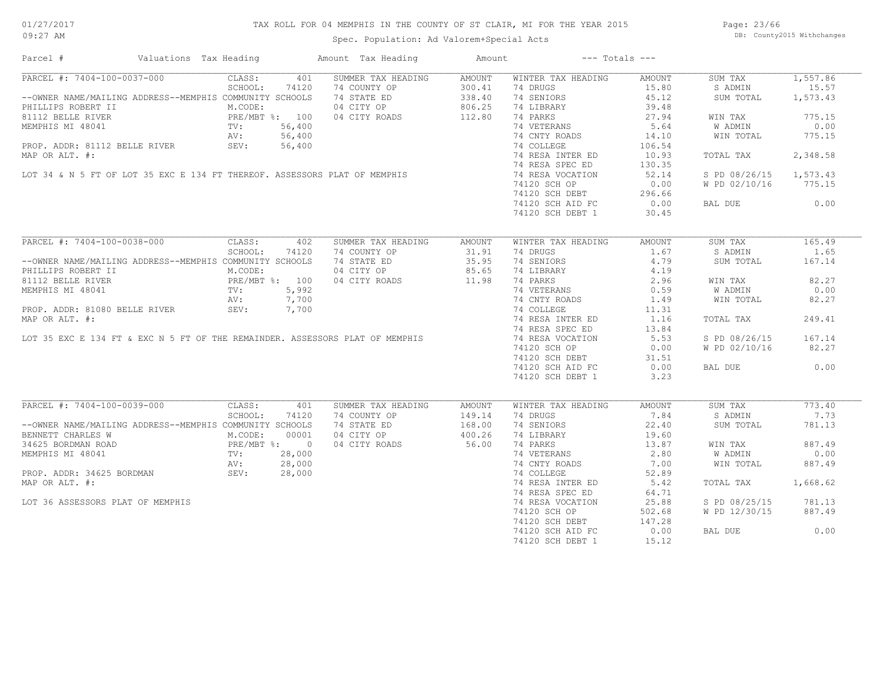## TAX ROLL FOR 04 MEMPHIS IN THE COUNTY OF ST CLAIR, MI FOR THE YEAR 2015

Spec. Population: Ad Valorem+Special Acts

Page: 23/66 DB: County2015 Withchanges

| Parcel #                                                                                                                                                                                                                                       | Valuations Tax Heading |         |       | Amount Tax Heading                                                                     | Amount | $---$ Totals $---$                                                                                             |                                                          |                        |          |
|------------------------------------------------------------------------------------------------------------------------------------------------------------------------------------------------------------------------------------------------|------------------------|---------|-------|----------------------------------------------------------------------------------------|--------|----------------------------------------------------------------------------------------------------------------|----------------------------------------------------------|------------------------|----------|
| PARCEL #: 7404-100-0037-000 CLASS: 401 SUMMER TAX HEADING AMOUNT                                                                                                                                                                               |                        |         |       |                                                                                        |        | WINTER TAX HEADING                                                                                             |                                                          | SUM TAX                | 1,557.86 |
|                                                                                                                                                                                                                                                |                        | SCHOOL: | 74120 |                                                                                        |        | 74 DRUGS                                                                                                       |                                                          | S ADMIN                | 15.57    |
| --OWNER NAME/MAILING ADDRESS--MEMPHIS COMMUNITY SCHOOLS                                                                                                                                                                                        |                        |         |       | 74 COUNTY OP 300.41<br>74 STATE ED 338.40<br>04 CITY OP 806.25<br>04 CITY ROADS 112.80 |        | 74 SENIORS                                                                                                     | $\frac{15AD1N}{45.12}$<br>45.12<br>$\frac{45.12}{29.48}$ | SUM TOTAL              | 1,573.43 |
| PHILLIPS ROBERT II M.CODE:<br>81112 BELLE RIVER PRE/MBT %: 100<br>MEMPHIS MI 48041 TV: 56,400<br>PROP. ADDR: 81112 BELLE RIVER SEV: 56,400                                                                                                     |                        |         |       |                                                                                        |        | 74 LIBRARY<br>74 LIBRARY<br>74 PARKS<br>74 VETERANS<br>74 CNTY ROADS<br>74 CNTY ROADS<br>14.10                 |                                                          |                        |          |
|                                                                                                                                                                                                                                                |                        |         |       |                                                                                        |        |                                                                                                                |                                                          | WIN TAX                | 775.15   |
| MEMPHIS MI 48041<br>MEMPHIS MI 48041<br>PROP. ADDR: 81112 BELLE RIVER<br>MAP OR ALT. #:<br>LOT 34 & N 5 FT OF LOT 35 EXC E 134 FT THEREOF. ASSESSORS PLAT OF MEMPHIS<br>MAP OR ALT. #:<br>LOT 34 & N 5 FT OF LOT 35 EXC E 134 FT THEREOF.      |                        |         |       |                                                                                        |        |                                                                                                                |                                                          | W ADMIN                | 0.00     |
|                                                                                                                                                                                                                                                |                        |         |       |                                                                                        |        |                                                                                                                |                                                          | WIN TOTAL              | 775.15   |
|                                                                                                                                                                                                                                                |                        |         |       |                                                                                        |        |                                                                                                                |                                                          |                        |          |
|                                                                                                                                                                                                                                                |                        |         |       |                                                                                        |        | 74 RESA INTER ED                                                                                               | 106.54                                                   |                        |          |
|                                                                                                                                                                                                                                                |                        |         |       |                                                                                        |        |                                                                                                                | 10.93                                                    | TOTAL TAX              | 2,348.58 |
|                                                                                                                                                                                                                                                |                        |         |       |                                                                                        |        |                                                                                                                | 130.35                                                   |                        |          |
|                                                                                                                                                                                                                                                |                        |         |       |                                                                                        |        |                                                                                                                | 52.14                                                    | S PD 08/26/15 1,573.43 |          |
|                                                                                                                                                                                                                                                |                        |         |       |                                                                                        |        | 74120 SCH OP                                                                                                   | 0.00                                                     | W PD 02/10/16 775.15   |          |
|                                                                                                                                                                                                                                                |                        |         |       |                                                                                        |        | 74120 SCH DEBT<br>74120 SCH DEBT 296.66<br>74120 SCH AID FC 0.00                                               |                                                          |                        |          |
|                                                                                                                                                                                                                                                |                        |         |       |                                                                                        |        |                                                                                                                |                                                          | BAL DUE 0.00           |          |
|                                                                                                                                                                                                                                                |                        |         |       |                                                                                        |        | 74120 SCH DEBT 1                                                                                               | 30.45                                                    |                        |          |
|                                                                                                                                                                                                                                                |                        |         |       |                                                                                        |        |                                                                                                                |                                                          |                        |          |
| 3CHOOL: 74120 74 COUNTY OF 31.91<br>2CHOOL: 74120 74 COUNTY OF 31.91<br>2CHOOL: 74120 74 COUNTY OF 31.91<br>2SLAME BELLE RIVER<br>2SLAME BELLE RIVER<br>2SLAME BELLE RIVER<br>2SLAME BELLE RIVER<br>2SCAME BELLE RIVER<br>2NODE: 04 CITY ROADS |                        |         |       |                                                                                        |        | WINTER TAX HEADING                                                                                             | AMOUNT                                                   | SUM TAX                | 165.49   |
|                                                                                                                                                                                                                                                |                        |         |       |                                                                                        |        | 74 DRUGS And The Second State State State State State State State State State State State State State State St | 1.67                                                     | S ADMIN                | 1.65     |
|                                                                                                                                                                                                                                                |                        |         |       |                                                                                        |        | 74 SENIORS                                                                                                     | 4.79                                                     | SUM TOTAL              | 167.14   |
|                                                                                                                                                                                                                                                |                        |         |       |                                                                                        |        |                                                                                                                |                                                          |                        |          |
|                                                                                                                                                                                                                                                |                        |         |       |                                                                                        |        | 74 LIBRARY 4.19<br>74 PARKS 2.96<br>74 VETERANS 2.96<br>74 CNTY ROADS 1.49                                     |                                                          | WIN TAX                | 82.27    |
| MEMPHIS MI 48041<br>MEMPHIS MI 48041<br>PROP. ADDR: 81080 BELLE RIVER<br>MAP OR ALT. #:<br>LOT 35 EXC E 134 FT & EXC N 5 FT OF THE REMAINDER. ASSESSORS PLAT OF MEMPHIS<br>MAP OR ALT. #:<br>LOT 35 EXC E 134 FT & EXC N 5 FT OF THE REMAI     |                        |         |       |                                                                                        |        |                                                                                                                |                                                          |                        |          |
|                                                                                                                                                                                                                                                |                        |         |       |                                                                                        |        |                                                                                                                |                                                          | W ADMIN                | 0.00     |
|                                                                                                                                                                                                                                                |                        |         |       |                                                                                        |        |                                                                                                                |                                                          | WIN TOTAL              | 82.27    |
|                                                                                                                                                                                                                                                |                        |         |       |                                                                                        |        |                                                                                                                | 11.31                                                    |                        |          |
|                                                                                                                                                                                                                                                |                        |         |       |                                                                                        |        | 74 RESA INTER ED 1.16                                                                                          |                                                          | TOTAL TAX              | 249.41   |
|                                                                                                                                                                                                                                                |                        |         |       |                                                                                        |        |                                                                                                                | 13.84                                                    |                        |          |
|                                                                                                                                                                                                                                                |                        |         |       |                                                                                        |        |                                                                                                                | 5.53                                                     | S PD 08/26/15          | 167.14   |
|                                                                                                                                                                                                                                                |                        |         |       |                                                                                        |        | 74120 SCH OP                                                                                                   | 0.00                                                     | W PD 02/10/16 82.27    |          |
|                                                                                                                                                                                                                                                |                        |         |       |                                                                                        |        | 74120 SCH DEBT<br>74120 SCH DEBT 31.51<br>74120 SCH AID FC 0.00                                                |                                                          |                        |          |
|                                                                                                                                                                                                                                                |                        |         |       |                                                                                        |        |                                                                                                                |                                                          | BAL DUE                | 0.00     |
|                                                                                                                                                                                                                                                |                        |         |       |                                                                                        |        | 74120 SCH DEBT 1                                                                                               | 3.23                                                     |                        |          |
|                                                                                                                                                                                                                                                |                        |         |       |                                                                                        |        |                                                                                                                |                                                          |                        |          |
| PARCEL #: 7404-100-0039-000 CLASS:                                                                                                                                                                                                             |                        |         | 401   | SUMMER TAX HEADING                                                                     | AMOUNT | WINTER TAX HEADING                                                                                             | AMOUNT                                                   | SUM TAX                | 773.40   |
|                                                                                                                                                                                                                                                |                        | SCHOOL: | 74120 |                                                                                        |        | 74 DRUGS                                                                                                       | 7.84                                                     | S ADMIN                | 7.73     |
| --OWNER NAME/MAILING ADDRESS--MEMPHIS COMMUNITY SCHOOLS                                                                                                                                                                                        |                        |         |       |                                                                                        |        | 74 SENIORS                                                                                                     | 22.40                                                    | SUM TOTAL              | 781.13   |
|                                                                                                                                                                                                                                                |                        |         |       |                                                                                        |        |                                                                                                                |                                                          |                        |          |
| BENNETT CHARLES W ALCODE: 00001<br>34625 BORDMAN ROAD PRE/MBT $\frac{8}{100001}$<br>MEMPHIS MI 48041 TV: 28,000<br>PROP. ADDR: 34625 BORDMAN SEV: 28,000                                                                                       |                        |         |       | 74 COUNTY OP 149.14<br>74 STATE ED 168.00<br>04 CITY OP 400.26<br>04 CITY ROADS 56.00  |        | 74 SENTONS<br>74 LIBRARY 19.60<br>74 PARKS 13.87<br>2.80                                                       |                                                          |                        |          |
|                                                                                                                                                                                                                                                |                        |         |       |                                                                                        |        |                                                                                                                |                                                          | WIN TAX                | 887.49   |
|                                                                                                                                                                                                                                                |                        |         |       |                                                                                        |        | 74 VETERANS 2.80<br>74 CNTY ROADS 7.00                                                                         |                                                          | W ADMIN                | 0.00     |
|                                                                                                                                                                                                                                                |                        |         |       |                                                                                        |        |                                                                                                                |                                                          | WIN TOTAL              | 887.49   |
|                                                                                                                                                                                                                                                |                        |         |       |                                                                                        |        | 74 COLLEGE                                                                                                     | 52.89                                                    |                        |          |
| MAP OR ALT. #:                                                                                                                                                                                                                                 |                        |         |       |                                                                                        |        | 74 RESA INTER ED 5.42                                                                                          |                                                          | TOTAL TAX              | 1,668.62 |
|                                                                                                                                                                                                                                                |                        |         |       |                                                                                        |        | 74 RESA SPEC ED                                                                                                | 64.71                                                    |                        |          |
| LOT 36 ASSESSORS PLAT OF MEMPHIS                                                                                                                                                                                                               |                        |         |       |                                                                                        |        | 74 RESA VOCATION                                                                                               | 25.88                                                    | S PD 08/25/15          | 781.13   |
|                                                                                                                                                                                                                                                |                        |         |       |                                                                                        |        | 74120 SCH OP                                                                                                   | 502.68                                                   | W PD 12/30/15          | 887.49   |
|                                                                                                                                                                                                                                                |                        |         |       |                                                                                        |        | 74120 SCH DEBT                                                                                                 | 147.28                                                   |                        |          |
|                                                                                                                                                                                                                                                |                        |         |       |                                                                                        |        | 74120 SCH AID FC                                                                                               | 0.00                                                     | BAL DUE                | 0.00     |
|                                                                                                                                                                                                                                                |                        |         |       |                                                                                        |        |                                                                                                                | 15.12                                                    |                        |          |
|                                                                                                                                                                                                                                                |                        |         |       |                                                                                        |        | 74120 SCH DEBT 1                                                                                               |                                                          |                        |          |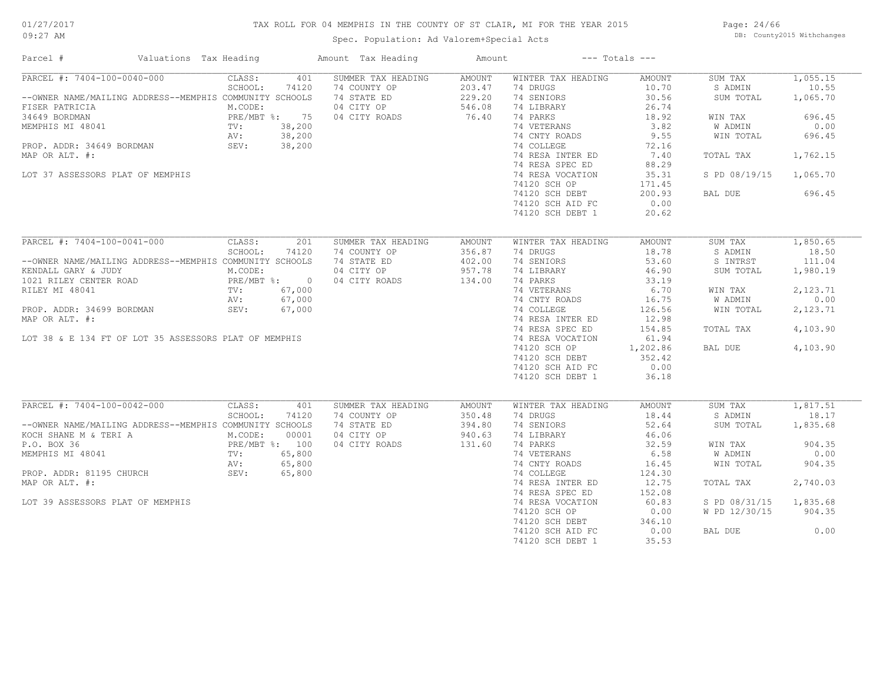## TAX ROLL FOR 04 MEMPHIS IN THE COUNTY OF ST CLAIR, MI FOR THE YEAR 2015

Spec. Population: Ad Valorem+Special Acts

Page: 24/66 DB: County2015 Withchanges

| Parcel #                                                | Valuations Tax Heading         | Amount Tax Heading | Amount        |                    | $---$ Totals $---$ |               |          |
|---------------------------------------------------------|--------------------------------|--------------------|---------------|--------------------|--------------------|---------------|----------|
| PARCEL #: 7404-100-0040-000                             | 401<br>CLASS:                  | SUMMER TAX HEADING | <b>AMOUNT</b> | WINTER TAX HEADING | <b>AMOUNT</b>      | SUM TAX       | 1,055.15 |
|                                                         | SCHOOL:<br>74120               | 74 COUNTY OP       | 203.47        | 74 DRUGS           | 10.70              | S ADMIN       | 10.55    |
| --OWNER NAME/MAILING ADDRESS--MEMPHIS COMMUNITY SCHOOLS |                                | 74 STATE ED        | 229.20        | 74 SENIORS         | 30.56              | SUM TOTAL     | 1,065.70 |
| FISER PATRICIA                                          | M.CODE:                        | 04 CITY OP         | 546.08        | 74 LIBRARY         | 26.74              |               |          |
| 34649 BORDMAN                                           | PRE/MBT %: 75                  | 04 CITY ROADS      | 76.40         | 74 PARKS           | 18.92              | WIN TAX       | 696.45   |
| MEMPHIS MI 48041                                        | 38,200<br>TV:                  |                    |               | 74 VETERANS        | 3.82               | W ADMIN       | 0.00     |
|                                                         | 38,200<br>AV:                  |                    |               | 74 CNTY ROADS      | 9.55               | WIN TOTAL     | 696.45   |
| PROP. ADDR: 34649 BORDMAN                               | SEV:<br>38,200                 |                    |               | 74 COLLEGE         | 72.16              |               |          |
| MAP OR ALT. #:                                          |                                |                    |               | 74 RESA INTER ED   | 7.40               | TOTAL TAX     | 1,762.15 |
|                                                         |                                |                    |               | 74 RESA SPEC ED    | 88.29              |               |          |
| LOT 37 ASSESSORS PLAT OF MEMPHIS                        |                                |                    |               | 74 RESA VOCATION   | 35.31              | S PD 08/19/15 | 1,065.70 |
|                                                         |                                |                    |               | 74120 SCH OP       | 171.45             |               |          |
|                                                         |                                |                    |               | 74120 SCH DEBT     | 200.93             | BAL DUE       | 696.45   |
|                                                         |                                |                    |               | 74120 SCH AID FC   | 0.00               |               |          |
|                                                         |                                |                    |               | 74120 SCH DEBT 1   | 20.62              |               |          |
|                                                         |                                |                    |               |                    |                    |               |          |
| PARCEL #: 7404-100-0041-000                             | 201<br>CLASS:                  | SUMMER TAX HEADING | AMOUNT        | WINTER TAX HEADING | <b>AMOUNT</b>      | SUM TAX       | 1,850.65 |
|                                                         | SCHOOL:<br>74120               | 74 COUNTY OP       | 356.87        | 74 DRUGS           | 18.78              | S ADMIN       | 18.50    |
| --OWNER NAME/MAILING ADDRESS--MEMPHIS COMMUNITY SCHOOLS |                                | 74 STATE ED        | 402.00        | 74 SENIORS         | 53.60              | S INTRST      | 111.04   |
| KENDALL GARY & JUDY                                     | M.CODE:                        | 04 CITY OP         | 957.78        | 74 LIBRARY         | 46.90              | SUM TOTAL     | 1,980.19 |
| 1021 RILEY CENTER ROAD                                  | $PRE/MBT$ %:<br>$\overline{0}$ | 04 CITY ROADS      | 134.00        | 74 PARKS           | 33.19              |               |          |
| RILEY MI 48041                                          | TV:<br>67,000                  |                    |               | 74 VETERANS        | 6.70               | WIN TAX       | 2,123.71 |
|                                                         | 67,000<br>AV:                  |                    |               | 74 CNTY ROADS      | 16.75              | W ADMIN       | 0.00     |
| PROP. ADDR: 34699 BORDMAN                               | SEV:<br>67,000                 |                    |               | 74 COLLEGE         | 126.56             | WIN TOTAL     | 2,123.71 |
| MAP OR ALT. #:                                          |                                |                    |               | 74 RESA INTER ED   | 12.98              |               |          |
|                                                         |                                |                    |               | 74 RESA SPEC ED    | 154.85             | TOTAL TAX     | 4,103.90 |
| LOT 38 & E 134 FT OF LOT 35 ASSESSORS PLAT OF MEMPHIS   |                                |                    |               | 74 RESA VOCATION   | 61.94              |               |          |
|                                                         |                                |                    |               | 74120 SCH OP       | 1,202.86           | BAL DUE       | 4,103.90 |
|                                                         |                                |                    |               |                    |                    |               |          |
|                                                         |                                |                    |               | 74120 SCH DEBT     | 352.42             |               |          |
|                                                         |                                |                    |               | 74120 SCH AID FC   | 0.00               |               |          |
|                                                         |                                |                    |               | 74120 SCH DEBT 1   | 36.18              |               |          |
|                                                         |                                |                    |               |                    |                    |               |          |
| PARCEL #: 7404-100-0042-000                             | CLASS:<br>401                  | SUMMER TAX HEADING | AMOUNT        | WINTER TAX HEADING | <b>AMOUNT</b>      | SUM TAX       | 1,817.51 |
|                                                         | SCHOOL:<br>74120               | 74 COUNTY OP       | 350.48        | 74 DRUGS           | 18.44              | S ADMIN       | 18.17    |
| --OWNER NAME/MAILING ADDRESS--MEMPHIS COMMUNITY SCHOOLS |                                | 74 STATE ED        | 394.80        | 74 SENIORS         | 52.64              | SUM TOTAL     | 1,835.68 |
| KOCH SHANE M & TERI A                                   | M.CODE:<br>00001               | 04 CITY OP         | 940.63        | 74 LIBRARY         | 46.06              |               |          |
| P.O. BOX 36                                             | PRE/MBT %: 100                 | 04 CITY ROADS      | 131.60        | 74 PARKS           | 32.59              | WIN TAX       | 904.35   |
| MEMPHIS MI 48041                                        | 65,800<br>TV:                  |                    |               | 74 VETERANS        | 6.58               | W ADMIN       | 0.00     |
|                                                         | 65,800<br>AV:                  |                    |               | 74 CNTY ROADS      | 16.45              | WIN TOTAL     | 904.35   |
| PROP. ADDR: 81195 CHURCH                                | 65,800<br>SEV:                 |                    |               | 74 COLLEGE         | 124.30             |               |          |
| MAP OR ALT. #:                                          |                                |                    |               | 74 RESA INTER ED   | 12.75              | TOTAL TAX     | 2,740.03 |
|                                                         |                                |                    |               | 74 RESA SPEC ED    | 152.08             |               |          |
| LOT 39 ASSESSORS PLAT OF MEMPHIS                        |                                |                    |               | 74 RESA VOCATION   | 60.83              | S PD 08/31/15 | 1,835.68 |
|                                                         |                                |                    |               | 74120 SCH OP       | 0.00               | W PD 12/30/15 | 904.35   |
|                                                         |                                |                    |               | 74120 SCH DEBT     | 346.10             |               |          |
|                                                         |                                |                    |               | 74120 SCH AID FC   | 0.00               | BAL DUE       | 0.00     |
|                                                         |                                |                    |               | 74120 SCH DEBT 1   | 35.53              |               |          |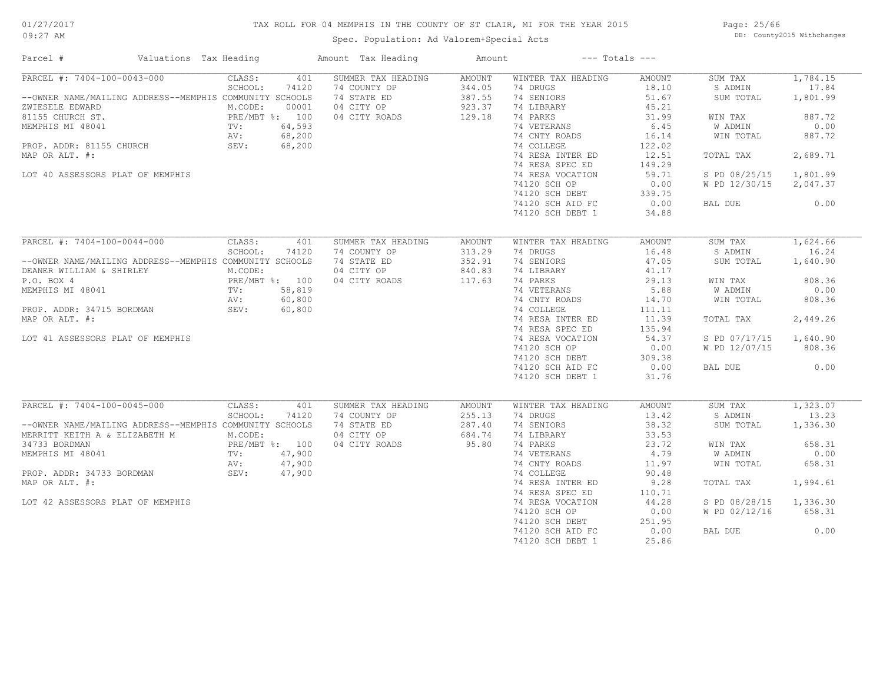## TAX ROLL FOR 04 MEMPHIS IN THE COUNTY OF ST CLAIR, MI FOR THE YEAR 2015

Spec. Population: Ad Valorem+Special Acts

Page: 25/66 DB: County2015 Withchanges

| Valuations Tax Heading<br>Parcel #                      |                                            | Amount Tax Heading | Amount        | $---$ Totals $---$ |        |               |          |
|---------------------------------------------------------|--------------------------------------------|--------------------|---------------|--------------------|--------|---------------|----------|
| PARCEL #: 7404-100-0043-000                             | CLASS:<br>401                              | SUMMER TAX HEADING | <b>AMOUNT</b> | WINTER TAX HEADING | AMOUNT | SUM TAX       | 1,784.15 |
|                                                         | SCHOOL:<br>74120                           | 74 COUNTY OP       | 344.05        | 74 DRUGS           | 18.10  | S ADMIN       | 17.84    |
| --OWNER NAME/MAILING ADDRESS--MEMPHIS COMMUNITY SCHOOLS |                                            | 74 STATE ED        | 387.55        | 74 SENIORS         | 51.67  | SUM TOTAL     | 1,801.99 |
| ZWIESELE EDWARD                                         | M.CODE:<br>00001                           | 04 CITY OP         | 923.37        | 74 LIBRARY         | 45.21  |               |          |
| 81155 CHURCH ST.                                        | PRE/MBT %: 100<br>PRE/N<br>TV:<br>AV:      | 04 CITY ROADS      | 129.18        | 74 PARKS           | 31.99  | WIN TAX       | 887.72   |
| MEMPHIS MI 48041                                        | 64,593                                     |                    |               | 74 VETERANS        | 6.45   | W ADMIN       | 0.00     |
|                                                         | 68,200                                     |                    |               | 74 CNTY ROADS      | 16.14  | WIN TOTAL     | 887.72   |
| PROP. ADDR: 81155 CHURCH                                | SEV:<br>68,200                             |                    |               | 74 COLLEGE         | 122.02 |               |          |
| MAP OR ALT. #:                                          |                                            |                    |               | 74 RESA INTER ED   | 12.51  | TOTAL TAX     | 2,689.71 |
|                                                         |                                            |                    |               | 74 RESA SPEC ED    | 149.29 |               |          |
| LOT 40 ASSESSORS PLAT OF MEMPHIS                        |                                            |                    |               | 74 RESA VOCATION   | 59.71  | S PD 08/25/15 | 1,801.99 |
|                                                         |                                            |                    |               | 74120 SCH OP       | 0.00   | W PD 12/30/15 | 2,047.37 |
|                                                         |                                            |                    |               | 74120 SCH DEBT     | 339.75 |               |          |
|                                                         |                                            |                    |               | 74120 SCH AID FC   | 0.00   | BAL DUE       | 0.00     |
|                                                         |                                            |                    |               | 74120 SCH DEBT 1   | 34.88  |               |          |
|                                                         |                                            |                    |               |                    |        |               |          |
| PARCEL #: 7404-100-0044-000                             | CLASS:<br>401                              | SUMMER TAX HEADING | <b>AMOUNT</b> | WINTER TAX HEADING | AMOUNT | SUM TAX       | 1,624.66 |
|                                                         |                                            |                    |               |                    |        |               |          |
|                                                         | SCHOOL:<br>74120                           | 74 COUNTY OP       | 313.29        | 74 DRUGS           | 16.48  | S ADMIN       | 16.24    |
| --OWNER NAME/MAILING ADDRESS--MEMPHIS COMMUNITY SCHOOLS |                                            | 74 STATE ED        | 352.91        | 74 SENIORS         | 47.05  | SUM TOTAL     | 1,640.90 |
| DEANER WILLIAM & SHIRLEY                                | M.CODE:                                    | 04 CITY OP         | 840.83        | 74 LIBRARY         | 41.17  |               |          |
| P.O. BOX 4                                              | PRE/MBT %: 100<br>TV: 58,819<br>AV: 60,800 | 04 CITY ROADS      | 117.63        | 74 PARKS           | 29.13  | WIN TAX       | 808.36   |
| MEMPHIS MI 48041                                        |                                            |                    |               | 74 VETERANS        | 5.88   | W ADMIN       | 0.00     |
|                                                         |                                            |                    |               | 74 CNTY ROADS      | 14.70  | WIN TOTAL     | 808.36   |
| PROP. ADDR: 34715 BORDMAN                               | SEV:<br>60,800                             |                    |               | 74 COLLEGE         | 111,11 |               |          |
| MAP OR ALT. #:                                          |                                            |                    |               | 74 RESA INTER ED   | 11.39  | TOTAL TAX     | 2,449.26 |
|                                                         |                                            |                    |               | 74 RESA SPEC ED    | 135.94 |               |          |
| LOT 41 ASSESSORS PLAT OF MEMPHIS                        |                                            |                    |               | 74 RESA VOCATION   | 54.37  | S PD 07/17/15 | 1,640.90 |
|                                                         |                                            |                    |               | 74120 SCH OP       | 0.00   | W PD 12/07/15 | 808.36   |
|                                                         |                                            |                    |               | 74120 SCH DEBT     | 309.38 |               |          |
|                                                         |                                            |                    |               | 74120 SCH AID FC   | 0.00   | BAL DUE       | 0.00     |
|                                                         |                                            |                    |               | 74120 SCH DEBT 1   | 31.76  |               |          |
|                                                         |                                            |                    |               |                    |        |               |          |
| $\overline{\text{PARCH}}$ #: 7404-100-0045-000          | CLASS:<br>401                              | SUMMER TAX HEADING | <b>AMOUNT</b> | WINTER TAX HEADING | AMOUNT | SUM TAX       | 1,323.07 |
|                                                         | SCHOOL:<br>74120                           | 74 COUNTY OP       | 255.13        | 74 DRUGS           | 13.42  | S ADMIN       | 13.23    |
| --OWNER NAME/MAILING ADDRESS--MEMPHIS COMMUNITY SCHOOLS |                                            | 74 STATE ED        | 287.40        | 74 SENIORS         | 38.32  | SUM TOTAL     | 1,336.30 |
| MERRITT KEITH A & ELIZABETH M                           | M.CODE:                                    | 04 CITY OP         | 684.74        | 74 LIBRARY         | 33.53  |               |          |
| 34733 BORDMAN                                           | PRE/MBT %: 100<br>TV: 47,900               | 04 CITY ROADS      | 95.80         | 74 PARKS           | 23.72  | WIN TAX       | 658.31   |
| MEMPHIS MI 48041                                        |                                            |                    |               | 74 VETERANS        | 4.79   | W ADMIN       | 0.00     |
|                                                         | 47,900<br>AV:                              |                    |               | 74 CNTY ROADS      | 11.97  | WIN TOTAL     | 658.31   |
| PROP. ADDR: 34733 BORDMAN                               | SEV:<br>47,900                             |                    |               | 74 COLLEGE         | 90.48  |               |          |
| MAP OR ALT. #:                                          |                                            |                    |               | 74 RESA INTER ED   | 9.28   | TOTAL TAX     | 1,994.61 |
|                                                         |                                            |                    |               | 74 RESA SPEC ED    | 110.71 |               |          |
| LOT 42 ASSESSORS PLAT OF MEMPHIS                        |                                            |                    |               | 74 RESA VOCATION   | 44.28  | S PD 08/28/15 | 1,336.30 |
|                                                         |                                            |                    |               | 74120 SCH OP       | 0.00   | W PD 02/12/16 | 658.31   |
|                                                         |                                            |                    |               | 74120 SCH DEBT     | 251.95 |               |          |
|                                                         |                                            |                    |               | 74120 SCH AID FC   | 0.00   | BAL DUE       | 0.00     |
|                                                         |                                            |                    |               | 74120 SCH DEBT 1   | 25.86  |               |          |
|                                                         |                                            |                    |               |                    |        |               |          |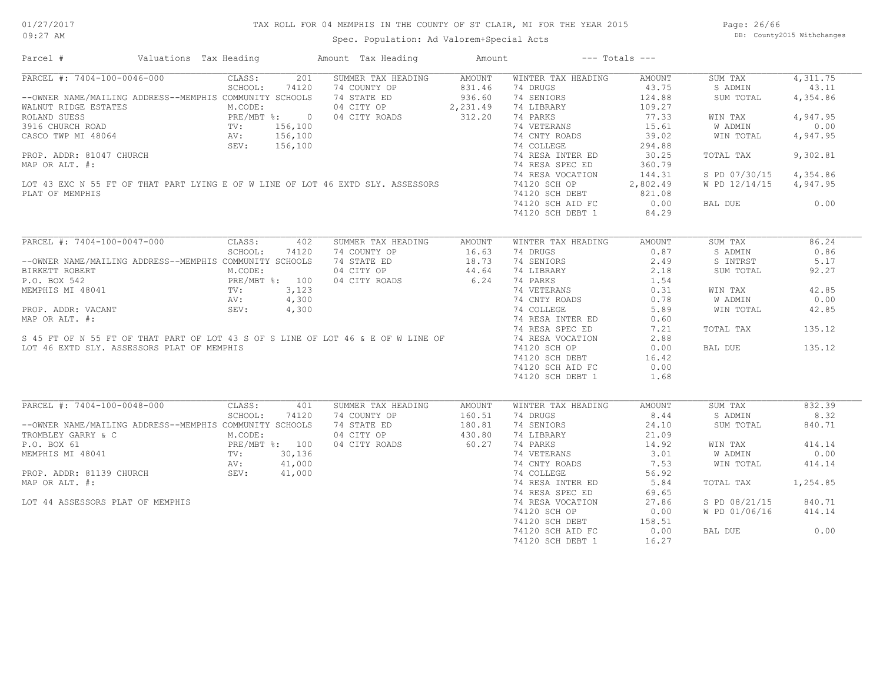## TAX ROLL FOR 04 MEMPHIS IN THE COUNTY OF ST CLAIR, MI FOR THE YEAR 2015

Spec. Population: Ad Valorem+Special Acts

Page: 26/66 DB: County2015 Withchanges

| Parcel #                                                                                                                                                                                                                                                   | Valuations Tax Heading |         |       | Amount Tax Heading                           | Amount |                                      | $---$ Totals $---$ |                        |          |
|------------------------------------------------------------------------------------------------------------------------------------------------------------------------------------------------------------------------------------------------------------|------------------------|---------|-------|----------------------------------------------|--------|--------------------------------------|--------------------|------------------------|----------|
| PARCEL #: 7404-100-0046-000 CLASS:                                                                                                                                                                                                                         |                        |         | 201   | SUMMER TAX HEADING                           | AMOUNT | WINTER TAX HEADING                   | AMOUNT             | SUM TAX                | 4,311.75 |
|                                                                                                                                                                                                                                                            |                        | SCHOOL: | 74120 | 74 COUNTY OP                                 |        | 831.46 74 DRUGS<br>936.60 74 SENIORS | 43.75              | S ADMIN                | 43.11    |
|                                                                                                                                                                                                                                                            |                        |         |       |                                              |        |                                      | 124.88             | SUM TOTAL              | 4,354.86 |
|                                                                                                                                                                                                                                                            |                        |         |       | 04 CITY OP 2, 231.49<br>04 CITY ROADS 312.20 |        | 74 LIBRARY                           | 109.27             |                        |          |
|                                                                                                                                                                                                                                                            |                        |         |       |                                              |        | 74 PARKS                             | 77.33              | WIN TAX                | 4,947.95 |
|                                                                                                                                                                                                                                                            |                        |         |       |                                              |        | 74 VETERANS                          | 15.61              | W ADMIN                | 0.00     |
|                                                                                                                                                                                                                                                            |                        |         |       |                                              |        | 74 CNTY ROADS                        | 39.02              | WIN TOTAL              | 4,947.95 |
|                                                                                                                                                                                                                                                            |                        |         |       |                                              |        | 74 COLLEGE                           | 294.88             |                        |          |
|                                                                                                                                                                                                                                                            |                        |         |       |                                              |        | 74 RESA INTER ED                     | 30.25              | TOTAL TAX              | 9,302.81 |
|                                                                                                                                                                                                                                                            |                        |         |       |                                              |        | 74 RESA SPEC ED                      | 360.79             |                        |          |
| MAP OR ALT. #:<br>MAP OR ALT. #:<br>LOT 43 EXC N 55 FT OF THAT PART LYING E OF W LINE OF LOT 46 EXTD SLY. ASSESSORS                                                                                                                                        |                        |         |       |                                              |        | 74 RESA VOCATION                     | 144.31             | S PD 07/30/15 4,354.86 |          |
|                                                                                                                                                                                                                                                            |                        |         |       |                                              |        | 74120 SCH OP                         | 2,802.49           | W PD 12/14/15 4,947.95 |          |
|                                                                                                                                                                                                                                                            |                        |         |       |                                              |        |                                      |                    |                        |          |
| PLAT OF MEMPHIS                                                                                                                                                                                                                                            |                        |         |       |                                              |        | 74120 SCH DEBT 821.08                |                    |                        |          |
|                                                                                                                                                                                                                                                            |                        |         |       |                                              |        | 74120 SCH AID FC                     | 0.00               | BAL DUE                | 0.00     |
|                                                                                                                                                                                                                                                            |                        |         |       |                                              |        | 74120 SCH DEBT 1                     | 84.29              |                        |          |
| PARCEL #: 7404-100-0047-000                                                                                                                                                                                                                                |                        | CLASS:  | 402   | SUMMER TAX HEADING                           | AMOUNT | WINTER TAX HEADING                   | AMOUNT             | SUM TAX                | 86.24    |
|                                                                                                                                                                                                                                                            |                        | SCHOOL: | 74120 | 74 COUNTY OP                                 | 16.63  | 74 DRUGS                             | 0.87               | S ADMIN                | 0.86     |
| --OWNER NAME/MAILING ADDRESS--MEMPHIS COMMUNITY SCHOOLS                                                                                                                                                                                                    |                        |         |       | 74 STATE ED                                  | 18.73  | 74 SENIORS                           | 2.49               | S INTRST               | 5.17     |
| BIRKETT ROBERT                                                                                                                                                                                                                                             |                        | M.CODE: |       | 04 CITY OP                                   | 44.64  | 74 LIBRARY                           | 2.18               | SUM TOTAL              | 92.27    |
| BIRKETT ROBERT<br>P.O. BOX 542<br>MEMPHIS MI 48041<br>TV: 3,123<br>AV: 4,300<br>AV: 4,300                                                                                                                                                                  |                        |         |       | 04 CITY ROADS                                | 6.24   | 74 PARKS                             | 1.54               |                        |          |
| MEMPHIS MI 48041<br>MEMPHIS MI 48041<br>PROP. ADDR: VACANT<br>MAP OR ALT. #:<br>Sev: 4,300<br>MAP OR ALT. #:<br>Sev: 4,300<br>MAP OR ALT. #:<br>Sev: 4,300<br>MAP OR ALT. #:<br>Sev: 4,300<br>T4 RESA NORES<br>T4 RESA NORES<br>T4 RESA NORES<br>T4 RESA N |                        |         |       |                                              |        |                                      | 0.31               |                        | 42.85    |
|                                                                                                                                                                                                                                                            |                        |         |       |                                              |        | 74 CNTY ROADS 0.78                   |                    | WIN TAX                |          |
|                                                                                                                                                                                                                                                            |                        |         |       |                                              |        |                                      |                    | W ADMIN                | 0.00     |
|                                                                                                                                                                                                                                                            |                        |         |       |                                              |        |                                      | 5.89               | WIN TOTAL              | 42.85    |
|                                                                                                                                                                                                                                                            |                        |         |       |                                              |        |                                      | 0.60               |                        |          |
|                                                                                                                                                                                                                                                            |                        |         |       |                                              |        |                                      | 7.21               | TOTAL TAX              | 135.12   |
|                                                                                                                                                                                                                                                            |                        |         |       |                                              |        |                                      | 2.88               |                        |          |
| LOT 46 EXTD SLY. ASSESSORS PLAT OF MEMPHIS                                                                                                                                                                                                                 |                        |         |       |                                              |        | 74120 SCH OP                         | 0.00               | BAL DUE                | 135.12   |
|                                                                                                                                                                                                                                                            |                        |         |       |                                              |        | 74120 SCH DEBT                       | 16.42              |                        |          |
|                                                                                                                                                                                                                                                            |                        |         |       |                                              |        | 74120 SCH AID FC                     | 0.00               |                        |          |
|                                                                                                                                                                                                                                                            |                        |         |       |                                              |        | 74120 SCH DEBT 1                     | 1.68               |                        |          |
| PARCEL #: 7404-100-0048-000 CLASS:                                                                                                                                                                                                                         |                        |         | 401   | SUMMER TAX HEADING                           | AMOUNT | WINTER TAX HEADING                   | AMOUNT             | SUM TAX                | 832.39   |
|                                                                                                                                                                                                                                                            |                        | SCHOOL: | 74120 | 74 COUNTY OP                                 | 160.51 | 74 DRUGS                             | 8.44               | S ADMIN                | 8.32     |
| --OWNER NAME/MAILING ADDRESS--MEMPHIS COMMUNITY SCHOOLS                                                                                                                                                                                                    |                        |         |       | 74 STATE ED                                  | 180.81 | 74 SENIORS                           | 24.10              | SUM TOTAL              | 840.71   |
| TROMBLEY GARRY & C                                                                                                                                                                                                                                         |                        | M.CODE: |       | 04 CITY OP                                   | 430.80 | 74 LIBRARY                           | 21.09              |                        |          |
| PROPERTY AND THE METALLY AND THE METALLY SUBDISTING TO A BOX 150 PREAMBT \$: 100<br>MEMPHIS MI 48041 TV: 30,136<br>PROP. ADDR: 81139 CHURCH SEV: 41,000                                                                                                    |                        |         |       | 04 CITY ROADS                                | 60.27  | 74 PARKS                             | 14.92              | WIN TAX                | 414.14   |
|                                                                                                                                                                                                                                                            |                        |         |       |                                              |        | 74 VETERANS                          | 3.01               | W ADMIN                | 0.00     |
|                                                                                                                                                                                                                                                            |                        |         |       |                                              |        |                                      | 7.53               | WIN TOTAL              | 414.14   |
|                                                                                                                                                                                                                                                            |                        |         |       |                                              |        | 74 CNTY ROADS                        |                    |                        |          |
|                                                                                                                                                                                                                                                            |                        |         |       |                                              |        | 74 COLLEGE                           | 56.92              |                        |          |
| MAP OR ALT. #:                                                                                                                                                                                                                                             |                        |         |       |                                              |        | 74 RESA INTER ED                     | 5.84               | TOTAL TAX              | 1,254.85 |
|                                                                                                                                                                                                                                                            |                        |         |       |                                              |        | 74 RESA SPEC ED                      | 69.65              |                        |          |
| LOT 44 ASSESSORS PLAT OF MEMPHIS                                                                                                                                                                                                                           |                        |         |       | 41,000<br>41,000<br>41,000                   |        | 74 RESA VOCATION                     | 27.86              | S PD 08/21/15          | 840.71   |
|                                                                                                                                                                                                                                                            |                        |         |       |                                              |        | 74120 SCH OP                         | 0.00               | W PD 01/06/16          | 414.14   |
|                                                                                                                                                                                                                                                            |                        |         |       |                                              |        | $74120$ SCH DEBT                     | 158.51             |                        |          |
|                                                                                                                                                                                                                                                            |                        |         |       |                                              |        | 74120 SCH AID FC                     | 0.00               | BAL DUE                | 0.00     |
|                                                                                                                                                                                                                                                            |                        |         |       |                                              |        | 74120 SCH DEBT 1                     | 16.27              |                        |          |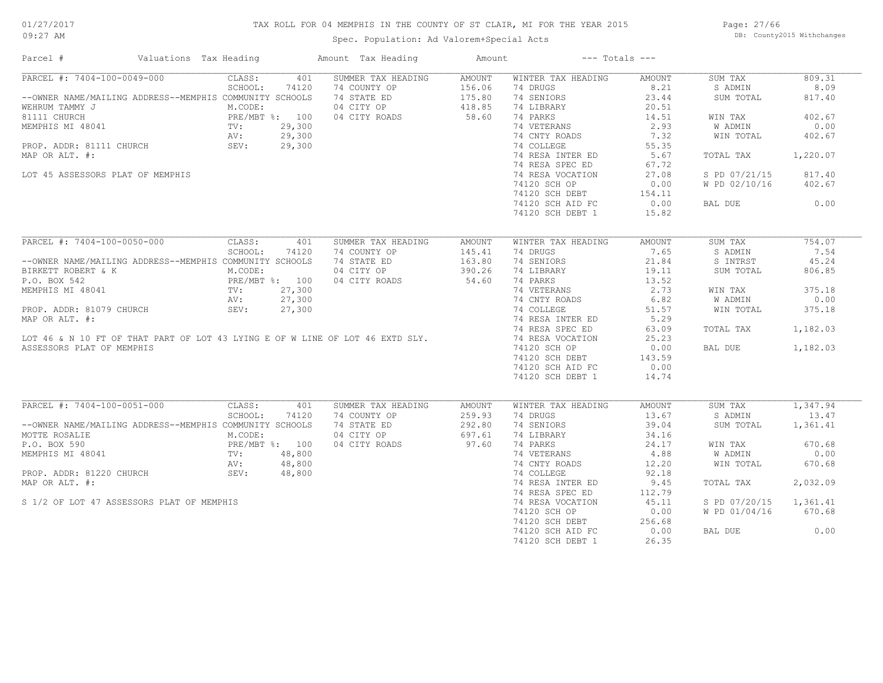## 01/27/2017

## TAX ROLL FOR 04 MEMPHIS IN THE COUNTY OF ST CLAIR, MI FOR THE YEAR 2015

09:27 AM

## Spec. Population: Ad Valorem+Special Acts

Page: 27/66 DB: County2015 Withchanges

| Parcel #<br>Valuations Tax Heading                                            |                                                | Amount Tax Heading | Amount |                    | $---$ Totals $---$    |               |          |
|-------------------------------------------------------------------------------|------------------------------------------------|--------------------|--------|--------------------|-----------------------|---------------|----------|
| PARCEL #: 7404-100-0049-000                                                   | CLASS:<br>401                                  | SUMMER TAX HEADING | AMOUNT | WINTER TAX HEADING | AMOUNT                | SUM TAX       | 809.31   |
|                                                                               | SCHOOL:<br>74120                               | 74 COUNTY OP       | 156.06 | 74 DRUGS           | 8.21                  | S ADMIN       | 8.09     |
| --OWNER NAME/MAILING ADDRESS--MEMPHIS COMMUNITY SCHOOLS                       |                                                | 74 STATE ED        | 175.80 | 74 SENIORS         | 23.44                 | SUM TOTAL     | 817.40   |
| WEHRUM TAMMY J                                                                | M.CODE:                                        | 04 CITY OP         | 418.85 | 74 LIBRARY         | 20.51                 |               |          |
| 81111 CHURCH                                                                  | PRE/MBT %: 100<br>PRE/ME<br>TV:<br>AV:<br>SEV: | 04 CITY ROADS      | 58.60  | 74 PARKS           | 14.51                 | WIN TAX       | 402.67   |
| MEMPHIS MI 48041                                                              | 29,300                                         |                    |        | 74 VETERANS        | 2.93                  | W ADMIN       | 0.00     |
|                                                                               | 29,300                                         |                    |        | 74 CNTY ROADS      | 7.32                  | WIN TOTAL     | 402.67   |
| PROP. ADDR: 81111 CHURCH                                                      | 29,300                                         |                    |        | 74 COLLEGE         | 55.35                 |               |          |
| MAP OR ALT. #:                                                                |                                                |                    |        | 74 RESA INTER ED   | 5.67                  | TOTAL TAX     | 1,220.07 |
|                                                                               |                                                |                    |        | 74 RESA SPEC ED    | 67.72                 |               |          |
| LOT 45 ASSESSORS PLAT OF MEMPHIS                                              |                                                |                    |        | 74 RESA VOCATION   | 27.08                 | S PD 07/21/15 | 817.40   |
|                                                                               |                                                |                    |        | 74120 SCH OP       | 0.00                  | W PD 02/10/16 | 402.67   |
|                                                                               |                                                |                    |        |                    |                       |               |          |
|                                                                               |                                                |                    |        | 74120 SCH DEBT     | 154.11<br>$1.1 + 4.1$ |               |          |
|                                                                               |                                                |                    |        | 74120 SCH AID FC   |                       | BAL DUE       | 0.00     |
|                                                                               |                                                |                    |        | 74120 SCH DEBT 1   | 15.82                 |               |          |
| PARCEL #: 7404-100-0050-000                                                   | CLASS:<br>401                                  | SUMMER TAX HEADING | AMOUNT | WINTER TAX HEADING | <b>AMOUNT</b>         | SUM TAX       | 754.07   |
|                                                                               | SCHOOL:<br>74120                               | 74 COUNTY OP       | 145.41 | 74 DRUGS           | 7.65                  | S ADMIN       | 7.54     |
|                                                                               |                                                | 74 STATE ED        |        | 74 SENIORS         | 21.84                 |               | 45.24    |
| --OWNER NAME/MAILING ADDRESS--MEMPHIS COMMUNITY SCHOOLS                       |                                                |                    | 163.80 |                    |                       | S INTRST      |          |
| BIRKETT ROBERT & K                                                            | M.CODE:                                        | 04 CITY OP         | 390.26 | 74 LIBRARY         | 19.11                 | SUM TOTAL     | 806.85   |
| P.O. BOX 542                                                                  | PRE/MBT %: 100<br>TV: 27,300<br>AV: 27,300     | 04 CITY ROADS      | 54.60  | 74 PARKS           | 13.52                 |               |          |
| MEMPHIS MI 48041                                                              |                                                |                    |        | 74 VETERANS        | 2.73                  | WIN TAX       | 375.18   |
|                                                                               |                                                |                    |        | 74 CNTY ROADS      | 6.82                  | W ADMIN       | 0.00     |
| PROP. ADDR: 81079 CHURCH                                                      | SEV:<br>27,300                                 |                    |        | 74 COLLEGE         | 51.57                 | WIN TOTAL     | 375.18   |
| MAP OR ALT. #:                                                                |                                                |                    |        | 74 RESA INTER ED   | 5.29                  |               |          |
|                                                                               |                                                |                    |        | 74 RESA SPEC ED    | 63.09                 | TOTAL TAX     | 1,182.03 |
| LOT 46 & N 10 FT OF THAT PART OF LOT 43 LYING E OF W LINE OF LOT 46 EXTD SLY. |                                                |                    |        | 74 RESA VOCATION   | 25.23                 |               |          |
| ASSESSORS PLAT OF MEMPHIS                                                     |                                                |                    |        | 74120 SCH OP       | 0.00                  | BAL DUE       | 1,182.03 |
|                                                                               |                                                |                    |        | 74120 SCH DEBT     | 143.59                |               |          |
|                                                                               |                                                |                    |        | 74120 SCH AID FC   | 0.00                  |               |          |
|                                                                               |                                                |                    |        | 74120 SCH DEBT 1   | 14.74                 |               |          |
|                                                                               |                                                |                    |        |                    |                       |               |          |
| PARCEL #: 7404-100-0051-000                                                   | CLASS:<br>401                                  | SUMMER TAX HEADING | AMOUNT | WINTER TAX HEADING | AMOUNT                | SUM TAX       | 1,347.94 |
|                                                                               | SCHOOL:<br>74120                               | 74 COUNTY OP       | 259.93 | 74 DRUGS           | 13.67                 | S ADMIN       | 13.47    |
| --OWNER NAME/MAILING ADDRESS--MEMPHIS COMMUNITY SCHOOLS                       |                                                | 74 STATE ED        | 292.80 | 74 SENIORS         | 39.04                 | SUM TOTAL     | 1,361.41 |
| MOTTE ROSALIE                                                                 | M.CODE:                                        | 04 CITY OP         | 697.61 | 74 LIBRARY         | 34.16                 |               |          |
| P.O. BOX 590                                                                  |                                                | 04 CITY ROADS      | 97.60  | 74 PARKS           | 24.17                 | WIN TAX       | 670.68   |
| MEMPHIS MI 48041                                                              | PRE/MBT %: 100<br>TV: 48,800                   |                    |        | 74 VETERANS        | 4.88                  | W ADMIN       | 0.00     |
|                                                                               | AV:<br>48,800                                  |                    |        | 74 CNTY ROADS      | 12.20                 | WIN TOTAL     | 670.68   |
| SEV:<br>PROP. ADDR: 81220 CHURCH                                              | 48,800                                         |                    |        | 74 COLLEGE         | 92.18                 |               |          |
| MAP OR ALT. #:                                                                |                                                |                    |        | 74 RESA INTER ED   | 9.45                  | TOTAL TAX     | 2,032.09 |
|                                                                               |                                                |                    |        | 74 RESA SPEC ED    |                       |               |          |
|                                                                               |                                                |                    |        |                    | 112.79                |               |          |
| S 1/2 OF LOT 47 ASSESSORS PLAT OF MEMPHIS                                     |                                                |                    |        | 74 RESA VOCATION   | 45.11                 | S PD 07/20/15 | 1,361.41 |
|                                                                               |                                                |                    |        | 74120 SCH OP       | 0.00                  | W PD 01/04/16 | 670.68   |
|                                                                               |                                                |                    |        | 74120 SCH DEBT     | 256.68                |               |          |
|                                                                               |                                                |                    |        | 74120 SCH AID FC   | 0.00                  | BAL DUE       | 0.00     |
|                                                                               |                                                |                    |        | 74120 SCH DEBT 1   | 26.35                 |               |          |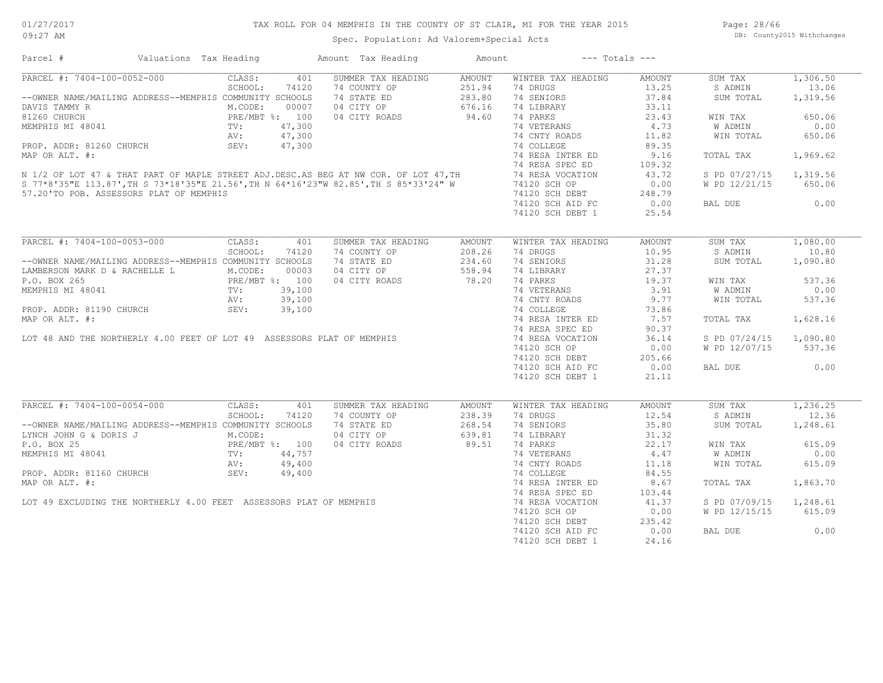Page: 28/66 DB: County2015 Withchanges

| Parcel #                      | Valuations Tax Heading                                                                                           |         |       | Amount Tax Heading                                                                                                                                                                                                                                                                          | Amount             | $---$ Totals $---$                                                             |                  |                        |           |
|-------------------------------|------------------------------------------------------------------------------------------------------------------|---------|-------|---------------------------------------------------------------------------------------------------------------------------------------------------------------------------------------------------------------------------------------------------------------------------------------------|--------------------|--------------------------------------------------------------------------------|------------------|------------------------|-----------|
| PARCEL #: 7404-100-0052-000   |                                                                                                                  | CLASS:  | 401   | SUMMER TAX HEADING AMOUNT                                                                                                                                                                                                                                                                   |                    | WINTER TAX HEADING                                                             | AMOUNT           | SUM TAX                | 1,306.50  |
|                               |                                                                                                                  | SCHOOL: | 74120 |                                                                                                                                                                                                                                                                                             |                    | 74 DRUGS                                                                       |                  | S ADMIN                | 13.06     |
|                               | --OWNER NAME/MAILING ADDRESS--MEMPHIS COMMUNITY SCHOOLS                                                          |         |       | 74 COUNTY OP 251.94<br>74 STATE ED 283.80<br>04 CITY OP 676.16<br>04 CITY ROADS 94.60                                                                                                                                                                                                       |                    | 74 SENIORS                                                                     | $37.84$<br>37.84 | SUM TOTAL              | 1,319.56  |
|                               |                                                                                                                  |         |       |                                                                                                                                                                                                                                                                                             |                    | 74 LIBRARY                                                                     | 33.11            |                        |           |
|                               | DAVIS TAMMY R<br>81260 CHURCH<br>MEMPHIS MI 48041 (1991) PRE/MBT 8: 100<br>TV: 47,300<br>NEMPHIS MI 48041 (1992) |         |       |                                                                                                                                                                                                                                                                                             |                    | 74 PARKS                                                                       | 23.43            | WIN TAX                | 650.06    |
|                               |                                                                                                                  |         |       |                                                                                                                                                                                                                                                                                             |                    |                                                                                |                  | W ADMIN                | 0.00      |
|                               |                                                                                                                  |         |       |                                                                                                                                                                                                                                                                                             |                    | 74 VETERANS 4.73<br>74 CNTY ROADS 11.82                                        |                  | WIN TOTAL              | 650.06    |
|                               |                                                                                                                  |         |       |                                                                                                                                                                                                                                                                                             |                    |                                                                                | 89.35            |                        |           |
|                               |                                                                                                                  |         |       |                                                                                                                                                                                                                                                                                             |                    | 74 RESA INTER ED                                                               | 9.16             | TOTAL TAX              | 1,969.62  |
|                               |                                                                                                                  |         |       |                                                                                                                                                                                                                                                                                             |                    |                                                                                | 109.32           |                        |           |
|                               |                                                                                                                  |         |       |                                                                                                                                                                                                                                                                                             |                    |                                                                                | 109.32<br>43.72  | S PD 07/27/15 1,319.56 |           |
|                               |                                                                                                                  |         |       |                                                                                                                                                                                                                                                                                             |                    |                                                                                | 0.00             | W PD 12/21/15          | 650.06    |
|                               |                                                                                                                  |         |       |                                                                                                                                                                                                                                                                                             |                    |                                                                                |                  |                        |           |
|                               | 57.20'TO POB. ASSESSORS PLAT OF MEMPHIS                                                                          |         |       |                                                                                                                                                                                                                                                                                             |                    | 74120 SCH DEBT                                                                 | 248.79           |                        |           |
|                               |                                                                                                                  |         |       |                                                                                                                                                                                                                                                                                             |                    | 74120 SCH AID FC                                                               | 0.00             | BAL DUE                | 0.00      |
|                               |                                                                                                                  |         |       |                                                                                                                                                                                                                                                                                             |                    | 74120 SCH DEBT 1                                                               | 25.54            |                        |           |
|                               |                                                                                                                  |         |       |                                                                                                                                                                                                                                                                                             |                    |                                                                                |                  |                        |           |
|                               | PARCEL #: 7404-100-0053-000 CLASS:                                                                               |         | 401   | SUMMER TAX HEADING                                                                                                                                                                                                                                                                          | AMOUNT             | WINTER TAX HEADING                                                             | AMOUNT           | SUM TAX                | 1,080.00  |
|                               |                                                                                                                  | SCHOOL: | 74120 | 74 COUNTY OP                                                                                                                                                                                                                                                                                | 208.26             | 74 DRUGS                                                                       | 10.95            | S ADMIN                | 10.80     |
|                               | --OWNER NAME/MAILING ADDRESS--MEMPHIS COMMUNITY SCHOOLS                                                          |         |       | 74 STATE ED                                                                                                                                                                                                                                                                                 | 234.60             | 74 SENIORS                                                                     | 31.28            | SUM TOTAL              | 1,090.80  |
| LAMBERSON MARK D & RACHELLE L | RACHELLE L<br>FRACHELLE L<br>M.CODE: 00003<br>PRE/MBT %: 100<br>TV: 39,100<br>AV: 39,100                         |         |       | 04 CITY OP                                                                                                                                                                                                                                                                                  | 558.94             | 74 LIBRARY                                                                     | 27.37            |                        |           |
| P.O. BOX 265                  |                                                                                                                  |         |       | 04 CITY ROADS                                                                                                                                                                                                                                                                               | 78.20              | $74 \text{ PARKS}$<br>74 LIBRARY 27.37<br>74 PARKS 19.37<br>74 CNTY ROADS 9.77 |                  | WIN TAX                | 537.36    |
|                               |                                                                                                                  |         |       |                                                                                                                                                                                                                                                                                             |                    |                                                                                |                  | W ADMIN                | 0.00      |
|                               |                                                                                                                  |         |       |                                                                                                                                                                                                                                                                                             |                    |                                                                                |                  | WIN TOTAL              | 537.36    |
|                               |                                                                                                                  |         |       |                                                                                                                                                                                                                                                                                             |                    |                                                                                | 73.86            |                        |           |
|                               |                                                                                                                  |         |       |                                                                                                                                                                                                                                                                                             |                    | 74 RESA INTER ED 7.57<br>74 RESA SPEC ED 90.37                                 |                  | TOTAL TAX              | 1,628.16  |
|                               |                                                                                                                  |         |       |                                                                                                                                                                                                                                                                                             |                    |                                                                                | 90.37            |                        |           |
|                               |                                                                                                                  |         |       | P.O. BOX 265<br>MEMPHIS MI 48041<br>PROP. ADDR: 81190 CHURCH<br>MAP OR ALT. #:<br>LOT 48 AND THE NORTHERLY 4.00 FEET OF LOT 49 ASSESSORS PLAT OF MEMPHIS<br>$\begin{array}{ccc}\n & 39,100 \\  & 39,100 \\  & 39,100\n\end{array}$ AV:<br>$\begin{array}{ccc}\n & 39,100 \\  & 74 \\  & 74$ |                    |                                                                                | 36.14            | S PD 07/24/15 1,090.80 |           |
|                               |                                                                                                                  |         |       |                                                                                                                                                                                                                                                                                             |                    | 74120 SCH OP                                                                   | 0.00             | W PD 12/07/15 537.36   |           |
|                               |                                                                                                                  |         |       |                                                                                                                                                                                                                                                                                             |                    | 74120 SCH DEBT<br>74120 SCH DEBT 205.66<br>74120 SCH AID FC 0.00               |                  |                        |           |
|                               |                                                                                                                  |         |       |                                                                                                                                                                                                                                                                                             |                    |                                                                                |                  | BAL DUE                | 0.00      |
|                               |                                                                                                                  |         |       |                                                                                                                                                                                                                                                                                             |                    | 74120 SCH DEBT 1                                                               | 21.11            |                        |           |
|                               |                                                                                                                  |         |       |                                                                                                                                                                                                                                                                                             |                    |                                                                                |                  |                        |           |
|                               | PARCEL #: 7404-100-0054-000 CLASS:                                                                               |         | 401   | SUMMER TAX HEADING                                                                                                                                                                                                                                                                          | AMOUNT             | WINTER TAX HEADING                                                             | AMOUNT           | SUM TAX                | 1, 236.25 |
|                               |                                                                                                                  | SCHOOL: | 74120 | 74 COUNTY OP                                                                                                                                                                                                                                                                                | 238.39             | 74 DRUGS                                                                       | 12.54            | S ADMIN                | 12.36     |
|                               | --OWNER NAME/MAILING ADDRESS--MEMPHIS COMMUNITY SCHOOLS                                                          |         |       | 74 STATE ED                                                                                                                                                                                                                                                                                 |                    | 74 SENIORS                                                                     | 35.80            | SUM TOTAL              | 1,248.61  |
|                               |                                                                                                                  |         |       | 04 CITY OP                                                                                                                                                                                                                                                                                  | $268.54$<br>639.81 | 74 LIBRARY                                                                     | 31.32            |                        |           |
|                               |                                                                                                                  |         |       | 04 CITY ROADS                                                                                                                                                                                                                                                                               | 89.51              | 74 PARKS                                                                       |                  | WIN TAX                | 615.09    |
|                               |                                                                                                                  |         |       |                                                                                                                                                                                                                                                                                             |                    |                                                                                | $22.17$<br>4.47  | W ADMIN                | 0.00      |
|                               |                                                                                                                  |         |       |                                                                                                                                                                                                                                                                                             |                    |                                                                                |                  |                        |           |
|                               |                                                                                                                  |         |       |                                                                                                                                                                                                                                                                                             |                    | 74 CNTY ROADS 11.18                                                            |                  | WIN TOTAL              | 615.09    |
|                               |                                                                                                                  |         |       |                                                                                                                                                                                                                                                                                             |                    |                                                                                | 84.55            |                        |           |
|                               |                                                                                                                  |         |       |                                                                                                                                                                                                                                                                                             |                    | 74 RESA INTER ED<br>74 RESA SPEC ED                                            | 8.67             | TOTAL TAX              | 1,863.70  |
|                               |                                                                                                                  |         |       |                                                                                                                                                                                                                                                                                             |                    |                                                                                | 103.44           |                        |           |
|                               |                                                                                                                  |         |       |                                                                                                                                                                                                                                                                                             |                    |                                                                                |                  |                        |           |
|                               |                                                                                                                  |         |       |                                                                                                                                                                                                                                                                                             |                    |                                                                                |                  | S PD 07/09/15 1,248.61 |           |
|                               |                                                                                                                  |         |       |                                                                                                                                                                                                                                                                                             |                    | 74120 SCH OP                                                                   | 41.37<br>0.00    | W PD 12/15/15 615.09   |           |
|                               |                                                                                                                  |         |       |                                                                                                                                                                                                                                                                                             |                    |                                                                                |                  |                        |           |
|                               |                                                                                                                  |         |       |                                                                                                                                                                                                                                                                                             |                    | 74120 SCH DEBT 235.42<br>74120 SCH AID FC 0.00                                 |                  | BAL DUE                | 0.00      |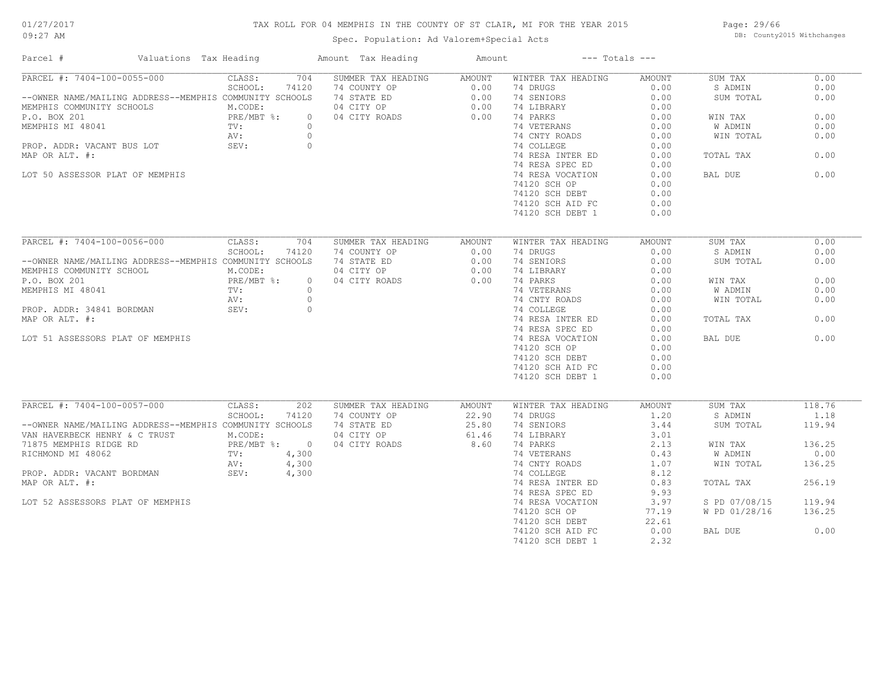## TAX ROLL FOR 04 MEMPHIS IN THE COUNTY OF ST CLAIR, MI FOR THE YEAR 2015

Spec. Population: Ad Valorem+Special Acts

Page: 29/66 DB: County2015 Withchanges

| Parcel #                                                | Valuations Tax Heading       | Amount Tax Heading | Amount | $---$ Totals $---$ |               |               |        |
|---------------------------------------------------------|------------------------------|--------------------|--------|--------------------|---------------|---------------|--------|
| PARCEL #: 7404-100-0055-000                             | 704<br>CLASS:                | SUMMER TAX HEADING | AMOUNT | WINTER TAX HEADING | AMOUNT        | SUM TAX       | 0.00   |
|                                                         | SCHOOL:<br>74120             | 74 COUNTY OP       | 0.00   | 74 DRUGS           | 0.00          | S ADMIN       | 0.00   |
| --OWNER NAME/MAILING ADDRESS--MEMPHIS COMMUNITY SCHOOLS |                              | 74 STATE ED        | 0.00   | 74 SENIORS         | 0.00          | SUM TOTAL     | 0.00   |
| MEMPHIS COMMUNITY SCHOOLS                               | M.CODE:                      | 04 CITY OP         | 0.00   | 74 LIBRARY         | 0.00          |               |        |
| P.O. BOX 201                                            | PRE/MBT %:<br>TV:<br>$\circ$ | 04 CITY ROADS      | 0.00   | 74 PARKS           | 0.00          | WIN TAX       | 0.00   |
| MEMPHIS MI 48041                                        | $\circ$                      |                    |        | 74 VETERANS        | 0.00          | W ADMIN       | 0.00   |
|                                                         | AV:<br>$\circ$               |                    |        | 74 CNTY ROADS      | 0.00          | WIN TOTAL     | 0.00   |
| PROP. ADDR: VACANT BUS LOT                              | SEV:<br>$\overline{0}$       |                    |        | 74 COLLEGE         | 0.00          |               |        |
| MAP OR ALT. #:                                          |                              |                    |        | 74 RESA INTER ED   | 0.00          | TOTAL TAX     | 0.00   |
|                                                         |                              |                    |        | 74 RESA SPEC ED    | 0.00          |               |        |
| LOT 50 ASSESSOR PLAT OF MEMPHIS                         |                              |                    |        | 74 RESA VOCATION   | 0.00          | BAL DUE       | 0.00   |
|                                                         |                              |                    |        | 74120 SCH OP       | 0.00          |               |        |
|                                                         |                              |                    |        | 74120 SCH DEBT     | 0.00          |               |        |
|                                                         |                              |                    |        | 74120 SCH AID FC   | 0.00          |               |        |
|                                                         |                              |                    |        | 74120 SCH DEBT 1   | 0.00          |               |        |
|                                                         |                              |                    |        |                    |               |               |        |
| PARCEL #: 7404-100-0056-000                             | 704<br>CLASS:                | SUMMER TAX HEADING | AMOUNT | WINTER TAX HEADING | AMOUNT        | SUM TAX       | 0.00   |
|                                                         | SCHOOL:<br>74120             | 74 COUNTY OP       | 0.00   | 74 DRUGS           | 0.00          | S ADMIN       | 0.00   |
| --OWNER NAME/MAILING ADDRESS--MEMPHIS COMMUNITY SCHOOLS |                              | 74 STATE ED        | 0.00   | 74 SENIORS         | 0.00          | SUM TOTAL     | 0.00   |
| MEMPHIS COMMUNITY SCHOOL                                | M.CODE:                      | 04 CITY OP         | 0.00   | 74 LIBRARY         | 0.00          |               |        |
| P.O. BOX 201                                            | PRE/MBT %:<br>$\Omega$       | 04 CITY ROADS      | 0.00   | 74 PARKS           | 0.00          | WIN TAX       | 0.00   |
| MEMPHIS MI 48041                                        | TV:<br>$\circ$               |                    |        | 74 VETERANS        | 0.00          | W ADMIN       | 0.00   |
|                                                         | $\circ$<br>AV:               |                    |        | 74 CNTY ROADS      | 0.00          | WIN TOTAL     | 0.00   |
| PROP. ADDR: 34841 BORDMAN                               | SEV:<br>$\circ$              |                    |        | 74 COLLEGE         | 0.00          |               |        |
| MAP OR ALT. #:                                          |                              |                    |        | 74 RESA INTER ED   | 0.00          | TOTAL TAX     | 0.00   |
|                                                         |                              |                    |        | 74 RESA SPEC ED    | 0.00          |               |        |
| LOT 51 ASSESSORS PLAT OF MEMPHIS                        |                              |                    |        | 74 RESA VOCATION   | 0.00          | BAL DUE       | 0.00   |
|                                                         |                              |                    |        | 74120 SCH OP       | 0.00          |               |        |
|                                                         |                              |                    |        | 74120 SCH DEBT     | 0.00          |               |        |
|                                                         |                              |                    |        | 74120 SCH AID FC   | 0.00          |               |        |
|                                                         |                              |                    |        | 74120 SCH DEBT 1   | 0.00          |               |        |
|                                                         |                              |                    |        |                    |               |               |        |
| PARCEL #: 7404-100-0057-000                             | CLASS:<br>202                | SUMMER TAX HEADING | AMOUNT | WINTER TAX HEADING | <b>AMOUNT</b> | SUM TAX       | 118.76 |
|                                                         | SCHOOL:<br>74120             | 74 COUNTY OP       | 22.90  | 74 DRUGS           | 1.20          | S ADMIN       | 1.18   |
| --OWNER NAME/MAILING ADDRESS--MEMPHIS COMMUNITY SCHOOLS |                              | 74 STATE ED        | 25.80  | 74 SENIORS         | 3.44          | SUM TOTAL     | 119.94 |
| VAN HAVERBECK HENRY & C TRUST                           | M.CODE:                      | 04 CITY OP         | 61.46  | 74 LIBRARY         | 3.01          |               |        |
| 71875 MEMPHIS RIDGE RD                                  | PRE/MBT %: 0                 | 04 CITY ROADS      | 8.60   | 74 PARKS           | 2.13          | WIN TAX       | 136.25 |
| RICHMOND MI 48062                                       | $\texttt{TV}$ :<br>4,300     |                    |        | 74 VETERANS        | 0.43          | W ADMIN       | 0.00   |
|                                                         | 4,300<br>AV:                 |                    |        | 74 CNTY ROADS      | 1.07          | WIN TOTAL     | 136.25 |
| PROP. ADDR: VACANT BORDMAN                              | SEV:<br>4,300                |                    |        | 74 COLLEGE         | 8.12          |               |        |
| MAP OR ALT. #:                                          |                              |                    |        | 74 RESA INTER ED   | 0.83          | TOTAL TAX     | 256.19 |
|                                                         |                              |                    |        | 74 RESA SPEC ED    | 9.93          |               |        |
| LOT 52 ASSESSORS PLAT OF MEMPHIS                        |                              |                    |        | 74 RESA VOCATION   | 3.97          | S PD 07/08/15 | 119.94 |
|                                                         |                              |                    |        |                    | 77.19         | W PD 01/28/16 | 136.25 |
|                                                         |                              |                    |        | 74120 SCH OP       | 22.61         |               |        |
|                                                         |                              |                    |        | 74120 SCH DEBT     |               |               |        |
|                                                         |                              |                    |        | 74120 SCH AID FC   | 0.00          | BAL DUE       | 0.00   |
|                                                         |                              |                    |        | 74120 SCH DEBT 1   | 2.32          |               |        |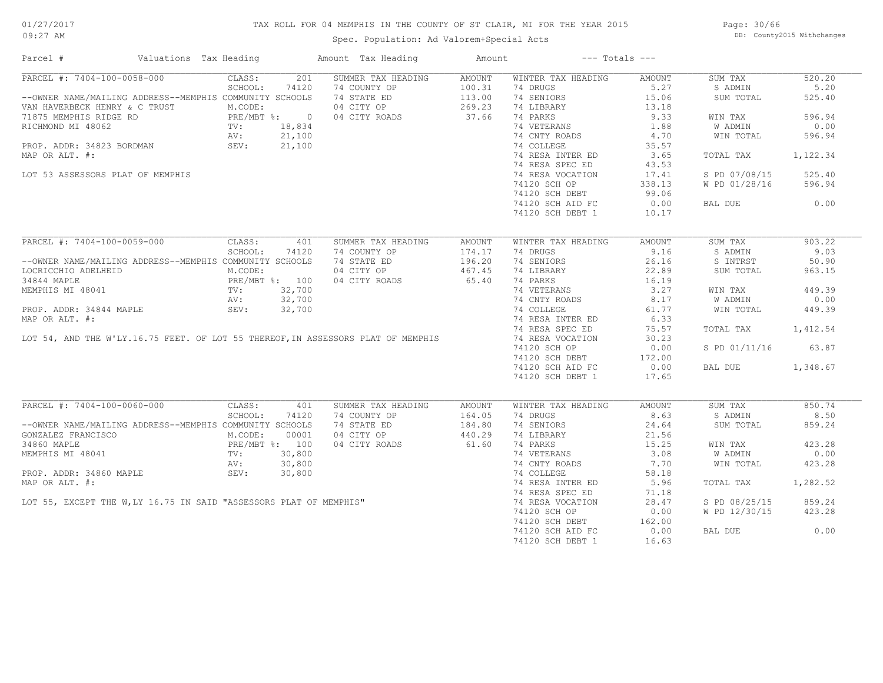# 01/27/2017

## TAX ROLL FOR 04 MEMPHIS IN THE COUNTY OF ST CLAIR, MI FOR THE YEAR 2015

09:27 AM

## Spec. Population: Ad Valorem+Special Acts

Page: 30/66 DB: County2015 Withchanges

| Parcel #                                                                                                                                            | Valuations Tax Heading                                                                                 | Amount Tax Heading                                             | Amount |                                    | $---$ Totals $---$ |                     |          |
|-----------------------------------------------------------------------------------------------------------------------------------------------------|--------------------------------------------------------------------------------------------------------|----------------------------------------------------------------|--------|------------------------------------|--------------------|---------------------|----------|
| PARCEL #: 7404-100-0058-000                                                                                                                         | CLASS:                                                                                                 | 201<br>SUMMER TAX HEADING                                      | AMOUNT | WINTER TAX HEADING                 | AMOUNT             | SUM TAX             | 520.20   |
|                                                                                                                                                     | SCHOOL:                                                                                                | 74120                                                          |        | 74 DRUGS                           | 5.27               | S ADMIN             | 5.20     |
| --OWNER NAME/MAILING ADDRESS--MEMPHIS COMMUNITY SCHOOLS                                                                                             |                                                                                                        | 74 COUNTY OP 100.31<br>74 STATE ED 113.00<br>04 CITY OP 269.23 |        | 74 SENIORS                         | 15.06              | SUM TOTAL           | 525.40   |
| VAN HAVERBECK HENRY & C TRUST                                                                                                                       | M.CODE:                                                                                                |                                                                |        | 74 LIBRARY                         | 13.18              |                     |          |
| 71875 MEMPHIS RIDGE RD<br>RICHMOND MI 48062<br>RICHMOND MI 48062  RICHMOND MI 48062  TV: 18,834  AV: 21,100  PROP. ADDR: 34823 BORDMAN  SEV: 21,100 |                                                                                                        | 04 CITY ROADS                                                  | 37.66  | 74 PARKS                           | 9.33               | WIN TAX             | 596.94   |
|                                                                                                                                                     |                                                                                                        |                                                                |        | 74 VETERANS                        | 1.88               | W ADMIN             | 0.00     |
|                                                                                                                                                     |                                                                                                        | $21,100$<br>21,100                                             |        | 74 CNTY ROADS                      | 4.70               | WIN TOTAL           | 596.94   |
|                                                                                                                                                     |                                                                                                        |                                                                |        | 74 COLLEGE                         | 35.57              |                     |          |
| MAP OR ALT. #:                                                                                                                                      |                                                                                                        |                                                                |        | 74 RESA INTER ED                   | 3.65               | TOTAL TAX           | 1,122.34 |
|                                                                                                                                                     |                                                                                                        |                                                                |        | 74 RESA SPEC ED                    | 43.53              |                     |          |
|                                                                                                                                                     |                                                                                                        |                                                                |        |                                    |                    |                     | 525.40   |
| LOT 53 ASSESSORS PLAT OF MEMPHIS                                                                                                                    |                                                                                                        |                                                                |        | 74 RESA VOCATION                   | 17.41              | S PD 07/08/15       |          |
|                                                                                                                                                     |                                                                                                        |                                                                |        | 74120 SCH OP                       | 338.13             | W PD 01/28/16       | 596.94   |
|                                                                                                                                                     |                                                                                                        |                                                                |        | 74120 SCH DEBT                     | 99.06              |                     |          |
|                                                                                                                                                     |                                                                                                        |                                                                |        | 74120 SCH AID FC                   | 0.00               | BAL DUE             | 0.00     |
|                                                                                                                                                     |                                                                                                        |                                                                |        | 74120 SCH DEBT 1                   | 10.17              |                     |          |
|                                                                                                                                                     |                                                                                                        |                                                                |        |                                    |                    |                     |          |
| PARCEL #: 7404-100-0059-000                                                                                                                         | CLASS:                                                                                                 | 401<br>SUMMER TAX HEADING                                      | AMOUNT | WINTER TAX HEADING                 | AMOUNT             | SUM TAX             | 903.22   |
|                                                                                                                                                     | SCHOOL:                                                                                                | 74 COUNTY OP<br>74120                                          | 174.17 | 74 DRUGS                           | 9.16               | S ADMIN             | 9.03     |
| --OWNER NAME/MAILING ADDRESS--MEMPHIS COMMUNITY SCHOOLS                                                                                             | LING ADDRESS<br>HEID M.CODE:<br>PRE/MBT %: 100<br>TV: 32,700<br>AV: 32,700<br>AV: 32,700<br>AV: 32,700 | 74 STATE ED                                                    | 196.20 | 74 SENIORS                         | 26.16              | S INTRST            | 50.90    |
| LOCRICCHIO ADELHEID                                                                                                                                 |                                                                                                        | 04 CITY OP                                                     | 467.45 | 74 LIBRARY                         | 22.89              | SUM TOTAL           | 963.15   |
| 34844 MAPLE                                                                                                                                         |                                                                                                        | 04 CITY ROADS                                                  | 65.40  | 74 PARKS                           | 16.19              |                     |          |
| PROP. ADDR: 34844 MAPLE<br>MAP OR ALT. #:<br>LOT 54, AND THE W'LY.16.75 FEET. OF LOT 55 THEREOF, IN ASSESSORS PLAT OF MEMPHIS                       |                                                                                                        |                                                                |        | 74 VETERANS                        | 3.27               | WIN TAX             | 449.39   |
|                                                                                                                                                     |                                                                                                        |                                                                |        | 74 CNTY ROADS                      | 8.17               | W ADMIN             | 0.00     |
|                                                                                                                                                     |                                                                                                        |                                                                |        | 74 COLLEGE                         | 61.77              | WIN TOTAL           | 449.39   |
|                                                                                                                                                     |                                                                                                        |                                                                |        | 74 RESA INTER ED                   | 6.33               |                     |          |
|                                                                                                                                                     |                                                                                                        |                                                                |        | 74 RESA SPEC ED                    | 75.57              | TOTAL TAX 1,412.54  |          |
|                                                                                                                                                     |                                                                                                        |                                                                |        |                                    |                    |                     |          |
|                                                                                                                                                     |                                                                                                        |                                                                |        | 74 RESA VOCATION                   | 30.23              |                     |          |
|                                                                                                                                                     |                                                                                                        |                                                                |        | 74120 SCH OP                       | 0.00               | S PD 01/11/16 63.87 |          |
|                                                                                                                                                     |                                                                                                        |                                                                |        | 74120 SCH DEBT<br>74120 SCH AID FC | 172.00             |                     |          |
|                                                                                                                                                     |                                                                                                        |                                                                |        | 74120 SCH AID FC                   | 0.00               | BAL DUE             | 1,348.67 |
|                                                                                                                                                     |                                                                                                        |                                                                |        | 74120 SCH DEBT 1                   | 17.65              |                     |          |
| PARCEL #: 7404-100-0060-000                                                                                                                         | CLASS:                                                                                                 | SUMMER TAX HEADING<br>401                                      | AMOUNT | WINTER TAX HEADING                 | AMOUNT             | SUM TAX             | 850.74   |
|                                                                                                                                                     | SCHOOL:                                                                                                | 74120                                                          |        | 74 DRUGS                           | 8.63               | S ADMIN             | 8.50     |
| --OWNER NAME/MAILING ADDRESS--MEMPHIS COMMUNITY SCHOOLS                                                                                             |                                                                                                        |                                                                |        | 74 SENIORS                         | 24.64              | SUM TOTAL           | 859.24   |
|                                                                                                                                                     |                                                                                                        |                                                                |        |                                    |                    |                     |          |
| GONZALEZ FRANCISCO                                                                                                                                  | M.CODE:                                                                                                | 00001                                                          |        | 74 LIBRARY                         | 21.56              |                     |          |
| 34860 MAPLE<br>MEMPHIS MI 48041 (PRE/MBT %: 100<br>MEMPHIS MI 48041 (PV: 30,800                                                                     |                                                                                                        | 04 CITY ROADS                                                  | 61.60  | 74 PARKS                           | 15.25              | WIN TAX             | 423.28   |
|                                                                                                                                                     |                                                                                                        |                                                                |        | 74 VETERANS                        | 3.08               | W ADMIN             | 0.00     |
|                                                                                                                                                     |                                                                                                        |                                                                |        | 74 CNTY ROADS                      | 7.70               | WIN TOTAL           | 423.28   |
|                                                                                                                                                     |                                                                                                        |                                                                |        | 74 COLLEGE                         | 58.18              |                     |          |
|                                                                                                                                                     |                                                                                                        |                                                                |        | 74 RESA INTER ED                   | 5.96               | TOTAL TAX           | 1,282.52 |
|                                                                                                                                                     |                                                                                                        |                                                                |        | 74 RESA SPEC ED                    | 71.18              |                     |          |
|                                                                                                                                                     |                                                                                                        |                                                                |        | 74 RESA VOCATION                   | 28.47              | S PD 08/25/15       | 859.24   |
| PIDENTILS MI 48041<br>PROP. ADDR: 34860 MAPLE<br>MAP OR ALT. #:<br>LOT 55, EXCEPT THE W,LY 16.75 IN SAID "ASSESSORS PLAT OF MEMPHIS"                |                                                                                                        |                                                                |        | 74120 SCH OP                       | 0.00               | W PD 12/30/15       | 423.28   |
|                                                                                                                                                     |                                                                                                        |                                                                |        | 74120 SCH DEBT                     | 162.00             |                     |          |
|                                                                                                                                                     |                                                                                                        |                                                                |        | 74120 SCH AID FC                   | 0.00               | BAL DUE             | 0.00     |
|                                                                                                                                                     |                                                                                                        |                                                                |        | 74120 SCH DEBT 1                   | 16.63              |                     |          |
|                                                                                                                                                     |                                                                                                        |                                                                |        |                                    |                    |                     |          |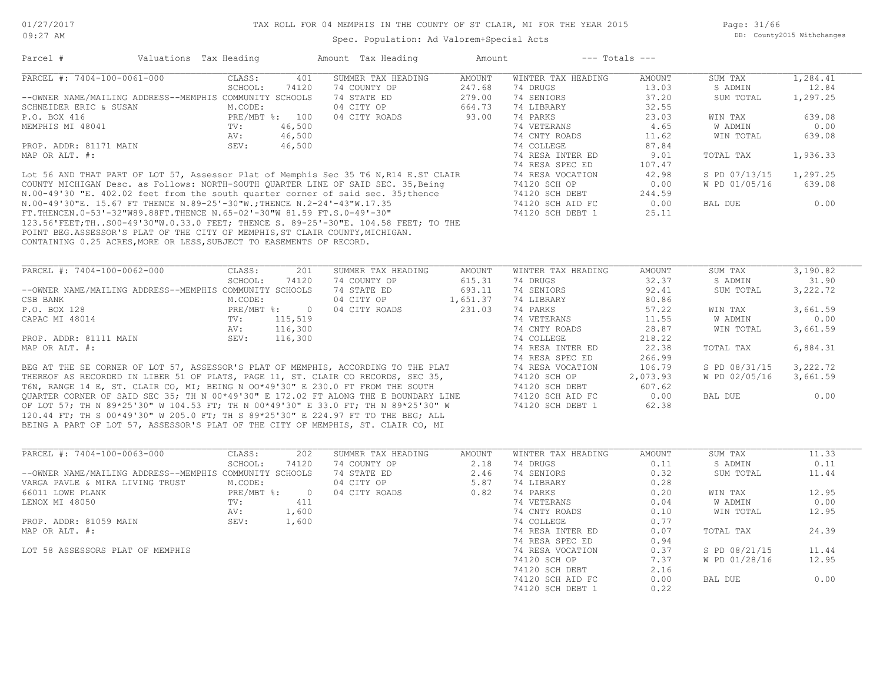## TAX ROLL FOR 04 MEMPHIS IN THE COUNTY OF ST CLAIR, MI FOR THE YEAR 2015

Spec. Population: Ad Valorem+Special Acts

Page: 31/66 DB: County2015 Withchanges

|                                                                                                                                                                                                                                                                                                                                                                  | Valuations Tax Heading |                |                    |               |                    |               |                |          |
|------------------------------------------------------------------------------------------------------------------------------------------------------------------------------------------------------------------------------------------------------------------------------------------------------------------------------------------------------------------|------------------------|----------------|--------------------|---------------|--------------------|---------------|----------------|----------|
| PARCEL #: 7404-100-0061-000                                                                                                                                                                                                                                                                                                                                      | CLASS:                 | 401            | SUMMER TAX HEADING | <b>AMOUNT</b> | WINTER TAX HEADING | <b>AMOUNT</b> | SUM TAX        | 1,284.41 |
|                                                                                                                                                                                                                                                                                                                                                                  | SCHOOL:                | 74120          | 74 COUNTY OP       | 247.68        | 74 DRUGS           | 13.03         | S ADMIN        | 12.84    |
| --OWNER NAME/MAILING ADDRESS--MEMPHIS COMMUNITY SCHOOLS                                                                                                                                                                                                                                                                                                          |                        |                | 74 STATE ED        | 279.00        | 74 SENIORS         | 37.20         | SUM TOTAL      | 1,297.25 |
| SCHNEIDER ERIC & SUSAN                                                                                                                                                                                                                                                                                                                                           | M.CODE:                |                | 04 CITY OP         | 664.73        | 74 LIBRARY         | 32.55         |                |          |
| P.O. BOX 416                                                                                                                                                                                                                                                                                                                                                     |                        | PRE/MBT %: 100 | 04 CITY ROADS      | 93.00         | 74 PARKS           | 23.03         | WIN TAX        | 639.08   |
| MEMPHIS MI 48041                                                                                                                                                                                                                                                                                                                                                 | TV:                    | 46,500         |                    |               | 74 VETERANS        | 4.65          | <b>W ADMIN</b> | 0.00     |
|                                                                                                                                                                                                                                                                                                                                                                  | AV:                    | 46,500         |                    |               | 74 CNTY ROADS      | 11.62         | WIN TOTAL      | 639.08   |
| PROP. ADDR: 81171 MAIN                                                                                                                                                                                                                                                                                                                                           | SEV:                   | 46,500         |                    |               | 74 COLLEGE         | 87.84         |                |          |
| MAP OR ALT. #:                                                                                                                                                                                                                                                                                                                                                   |                        |                |                    |               | 74 RESA INTER ED   | 9.01          | TOTAL TAX      | 1,936.33 |
|                                                                                                                                                                                                                                                                                                                                                                  |                        |                |                    |               | 74 RESA SPEC ED    | 107.47        |                |          |
| Lot 56 AND THAT PART OF LOT 57, Assessor Plat of Memphis Sec 35 T6 N, R14 E.ST CLAIR                                                                                                                                                                                                                                                                             |                        |                |                    |               | 74 RESA VOCATION   | 42.98         | S PD 07/13/15  | 1,297.25 |
| COUNTY MICHIGAN Desc. as Follows: NORTH-SOUTH OUARTER LINE OF SAID SEC. 35, Being                                                                                                                                                                                                                                                                                |                        |                |                    |               | 74120 SCH OP       | 0.00          | W PD 01/05/16  | 639.08   |
| N.00-49'30 "E. 402.02 feet from the south quarter corner of said sec. 35; thence                                                                                                                                                                                                                                                                                 |                        |                |                    |               | 74120 SCH DEBT     | 244.59        |                |          |
| N.00-49'30"E. 15.67 FT THENCE N.89-25'-30"W., THENCE N.2-24'-43"W.17.35                                                                                                                                                                                                                                                                                          |                        |                |                    |               | 74120 SCH AID FC   | 0.00          | BAL DUE        | 0.00     |
| FT.THENCEN.0-53'-32"W89.88FT.THENCE N.65-02'-30"W 81.59 FT.S.0-49'-30"                                                                                                                                                                                                                                                                                           |                        |                |                    |               | 74120 SCH DEBT 1   | 25.11         |                |          |
|                                                                                                                                                                                                                                                                                                                                                                  |                        |                |                    |               |                    |               |                |          |
|                                                                                                                                                                                                                                                                                                                                                                  |                        |                |                    |               |                    |               |                |          |
|                                                                                                                                                                                                                                                                                                                                                                  |                        |                |                    |               |                    |               |                |          |
|                                                                                                                                                                                                                                                                                                                                                                  |                        |                |                    |               |                    |               |                |          |
|                                                                                                                                                                                                                                                                                                                                                                  |                        |                |                    |               |                    |               |                |          |
| 123.56'FEET;THS00-49'30"W.0.33.0 FEET; THENCE S. 89-25'-30"E. 104.58 FEET; TO THE<br>POINT BEG.ASSESSOR'S PLAT OF THE CITY OF MEMPHIS, ST CLAIR COUNTY, MICHIGAN.<br>CONTAINING 0.25 ACRES, MORE OR LESS, SUBJECT TO EASEMENTS OF RECORD.                                                                                                                        |                        |                |                    |               |                    |               |                |          |
| PARCEL #: 7404-100-0062-000                                                                                                                                                                                                                                                                                                                                      | CLASS:                 | 201            | SUMMER TAX HEADING | <b>AMOUNT</b> | WINTER TAX HEADING | <b>AMOUNT</b> | SUM TAX        | 3,190.82 |
|                                                                                                                                                                                                                                                                                                                                                                  | SCHOOL:                | 74120          | 74 COUNTY OP       | 615.31        | 74 DRUGS           | 32.37         | S ADMIN        | 31.90    |
| --OWNER NAME/MAILING ADDRESS--MEMPHIS COMMUNITY SCHOOLS                                                                                                                                                                                                                                                                                                          |                        |                | 74 STATE ED        | 693.11        | 74 SENIORS         | 92.41         | SUM TOTAL      | 3,222.72 |
|                                                                                                                                                                                                                                                                                                                                                                  | M.CODE:                |                | 04 CITY OP         | 1,651.37      | 74 LIBRARY         | 80.86         |                |          |
|                                                                                                                                                                                                                                                                                                                                                                  | PRE/MBT %:             | $\overline{0}$ | 04 CITY ROADS      | 231.03        | 74 PARKS           | 57.22         | WIN TAX        | 3,661.59 |
| CSB BANK<br>P.O. BOX 128<br>CAPAC MI 48014                                                                                                                                                                                                                                                                                                                       | TV:                    | 115,519        |                    |               | 74 VETERANS        | 11.55         | W ADMIN        | 0.00     |
|                                                                                                                                                                                                                                                                                                                                                                  | AV:                    | 116,300        |                    |               | 74 CNTY ROADS      | 28.87         | WIN TOTAL      | 3,661.59 |
| PROP. ADDR: 81111 MAIN                                                                                                                                                                                                                                                                                                                                           | SEV:                   | 116,300        |                    |               | 74 COLLEGE         | 218.22        |                |          |
|                                                                                                                                                                                                                                                                                                                                                                  |                        |                |                    |               | 74 RESA INTER ED   | 22.38         | TOTAL TAX      | 6,884.31 |
|                                                                                                                                                                                                                                                                                                                                                                  |                        |                |                    |               | 74 RESA SPEC ED    | 266.99        |                |          |
|                                                                                                                                                                                                                                                                                                                                                                  |                        |                |                    |               | 74 RESA VOCATION   | 106.79        | S PD 08/31/15  | 3,222.72 |
|                                                                                                                                                                                                                                                                                                                                                                  |                        |                |                    |               | 74120 SCH OP       | 2,073.93      | W PD 02/05/16  | 3,661.59 |
|                                                                                                                                                                                                                                                                                                                                                                  |                        |                |                    |               | 74120 SCH DEBT     | 607.62        |                |          |
| MAP OR ALT. #:<br>BEG AT THE SE CORNER OF LOT 57, ASSESSOR'S PLAT OF MEMPHIS, ACCORDING TO THE PLAT<br>THEREOF AS RECORDED IN LIBER 51 OF PLATS, PAGE 11, ST. CLAIR CO RECORDS, SEC 35,<br>T6N, RANGE 14 E, ST. CLAIR CO, MI; BEING N OO*49'30" E 230.0 FT FROM THE SOUTH<br>QUARTER CORNER OF SAID SEC 35; TH N 00*49'30" E 172.02 FT ALONG THE E BOUNDARY LINE |                        |                |                    |               | 74120 SCH AID FC   | 0.00          | BAL DUE        | 0.00     |
| OF LOT 57; TH N 89*25'30" W 104.53 FT; TH N 00*49'30" E 33.0 FT; TH N 89*25'30" W                                                                                                                                                                                                                                                                                |                        |                |                    |               | 74120 SCH DEBT 1   | 62.38         |                |          |
| 120.44 FT; TH S 00*49'30" W 205.0 FT; TH S 89*25'30" E 224.97 FT TO THE BEG; ALL                                                                                                                                                                                                                                                                                 |                        |                |                    |               |                    |               |                |          |

| PARCEL #: 7404-100-0063-000                             | CLASS:       | 202            | SUMMER TAX HEADING | AMOUNT | WINTER TAX HEADING | AMOUNT | SUM TAX       | 11.33 |
|---------------------------------------------------------|--------------|----------------|--------------------|--------|--------------------|--------|---------------|-------|
|                                                         | SCHOOL:      | 74120          | 74 COUNTY OP       | 2.18   | 74 DRUGS           | 0.11   | S ADMIN       | 0.11  |
| --OWNER NAME/MAILING ADDRESS--MEMPHIS COMMUNITY SCHOOLS |              |                | 74 STATE ED        | 2.46   | 74 SENIORS         | 0.32   | SUM TOTAL     | 11.44 |
| VARGA PAVLE & MIRA LIVING TRUST                         | M.CODE:      |                | 04 CITY OP         | 5.87   | 74 LIBRARY         | 0.28   |               |       |
| 66011 LOWE PLANK                                        | $PRE/MBT$ %: | $\overline{0}$ | 04 CITY ROADS      | 0.82   | 74 PARKS           | 0.20   | WIN TAX       | 12.95 |
| LENOX MI 48050                                          | TV:          | 411            |                    |        | 74 VETERANS        | 0.04   | W ADMIN       | 0.00  |
|                                                         | AV:          | 1,600          |                    |        | 74 CNTY ROADS      | 0.10   | WIN TOTAL     | 12.95 |
| PROP. ADDR: 81059 MAIN                                  | SEV:         | 1,600          |                    |        | 74 COLLEGE         | 0.77   |               |       |
| MAP OR ALT. #:                                          |              |                |                    |        | 74 RESA INTER ED   | 0.07   | TOTAL TAX     | 24.39 |
|                                                         |              |                |                    |        | 74 RESA SPEC ED    | 0.94   |               |       |
| LOT 58 ASSESSORS PLAT OF MEMPHIS                        |              |                |                    |        | 74 RESA VOCATION   | 0.37   | S PD 08/21/15 | 11.44 |
|                                                         |              |                |                    |        | 74120 SCH OP       | 7.37   | W PD 01/28/16 | 12.95 |
|                                                         |              |                |                    |        | 74120 SCH DEBT     | 2.16   |               |       |
|                                                         |              |                |                    |        | 74120 SCH AID FC   | 0.00   | BAL DUE       | 0.00  |
|                                                         |              |                |                    |        | 74120 SCH DEBT 1   | 0.22   |               |       |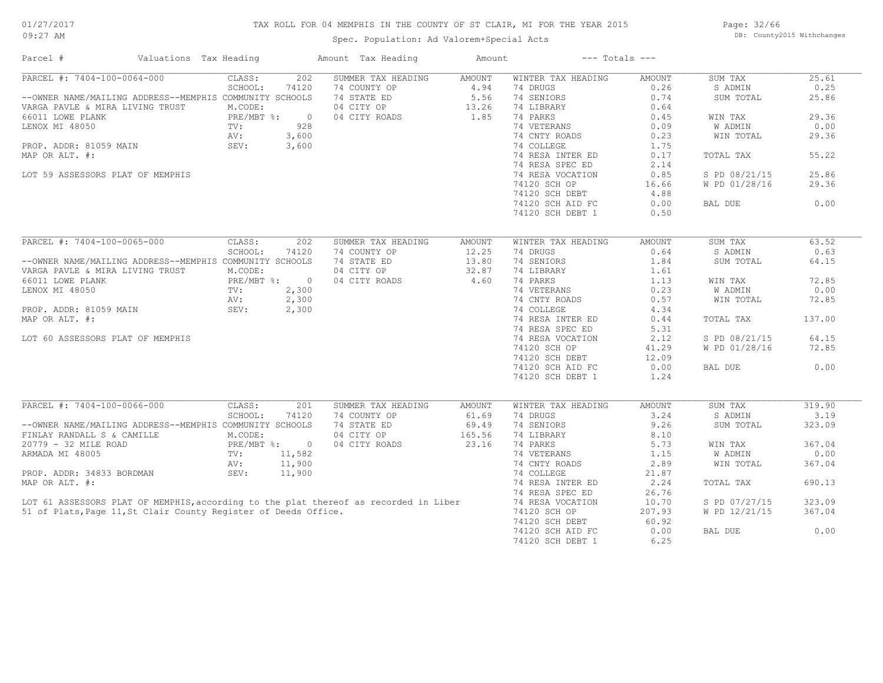## TAX ROLL FOR 04 MEMPHIS IN THE COUNTY OF ST CLAIR, MI FOR THE YEAR 2015

Spec. Population: Ad Valorem+Special Acts

Page: 32/66 DB: County2015 Withchanges

| Parcel #                                                                                                                                       | Valuations Tax Heading |              |                | Amount Tax Heading                                                                   | Amount                                       |                    | $---$ Totals $---$ |                |        |
|------------------------------------------------------------------------------------------------------------------------------------------------|------------------------|--------------|----------------|--------------------------------------------------------------------------------------|----------------------------------------------|--------------------|--------------------|----------------|--------|
| PARCEL #: 7404-100-0064-000                                                                                                                    |                        | CLASS:       | 202            | SUMMER TAX HEADING                                                                   | AMOUNT                                       | WINTER TAX HEADING | AMOUNT             | SUM TAX        | 25.61  |
|                                                                                                                                                |                        | SCHOOL:      | 74120          | 74 COUNTY OP                                                                         |                                              | 74 DRUGS           | 0.26               | S ADMIN        | 0.25   |
| --OWNER NAME/MAILING ADDRESS--MEMPHIS COMMUNITY SCHOOLS                                                                                        |                        |              |                | 74 STATE ED                                                                          | $4.94$<br>5.56                               | 74 SENIORS         | 0.74               | SUM TOTAL      | 25.86  |
| VARGA PAVLE & MIRA LIVING TRUST                                                                                                                |                        | M.CODE:      |                | 04 CITY OP                                                                           |                                              | 74 LIBRARY         | 0.64               |                |        |
| 66011 LOWE PLANK                                                                                                                               |                        | PRE/MBT %:   | $\overline{0}$ | 04 CITY ROADS                                                                        | $\begin{array}{c} 13.26 \\ 1.85 \end{array}$ | 74 PARKS           | 0.45               | WIN TAX        | 29.36  |
| LENOX MI 48050                                                                                                                                 | PRE/I<br>TV:<br>AV:    |              | 928            |                                                                                      |                                              | 74 VETERANS        | 0.09               | <b>W ADMIN</b> | 0.00   |
|                                                                                                                                                |                        |              | 3,600          |                                                                                      |                                              | 74 CNTY ROADS      | 0.23               | WIN TOTAL      | 29.36  |
| PROP. ADDR: 81059 MAIN                                                                                                                         |                        | SEV:         | 3,600          |                                                                                      |                                              | 74 COLLEGE         | 1.75               |                |        |
| MAP OR ALT. #:                                                                                                                                 |                        |              |                |                                                                                      |                                              | 74 RESA INTER ED   | 0.17               | TOTAL TAX      | 55.22  |
|                                                                                                                                                |                        |              |                |                                                                                      |                                              | 74 RESA SPEC ED    | 2.14               |                |        |
|                                                                                                                                                |                        |              |                |                                                                                      |                                              |                    |                    |                | 25.86  |
| LOT 59 ASSESSORS PLAT OF MEMPHIS                                                                                                               |                        |              |                |                                                                                      |                                              | 74 RESA VOCATION   | 0.85               | S PD 08/21/15  |        |
|                                                                                                                                                |                        |              |                |                                                                                      |                                              | 74120 SCH OP       | 16.66              | W PD 01/28/16  | 29.36  |
|                                                                                                                                                |                        |              |                |                                                                                      |                                              | 74120 SCH DEBT     | 4.88               |                |        |
|                                                                                                                                                |                        |              |                |                                                                                      |                                              | 74120 SCH AID FC   | 0.00               | BAL DUE        | 0.00   |
|                                                                                                                                                |                        |              |                |                                                                                      |                                              | 74120 SCH DEBT 1   | 0.50               |                |        |
|                                                                                                                                                |                        |              |                |                                                                                      |                                              |                    |                    |                |        |
| PARCEL #: 7404-100-0065-000                                                                                                                    |                        | CLASS:       | 202            | SUMMER TAX HEADING                                                                   | <b>AMOUNT</b>                                | WINTER TAX HEADING | <b>AMOUNT</b>      | SUM TAX        | 63.52  |
|                                                                                                                                                |                        | SCHOOL:      | 74120          | 74 COUNTY OP                                                                         | 12.25                                        | 74 DRUGS           | 0.64               | S ADMIN        | 0.63   |
| --OWNER NAME/MAILING ADDRESS--MEMPHIS COMMUNITY SCHOOLS                                                                                        |                        |              |                | 74 STATE ED                                                                          | 13.80                                        | 74 SENIORS         | 1.84               | SUM TOTAL      | 64.15  |
| VARGA PAVLE & MIRA LIVING TRUST                                                                                                                |                        | M.CODE:      |                | 04 CITY OP                                                                           | 32.87                                        | 74 LIBRARY         | 1.61               |                |        |
| 66011 LOWE PLANK                                                                                                                               |                        | PRE/MBT %: 0 |                | 04 CITY ROADS                                                                        | 4.60                                         | 74 PARKS           | 1.13               | WIN TAX        | 72.85  |
|                                                                                                                                                | PRE/I<br>TV:<br>AV:    |              |                |                                                                                      |                                              | 74 VETERANS        |                    |                |        |
| LENOX MI 48050                                                                                                                                 |                        |              | 2,300          |                                                                                      |                                              |                    | 0.23               | W ADMIN        | 0.00   |
|                                                                                                                                                |                        |              | 2,300          |                                                                                      |                                              | 74 CNTY ROADS      | 0.57               | WIN TOTAL      | 72.85  |
| PROP. ADDR: 81059 MAIN                                                                                                                         | SEV:                   |              | 2,300          |                                                                                      |                                              | 74 COLLEGE         | 4.34               |                |        |
| MAP OR ALT. #:                                                                                                                                 |                        |              |                |                                                                                      |                                              | 74 RESA INTER ED   | 0.44               | TOTAL TAX      | 137.00 |
|                                                                                                                                                |                        |              |                |                                                                                      |                                              | 74 RESA SPEC ED    | 5.31               |                |        |
| LOT 60 ASSESSORS PLAT OF MEMPHIS                                                                                                               |                        |              |                |                                                                                      |                                              | 74 RESA VOCATION   | 2.12               | S PD 08/21/15  | 64.15  |
|                                                                                                                                                |                        |              |                |                                                                                      |                                              | 74120 SCH OP       | 41.29              | W PD 01/28/16  | 72.85  |
|                                                                                                                                                |                        |              |                |                                                                                      |                                              | 74120 SCH DEBT     | 12.09              |                |        |
|                                                                                                                                                |                        |              |                |                                                                                      |                                              | 74120 SCH AID FC   | 0.00               | BAL DUE        | 0.00   |
|                                                                                                                                                |                        |              |                |                                                                                      |                                              | 74120 SCH DEBT 1   | 1.24               |                |        |
|                                                                                                                                                |                        |              |                |                                                                                      |                                              |                    |                    |                |        |
| PARCEL #: 7404-100-0066-000                                                                                                                    |                        | CLASS:       | 201            | SUMMER TAX HEADING                                                                   | <b>AMOUNT</b>                                | WINTER TAX HEADING | AMOUNT             | SUM TAX        | 319.90 |
|                                                                                                                                                |                        | SCHOOL:      | 74120          | 74 COUNTY OP                                                                         | 61.69                                        | 74 DRUGS           | 3.24               | S ADMIN        | 3.19   |
| --OWNER NAME/MAILING ADDRESS--MEMPHIS COMMUNITY SCHOOLS                                                                                        |                        |              |                | 74 STATE ED                                                                          | 69.49                                        | 74 SENIORS         | 9.26               | SUM TOTAL      | 323.09 |
| FINLAY RANDALL S & CAMILLE<br>20779 - 32 MILE ROAD BRE/MBT %: 0<br>20779 - 32 MILE ROAD BRE/MBT %: 0<br>20779 - 32 MILE ROAD BRE/MBT %: 11,582 |                        |              |                | 04 CITY OP                                                                           | 165.56                                       | 74 LIBRARY         | 8.10               |                |        |
|                                                                                                                                                |                        |              |                | 04 CITY ROADS                                                                        | 23.16                                        | 74 PARKS           | 5.73               | WIN TAX        | 367.04 |
|                                                                                                                                                |                        |              |                |                                                                                      |                                              | 74 VETERANS        | 1.15               | <b>W ADMIN</b> | 0.00   |
|                                                                                                                                                |                        | AV:          | 11,900         |                                                                                      |                                              | 74 CNTY ROADS      | 2.89               | WIN TOTAL      | 367.04 |
| PROP. ADDR: 34833 BORDMAN                                                                                                                      |                        | SEV:         | 11,900         |                                                                                      |                                              | 74 COLLEGE         | 21.87              |                |        |
|                                                                                                                                                |                        |              |                |                                                                                      |                                              |                    |                    |                | 690.13 |
| MAP OR ALT. #:                                                                                                                                 |                        |              |                |                                                                                      |                                              | 74 RESA INTER ED   | 2.24               | TOTAL TAX      |        |
|                                                                                                                                                |                        |              |                |                                                                                      |                                              | 74 RESA SPEC ED    | 26.76              |                |        |
|                                                                                                                                                |                        |              |                | LOT 61 ASSESSORS PLAT OF MEMPHIS, according to the plat thereof as recorded in Liber |                                              | 74 RESA VOCATION   | 10.70              | S PD 07/27/15  | 323.09 |
| 51 of Plats, Page 11, St Clair County Register of Deeds Office.                                                                                |                        |              |                |                                                                                      |                                              | 74120 SCH OP       | 207.93             | W PD 12/21/15  | 367.04 |
|                                                                                                                                                |                        |              |                |                                                                                      |                                              | 74120 SCH DEBT     | 60.92              |                |        |
|                                                                                                                                                |                        |              |                |                                                                                      |                                              | 74120 SCH AID FC   | 0.00               | BAL DUE        | 0.00   |
|                                                                                                                                                |                        |              |                |                                                                                      |                                              | 74120 SCH DEBT 1   | 6.25               |                |        |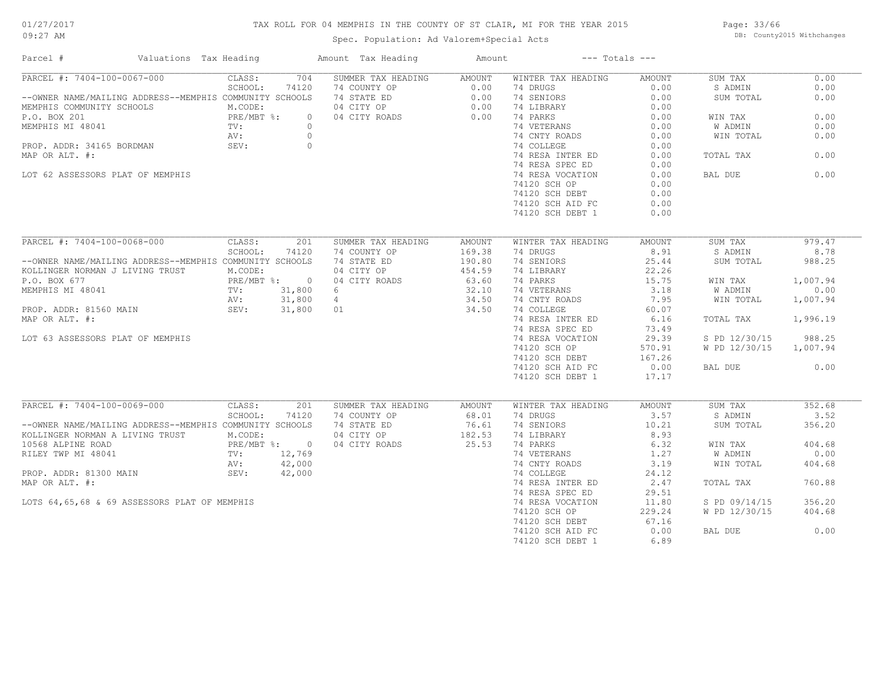## TAX ROLL FOR 04 MEMPHIS IN THE COUNTY OF ST CLAIR, MI FOR THE YEAR 2015

Spec. Population: Ad Valorem+Special Acts

Page: 33/66 DB: County2015 Withchanges

| Parcel #                                                | Valuations Tax Heading       | Amount Tax Heading | Amount           | $---$ Totals $---$ |        |               |          |
|---------------------------------------------------------|------------------------------|--------------------|------------------|--------------------|--------|---------------|----------|
| PARCEL #: 7404-100-0067-000                             | CLASS:<br>704                | SUMMER TAX HEADING | AMOUNT           | WINTER TAX HEADING | AMOUNT | SUM TAX       | 0.00     |
|                                                         | SCHOOL:<br>74120             | 74 COUNTY OP       | 0.00             | 74 DRUGS           | 0.00   | S ADMIN       | 0.00     |
| --OWNER NAME/MAILING ADDRESS--MEMPHIS COMMUNITY SCHOOLS |                              | 74 STATE ED        | 0.00             | 74 SENIORS         | 0.00   | SUM TOTAL     | 0.00     |
| MEMPHIS COMMUNITY SCHOOLS                               | M.CODE:                      | 04 CITY OP         | 0.00             | 74 LIBRARY         | 0.00   |               |          |
| P.O. BOX 201                                            | PRE/MBT %:<br>TV:<br>$\circ$ | 04 CITY ROADS      | 0.00             | 74 PARKS           | 0.00   | WIN TAX       | 0.00     |
| MEMPHIS MI 48041                                        | $\circ$                      |                    |                  | 74 VETERANS        | 0.00   | W ADMIN       | 0.00     |
|                                                         | AV:<br>$\circ$               |                    |                  | 74 CNTY ROADS      | 0.00   | WIN TOTAL     | 0.00     |
| PROP. ADDR: 34165 BORDMAN                               | SEV:<br>$\overline{0}$       |                    |                  | 74 COLLEGE         | 0.00   |               |          |
| MAP OR ALT. #:                                          |                              |                    |                  | 74 RESA INTER ED   | 0.00   | TOTAL TAX     | 0.00     |
|                                                         |                              |                    |                  | 74 RESA SPEC ED    | 0.00   |               |          |
| LOT 62 ASSESSORS PLAT OF MEMPHIS                        |                              |                    |                  | 74 RESA VOCATION   | 0.00   | BAL DUE       | 0.00     |
|                                                         |                              |                    |                  | 74120 SCH OP       | 0.00   |               |          |
|                                                         |                              |                    |                  | 74120 SCH DEBT     | 0.00   |               |          |
|                                                         |                              |                    |                  | 74120 SCH AID FC   | 0.00   |               |          |
|                                                         |                              |                    |                  |                    |        |               |          |
|                                                         |                              |                    |                  | 74120 SCH DEBT 1   | 0.00   |               |          |
| PARCEL #: 7404-100-0068-000                             | 201<br>CLASS:                | SUMMER TAX HEADING |                  | WINTER TAX HEADING | AMOUNT | SUM TAX       | 979.47   |
|                                                         | SCHOOL:<br>74120             | 74 COUNTY OP       | AMOUNT<br>169.38 | 74 DRUGS           | 8.91   | S ADMIN       | 8.78     |
|                                                         |                              |                    |                  |                    |        |               |          |
| --OWNER NAME/MAILING ADDRESS--MEMPHIS COMMUNITY SCHOOLS |                              | 74 STATE ED        | 190.80           | 74 SENIORS         | 25.44  | SUM TOTAL     | 988.25   |
| KOLLINGER NORMAN J LIVING TRUST                         | M.CODE:                      | 04 CITY OP         | 454.59           | 74 LIBRARY         | 22.26  |               |          |
| P.O. BOX 677                                            | PRE/MBT %: 0                 | 04 CITY ROADS      | 63.60            | 74 PARKS           | 15.75  | WIN TAX       | 1,007.94 |
| MEMPHIS MI 48041                                        | TV:<br>31,800                | 6                  | 32.10            | 74 VETERANS        | 3.18   | W ADMIN       | 0.00     |
|                                                         | 31,800<br>AV:                | $4\phantom{0}$     | 34.50            | 74 CNTY ROADS      | 7.95   | WIN TOTAL     | 1,007.94 |
| PROP. ADDR: 81560 MAIN                                  | SEV:                         | 31,800 01          | 34.50            | 74 COLLEGE         | 60.07  |               |          |
| MAP OR ALT. #:                                          |                              |                    |                  | 74 RESA INTER ED   | 6.16   | TOTAL TAX     | 1,996.19 |
|                                                         |                              |                    |                  | 74 RESA SPEC ED    | 73.49  |               |          |
| LOT 63 ASSESSORS PLAT OF MEMPHIS                        |                              |                    |                  | 74 RESA VOCATION   | 29.39  | S PD 12/30/15 | 988.25   |
|                                                         |                              |                    |                  | 74120 SCH OP       | 570.91 | W PD 12/30/15 | 1,007.94 |
|                                                         |                              |                    |                  | 74120 SCH DEBT     | 167.26 |               |          |
|                                                         |                              |                    |                  | 74120 SCH AID FC   | 0.00   | BAL DUE       | 0.00     |
|                                                         |                              |                    |                  | 74120 SCH DEBT 1   | 17.17  |               |          |
|                                                         |                              |                    |                  |                    |        |               |          |
| PARCEL #: 7404-100-0069-000                             | CLASS:<br>201                | SUMMER TAX HEADING | AMOUNT           | WINTER TAX HEADING | AMOUNT | SUM TAX       | 352.68   |
|                                                         | SCHOOL:<br>74120             | 74 COUNTY OP       | 68.01            | 74 DRUGS           | 3.57   | S ADMIN       | 3.52     |
| --OWNER NAME/MAILING ADDRESS--MEMPHIS COMMUNITY SCHOOLS |                              | 74 STATE ED        | 76.61            | 74 SENIORS         | 10.21  | SUM TOTAL     | 356.20   |
| KOLLINGER NORMAN A LIVING TRUST                         | M.CODE:                      | 04 CITY OP         | 182.53           | 74 LIBRARY         | 8.93   |               |          |
| 10568 ALPINE ROAD                                       | PRE/MBT %: 0                 | 04 CITY ROADS      | 25.53            | 74 PARKS           | 6.32   | WIN TAX       | 404.68   |
| RILEY TWP MI 48041                                      | $\text{TV}$ :<br>12,769      |                    |                  | 74 VETERANS        | 1.27   | W ADMIN       | 0.00     |
|                                                         | 42,000<br>AV:                |                    |                  | 74 CNTY ROADS      | 3.19   | WIN TOTAL     | 404.68   |
| PROP. ADDR: 81300 MAIN                                  | SEV:<br>42,000               |                    |                  | 74 COLLEGE         | 24.12  |               |          |
| MAP OR ALT. #:                                          |                              |                    |                  | 74 RESA INTER ED   | 2.47   | TOTAL TAX     | 760.88   |
|                                                         |                              |                    |                  | 74 RESA SPEC ED    | 29.51  |               |          |
|                                                         |                              |                    |                  |                    |        |               |          |
| LOTS 64,65,68 & 69 ASSESSORS PLAT OF MEMPHIS            |                              |                    |                  | 74 RESA VOCATION   | 11.80  | S PD 09/14/15 | 356.20   |
|                                                         |                              |                    |                  | 74120 SCH OP       | 229.24 | W PD 12/30/15 | 404.68   |
|                                                         |                              |                    |                  | 74120 SCH DEBT     | 67.16  |               |          |
|                                                         |                              |                    |                  | 74120 SCH AID FC   | 0.00   | BAL DUE       | 0.00     |
|                                                         |                              |                    |                  | 74120 SCH DEBT 1   | 6.89   |               |          |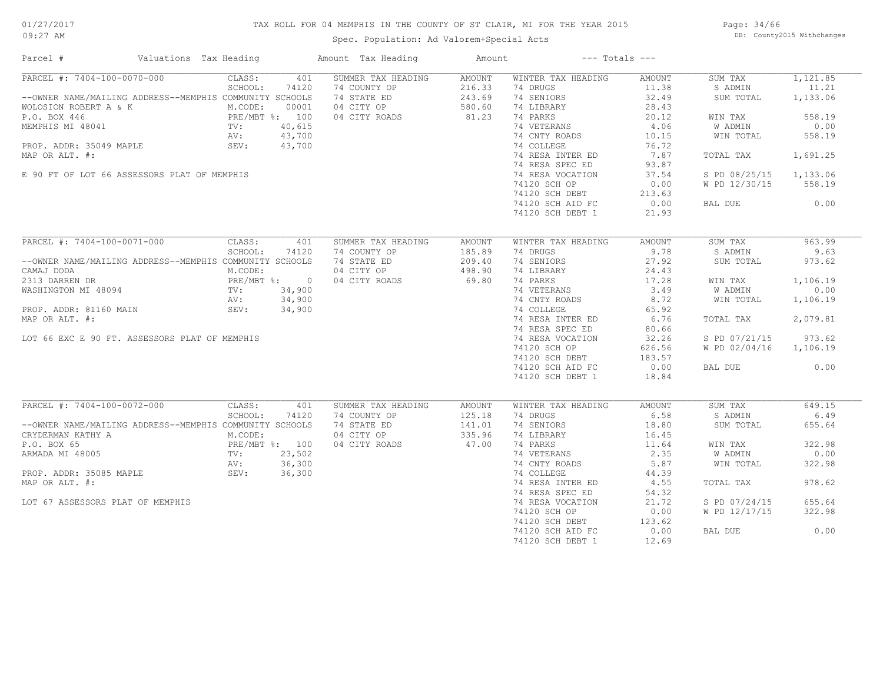## TAX ROLL FOR 04 MEMPHIS IN THE COUNTY OF ST CLAIR, MI FOR THE YEAR 2015

Spec. Population: Ad Valorem+Special Acts

Page: 34/66 DB: County2015 Withchanges

| Parcel #                                                                                                                                                                                                                                                                                                                                                                                                                          | Valuations Tax Heading                                                      | Amount Tax Heading | Amount        |                    | $---$ Totals $---$ |                |          |
|-----------------------------------------------------------------------------------------------------------------------------------------------------------------------------------------------------------------------------------------------------------------------------------------------------------------------------------------------------------------------------------------------------------------------------------|-----------------------------------------------------------------------------|--------------------|---------------|--------------------|--------------------|----------------|----------|
| PARCEL #: 7404-100-0070-000                                                                                                                                                                                                                                                                                                                                                                                                       | CLASS:<br>401                                                               | SUMMER TAX HEADING | AMOUNT        | WINTER TAX HEADING | AMOUNT             | SUM TAX        | 1,121.85 |
|                                                                                                                                                                                                                                                                                                                                                                                                                                   | SCHOOL:<br>74120                                                            | 74 COUNTY OP       | 216.33        | 74 DRUGS           | 11.38              | S ADMIN        | 11.21    |
| --OWNER NAME/MAILING ADDRESS--MEMPHIS COMMUNITY SCHOOLS                                                                                                                                                                                                                                                                                                                                                                           |                                                                             | 74 STATE ED        | 243.69        | 74 SENIORS         | 32.49              | SUM TOTAL      | 1,133.06 |
| WOLOSION ROBERT A & K                                                                                                                                                                                                                                                                                                                                                                                                             | M.CODE:<br>00001                                                            | 04 CITY OP         | 580.60        | 74 LIBRARY         | 28.43              |                |          |
| $\begin{tabular}{l l l l} \multicolumn{1}{c}{\textbf{P.O. BOX 446}} & \multicolumn{1}{c}{\textbf{PRE/MBT 8: 100}} \\ \multicolumn{1}{c}{\textbf{MEMPHIS MI 48041}} & \multicolumn{1}{c}{\textbf{PRE/MBT 8: 100}} \\ \multicolumn{1}{c}{\textbf{NEWPHIS MI 48041}} & \multicolumn{1}{c}{\textbf{TV:} & \textbf{40,615}} \\ \multicolumn{1}{c}{\textbf{PROP. ADDR: 35049 MAPLE}} & \multicolumn{1}{c}{\textbf{SEV:} & \textbf{43,7$ |                                                                             | 04 CITY ROADS      | 81.23         | 74 PARKS           | 20.12              | WIN TAX        | 558.19   |
|                                                                                                                                                                                                                                                                                                                                                                                                                                   |                                                                             |                    |               | 74 VETERANS        | 4.06               | W ADMIN        | 0.00     |
|                                                                                                                                                                                                                                                                                                                                                                                                                                   |                                                                             |                    |               | 74 CNTY ROADS      | 10.15              | WIN TOTAL      | 558.19   |
|                                                                                                                                                                                                                                                                                                                                                                                                                                   |                                                                             |                    |               | 74 COLLEGE         | 76.72              |                |          |
| MAP OR ALT. #:                                                                                                                                                                                                                                                                                                                                                                                                                    |                                                                             |                    |               | 74 RESA INTER ED   | 7.87               | TOTAL TAX      | 1,691.25 |
|                                                                                                                                                                                                                                                                                                                                                                                                                                   |                                                                             |                    |               | 74 RESA SPEC ED    | 93.87              |                |          |
| E 90 FT OF LOT 66 ASSESSORS PLAT OF MEMPHIS                                                                                                                                                                                                                                                                                                                                                                                       |                                                                             |                    |               | 74 RESA VOCATION   | 37.54              | S PD 08/25/15  | 1,133.06 |
|                                                                                                                                                                                                                                                                                                                                                                                                                                   |                                                                             |                    |               | 74120 SCH OP       | 0.00               | W PD 12/30/15  | 558.19   |
|                                                                                                                                                                                                                                                                                                                                                                                                                                   |                                                                             |                    |               | 74120 SCH DEBT     | 213.63             |                |          |
|                                                                                                                                                                                                                                                                                                                                                                                                                                   |                                                                             |                    |               | 74120 SCH AID FC   | 0.00               | BAL DUE        | 0.00     |
|                                                                                                                                                                                                                                                                                                                                                                                                                                   |                                                                             |                    |               | 74120 SCH DEBT 1   | 21.93              |                |          |
|                                                                                                                                                                                                                                                                                                                                                                                                                                   |                                                                             |                    |               |                    |                    |                |          |
| PARCEL #: 7404-100-0071-000                                                                                                                                                                                                                                                                                                                                                                                                       | CLASS:<br>401                                                               | SUMMER TAX HEADING | <b>AMOUNT</b> | WINTER TAX HEADING | AMOUNT             | SUM TAX        | 963.99   |
|                                                                                                                                                                                                                                                                                                                                                                                                                                   | SCHOOL:<br>74120                                                            | 74 COUNTY OP       | 185.89        | 74 DRUGS           | 9.78               | S ADMIN        | 9.63     |
| --OWNER NAME/MAILING ADDRESS--MEMPHIS COMMUNITY SCHOOLS                                                                                                                                                                                                                                                                                                                                                                           |                                                                             | 74 STATE ED        | 209.40        | 74 SENIORS         | 27.92              | SUM TOTAL      | 973.62   |
| CAMAJ DODA                                                                                                                                                                                                                                                                                                                                                                                                                        | M.CODE:                                                                     | 04 CITY OP         | 498.90        | 74 LIBRARY         | 24.43              |                |          |
| 2313 DARREN DR                                                                                                                                                                                                                                                                                                                                                                                                                    |                                                                             | 04 CITY ROADS      | 69.80         | 74 PARKS           | 17.28              | WIN TAX        | 1,106.19 |
| WASHINGTON MI 48094                                                                                                                                                                                                                                                                                                                                                                                                               | PRE/MBT %: 0<br>8094 TV: 34,900<br>TV: 24,900                               |                    |               | 74 VETERANS        | 3.49               | W ADMIN        | 0.00     |
|                                                                                                                                                                                                                                                                                                                                                                                                                                   | 34,900                                                                      |                    |               | 74 CNTY ROADS      | 8.72               | WIN TOTAL      |          |
|                                                                                                                                                                                                                                                                                                                                                                                                                                   | AV:                                                                         |                    |               |                    |                    |                | 1,106.19 |
| PROP. ADDR: 81160 MAIN                                                                                                                                                                                                                                                                                                                                                                                                            | SEV:<br>34,900                                                              |                    |               | 74 COLLEGE         | 65.92              |                |          |
| MAP OR ALT. #:                                                                                                                                                                                                                                                                                                                                                                                                                    |                                                                             |                    |               | 74 RESA INTER ED   | 6.76               | TOTAL TAX      | 2,079.81 |
|                                                                                                                                                                                                                                                                                                                                                                                                                                   |                                                                             |                    |               | 74 RESA SPEC ED    | 80.66              |                |          |
| LOT 66 EXC E 90 FT. ASSESSORS PLAT OF MEMPHIS                                                                                                                                                                                                                                                                                                                                                                                     |                                                                             |                    |               | 74 RESA VOCATION   | 32.26              | S PD 07/21/15  | 973.62   |
|                                                                                                                                                                                                                                                                                                                                                                                                                                   |                                                                             |                    |               | 74120 SCH OP       | 626.56             | W PD 02/04/16  | 1,106.19 |
|                                                                                                                                                                                                                                                                                                                                                                                                                                   |                                                                             |                    |               | 74120 SCH DEBT     | 183.57             |                |          |
|                                                                                                                                                                                                                                                                                                                                                                                                                                   |                                                                             |                    |               | 74120 SCH AID FC   | 0.00               | BAL DUE        | 0.00     |
|                                                                                                                                                                                                                                                                                                                                                                                                                                   |                                                                             |                    |               | 74120 SCH DEBT 1   | 18.84              |                |          |
|                                                                                                                                                                                                                                                                                                                                                                                                                                   |                                                                             |                    |               |                    |                    |                |          |
| PARCEL #: 7404-100-0072-000                                                                                                                                                                                                                                                                                                                                                                                                       | CLASS:<br>401                                                               | SUMMER TAX HEADING | <b>AMOUNT</b> | WINTER TAX HEADING | AMOUNT             | SUM TAX        | 649.15   |
|                                                                                                                                                                                                                                                                                                                                                                                                                                   | SCHOOL:<br>74120                                                            | 74 COUNTY OP       | 125.18        | 74 DRUGS           | 6.58               | S ADMIN        | 6.49     |
| --OWNER NAME/MAILING ADDRESS--MEMPHIS COMMUNITY SCHOOLS                                                                                                                                                                                                                                                                                                                                                                           |                                                                             | 74 STATE ED        | 141.01        | 74 SENIORS         | 18.80              | SUM TOTAL      | 655.64   |
| CRYDERMAN KATHY A                                                                                                                                                                                                                                                                                                                                                                                                                 | M.CODE:                                                                     | 04 CITY OP         | 335.96        | 74 LIBRARY         | 16.45              |                |          |
| P.O. BOX 65                                                                                                                                                                                                                                                                                                                                                                                                                       | PRE/MBT %: 100<br>PRE/MBT %: 100<br>TV: 23,502<br>AV: 36,300<br>SEV: 36,300 | 04 CITY ROADS      | 47.00         | 74 PARKS           | 11.64              | WIN TAX        | 322.98   |
| ARMADA MI 48005                                                                                                                                                                                                                                                                                                                                                                                                                   |                                                                             |                    |               | 74 VETERANS        | 2.35               | <b>W ADMIN</b> | 0.00     |
|                                                                                                                                                                                                                                                                                                                                                                                                                                   |                                                                             |                    |               | 74 CNTY ROADS      | 5.87               | WIN TOTAL      | 322.98   |
| PROP. ADDR: 35085 MAPLE                                                                                                                                                                                                                                                                                                                                                                                                           |                                                                             |                    |               | 74 COLLEGE         | 44.39              |                |          |
| MAP OR ALT. #:                                                                                                                                                                                                                                                                                                                                                                                                                    |                                                                             |                    |               | 74 RESA INTER ED   | 4.55               | TOTAL TAX      | 978.62   |
|                                                                                                                                                                                                                                                                                                                                                                                                                                   |                                                                             |                    |               | 74 RESA SPEC ED    | 54.32              |                |          |
| LOT 67 ASSESSORS PLAT OF MEMPHIS                                                                                                                                                                                                                                                                                                                                                                                                  |                                                                             |                    |               | 74 RESA VOCATION   | 21.72              | S PD 07/24/15  | 655.64   |
|                                                                                                                                                                                                                                                                                                                                                                                                                                   |                                                                             |                    |               | 74120 SCH OP       | 0.00               | W PD 12/17/15  | 322.98   |
|                                                                                                                                                                                                                                                                                                                                                                                                                                   |                                                                             |                    |               | 74120 SCH DEBT     | 123.62             |                |          |
|                                                                                                                                                                                                                                                                                                                                                                                                                                   |                                                                             |                    |               | 74120 SCH AID FC   | 0.00               | BAL DUE        | 0.00     |
|                                                                                                                                                                                                                                                                                                                                                                                                                                   |                                                                             |                    |               | 74120 SCH DEBT 1   | 12.69              |                |          |
|                                                                                                                                                                                                                                                                                                                                                                                                                                   |                                                                             |                    |               |                    |                    |                |          |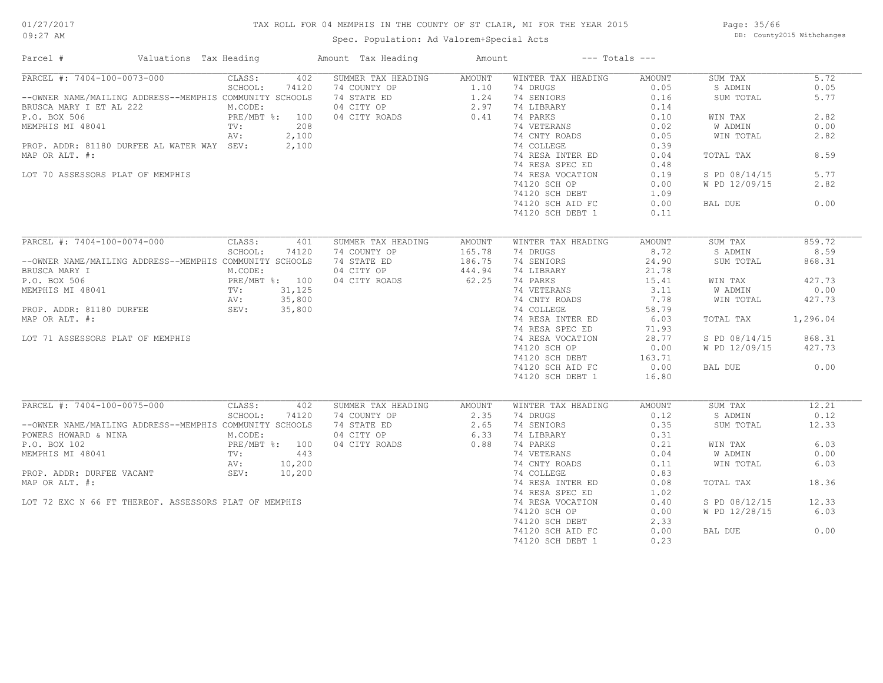## TAX ROLL FOR 04 MEMPHIS IN THE COUNTY OF ST CLAIR, MI FOR THE YEAR 2015

Spec. Population: Ad Valorem+Special Acts

Page: 35/66 DB: County2015 Withchanges

| Parcel #                                                                                                                                                                                                                                                                                                                                                                                                                             | Valuations Tax Heading |         |       | Amount Tax Heading                                                                                                          | Amount                                      |                                              | $---$ Totals $---$ |               |          |
|--------------------------------------------------------------------------------------------------------------------------------------------------------------------------------------------------------------------------------------------------------------------------------------------------------------------------------------------------------------------------------------------------------------------------------------|------------------------|---------|-------|-----------------------------------------------------------------------------------------------------------------------------|---------------------------------------------|----------------------------------------------|--------------------|---------------|----------|
| PARCEL #: 7404-100-0073-000 CLASS:                                                                                                                                                                                                                                                                                                                                                                                                   |                        |         |       | 402 SUMMER TAX HEADING AMOUNT                                                                                               |                                             | WINTER TAX HEADING                           | AMOUNT             | SUM TAX       | 5.72     |
|                                                                                                                                                                                                                                                                                                                                                                                                                                      |                        | SCHOOL: | 74120 |                                                                                                                             |                                             |                                              | 0.05               | S ADMIN       | 0.05     |
| --OWNER NAME/MAILING ADDRESS--MEMPHIS COMMUNITY SCHOOLS                                                                                                                                                                                                                                                                                                                                                                              |                        |         |       | 74 COUNTY OP<br>74 STATE ED<br>74 STATE ED<br>804 CITY OP<br>74 COUNTY OP<br>74 LIBRARY<br>804 CITY ROADS<br>80.41 24 PARKS |                                             |                                              | 0.16               | SUM TOTAL     | 5.77     |
|                                                                                                                                                                                                                                                                                                                                                                                                                                      |                        |         |       |                                                                                                                             |                                             |                                              | 0.14               |               |          |
|                                                                                                                                                                                                                                                                                                                                                                                                                                      |                        |         |       |                                                                                                                             |                                             |                                              | 0.10               | WIN TAX       | 2.82     |
|                                                                                                                                                                                                                                                                                                                                                                                                                                      |                        |         |       |                                                                                                                             |                                             | 74 VETERANS                                  | 0.02               | W ADMIN       | 0.00     |
|                                                                                                                                                                                                                                                                                                                                                                                                                                      |                        |         |       |                                                                                                                             |                                             | 74 CNTY ROADS                                | 0.05               | WIN TOTAL     | 2.82     |
| PROP. ADDR: 81180 DURFEE AL WATER WAY SEV: 2,100                                                                                                                                                                                                                                                                                                                                                                                     |                        |         |       |                                                                                                                             |                                             | 74 COLLEGE                                   | 0.39               |               |          |
| MAP OR ALT. #:                                                                                                                                                                                                                                                                                                                                                                                                                       |                        |         |       |                                                                                                                             |                                             | 74 RESA INTER ED                             | 0.04               | TOTAL TAX     | 8.59     |
|                                                                                                                                                                                                                                                                                                                                                                                                                                      |                        |         |       |                                                                                                                             |                                             | 74 RESA SPEC ED                              | 0.48               |               |          |
| LOT 70 ASSESSORS PLAT OF MEMPHIS                                                                                                                                                                                                                                                                                                                                                                                                     |                        |         |       |                                                                                                                             |                                             | 74 RESA VOCATION                             | 0.19               | S PD 08/14/15 | 5.77     |
|                                                                                                                                                                                                                                                                                                                                                                                                                                      |                        |         |       |                                                                                                                             |                                             | 74120 SCH OP                                 | 0.00               | W PD 12/09/15 | 2.82     |
|                                                                                                                                                                                                                                                                                                                                                                                                                                      |                        |         |       |                                                                                                                             |                                             |                                              |                    |               |          |
|                                                                                                                                                                                                                                                                                                                                                                                                                                      |                        |         |       |                                                                                                                             |                                             | 74120 SCH DEBT 1.09<br>74120 SCH AID FC 0.00 |                    | BAL DUE       | 0.00     |
|                                                                                                                                                                                                                                                                                                                                                                                                                                      |                        |         |       |                                                                                                                             |                                             | 74120 SCH DEBT 1                             | 0.11               |               |          |
|                                                                                                                                                                                                                                                                                                                                                                                                                                      |                        |         |       |                                                                                                                             |                                             |                                              |                    |               |          |
| PARCEL #: 7404-100-0074-000                                                                                                                                                                                                                                                                                                                                                                                                          |                        | CLASS:  | 401   | SUMMER TAX HEADING                                                                                                          | AMOUNT                                      | WINTER TAX HEADING                           | AMOUNT             | SUM TAX       | 859.72   |
|                                                                                                                                                                                                                                                                                                                                                                                                                                      |                        | SCHOOL: | 74120 | 74 COUNTY OP                                                                                                                |                                             | 74 DRUGS                                     | 8.72               | S ADMIN       | 8.59     |
|                                                                                                                                                                                                                                                                                                                                                                                                                                      |                        |         |       |                                                                                                                             | $165.78$<br>$186.75$<br>$444.94$<br>$62.25$ |                                              |                    |               |          |
| --OWNER NAME/MAILING ADDRESS--MEMPHIS COMMUNITY SCHOOLS                                                                                                                                                                                                                                                                                                                                                                              |                        |         |       | 74 STATE ED                                                                                                                 |                                             | 74 SENIORS                                   | 24.90              | SUM TOTAL     | 868.31   |
| $\begin{tabular}{l l l l l} \multicolumn{1}{c}{\texttt{BRUSCA} \texttt{ MARK} & \texttt{I}} & \texttt{M.CODE:} \\ \multicolumn{1}{c}{\texttt{P.O. BOX 506}} & \multicolumn{1}{c}{\texttt{PRE/MBT}} $: & 100$ \\ \multicolumn{1}{c}{\texttt{MEMPHIS} \texttt{MI 48041}} & \multicolumn{1}{c}{\texttt{TV:}} & 31,125 \\ \multicolumn{1}{c}{\texttt{AV:}} & 35,800 \\ \multicolumn{1}{c}{\texttt{PROP.} \texttt{ADDR: 81180 DURFEE}} &$ |                        |         |       | 04 CITY OP                                                                                                                  |                                             | 74 LIBRARY<br>$74$ PARKS                     | 21.78              |               |          |
|                                                                                                                                                                                                                                                                                                                                                                                                                                      |                        |         |       | 04 CITY ROADS                                                                                                               |                                             |                                              | 15.41              | WIN TAX       | 427.73   |
|                                                                                                                                                                                                                                                                                                                                                                                                                                      |                        |         |       |                                                                                                                             |                                             | 74 VETERANS<br>74 CNTY ROADS                 | 3.11               | W ADMIN       | 0.00     |
|                                                                                                                                                                                                                                                                                                                                                                                                                                      |                        |         |       |                                                                                                                             |                                             |                                              | 7.78               | WIN TOTAL     | 427.73   |
|                                                                                                                                                                                                                                                                                                                                                                                                                                      |                        |         |       |                                                                                                                             |                                             | 74 COLLEGE                                   | 58.79              |               |          |
| MAP OR ALT. #:                                                                                                                                                                                                                                                                                                                                                                                                                       |                        |         |       |                                                                                                                             |                                             | 74 RESA INTER ED 6.03                        |                    | TOTAL TAX     | 1,296.04 |
|                                                                                                                                                                                                                                                                                                                                                                                                                                      |                        |         |       |                                                                                                                             |                                             | 74 RESA SPEC ED                              | 71.93              |               |          |
| LOT 71 ASSESSORS PLAT OF MEMPHIS                                                                                                                                                                                                                                                                                                                                                                                                     |                        |         |       |                                                                                                                             |                                             | 74 RESA VOCATION                             | 28.77              | S PD 08/14/15 | 868.31   |
|                                                                                                                                                                                                                                                                                                                                                                                                                                      |                        |         |       |                                                                                                                             |                                             | 74120 SCH OP                                 | 0.00               | W PD 12/09/15 | 427.73   |
|                                                                                                                                                                                                                                                                                                                                                                                                                                      |                        |         |       |                                                                                                                             |                                             | 74120 SCH DEBT                               | 163.71             |               |          |
|                                                                                                                                                                                                                                                                                                                                                                                                                                      |                        |         |       |                                                                                                                             |                                             | 74120 SCH AID FC                             | 0.00               | BAL DUE       | 0.00     |
|                                                                                                                                                                                                                                                                                                                                                                                                                                      |                        |         |       |                                                                                                                             |                                             | 74120 SCH DEBT 1                             | 16.80              |               |          |
|                                                                                                                                                                                                                                                                                                                                                                                                                                      |                        |         |       |                                                                                                                             |                                             |                                              |                    |               |          |
| PARCEL #: 7404-100-0075-000 CLASS:                                                                                                                                                                                                                                                                                                                                                                                                   |                        |         | 402   | SUMMER TAX HEADING                                                                                                          | AMOUNT                                      | WINTER TAX HEADING                           | AMOUNT             | SUM TAX       | 12.21    |
|                                                                                                                                                                                                                                                                                                                                                                                                                                      |                        | SCHOOL: | 74120 | 74 COUNTY OP<br>74 STATE ED<br>74 STATE ED<br>2.65<br>04 CITY ROADS<br>0.88                                                 |                                             | 74 DRUGS                                     | 0.12               | S ADMIN       | 0.12     |
| --OWNER NAME/MAILING ADDRESS--MEMPHIS COMMUNITY SCHOOLS                                                                                                                                                                                                                                                                                                                                                                              |                        |         |       |                                                                                                                             |                                             | 74 SENIORS                                   | 0.35               | SUM TOTAL     | 12.33    |
| POWERS HOWARD & NINA<br>POWERS HOWARD & NINA<br>P.O. BOX 102<br>P.O. BOX 102<br>MEMPHIS MI 48041<br>TV:<br>AV: 10,200<br>PROP. ADDR: DURFEE VACANT<br>SEV: 10,200                                                                                                                                                                                                                                                                    |                        |         |       |                                                                                                                             |                                             | 74 LIBRARY<br>74 PARKS                       | 0.31               |               |          |
|                                                                                                                                                                                                                                                                                                                                                                                                                                      |                        |         |       |                                                                                                                             |                                             |                                              | 0.21               | WIN TAX       | 6.03     |
|                                                                                                                                                                                                                                                                                                                                                                                                                                      |                        |         |       |                                                                                                                             |                                             | 74 VETERANS                                  | 0.04               | W ADMIN       | 0.00     |
|                                                                                                                                                                                                                                                                                                                                                                                                                                      |                        |         |       |                                                                                                                             |                                             | 74 CNTY ROADS                                | 0.11               | WIN TOTAL     | 6.03     |
|                                                                                                                                                                                                                                                                                                                                                                                                                                      |                        |         |       |                                                                                                                             |                                             | 74 COLLEGE                                   | 0.83               |               |          |
| MAP OR ALT. #:                                                                                                                                                                                                                                                                                                                                                                                                                       |                        |         |       |                                                                                                                             |                                             | 74 RESA INTER ED                             | 0.08               | TOTAL TAX     | 18.36    |
|                                                                                                                                                                                                                                                                                                                                                                                                                                      |                        |         |       |                                                                                                                             |                                             | 74 RESA SPEC ED                              | 1.02               |               |          |
| LOT 72 EXC N 66 FT THEREOF. ASSESSORS PLAT OF MEMPHIS                                                                                                                                                                                                                                                                                                                                                                                |                        |         |       |                                                                                                                             |                                             | 74 RESA VOCATION                             | 0.40               | S PD 08/12/15 | 12.33    |
|                                                                                                                                                                                                                                                                                                                                                                                                                                      |                        |         |       |                                                                                                                             |                                             | 74120 SCH OP                                 | 0.00               | W PD 12/28/15 | 6.03     |
|                                                                                                                                                                                                                                                                                                                                                                                                                                      |                        |         |       |                                                                                                                             |                                             | 74120 SCH DEBT                               | 2.33               |               |          |
|                                                                                                                                                                                                                                                                                                                                                                                                                                      |                        |         |       |                                                                                                                             |                                             | 74120 SCH AID FC                             | 0.00               | BAL DUE       | 0.00     |
|                                                                                                                                                                                                                                                                                                                                                                                                                                      |                        |         |       |                                                                                                                             |                                             | 74120 SCH DEBT 1                             | 0.23               |               |          |
|                                                                                                                                                                                                                                                                                                                                                                                                                                      |                        |         |       |                                                                                                                             |                                             |                                              |                    |               |          |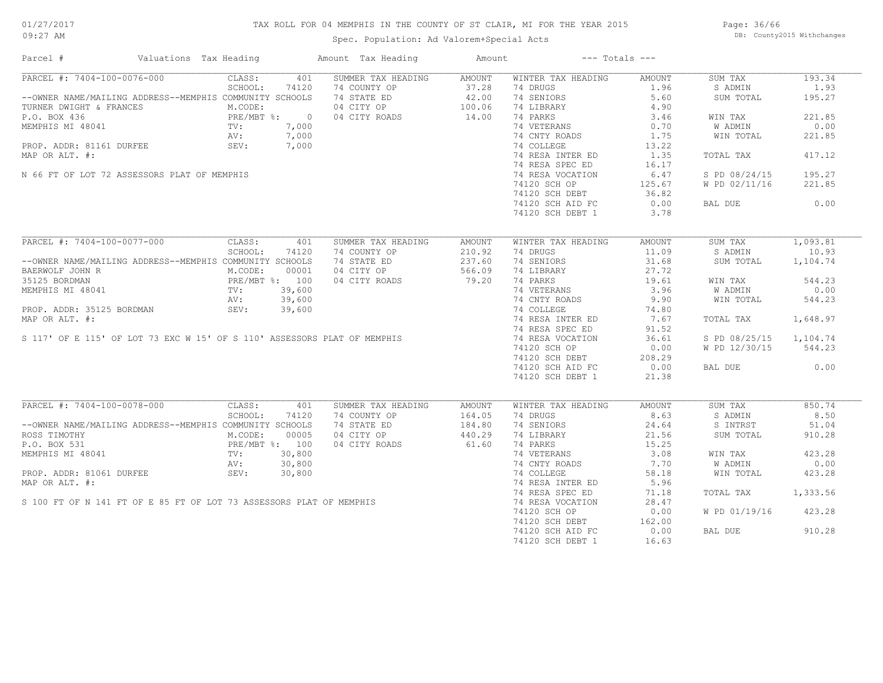## TAX ROLL FOR 04 MEMPHIS IN THE COUNTY OF ST CLAIR, MI FOR THE YEAR 2015

Spec. Population: Ad Valorem+Special Acts

Page: 36/66 DB: County2015 Withchanges

| Parcel #                                                                                                                                                                             | Valuations Tax Heading                               | Amount Tax Heading                     | Amount        | $---$ Totals $---$ |        |                        |          |
|--------------------------------------------------------------------------------------------------------------------------------------------------------------------------------------|------------------------------------------------------|----------------------------------------|---------------|--------------------|--------|------------------------|----------|
| PARCEL #: 7404-100-0076-000                                                                                                                                                          | CLASS:<br>401                                        | SUMMER TAX HEADING                     | AMOUNT        | WINTER TAX HEADING | AMOUNT | SUM TAX                | 193.34   |
|                                                                                                                                                                                      | SCHOOL:<br>74120                                     | 74 COUNTY OP                           | 37.28         | 74 DRUGS           | 1.96   | S ADMIN                | 1.93     |
| --OWNER NAME/MAILING ADDRESS--MEMPHIS COMMUNITY SCHOOLS                                                                                                                              |                                                      | 74 STATE ED                            | 42.00         | 74 SENIORS         | 5.60   | SUM TOTAL              | 195.27   |
| TURNER DWIGHT & FRANCES                                                                                                                                                              | M.CODE:                                              | 04 CITY OP                             | 100.06        | 74 LIBRARY         | 4.90   |                        |          |
| P.O. BOX 436<br>MEMPHIS MI 48041<br>P.O. BOX 436<br>MEMPHIS MI 48041<br>P.O. BOX 436<br>MEMPHIS MI 48041<br>P.O. BOX 436<br>PRE/MBT %: 7,000<br>AV: 7,000<br>RV: 7,000<br>SEV: 7,000 |                                                      | 04 CITY ROADS                          | 14.00         | 74 PARKS           | 3.46   | WIN TAX                | 221.85   |
|                                                                                                                                                                                      |                                                      |                                        |               | 74 VETERANS        | 0.70   | W ADMIN                | 0.00     |
|                                                                                                                                                                                      |                                                      |                                        |               | 74 CNTY ROADS      | 1.75   | WIN TOTAL              | 221.85   |
|                                                                                                                                                                                      |                                                      |                                        |               | 74 COLLEGE         | 13.22  |                        |          |
| MAP OR ALT. #:                                                                                                                                                                       |                                                      |                                        |               | 74 RESA INTER ED   | 1.35   | TOTAL TAX              | 417.12   |
|                                                                                                                                                                                      |                                                      |                                        |               | 74 RESA SPEC ED    | 16.17  |                        |          |
| N 66 FT OF LOT 72 ASSESSORS PLAT OF MEMPHIS                                                                                                                                          |                                                      | $\frac{1}{7}$ , 000<br>$\frac{1}{100}$ |               | 74 RESA VOCATION   | 6.47   | S PD 08/24/15          | 195.27   |
|                                                                                                                                                                                      |                                                      |                                        |               | 74120 SCH OP       | 125.67 | W PD 02/11/16          | 221.85   |
|                                                                                                                                                                                      |                                                      |                                        |               | 74120 SCH DEBT     | 36.82  |                        |          |
|                                                                                                                                                                                      |                                                      |                                        |               | 74120 SCH AID FC   | 0.00   | BAL DUE                | 0.00     |
|                                                                                                                                                                                      |                                                      |                                        |               | 74120 SCH DEBT 1   | 3.78   |                        |          |
|                                                                                                                                                                                      |                                                      |                                        |               |                    |        |                        |          |
| PARCEL #: 7404-100-0077-000                                                                                                                                                          | CLASS:<br>401                                        | SUMMER TAX HEADING                     | <b>AMOUNT</b> | WINTER TAX HEADING | AMOUNT | SUM TAX                | 1,093.81 |
|                                                                                                                                                                                      | SCHOOL:<br>74120                                     | 74 COUNTY OP                           | 210.92        | 74 DRUGS           | 11.09  | S ADMIN                | 10.93    |
| --OWNER NAME/MAILING ADDRESS--MEMPHIS COMMUNITY SCHOOLS                                                                                                                              |                                                      | 74 STATE ED                            | 237.60        | 74 SENIORS         | 31.68  | SUM TOTAL              | 1,104.74 |
| BAERWOLF JOHN R                                                                                                                                                                      | M.CODE:<br>00001                                     | 04 CITY OP                             | 566.09        | 74 LIBRARY         | 27.72  |                        |          |
| 35125 BORDMAN                                                                                                                                                                        | --- --<br>PRE/MBT %: 100<br>TV: 39,600<br>AV: 39,600 | 04 CITY ROADS                          | 79.20         | 74 PARKS           | 19.61  | WIN TAX                | 544.23   |
| MEMPHIS MI 48041                                                                                                                                                                     |                                                      |                                        |               | 74 VETERANS        | 3.96   | W ADMIN                | 0.00     |
|                                                                                                                                                                                      | 39,600<br>AV:                                        |                                        |               | 74 CNTY ROADS      | 9.90   | WIN TOTAL              | 544.23   |
| PROP. ADDR: 35125 BORDMAN                                                                                                                                                            | SEV:<br>39,600                                       |                                        |               | 74 COLLEGE         | 74.80  |                        |          |
|                                                                                                                                                                                      |                                                      |                                        |               |                    |        |                        |          |
| MAP OR ALT. #:                                                                                                                                                                       |                                                      |                                        |               | 74 RESA INTER ED   | 7.67   | TOTAL TAX              | 1,648.97 |
|                                                                                                                                                                                      |                                                      |                                        |               | 74 RESA SPEC ED    | 91.52  |                        |          |
| S 117' OF E 115' OF LOT 73 EXC W 15' OF S 110' ASSESSORS PLAT OF MEMPHIS                                                                                                             |                                                      |                                        |               | 74 RESA VOCATION   | 36.61  | S PD 08/25/15 1,104.74 |          |
|                                                                                                                                                                                      |                                                      |                                        |               | 74120 SCH OP       | 0.00   | W PD 12/30/15          | 544.23   |
|                                                                                                                                                                                      |                                                      |                                        |               | 74120 SCH DEBT     | 208.29 |                        |          |
|                                                                                                                                                                                      |                                                      |                                        |               | 74120 SCH AID FC   | 0.00   | BAL DUE                | 0.00     |
|                                                                                                                                                                                      |                                                      |                                        |               | 74120 SCH DEBT 1   | 21.38  |                        |          |
| PARCEL #: 7404-100-0078-000                                                                                                                                                          | CLASS:<br>401                                        | SUMMER TAX HEADING                     | <b>AMOUNT</b> | WINTER TAX HEADING | AMOUNT | SUM TAX                | 850.74   |
|                                                                                                                                                                                      | SCHOOL:                                              |                                        |               | 74 DRUGS           | 8.63   |                        | 8.50     |
|                                                                                                                                                                                      | 74120                                                | 74 COUNTY OP                           | 164.05        |                    |        | S ADMIN                |          |
| --OWNER NAME/MAILING ADDRESS--MEMPHIS COMMUNITY SCHOOLS                                                                                                                              |                                                      | 74 STATE ED                            | 184.80        | 74 SENIORS         | 24.64  | S INTRST               | 51.04    |
| ROSS TIMOTHY                                                                                                                                                                         | M.CODE:<br>00005                                     | 04 CITY OP                             | 440.29        | 74 LIBRARY         | 21.56  | SUM TOTAL              | 910.28   |
| P.O. BOX 531                                                                                                                                                                         | PRE/MBT $\frac{2}{30}$ 200                           | 04 CITY ROADS                          | 61.60         | 74 PARKS           | 15.25  |                        |          |
| MEMPHIS MI 48041                                                                                                                                                                     | 30,800<br>TV:                                        |                                        |               | 74 VETERANS        | 3.08   | WIN TAX                | 423.28   |
|                                                                                                                                                                                      |                                                      |                                        |               | 74 CNTY ROADS      | 7.70   | W ADMIN                | 0.00     |
|                                                                                                                                                                                      |                                                      |                                        |               | 74 COLLEGE         | 58.18  | WIN TOTAL              | 423.28   |
|                                                                                                                                                                                      |                                                      |                                        |               | 74 RESA INTER ED   | 5.96   |                        |          |
|                                                                                                                                                                                      |                                                      |                                        |               | 74 RESA SPEC ED    | 71.18  | TOTAL TAX              | 1,333.56 |
|                                                                                                                                                                                      |                                                      |                                        |               | 74 RESA VOCATION   | 28.47  |                        |          |
|                                                                                                                                                                                      |                                                      |                                        |               | 74120 SCH OP       | 0.00   | W PD 01/19/16          | 423.28   |
|                                                                                                                                                                                      |                                                      |                                        |               | 74120 SCH DEBT     | 162.00 |                        |          |
|                                                                                                                                                                                      |                                                      |                                        |               | 74120 SCH AID FC   | 0.00   | BAL DUE                | 910.28   |
| S 100 FT OF N 141 FT OF E 85 FT OF LOT 73 ASSESSORS PLAT OF MEMPHIS                                                                                                                  |                                                      |                                        |               | 74120 SCH DEBT 1   | 16.63  |                        |          |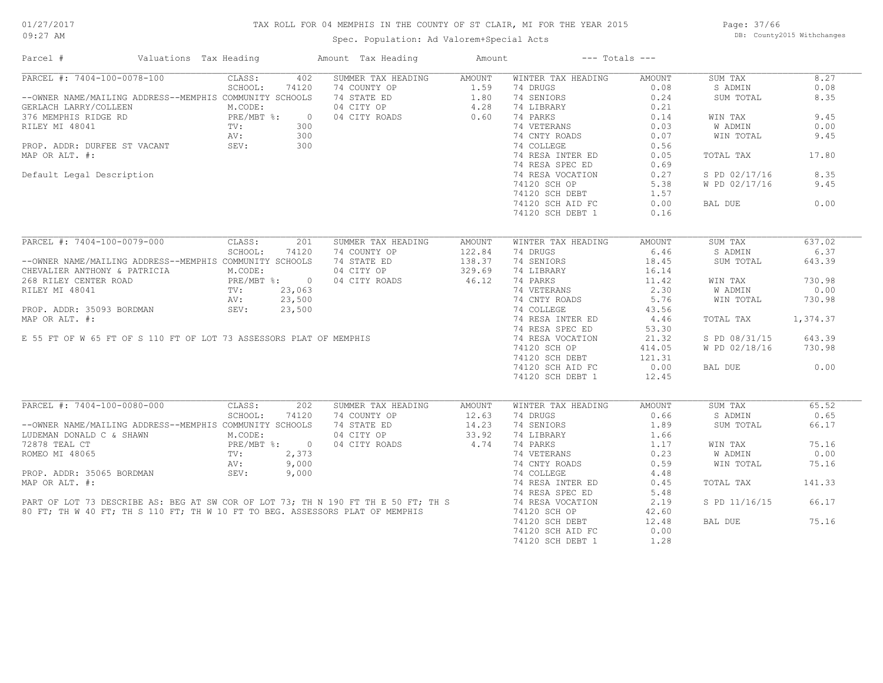## TAX ROLL FOR 04 MEMPHIS IN THE COUNTY OF ST CLAIR, MI FOR THE YEAR 2015

Spec. Population: Ad Valorem+Special Acts

Page: 37/66 DB: County2015 Withchanges

| Parcel #                                                                                                                                                                                                                                   | Valuations Tax Heading                                    | Amount Tax Heading                                                                                                                                       | Amount         | $---$ Totals $---$ |        |               |          |
|--------------------------------------------------------------------------------------------------------------------------------------------------------------------------------------------------------------------------------------------|-----------------------------------------------------------|----------------------------------------------------------------------------------------------------------------------------------------------------------|----------------|--------------------|--------|---------------|----------|
| PARCEL #: 7404-100-0078-100                                                                                                                                                                                                                | CLASS:<br>402                                             | SUMMER TAX HEADING                                                                                                                                       | AMOUNT         | WINTER TAX HEADING | AMOUNT | SUM TAX       | 8.27     |
|                                                                                                                                                                                                                                            | 74120<br>SCHOOL:                                          | 74 COUNTY OP<br>74 COUNTY OP<br>74 STATE ED<br>74 STATE ED<br>74 SENIORS<br>74 LIBRARY<br>74 LIBRARY<br>74 LIBRARY<br>74 LIBRARY<br>74 PARKS<br>74 PARKS | 1.59           | 74 DRUGS           | 0.08   | S ADMIN       | 0.08     |
| --OWNER NAME/MAILING ADDRESS--MEMPHIS COMMUNITY SCHOOLS                                                                                                                                                                                    |                                                           |                                                                                                                                                          |                |                    | 0.24   | SUM TOTAL     | 8.35     |
| GERLACH LARRY/COLLEEN                                                                                                                                                                                                                      | M.CODE:                                                   |                                                                                                                                                          |                |                    | 0.21   |               |          |
| 376 MEMPHIS RIDGE RD                                                                                                                                                                                                                       | PRE/MBT %:<br>TV:<br>$\overline{0}$                       |                                                                                                                                                          |                |                    | 0.14   | WIN TAX       | 9.45     |
| RILEY MI 48041                                                                                                                                                                                                                             | 300                                                       |                                                                                                                                                          |                | 74 VETERANS        | 0.03   | W ADMIN       | 0.00     |
|                                                                                                                                                                                                                                            | 300                                                       |                                                                                                                                                          |                | 74 CNTY ROADS      | 0.07   | WIN TOTAL     | 9.45     |
|                                                                                                                                                                                                                                            | 300                                                       |                                                                                                                                                          |                | 74 COLLEGE         | 0.56   |               |          |
| MAP OR ALT. #:                                                                                                                                                                                                                             |                                                           |                                                                                                                                                          |                | 74 RESA INTER ED   | 0.05   | TOTAL TAX     | 17.80    |
|                                                                                                                                                                                                                                            |                                                           |                                                                                                                                                          |                | 74 RESA SPEC ED    | 0.69   |               |          |
| Default Legal Description                                                                                                                                                                                                                  |                                                           |                                                                                                                                                          |                | 74 RESA VOCATION   | 0.27   | S PD 02/17/16 | 8.35     |
|                                                                                                                                                                                                                                            |                                                           |                                                                                                                                                          |                | 74120 SCH OP       | 5.38   | W PD 02/17/16 | 9.45     |
|                                                                                                                                                                                                                                            |                                                           |                                                                                                                                                          |                |                    |        |               |          |
|                                                                                                                                                                                                                                            |                                                           |                                                                                                                                                          |                | 74120 SCH DEBT     | 1.57   |               |          |
|                                                                                                                                                                                                                                            |                                                           |                                                                                                                                                          |                | 74120 SCH AID FC   | 0.00   | BAL DUE       | 0.00     |
|                                                                                                                                                                                                                                            |                                                           |                                                                                                                                                          |                | 74120 SCH DEBT 1   | 0.16   |               |          |
|                                                                                                                                                                                                                                            |                                                           |                                                                                                                                                          |                |                    |        |               |          |
| PARCEL #: 7404-100-0079-000                                                                                                                                                                                                                | 201<br>CLASS:                                             | SUMMER TAX HEADING                                                                                                                                       | AMOUNT         | WINTER TAX HEADING | AMOUNT | SUM TAX       | 637.02   |
|                                                                                                                                                                                                                                            | SCHOOL:<br>74120                                          | 74 COUNTY OP                                                                                                                                             | 122.84         | 74 DRUGS           | 6.46   | S ADMIN       | 6.37     |
| --OWNER NAME/MAILING ADDRESS--MEMPHIS COMMUNITY SCHOOLS                                                                                                                                                                                    |                                                           | 74 STATE ED                                                                                                                                              | 138.37         | 74 SENIORS         | 18.45  | SUM TOTAL     | 643.39   |
| CHEVALIER ANTHONY & PATRICIA                                                                                                                                                                                                               | RICIA M.CODE:<br>PRE/MBT %: 0<br>TV: 23,063<br>AV: 23,500 | 04 CITY OP                                                                                                                                               | 329.69         | 74 LIBRARY         | 16.14  |               |          |
| 268 RILEY CENTER ROAD                                                                                                                                                                                                                      |                                                           | 04 CITY ROADS                                                                                                                                            | 46.12          | 74 PARKS           | 11.42  | WIN TAX       | 730.98   |
| RILEY MI 48041<br>ROP. ADDR: 35093 BORDMAN<br>MAP OR ALT. #:<br>E 55 FT OF W 65 FT OF S 110 FT OF LOT 73 ASSESSORS PLAT OF MEMPHIS<br>PROP. ADDR: 35093 BORDMAN<br>E 55 FT OF W 65 FT OF S 110 FT OF LOT 73 ASSESSORS PLAT OF MEMPHIS<br>P |                                                           |                                                                                                                                                          |                |                    | 2.30   | W ADMIN       | 0.00     |
|                                                                                                                                                                                                                                            |                                                           |                                                                                                                                                          |                |                    | 5.76   | WIN TOTAL     | 730.98   |
|                                                                                                                                                                                                                                            |                                                           |                                                                                                                                                          |                |                    | 43.56  |               |          |
|                                                                                                                                                                                                                                            |                                                           |                                                                                                                                                          |                |                    | 4.46   | TOTAL TAX     | 1,374.37 |
|                                                                                                                                                                                                                                            |                                                           |                                                                                                                                                          |                |                    | 53.30  |               |          |
|                                                                                                                                                                                                                                            |                                                           |                                                                                                                                                          |                |                    |        |               |          |
|                                                                                                                                                                                                                                            |                                                           |                                                                                                                                                          |                |                    | 21.32  | S PD 08/31/15 | 643.39   |
|                                                                                                                                                                                                                                            |                                                           |                                                                                                                                                          |                |                    | 414.05 | W PD 02/18/16 | 730.98   |
|                                                                                                                                                                                                                                            |                                                           |                                                                                                                                                          |                | $74120$ SCH DEBT   | 121.31 |               |          |
|                                                                                                                                                                                                                                            |                                                           |                                                                                                                                                          |                | 74120 SCH AID FC   | 0.00   | BAL DUE       | 0.00     |
|                                                                                                                                                                                                                                            |                                                           |                                                                                                                                                          |                | 74120 SCH DEBT 1   | 12.45  |               |          |
|                                                                                                                                                                                                                                            |                                                           |                                                                                                                                                          |                |                    |        |               |          |
| PARCEL #: 7404-100-0080-000                                                                                                                                                                                                                | CLASS:<br>202                                             | SUMMER TAX HEADING                                                                                                                                       | AMOUNT         | WINTER TAX HEADING | AMOUNT | SUM TAX       | 65.52    |
|                                                                                                                                                                                                                                            | SCHOOL:<br>74120                                          | 74 COUNTY OP                                                                                                                                             | 12.63          | 74 DRUGS           | 0.66   | S ADMIN       | 0.65     |
| --OWNER NAME/MAILING ADDRESS--MEMPHIS COMMUNITY SCHOOLS                                                                                                                                                                                    |                                                           | 74 STATE ED                                                                                                                                              |                | 74 SENIORS         | 1.89   | SUM TOTAL     | 66.17    |
| LUDEMAN DONALD C & SHAWN M.CODE:                                                                                                                                                                                                           |                                                           | 04 CITY OP                                                                                                                                               | 14.23<br>33.92 | 74 LIBRARY         | 1.66   |               |          |
| 72878 TEAL CT                                                                                                                                                                                                                              | PRE/MBT %: 0                                              | 04 CITY ROADS                                                                                                                                            | 4.74           | 74 PARKS           | 1,17   | WIN TAX       | 75.16    |
| ROMEO MI 48065                                                                                                                                                                                                                             | TV:<br>2,373                                              |                                                                                                                                                          |                | 74 VETERANS        | 0.23   | W ADMIN       | 0.00     |
|                                                                                                                                                                                                                                            | 9,000<br>AV:                                              |                                                                                                                                                          |                | 74 CNTY ROADS      | 0.59   | WIN TOTAL     | 75.16    |
| PROP. ADDR: 35065 BORDMAN                                                                                                                                                                                                                  | SEV:<br>9,000                                             |                                                                                                                                                          |                | 74 COLLEGE         | 4.48   |               |          |
| MAP OR ALT. #:<br>MAP OR ALT. #:<br>PART OF LOT 73 DESCRIBE AS: BEG AT SW COR OF LOT 73; TH N 190 FT TH E 50 FT; TH S<br>80 FT; TH W 40 FT; TH S 110 FT; TH W 10 FT TO BEG. ASSESSORS PLAT OF MEMPHIS 74 RESA VOCATION<br>80 FT; TH W      |                                                           |                                                                                                                                                          |                |                    | 0.45   | TOTAL TAX     | 141.33   |
|                                                                                                                                                                                                                                            |                                                           |                                                                                                                                                          |                |                    | 5.48   |               |          |
|                                                                                                                                                                                                                                            |                                                           |                                                                                                                                                          |                |                    | 2.19   | S PD 11/16/15 | 66.17    |
|                                                                                                                                                                                                                                            |                                                           |                                                                                                                                                          |                |                    | 42.60  |               |          |
|                                                                                                                                                                                                                                            |                                                           |                                                                                                                                                          |                | 74120 SCH DEBT     | 12.48  | BAL DUE       | 75.16    |
|                                                                                                                                                                                                                                            |                                                           |                                                                                                                                                          |                |                    |        |               |          |
|                                                                                                                                                                                                                                            |                                                           |                                                                                                                                                          |                | 74120 SCH AID FC   | 0.00   |               |          |
|                                                                                                                                                                                                                                            |                                                           |                                                                                                                                                          |                | 74120 SCH DEBT 1   | 1.28   |               |          |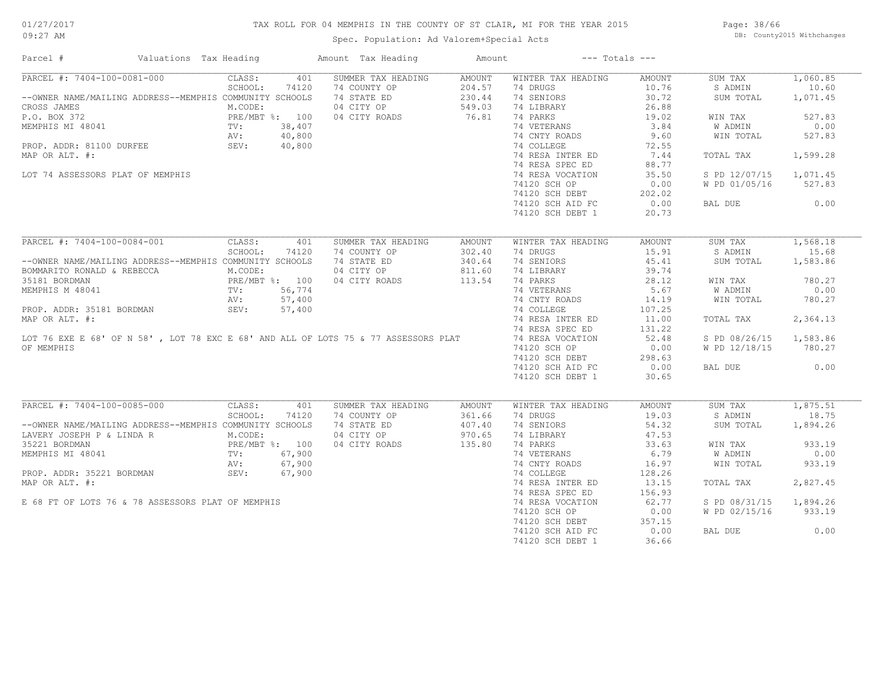## TAX ROLL FOR 04 MEMPHIS IN THE COUNTY OF ST CLAIR, MI FOR THE YEAR 2015

Spec. Population: Ad Valorem+Special Acts

Page: 38/66 DB: County2015 Withchanges

| Parcel #                                                                                                                                                                         | Valuations Tax Heading |                   |        | Amount Tax Heading | Amount          | $---$ Totals $---$             |        |                        |          |
|----------------------------------------------------------------------------------------------------------------------------------------------------------------------------------|------------------------|-------------------|--------|--------------------|-----------------|--------------------------------|--------|------------------------|----------|
| PARCEL #: 7404-100-0081-000                                                                                                                                                      | CLASS:                 |                   | 401    | SUMMER TAX HEADING | AMOUNT          | WINTER TAX HEADING             | AMOUNT | SUM TAX                | 1,060.85 |
|                                                                                                                                                                                  |                        | SCHOOL:           | 74120  | 74 COUNTY OP       | 204.57          | 74 DRUGS                       | 10.76  | S ADMIN                | 10.60    |
| --OWNER NAME/MAILING ADDRESS--MEMPHIS COMMUNITY SCHOOLS                                                                                                                          |                        |                   |        | 74 STATE ED        | 230.44          | 74 SENIORS                     | 30.72  | SUM TOTAL              | 1,071.45 |
| CROSS JAMES                                                                                                                                                                      |                        | M.CODE:           |        | 04 CITY OP         | 549.03          | 74 LIBRARY                     | 26.88  |                        |          |
| P.O. BOX 372<br>MEMPHIS MI 48041<br>PRE/MBT %: 100<br>PROP. ADDR: 81100 DURFEE<br>MAR OP ALT #: 40,800<br>PROP. ADDR: 81100 DURFEE<br>AV: 40,800<br>MAR OP ALT #:                |                        |                   |        | 04 CITY ROADS      | 549.03<br>76.81 | 74 PARKS                       | 19.02  | WIN TAX                | 527.83   |
|                                                                                                                                                                                  |                        |                   |        |                    |                 | 74 VETERANS                    | 3.84   | W ADMIN                | 0.00     |
|                                                                                                                                                                                  |                        |                   |        |                    |                 | 74 CNTY ROADS                  | 9.60   | WIN TOTAL              | 527.83   |
|                                                                                                                                                                                  |                        |                   |        |                    |                 |                                |        |                        |          |
|                                                                                                                                                                                  |                        |                   |        |                    |                 | 74 COLLEGE                     | 72.55  |                        |          |
| MAP OR ALT. #:                                                                                                                                                                   |                        |                   |        |                    |                 | 74 RESA INTER ED               | 7.44   | TOTAL TAX              | 1,599.28 |
|                                                                                                                                                                                  |                        |                   |        |                    |                 | 74 RESA SPEC ED                | 88.77  |                        |          |
| LOT 74 ASSESSORS PLAT OF MEMPHIS                                                                                                                                                 |                        |                   |        |                    |                 | 74 RESA VOCATION               | 35.50  | S PD 12/07/15 1,071.45 |          |
|                                                                                                                                                                                  |                        |                   |        |                    |                 | 74120 SCH OP                   | 0.00   | W PD 01/05/16          | 527.83   |
|                                                                                                                                                                                  |                        |                   |        |                    |                 | 74120 SCH DEBT                 | 202.02 |                        |          |
|                                                                                                                                                                                  |                        |                   |        |                    |                 | 74120 SCH AID FC               | 0.00   | BAL DUE                | 0.00     |
|                                                                                                                                                                                  |                        |                   |        |                    |                 | 74120 SCH DEBT 1               | 20.73  |                        |          |
|                                                                                                                                                                                  |                        |                   |        |                    |                 |                                |        |                        |          |
| PARCEL #: 7404-100-0084-001                                                                                                                                                      |                        | CLASS:            | 401    | SUMMER TAX HEADING | AMOUNT          | WINTER TAX HEADING             | AMOUNT | SUM TAX                | 1,568.18 |
|                                                                                                                                                                                  |                        | SCHOOL:           | 74120  | 74 COUNTY OP       | 302.40          | 74 DRUGS                       | 15.91  | S ADMIN                | 15.68    |
| --OWNER NAME/MAILING ADDRESS--MEMPHIS COMMUNITY SCHOOLS                                                                                                                          |                        |                   |        | 74 STATE ED        | 340.64          | 74 SENIORS                     | 45.41  | SUM TOTAL              | 1,583.86 |
|                                                                                                                                                                                  |                        |                   |        |                    |                 |                                | 39.74  |                        |          |
|                                                                                                                                                                                  |                        |                   |        | 04 CITY OP         | 811.60          | 74 LIBRARY                     |        |                        |          |
|                                                                                                                                                                                  |                        |                   |        | 04 CITY ROADS      | 113.54          | 74 PARKS                       | 28.12  | WIN TAX                | 780.27   |
|                                                                                                                                                                                  |                        |                   |        |                    |                 | 74 VETERANS<br>74 CNTY ROADS   | 5.67   | W ADMIN                | 0.00     |
|                                                                                                                                                                                  |                        |                   |        |                    |                 |                                | 14.19  | WIN TOTAL              | 780.27   |
| PROP. ADDR: 35181 BORDMAN                                                                                                                                                        | SEV:                   |                   | 57,400 |                    |                 | 74 COLLEGE                     | 107.25 |                        |          |
|                                                                                                                                                                                  |                        |                   |        |                    |                 | 74 RESA INTER ED               | 11.00  | TOTAL TAX              | 2,364.13 |
| PROP. ADDR: 33161 DORDERIN<br>MAP OR ALT. #:<br>19 RESA INTER ED<br>19 RESA SPEC ED<br>19 RESA VOCATION<br>19 RESA VOCATION<br>19 RESA VOCATION<br>19 RESA VOCATION              |                        |                   |        |                    |                 |                                | 131.22 |                        |          |
|                                                                                                                                                                                  |                        |                   |        |                    |                 |                                | 52.48  | S PD 08/26/15 1,583.86 |          |
| OF MEMPHIS                                                                                                                                                                       |                        |                   |        |                    |                 | 74120 SCH OP                   | 0.00   | W PD 12/18/15 780.27   |          |
|                                                                                                                                                                                  |                        |                   |        |                    |                 | 74120 SCH DEBT                 | 298.63 |                        |          |
|                                                                                                                                                                                  |                        |                   |        |                    |                 | 74120 SCH AID FC               | 0.00   | BAL DUE                | 0.00     |
|                                                                                                                                                                                  |                        |                   |        |                    |                 |                                |        |                        |          |
|                                                                                                                                                                                  |                        |                   |        |                    |                 | 74120 SCH DEBT 1               | 30.65  |                        |          |
| PARCEL #: 7404-100-0085-000                                                                                                                                                      |                        |                   |        | SUMMER TAX HEADING |                 |                                |        |                        | 1,875.51 |
|                                                                                                                                                                                  |                        | CLASS:<br>SCHOOL: | 401    | 74 COUNTY OP       | <b>AMOUNT</b>   | WINTER TAX HEADING<br>74 DRUGS | AMOUNT | SUM TAX                | 18.75    |
|                                                                                                                                                                                  |                        |                   | 74120  |                    | 361.66          |                                | 19.03  | S ADMIN                |          |
| --OWNER NAME/MAILING ADDRESS--MEMPHIS COMMUNITY SCHOOLS                                                                                                                          |                        |                   |        | 74 STATE ED        | 407.40          | 74 SENIORS                     | 54.32  | SUM TOTAL              | 1,894.26 |
| LAVERY JOSEPH P & LINDA R<br>M.CODE:<br>35221 BORDMAN<br>MEMPHIS MI 48041<br>PRE/MBT %: 100<br>NEMPHIS MI 48041<br>PRE/MBT %: 67,900<br>PROP. ADDR: 35221 BORDMAN<br>SEV: 67,900 |                        |                   |        | 04 CITY OP         | 970.65          | 74 LIBRARY                     | 47.53  |                        |          |
|                                                                                                                                                                                  |                        |                   |        | 04 CITY ROADS      | 135.80          | 74 PARKS                       | 33.63  | WIN TAX                | 933.19   |
|                                                                                                                                                                                  |                        |                   |        |                    |                 | 74 VETERANS                    | 6.79   | W ADMIN                | 0.00     |
|                                                                                                                                                                                  |                        |                   |        |                    |                 | 74 CNTY ROADS                  | 16.97  | WIN TOTAL              | 933.19   |
|                                                                                                                                                                                  |                        |                   |        |                    |                 | 74 COLLEGE                     | 128.26 |                        |          |
| MAP OR ALT. #:                                                                                                                                                                   |                        |                   |        |                    |                 | 74 RESA INTER ED               | 13.15  | TOTAL TAX              | 2,827.45 |
|                                                                                                                                                                                  |                        |                   |        |                    |                 | 74 RESA SPEC ED                | 156.93 |                        |          |
| E 68 FT OF LOTS 76 & 78 ASSESSORS PLAT OF MEMPHIS                                                                                                                                |                        |                   |        |                    |                 | 74 RESA VOCATION               | 62.77  | S PD 08/31/15 1,894.26 |          |
|                                                                                                                                                                                  |                        |                   |        |                    |                 | 74120 SCH OP                   | 0.00   | W PD 02/15/16          | 933.19   |
|                                                                                                                                                                                  |                        |                   |        |                    |                 |                                | 357.15 |                        |          |
|                                                                                                                                                                                  |                        |                   |        |                    |                 | 74120 SCH DEBT                 |        |                        |          |
|                                                                                                                                                                                  |                        |                   |        |                    |                 | 74120 SCH AID FC               | 0.00   | BAL DUE                | 0.00     |
|                                                                                                                                                                                  |                        |                   |        |                    |                 | 74120 SCH DEBT 1               | 36.66  |                        |          |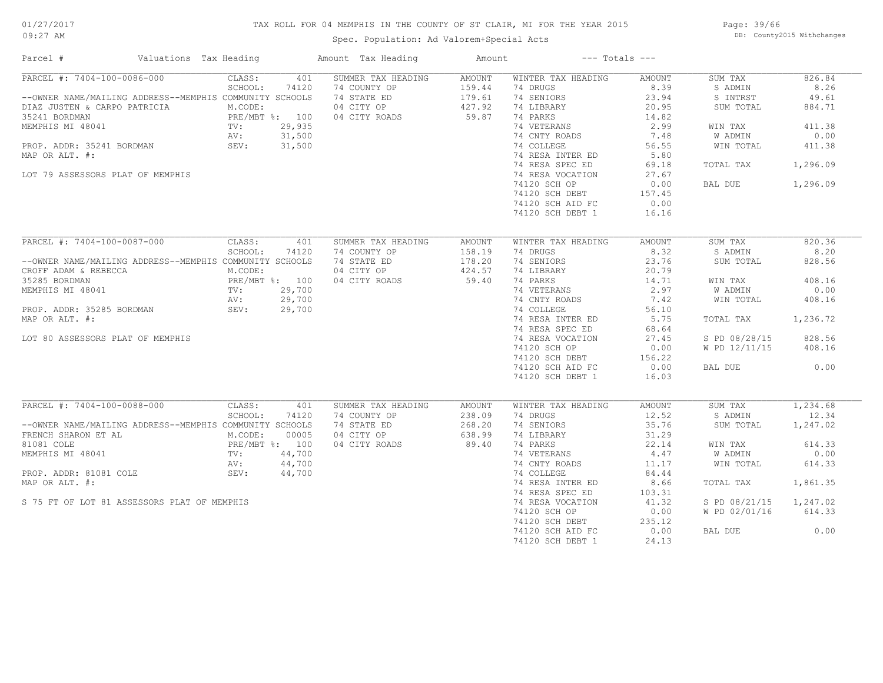## TAX ROLL FOR 04 MEMPHIS IN THE COUNTY OF ST CLAIR, MI FOR THE YEAR 2015

Spec. Population: Ad Valorem+Special Acts

Page: 39/66 DB: County2015 Withchanges

| Parcel #                                                | Valuations Tax Heading                     |                                            |        | Amount Tax Heading | Amount        |                    | $---$ Totals $---$ |               |          |
|---------------------------------------------------------|--------------------------------------------|--------------------------------------------|--------|--------------------|---------------|--------------------|--------------------|---------------|----------|
| PARCEL #: 7404-100-0086-000                             |                                            | CLASS:                                     | 401    | SUMMER TAX HEADING | AMOUNT        | WINTER TAX HEADING | AMOUNT             | SUM TAX       | 826.84   |
|                                                         |                                            | SCHOOL:                                    | 74120  | 74 COUNTY OP       | 159.44        | 74 DRUGS           | 8.39               | S ADMIN       | 8.26     |
| --OWNER NAME/MAILING ADDRESS--MEMPHIS COMMUNITY SCHOOLS |                                            |                                            |        | 74 STATE ED        | 179.61        | 74 SENIORS         | 23.94              | S INTRST      | 49.61    |
| DIAZ JUSTEN & CARPO PATRICIA                            |                                            | M.CODE:                                    |        | 04 CITY OP         | 427.92        | 74 LIBRARY         | 20.95              | SUM TOTAL     | 884.71   |
| 35241 BORDMAN                                           |                                            | PRE/MBT %: 100<br>TV: 29,935<br>AV: 31,500 |        | 04 CITY ROADS      | 59.87         | 74 PARKS           | 14.82              |               |          |
| MEMPHIS MI 48041                                        |                                            |                                            |        |                    |               | 74 VETERANS        | 2.99               | WIN TAX       | 411.38   |
|                                                         |                                            |                                            |        |                    |               | 74 CNTY ROADS      | 7.48               | W ADMIN       | 0.00     |
| PROP. ADDR: 35241 BORDMAN                               |                                            | SEV:                                       | 31,500 |                    |               | 74 COLLEGE         | 56.55              | WIN TOTAL     | 411.38   |
| MAP OR ALT. #:                                          |                                            |                                            |        |                    |               | 74 RESA INTER ED   | 5.80               |               |          |
|                                                         |                                            |                                            |        |                    |               | 74 RESA SPEC ED    |                    |               |          |
|                                                         |                                            |                                            |        |                    |               |                    | 69.18              | TOTAL TAX     | 1,296.09 |
| LOT 79 ASSESSORS PLAT OF MEMPHIS                        |                                            |                                            |        |                    |               | 74 RESA VOCATION   | 27.67              |               |          |
|                                                         |                                            |                                            |        |                    |               | 74120 SCH OP       | 0.00               | BAL DUE       | 1,296.09 |
|                                                         |                                            |                                            |        |                    |               | 74120 SCH DEBT     | 157.45             |               |          |
|                                                         |                                            |                                            |        |                    |               | 74120 SCH AID FC   | 0.00               |               |          |
|                                                         |                                            |                                            |        |                    |               | 74120 SCH DEBT 1   | 16.16              |               |          |
|                                                         |                                            |                                            |        |                    |               |                    |                    |               |          |
| PARCEL #: 7404-100-0087-000                             |                                            | CLASS:                                     | 401    | SUMMER TAX HEADING | <b>AMOUNT</b> | WINTER TAX HEADING | <b>AMOUNT</b>      | SUM TAX       | 820.36   |
|                                                         |                                            | SCHOOL:                                    | 74120  | 74 COUNTY OP       | 158.19        | 74 DRUGS           | 8.32               | S ADMIN       | 8.20     |
| --OWNER NAME/MAILING ADDRESS--MEMPHIS COMMUNITY SCHOOLS |                                            |                                            |        | 74 STATE ED        | 178.20        | 74 SENIORS         | 23.76              | SUM TOTAL     | 828.56   |
| CROFF ADAM & REBECCA                                    |                                            | M.CODE:                                    |        | 04 CITY OP         | 424.57        | 74 LIBRARY         | 20.79              |               |          |
|                                                         |                                            |                                            |        |                    |               |                    |                    |               |          |
| 35285 BORDMAN                                           |                                            |                                            |        | 04 CITY ROADS      | 59.40         | 74 PARKS           | 14.71              | WIN TAX       | 408.16   |
| MEMPHIS MI 48041                                        | PRE/MBT %: 100<br>TV: 29,700<br>AV: 29,700 |                                            |        |                    |               | 74 VETERANS        | 2.97               | W ADMIN       | 0.00     |
|                                                         |                                            |                                            |        |                    |               | 74 CNTY ROADS      | 7.42               | WIN TOTAL     | 408.16   |
| PROP. ADDR: 35285 BORDMAN                               |                                            | SEV: 29,700                                |        |                    |               | 74 COLLEGE         | 56.10              |               |          |
| MAP OR ALT. #:                                          |                                            |                                            |        |                    |               | 74 RESA INTER ED   | 5.75               | TOTAL TAX     | 1,236.72 |
|                                                         |                                            |                                            |        |                    |               | 74 RESA SPEC ED    | 68.64              |               |          |
| LOT 80 ASSESSORS PLAT OF MEMPHIS                        |                                            |                                            |        |                    |               | 74 RESA VOCATION   | 27.45              | S PD 08/28/15 | 828.56   |
|                                                         |                                            |                                            |        |                    |               | 74120 SCH OP       | 0.00               | W PD 12/11/15 | 408.16   |
|                                                         |                                            |                                            |        |                    |               | 74120 SCH DEBT     | 156.22             |               |          |
|                                                         |                                            |                                            |        |                    |               | 74120 SCH AID FC   | 0.00               | BAL DUE       | 0.00     |
|                                                         |                                            |                                            |        |                    |               |                    |                    |               |          |
|                                                         |                                            |                                            |        |                    |               | 74120 SCH DEBT 1   | 16.03              |               |          |
|                                                         |                                            |                                            |        |                    |               |                    |                    |               |          |
| PARCEL #: 7404-100-0088-000                             |                                            | CLASS:                                     | 401    | SUMMER TAX HEADING | <b>AMOUNT</b> | WINTER TAX HEADING | AMOUNT             | SUM TAX       | 1,234.68 |
|                                                         |                                            | SCHOOL:                                    | 74120  | 74 COUNTY OP       | 238.09        | 74 DRUGS           | 12.52              | S ADMIN       | 12.34    |
| --OWNER NAME/MAILING ADDRESS--MEMPHIS COMMUNITY SCHOOLS |                                            |                                            |        | 74 STATE ED        | 268.20        | 74 SENIORS         | 35.76              | SUM TOTAL     | 1,247.02 |
| FRENCH SHARON ET AL                                     |                                            | M.CODE:                                    | 00005  | 04 CITY OP         | 638.99        | 74 LIBRARY         | 31.29              |               |          |
| 81081 COLE                                              | PRE/MBT %: 100<br>TV: 44,700               |                                            |        | 04 CITY ROADS      | 89.40         | 74 PARKS           | 22.14              | WIN TAX       | 614.33   |
| MEMPHIS MI 48041                                        |                                            |                                            |        |                    |               | 74 VETERANS        | 4.47               | W ADMIN       | 0.00     |
|                                                         |                                            | AV:                                        | 44,700 |                    |               | 74 CNTY ROADS      | 11.17              | WIN TOTAL     | 614.33   |
| PROP. ADDR: 81081 COLE                                  |                                            | SEV:                                       | 44,700 |                    |               | 74 COLLEGE         | 84.44              |               |          |
| MAP OR ALT. #:                                          |                                            |                                            |        |                    |               | 74 RESA INTER ED   | 8.66               | TOTAL TAX     | 1,861.35 |
|                                                         |                                            |                                            |        |                    |               | 74 RESA SPEC ED    | 103.31             |               |          |
|                                                         |                                            |                                            |        |                    |               |                    |                    |               |          |
| S 75 FT OF LOT 81 ASSESSORS PLAT OF MEMPHIS             |                                            |                                            |        |                    |               | 74 RESA VOCATION   | 41.32              | S PD 08/21/15 | 1,247.02 |
|                                                         |                                            |                                            |        |                    |               | 74120 SCH OP       | 0.00               | W PD 02/01/16 | 614.33   |
|                                                         |                                            |                                            |        |                    |               | 74120 SCH DEBT     | 235.12             |               |          |
|                                                         |                                            |                                            |        |                    |               | 74120 SCH AID FC   | 0.00               | BAL DUE       | 0.00     |
|                                                         |                                            |                                            |        |                    |               | 74120 SCH DEBT 1   | 24.13              |               |          |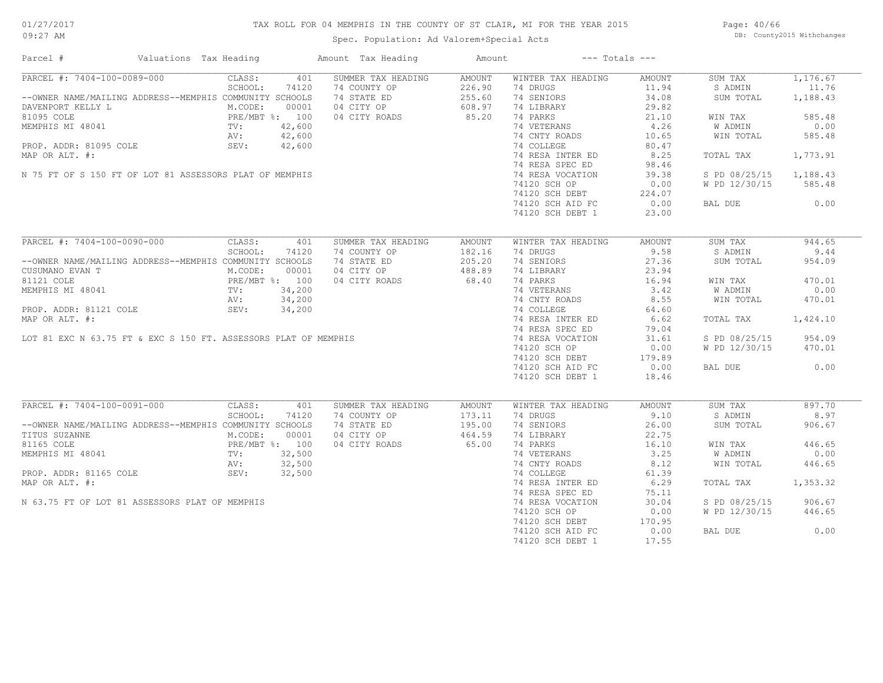## TAX ROLL FOR 04 MEMPHIS IN THE COUNTY OF ST CLAIR, MI FOR THE YEAR 2015

Spec. Population: Ad Valorem+Special Acts

Page: 40/66 DB: County2015 Withchanges

| Parcel #                                                                                                                                                                                        | Valuations Tax Heading                             |         |       | Amount Tax Heading | Amount        |                    | $---$ Totals $---$ |               |          |
|-------------------------------------------------------------------------------------------------------------------------------------------------------------------------------------------------|----------------------------------------------------|---------|-------|--------------------|---------------|--------------------|--------------------|---------------|----------|
| PARCEL #: 7404-100-0089-000                                                                                                                                                                     |                                                    | CLASS:  | 401   | SUMMER TAX HEADING | AMOUNT        | WINTER TAX HEADING | AMOUNT             | SUM TAX       | 1,176.67 |
|                                                                                                                                                                                                 |                                                    | SCHOOL: | 74120 | 74 COUNTY OP       | 226.90        | 74 DRUGS           | 11.94              | S ADMIN       | 11.76    |
| --OWNER NAME/MAILING ADDRESS--MEMPHIS COMMUNITY SCHOOLS                                                                                                                                         |                                                    |         |       | 74 STATE ED        | 255.60        | 74 SENIORS         | 34.08              | SUM TOTAL     | 1,188.43 |
| DAVENPORT KELLY L                                                                                                                                                                               |                                                    | M.CODE: | 00001 | 04 CITY OP         | 608.97        | 74 LIBRARY         | 29.82              |               |          |
| 81095 COLE                                                                                                                                                                                      | PRE/MBT %: 100<br>TV: 42,600<br>5 COLE 3EV: 42,600 |         |       | 04 CITY ROADS      | 85.20         | 74 PARKS           | 21.10              | WIN TAX       | 585.48   |
| MEMPHIS MI 48041                                                                                                                                                                                |                                                    |         |       |                    |               | 74 VETERANS        | 4.26               | W ADMIN       | 0.00     |
|                                                                                                                                                                                                 |                                                    |         |       |                    |               | 74 CNTY ROADS      | 10.65              | WIN TOTAL     | 585.48   |
| PROP. ADDR: 81095 COLE                                                                                                                                                                          |                                                    |         |       |                    |               | 74 COLLEGE         | 80.47              |               |          |
| MAP OR ALT. #:                                                                                                                                                                                  |                                                    |         |       |                    |               | 74 RESA INTER ED   | 8.25               | TOTAL TAX     | 1,773.91 |
|                                                                                                                                                                                                 |                                                    |         |       |                    |               | 74 RESA SPEC ED    | 98.46              |               |          |
| N 75 FT OF S 150 FT OF LOT 81 ASSESSORS PLAT OF MEMPHIS                                                                                                                                         |                                                    |         |       |                    |               | 74 RESA VOCATION   | 39.38              | S PD 08/25/15 | 1,188.43 |
|                                                                                                                                                                                                 |                                                    |         |       |                    |               | 74120 SCH OP       | 0.00               | W PD 12/30/15 | 585.48   |
|                                                                                                                                                                                                 |                                                    |         |       |                    |               | 74120 SCH DEBT     | 224.07             |               |          |
|                                                                                                                                                                                                 |                                                    |         |       |                    |               | 74120 SCH AID FC   | 224.07             |               | 0.00     |
|                                                                                                                                                                                                 |                                                    |         |       |                    |               |                    |                    | BAL DUE       |          |
|                                                                                                                                                                                                 |                                                    |         |       |                    |               | 74120 SCH DEBT 1   | 23.00              |               |          |
| PARCEL #: 7404-100-0090-000                                                                                                                                                                     |                                                    | CLASS:  | 401   | SUMMER TAX HEADING | <b>AMOUNT</b> | WINTER TAX HEADING | AMOUNT             | SUM TAX       | 944.65   |
|                                                                                                                                                                                                 |                                                    | SCHOOL: | 74120 | 74 COUNTY OP       | 182.16        | 74 DRUGS           | 9.58               | S ADMIN       | 9.44     |
| --OWNER NAME/MAILING ADDRESS--MEMPHIS COMMUNITY SCHOOLS                                                                                                                                         |                                                    |         |       | 74 STATE ED        | 205.20        | 74 SENIORS         | 27.36              | SUM TOTAL     | 954.09   |
| CUSUMANO EVAN T                                                                                                                                                                                 |                                                    | M.CODE: | 00001 | 04 CITY OP         | 488.89        | 74 LIBRARY         | 23.94              |               |          |
| 81121 COLE                                                                                                                                                                                      | PRE/MBT %: 100<br>TV: 34,200<br>AV: 34,200         |         |       | 04 CITY ROADS      | 68.40         | 74 PARKS           | 16.94              | WIN TAX       | 470.01   |
|                                                                                                                                                                                                 |                                                    |         |       |                    |               | 74 VETERANS        | 3.42               | W ADMIN       | 0.00     |
|                                                                                                                                                                                                 |                                                    |         |       |                    |               | 74 CNTY ROADS      | 8.55               | WIN TOTAL     | 470.01   |
|                                                                                                                                                                                                 |                                                    |         |       |                    |               |                    |                    |               |          |
|                                                                                                                                                                                                 |                                                    |         |       |                    |               | 74 COLLEGE         | 64.60              |               |          |
|                                                                                                                                                                                                 |                                                    |         |       |                    |               | 74 RESA INTER ED   | 6.62               | TOTAL TAX     | 1,424.10 |
|                                                                                                                                                                                                 |                                                    |         |       |                    |               | 74 RESA SPEC ED    | 79.04              |               |          |
| 81121 COLE<br>MEMPHIS MI 48041 TV: 34,200<br>PROP. ADDR: 81121 COLE AV: 34,200<br>AV: 34,200<br>AV: 34,200<br>MAP OR ALT. #:<br>LOT 81 EXC N 63.75 FT & EXC S 150 FT. ASSESSORS PLAT OF MEMPHIS |                                                    |         |       |                    |               | 74 RESA VOCATION   | 31.61              | S PD 08/25/15 | 954.09   |
|                                                                                                                                                                                                 |                                                    |         |       |                    |               | 74120 SCH OP       | 0.00               | W PD 12/30/15 | 470.01   |
|                                                                                                                                                                                                 |                                                    |         |       |                    |               | 74120 SCH DEBT     | 179.89             |               |          |
|                                                                                                                                                                                                 |                                                    |         |       |                    |               | 74120 SCH AID FC   | 0.00               | BAL DUE       | 0.00     |
|                                                                                                                                                                                                 |                                                    |         |       |                    |               | 74120 SCH DEBT 1   | 18.46              |               |          |
| PARCEL #: 7404-100-0091-000                                                                                                                                                                     |                                                    | CLASS:  |       |                    |               |                    |                    |               | 897.70   |
|                                                                                                                                                                                                 |                                                    |         | 401   | SUMMER TAX HEADING | AMOUNT        | WINTER TAX HEADING | AMOUNT<br>9.10     | SUM TAX       |          |
|                                                                                                                                                                                                 |                                                    | SCHOOL: | 74120 | 74 COUNTY OP       | 173.11        | 74 DRUGS           |                    | S ADMIN       | 8.97     |
| --OWNER NAME/MAILING ADDRESS--MEMPHIS COMMUNITY SCHOOLS                                                                                                                                         |                                                    |         |       | 74 STATE ED        | 195.00        | 74 SENIORS         | 26.00              | SUM TOTAL     | 906.67   |
| TITUS SUZANNE                                                                                                                                                                                   |                                                    | M.CODE: | 00001 | 04 CITY OP         | 464.59        | 74 LIBRARY         | 22.75              |               |          |
|                                                                                                                                                                                                 |                                                    |         |       | 04 CITY ROADS      | 65.00         | 74 PARKS           | 16.10              | WIN TAX       | 446.65   |
|                                                                                                                                                                                                 |                                                    |         |       |                    |               | 74 VETERANS        | 3.25               | W ADMIN       | 0.00     |
|                                                                                                                                                                                                 |                                                    |         |       |                    |               | 74 CNTY ROADS      | 8.12               | WIN TOTAL     | 446.65   |
| 81165 COLE<br>MEMPHIS MI 48041 PRE/MBT %: 100<br>PROP. ADDR: 81165 COLE<br>PROP. ADDR: 81165 COLE<br>SEV: 32,500                                                                                |                                                    |         |       |                    |               | 74 COLLEGE         | 61.39              |               |          |
| MAP OR ALT. #:                                                                                                                                                                                  |                                                    |         |       |                    |               | 74 RESA INTER ED   | 6.29               | TOTAL TAX     | 1,353.32 |
|                                                                                                                                                                                                 |                                                    |         |       |                    |               | 74 RESA SPEC ED    | 75.11              |               |          |
| N 63.75 FT OF LOT 81 ASSESSORS PLAT OF MEMPHIS                                                                                                                                                  |                                                    |         |       |                    |               | 74 RESA VOCATION   | 30.04              | S PD 08/25/15 | 906.67   |
|                                                                                                                                                                                                 |                                                    |         |       |                    |               | 74120 SCH OP       | 0.00               | W PD 12/30/15 | 446.65   |
|                                                                                                                                                                                                 |                                                    |         |       |                    |               | 74120 SCH DEBT     | 170.95             |               |          |
|                                                                                                                                                                                                 |                                                    |         |       |                    |               | 74120 SCH AID FC   | 0.00               | BAL DUE       | 0.00     |
|                                                                                                                                                                                                 |                                                    |         |       |                    |               | 74120 SCH DEBT 1   | 17.55              |               |          |
|                                                                                                                                                                                                 |                                                    |         |       |                    |               |                    |                    |               |          |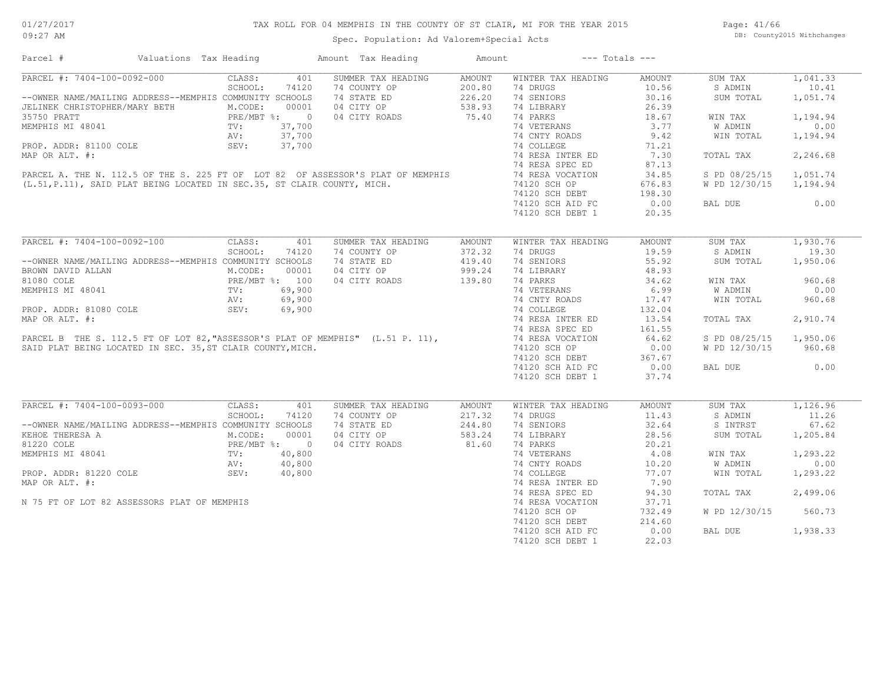## TAX ROLL FOR 04 MEMPHIS IN THE COUNTY OF ST CLAIR, MI FOR THE YEAR 2015

Spec. Population: Ad Valorem+Special Acts

Page: 41/66 DB: County2015 Withchanges

| Parcel #                                                   | Valuations Tax Heading |                              |        | Amount Tax Heading                                                                                                                                      | Amount        |                    | $---$ Totals $---$ |                |          |
|------------------------------------------------------------|------------------------|------------------------------|--------|---------------------------------------------------------------------------------------------------------------------------------------------------------|---------------|--------------------|--------------------|----------------|----------|
| PARCEL #: 7404-100-0092-000                                |                        | CLASS:                       | 401    | SUMMER TAX HEADING                                                                                                                                      | <b>AMOUNT</b> | WINTER TAX HEADING | AMOUNT             | SUM TAX        | 1,041.33 |
|                                                            |                        | SCHOOL:                      | 74120  | 74 COUNTY OP                                                                                                                                            | 200.80        | 74 DRUGS           | 10.56              | S ADMIN        | 10.41    |
| --OWNER NAME/MAILING ADDRESS--MEMPHIS COMMUNITY SCHOOLS    |                        |                              |        | 74 STATE ED                                                                                                                                             | 226.20        | 74 SENIORS         | 30.16              | SUM TOTAL      | 1,051.74 |
| JELINEK CHRISTOPHER/MARY BETH                              |                        | M.CODE:                      | 00001  | 04 CITY OP                                                                                                                                              | 538.93        | 74 LIBRARY         | 26.39              |                |          |
| 35750 PRATT                                                |                        | PRE/MBT %: 0                 |        | 04 CITY ROADS                                                                                                                                           | 75.40         | 74 PARKS           | 18.67              | WIN TAX        | 1,194.94 |
| MEMPHIS MI 48041                                           |                        | TV:                          | 37,700 |                                                                                                                                                         |               | 74 VETERANS        | 3.77               | <b>W ADMIN</b> | 0.00     |
|                                                            |                        | AV:                          | 37,700 |                                                                                                                                                         |               | 74 CNTY ROADS      | 9.42               | WIN TOTAL      | 1,194.94 |
| PROP. ADDR: 81100 COLE                                     |                        | SEV:                         | 37,700 |                                                                                                                                                         |               | 74 COLLEGE         | 71.21              |                |          |
| MAP OR ALT. #:                                             |                        |                              |        |                                                                                                                                                         |               | 74 RESA INTER ED   | 7.30               | TOTAL TAX      | 2,246.68 |
|                                                            |                        |                              |        |                                                                                                                                                         |               | 74 RESA SPEC ED    | 87.13              |                |          |
|                                                            |                        |                              |        |                                                                                                                                                         |               | 74 RESA VOCATION   | 34.85              | S PD 08/25/15  | 1,051.74 |
|                                                            |                        |                              |        | PARCEL A. THE N. 112.5 OF THE S. 225 FT OF LOT 82 OF ASSESSOR'S PLAT OF MEMPHIS (L.51, P.11), SAID PLAT BEING LOCATED IN SEC.35, ST CLAIR COUNTY, MICH. |               | 74120 SCH OP       | 676.83             | W PD 12/30/15  | 1,194.94 |
|                                                            |                        |                              |        |                                                                                                                                                         |               | 74120 SCH DEBT     | 198.30             |                |          |
|                                                            |                        |                              |        |                                                                                                                                                         |               |                    |                    |                | 0.00     |
|                                                            |                        |                              |        |                                                                                                                                                         |               | 74120 SCH AID FC   | 0.00               | BAL DUE        |          |
|                                                            |                        |                              |        |                                                                                                                                                         |               | 74120 SCH DEBT 1   | 20.35              |                |          |
| PARCEL #: 7404-100-0092-100                                |                        |                              |        |                                                                                                                                                         |               |                    |                    |                |          |
|                                                            |                        | CLASS:                       | 401    | SUMMER TAX HEADING                                                                                                                                      | <b>AMOUNT</b> | WINTER TAX HEADING | <b>AMOUNT</b>      | SUM TAX        | 1,930.76 |
|                                                            |                        | SCHOOL:                      | 74120  | 74 COUNTY OP                                                                                                                                            | 372.32        | 74 DRUGS           | 19.59              | S ADMIN        | 19.30    |
| --OWNER NAME/MAILING ADDRESS--MEMPHIS COMMUNITY SCHOOLS    |                        |                              |        | 74 STATE ED                                                                                                                                             | 419.40        | 74 SENIORS         | 55.92              | SUM TOTAL      | 1,950.06 |
| BROWN DAVID ALLAN                                          |                        | M.CODE:                      | 00001  | 04 CITY OP                                                                                                                                              | 999.24        | 74 LIBRARY         | 48.93              |                |          |
| 81080 COLE                                                 |                        | PRE/MBT %: 100<br>TV: 69,900 |        | 04 CITY ROADS                                                                                                                                           | 139.80        | 74 PARKS           | 34.62              | WIN TAX        | 960.68   |
| MEMPHIS MI 48041                                           |                        |                              |        |                                                                                                                                                         |               | 74 VETERANS        | 6.99               | W ADMIN        | 0.00     |
|                                                            |                        | AV:                          | 69,900 |                                                                                                                                                         |               | 74 CNTY ROADS      | 17.47              | WIN TOTAL      | 960.68   |
| PROP. ADDR: 81080 COLE                                     |                        | SEV:                         | 69,900 |                                                                                                                                                         |               | 74 COLLEGE         | 132.04             |                |          |
| MAP OR ALT. #:                                             |                        |                              |        |                                                                                                                                                         |               | 74 RESA INTER ED   | 13.54              | TOTAL TAX      | 2,910.74 |
|                                                            |                        |                              |        |                                                                                                                                                         |               | 74 RESA SPEC ED    | 161.55             |                |          |
|                                                            |                        |                              |        | PARCEL B THE S. 112.5 FT OF LOT 82, "ASSESSOR'S PLAT OF MEMPHIS" (L.51 P. 11),                                                                          |               | 74 RESA VOCATION   | 64.62              | S PD 08/25/15  | 1,950.06 |
| SAID PLAT BEING LOCATED IN SEC. 35, ST CLAIR COUNTY, MICH. |                        |                              |        |                                                                                                                                                         |               | 74120 SCH OP       | 0.00               | W PD 12/30/15  | 960.68   |
|                                                            |                        |                              |        |                                                                                                                                                         |               | 74120 SCH DEBT     | 367.67             |                |          |
|                                                            |                        |                              |        |                                                                                                                                                         |               | 74120 SCH AID FC   | 0.00               | BAL DUE        | 0.00     |
|                                                            |                        |                              |        |                                                                                                                                                         |               | 74120 SCH DEBT 1   | 37.74              |                |          |
|                                                            |                        |                              |        |                                                                                                                                                         |               |                    |                    |                |          |
| PARCEL #: 7404-100-0093-000                                |                        | CLASS:                       | 401    | SUMMER TAX HEADING                                                                                                                                      | AMOUNT        | WINTER TAX HEADING | AMOUNT             | SUM TAX        | 1,126.96 |
|                                                            |                        | SCHOOL:                      | 74120  | 74 COUNTY OP                                                                                                                                            | 217.32        | 74 DRUGS           | 11.43              | S ADMIN        | 11.26    |
| --OWNER NAME/MAILING ADDRESS--MEMPHIS COMMUNITY SCHOOLS    |                        |                              |        | 74 STATE ED                                                                                                                                             | 244.80        | 74 SENIORS         | 32.64              | S INTRST       | 67.62    |
| KEHOE THERESA A                                            |                        | M.CODE:                      | 00001  | 04 CITY OP                                                                                                                                              | 583.24        | 74 LIBRARY         | 28.56              | SUM TOTAL      | 1,205.84 |
| 81220 COLE                                                 |                        | PRE/MBT %: 0                 |        | 04 CITY ROADS                                                                                                                                           | 81.60         | 74 PARKS           | 20.21              |                |          |
| MEMPHIS MI 48041                                           |                        | $\text{TV}$ :                | 40,800 |                                                                                                                                                         |               | 74 VETERANS        | 4.08               | WIN TAX        | 1,293.22 |
|                                                            |                        | AV:                          | 40,800 |                                                                                                                                                         |               | 74 CNTY ROADS      | 10.20              | W ADMIN        | 0.00     |
| PROP. ADDR: 81220 COLE                                     |                        |                              |        |                                                                                                                                                         |               |                    | 77.07              |                |          |
|                                                            |                        | SEV:                         | 40,800 |                                                                                                                                                         |               | 74 COLLEGE         |                    | WIN TOTAL      | 1,293.22 |
| MAP OR ALT. #:                                             |                        |                              |        |                                                                                                                                                         |               | 74 RESA INTER ED   | 7.90               |                |          |
|                                                            |                        |                              |        |                                                                                                                                                         |               | 74 RESA SPEC ED    | 94.30              | TOTAL TAX      | 2,499.06 |
| N 75 FT OF LOT 82 ASSESSORS PLAT OF MEMPHIS                |                        |                              |        |                                                                                                                                                         |               | 74 RESA VOCATION   | 37.71              |                |          |
|                                                            |                        |                              |        |                                                                                                                                                         |               | 74120 SCH OP       | 732.49             | W PD 12/30/15  | 560.73   |
|                                                            |                        |                              |        |                                                                                                                                                         |               | 74120 SCH DEBT     | 214.60             |                |          |
|                                                            |                        |                              |        |                                                                                                                                                         |               | 74120 SCH AID FC   | 0.00               | BAL DUE        | 1,938.33 |
|                                                            |                        |                              |        |                                                                                                                                                         |               | 74120 SCH DEBT 1   | 22.03              |                |          |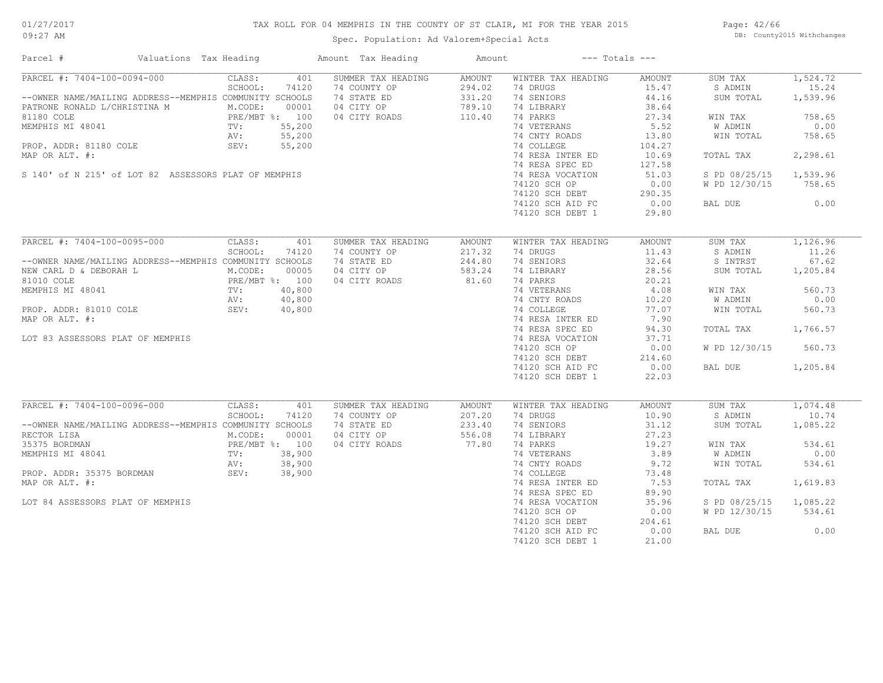## TAX ROLL FOR 04 MEMPHIS IN THE COUNTY OF ST CLAIR, MI FOR THE YEAR 2015

Spec. Population: Ad Valorem+Special Acts

Page: 42/66 DB: County2015 Withchanges

| Parcel #                         | Valuations Tax Heading                                                                                                                                                                 |       | Amount Tax Heading | Amount | $---$ Totals $---$           |        |                        |          |
|----------------------------------|----------------------------------------------------------------------------------------------------------------------------------------------------------------------------------------|-------|--------------------|--------|------------------------------|--------|------------------------|----------|
| PARCEL #: 7404-100-0094-000      | CLASS:                                                                                                                                                                                 | 401   | SUMMER TAX HEADING | AMOUNT | WINTER TAX HEADING           | AMOUNT | SUM TAX                | 1,524.72 |
|                                  | SCHOOL:                                                                                                                                                                                | 74120 | 74 COUNTY OP       | 294.02 | 74 DRUGS                     | 15.47  | S ADMIN                | 15.24    |
|                                  | --OWNER NAME/MAILING ADDRESS--MEMPHIS COMMUNITY SCHOOLS                                                                                                                                |       | 74 STATE ED        | 331.20 | 74 SENIORS                   | 44.16  | SUM TOTAL              | 1,539.96 |
|                                  | PATRONE RONALD L/CHRISTINA M<br>PATRONE RONALD L/CHRISTINA M<br>81180 COLE<br>PRE/MBT %: 100<br>MEMPHIS MI 48041<br>TV: 55,200<br>PROP. ADDR: 81180 COLE<br>SEV: 55,200<br>SEV: 55,200 |       | 04 CITY OP         | 789.10 | 74 LIBRARY                   | 38.64  |                        |          |
|                                  |                                                                                                                                                                                        |       | 04 CITY ROADS      | 110.40 | 74 PARKS                     | 27.34  | WIN TAX                | 758.65   |
|                                  |                                                                                                                                                                                        |       |                    |        | 74 VETERANS                  | 5.52   | W ADMIN                | 0.00     |
|                                  |                                                                                                                                                                                        |       |                    |        | 74 CNTY ROADS                | 13.80  | WIN TOTAL              | 758.65   |
|                                  |                                                                                                                                                                                        |       |                    |        | 74 COLLEGE                   | 104.27 |                        |          |
| MAP OR ALT. #:                   |                                                                                                                                                                                        |       |                    |        | 74 RESA INTER ED             | 10.69  | TOTAL TAX              | 2,298.61 |
|                                  |                                                                                                                                                                                        |       |                    |        | 74 RESA SPEC ED              |        |                        |          |
|                                  |                                                                                                                                                                                        |       |                    |        |                              | 127.58 |                        |          |
|                                  | S 140' of N 215' of LOT 82 ASSESSORS PLAT OF MEMPHIS                                                                                                                                   |       |                    |        | 74 RESA VOCATION             | 51.03  | S PD 08/25/15 1,539.96 |          |
|                                  |                                                                                                                                                                                        |       |                    |        | 74120 SCH OP                 | 0.00   | W PD 12/30/15          | 758.65   |
|                                  |                                                                                                                                                                                        |       |                    |        | 74120 SCH DEBT               | 290.35 |                        |          |
|                                  |                                                                                                                                                                                        |       |                    |        | 74120 SCH AID FC             | 0.00   | BAL DUE                | 0.00     |
|                                  |                                                                                                                                                                                        |       |                    |        | 74120 SCH DEBT 1             | 29.80  |                        |          |
|                                  |                                                                                                                                                                                        |       |                    |        |                              |        |                        |          |
| PARCEL #: 7404-100-0095-000      | CLASS:                                                                                                                                                                                 | 401   | SUMMER TAX HEADING | AMOUNT | WINTER TAX HEADING           | AMOUNT | SUM TAX                | 1,126.96 |
|                                  | SCHOOL:                                                                                                                                                                                | 74120 | 74 COUNTY OP       | 217.32 | 74 DRUGS                     | 11.43  | S ADMIN                | 11.26    |
|                                  | --OWNER NAME/MAILING ADDRESS--MEMPHIS COMMUNITY SCHOOLS                                                                                                                                |       | 74 STATE ED        | 244.80 | 74 SENIORS                   | 32.64  | S INTRST               | 67.62    |
|                                  | NEW CARL D & DEBORAH L<br>M.CODE: 00005<br>81010 COLE<br>MEMPHIS MI 48041<br>TV: 40,800<br>PROP. ADDR: 81010 COLE<br>MAP OR ALT #.<br>MAP OR ALT #.<br>AV: 40,800<br>MAP OR ALT #.     |       | 04 CITY OP         | 583.24 | 74 LIBRARY                   | 28.56  | SUM TOTAL              | 1,205.84 |
|                                  |                                                                                                                                                                                        |       | 04 CITY ROADS      | 81.60  | 74 PARKS                     | 20.21  |                        |          |
|                                  |                                                                                                                                                                                        |       |                    |        |                              | 4.08   | WIN TAX                | 560.73   |
|                                  |                                                                                                                                                                                        |       |                    |        | 74 VETERANS<br>74 CNTY ROADS | 10.20  | W ADMIN                | 0.00     |
|                                  |                                                                                                                                                                                        |       |                    |        | 74 COLLEGE                   |        |                        |          |
|                                  |                                                                                                                                                                                        |       |                    |        |                              | 77.07  | WIN TOTAL              | 560.73   |
| MAP OR ALT. #:                   |                                                                                                                                                                                        |       |                    |        | 74 RESA INTER ED             | 7.90   |                        |          |
|                                  |                                                                                                                                                                                        |       |                    |        | 74 RESA SPEC ED              | 94.30  | TOTAL TAX              | 1,766.57 |
| LOT 83 ASSESSORS PLAT OF MEMPHIS |                                                                                                                                                                                        |       |                    |        | 74 RESA VOCATION             | 37.71  |                        |          |
|                                  |                                                                                                                                                                                        |       |                    |        | 74120 SCH OP                 | 0.00   | W PD 12/30/15          | 560.73   |
|                                  |                                                                                                                                                                                        |       |                    |        | 74120 SCH DEBT               | 214.60 |                        |          |
|                                  |                                                                                                                                                                                        |       |                    |        | 74120 SCH AID FC             | 0.00   | BAL DUE                | 1,205.84 |
|                                  |                                                                                                                                                                                        |       |                    |        | 74120 SCH DEBT 1             | 22.03  |                        |          |
|                                  |                                                                                                                                                                                        |       |                    |        |                              |        |                        |          |
| PARCEL #: 7404-100-0096-000      | CLASS:                                                                                                                                                                                 | 401   | SUMMER TAX HEADING | AMOUNT | WINTER TAX HEADING           | AMOUNT | SUM TAX                | 1,074.48 |
|                                  | SCHOOL:                                                                                                                                                                                | 74120 | 74 COUNTY OP       | 207.20 | 74 DRUGS                     | 10.90  | S ADMIN                | 10.74    |
|                                  | --OWNER NAME/MAILING ADDRESS--MEMPHIS COMMUNITY SCHOOLS                                                                                                                                |       | 74 STATE ED        | 233.40 | 74 SENIORS                   | 31.12  | SUM TOTAL              | 1,085.22 |
| RECTOR LISA                      | M.CODE: 00001<br>I PRE/MBT %: 100<br>9041 TV: 38,900<br>TV: 38,900                                                                                                                     |       | 04 CITY OP         | 556.08 | 74 LIBRARY                   | 27.23  |                        |          |
| 35375 BORDMAN                    |                                                                                                                                                                                        |       | 04 CITY ROADS      | 77.80  | 74 PARKS                     | 19.27  | WIN TAX                | 534.61   |
| MEMPHIS MI 48041                 |                                                                                                                                                                                        |       |                    |        | 74 VETERANS                  | 3.89   | W ADMIN                | 0.00     |
|                                  |                                                                                                                                                                                        |       |                    |        | 74 CNTY ROADS                | 9.72   | WIN TOTAL              | 534.61   |
|                                  | RV: 38,900<br>PROP. ADDR: 35375 BORDMAN SEV: 38,900                                                                                                                                    |       |                    |        | 74 COLLEGE                   | 73.48  |                        |          |
| MAP OR ALT. #:                   |                                                                                                                                                                                        |       |                    |        | 74 RESA INTER ED             | 7.53   | TOTAL TAX              | 1,619.83 |
|                                  |                                                                                                                                                                                        |       |                    |        | 74 RESA SPEC ED              | 89.90  |                        |          |
|                                  |                                                                                                                                                                                        |       |                    |        |                              |        |                        |          |
| LOT 84 ASSESSORS PLAT OF MEMPHIS |                                                                                                                                                                                        |       |                    |        | 74 RESA VOCATION             | 35.96  | S PD 08/25/15          | 1,085.22 |
|                                  |                                                                                                                                                                                        |       |                    |        | 74120 SCH OP                 | 0.00   | W PD 12/30/15          | 534.61   |
|                                  |                                                                                                                                                                                        |       |                    |        | 74120 SCH DEBT               | 204.61 |                        |          |
|                                  |                                                                                                                                                                                        |       |                    |        | 74120 SCH AID FC             | 0.00   | BAL DUE                | 0.00     |
|                                  |                                                                                                                                                                                        |       |                    |        | 74120 SCH DEBT 1             | 21.00  |                        |          |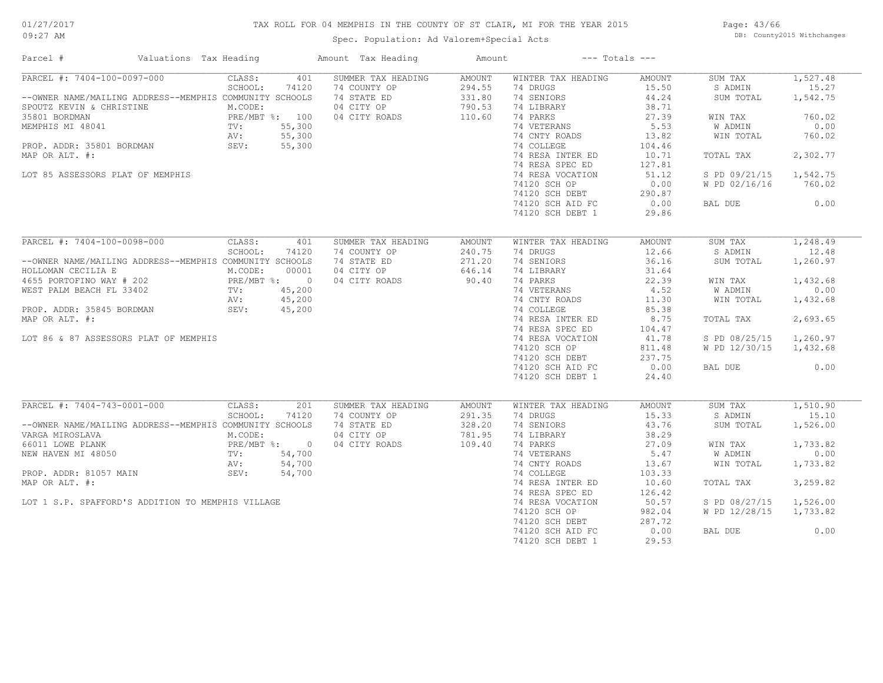## TAX ROLL FOR 04 MEMPHIS IN THE COUNTY OF ST CLAIR, MI FOR THE YEAR 2015

Spec. Population: Ad Valorem+Special Acts

Page: 43/66 DB: County2015 Withchanges

| Parcel #                                                                     | Valuations Tax Heading       | Amount Tax Heading | Amount |                    | $---$ Totals $---$ |               |          |
|------------------------------------------------------------------------------|------------------------------|--------------------|--------|--------------------|--------------------|---------------|----------|
| PARCEL #: 7404-100-0097-000                                                  | CLASS:<br>401                | SUMMER TAX HEADING | AMOUNT | WINTER TAX HEADING | AMOUNT             | SUM TAX       | 1,527.48 |
|                                                                              | SCHOOL:<br>74120             | 74 COUNTY OP       | 294.55 | 74 DRUGS           | 15.50              | S ADMIN       | 15.27    |
| --OWNER NAME/MAILING ADDRESS--MEMPHIS COMMUNITY SCHOOLS                      |                              | 74 STATE ED        | 331.80 | 74 SENIORS         | 44.24              | SUM TOTAL     | 1,542.75 |
| SPOUTZ KEVIN & CHRISTINE                                                     | M.CODE:                      | 04 CITY OP         | 790.53 | 74 LIBRARY         | 38.71              |               |          |
| 35801 BORDMAN                                                                | PRE/MBT %: 100               | 04 CITY ROADS      | 110.60 | 74 PARKS           | 27.39              | WIN TAX       | 760.02   |
| MEMPHIS MI 48041                                                             | PRE/<br>TV:<br>AV:<br>55,300 |                    |        | 74 VETERANS        | 5.53               | W ADMIN       | 0.00     |
|                                                                              | 55,300                       |                    |        | 74 CNTY ROADS      | 13.82              | WIN TOTAL     | 760.02   |
| PROP. ADDR: 35801 BORDMAN                                                    | SEV:<br>55,300               |                    |        | 74 COLLEGE         | 104.46             |               |          |
| MAP OR ALT. #:                                                               |                              |                    |        | 74 RESA INTER ED   | 10.71              | TOTAL TAX     | 2,302.77 |
|                                                                              |                              |                    |        | 74 RESA SPEC ED    | 127.81             |               |          |
| LOT 85 ASSESSORS PLAT OF MEMPHIS                                             |                              |                    |        |                    | 51.12              |               |          |
|                                                                              |                              |                    |        | 74 RESA VOCATION   |                    | S PD 09/21/15 | 1,542.75 |
|                                                                              |                              |                    |        | 74120 SCH OP       | 0.00               | W PD 02/16/16 | 760.02   |
|                                                                              |                              |                    |        | 74120 SCH DEBT     | 290.87             |               |          |
|                                                                              |                              |                    |        | 74120 SCH AID FC   | 0.00               | BAL DUE       | 0.00     |
|                                                                              |                              |                    |        | 74120 SCH DEBT 1   | 29.86              |               |          |
|                                                                              |                              |                    |        |                    |                    |               |          |
| PARCEL #: 7404-100-0098-000                                                  | CLASS:<br>401                | SUMMER TAX HEADING | AMOUNT | WINTER TAX HEADING | AMOUNT             | SUM TAX       | 1,248.49 |
|                                                                              | SCHOOL:<br>74120             | 74 COUNTY OP       | 240.75 | 74 DRUGS           | 12.66              | S ADMIN       | 12.48    |
| --OWNER NAME/MAILING ADDRESS--MEMPHIS COMMUNITY SCHOOLS                      |                              | 74 STATE ED        | 271.20 | 74 SENIORS         | 36.16              | SUM TOTAL     | 1,260.97 |
| HOLLOMAN CECILIA E                                                           | M.CODE:<br>00001             | 04 CITY OP         | 646.14 | 74 LIBRARY         | 31.64              |               |          |
|                                                                              |                              | 04 CITY ROADS      | 90.40  | 74 PARKS           | 22.39              | WIN TAX       | 1,432.68 |
| 4655 PORTOFINO WAY # 202 PRE/MBT %: 0<br>WEST PALM BEACH FL 33402 TV: 45,200 |                              |                    |        | 74 VETERANS        | 4.52               | W ADMIN       | 0.00     |
|                                                                              | 45,200<br>AV:                |                    |        | 74 CNTY ROADS      | 11.30              | WIN TOTAL     | 1,432.68 |
| PROP. ADDR: 35845 BORDMAN                                                    | SEV:<br>45,200               |                    |        | 74 COLLEGE         | 85.38              |               |          |
| MAP OR ALT. #:                                                               |                              |                    |        | 74 RESA INTER ED   | 8.75               | TOTAL TAX     | 2,693.65 |
|                                                                              |                              |                    |        |                    |                    |               |          |
|                                                                              |                              |                    |        | 74 RESA SPEC ED    | 104.47             |               |          |
| LOT 86 & 87 ASSESSORS PLAT OF MEMPHIS                                        |                              |                    |        | 74 RESA VOCATION   | 41.78              | S PD 08/25/15 | 1,260.97 |
|                                                                              |                              |                    |        | 74120 SCH OP       | 811.48             | W PD 12/30/15 | 1,432.68 |
|                                                                              |                              |                    |        | 74120 SCH DEBT     | 237.75             |               |          |
|                                                                              |                              |                    |        | 74120 SCH AID FC   | 0.00               | BAL DUE       | 0.00     |
|                                                                              |                              |                    |        | 74120 SCH DEBT 1   | 24.40              |               |          |
|                                                                              |                              |                    |        |                    |                    |               |          |
| PARCEL #: 7404-743-0001-000                                                  | CLASS:<br>201                | SUMMER TAX HEADING | AMOUNT | WINTER TAX HEADING | AMOUNT             | SUM TAX       | 1,510.90 |
|                                                                              | SCHOOL:<br>74120             | 74 COUNTY OP       | 291.35 | 74 DRUGS           | 15.33              | S ADMIN       | 15.10    |
| --OWNER NAME/MAILING ADDRESS--MEMPHIS COMMUNITY SCHOOLS                      |                              | 74 STATE ED        | 328.20 | 74 SENIORS         | 43.76              | SUM TOTAL     | 1,526.00 |
| VARGA MIROSLAVA                                                              | M.CODE:                      | 04 CITY OP         | 781.95 | 74 LIBRARY         | 38.29              |               |          |
| 66011 LOWE PLANK                                                             | PRE/MBT %:<br>$\overline{0}$ | 04 CITY ROADS      | 109.40 | 74 PARKS           | 27.09              | WIN TAX       | 1,733.82 |
| NEW HAVEN MI 48050                                                           | 54,700<br>TV:                |                    |        | 74 VETERANS        | 5.47               | W ADMIN       | 0.00     |
|                                                                              | 54,700<br>AV:                |                    |        | 74 CNTY ROADS      | 13.67              | WIN TOTAL     | 1,733.82 |
| PROP. ADDR: 81057 MAIN                                                       | SEV:<br>54,700               |                    |        | 74 COLLEGE         | 103.33             |               |          |
| MAP OR ALT. #:                                                               |                              |                    |        | 74 RESA INTER ED   | 10.60              | TOTAL TAX     | 3,259.82 |
|                                                                              |                              |                    |        | 74 RESA SPEC ED    | 126.42             |               |          |
|                                                                              |                              |                    |        |                    |                    |               |          |
| LOT 1 S.P. SPAFFORD'S ADDITION TO MEMPHIS VILLAGE                            |                              |                    |        | 74 RESA VOCATION   | 50.57              | S PD 08/27/15 | 1,526.00 |
|                                                                              |                              |                    |        | 74120 SCH OP       | 982.04             | W PD 12/28/15 | 1,733.82 |
|                                                                              |                              |                    |        | 74120 SCH DEBT     | 287.72             |               |          |
|                                                                              |                              |                    |        | 74120 SCH AID FC   | 0.00               | BAL DUE       | 0.00     |
|                                                                              |                              |                    |        | 74120 SCH DEBT 1   | 29.53              |               |          |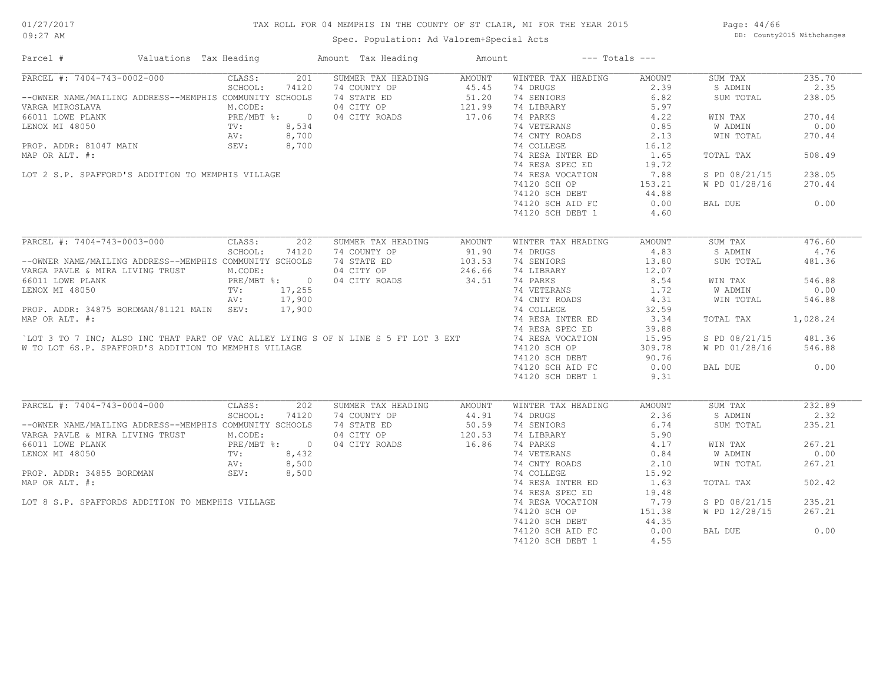## TAX ROLL FOR 04 MEMPHIS IN THE COUNTY OF ST CLAIR, MI FOR THE YEAR 2015

Spec. Population: Ad Valorem+Special Acts

Page: 44/66 DB: County2015 Withchanges

| Parcel #                                                                                                                             | Valuations Tax Heading | Amount Tax Heading       | Amount | $---$ Totals $---$ |               |               |          |
|--------------------------------------------------------------------------------------------------------------------------------------|------------------------|--------------------------|--------|--------------------|---------------|---------------|----------|
| PARCEL #: 7404-743-0002-000                                                                                                          | CLASS:<br>201          | SUMMER TAX HEADING       | AMOUNT | WINTER TAX HEADING | AMOUNT        | SUM TAX       | 235.70   |
|                                                                                                                                      | SCHOOL:<br>74120       | 74 COUNTY OP             | 45.45  | 74 DRUGS           | 2.39          | S ADMIN       | 2.35     |
| --OWNER NAME/MAILING ADDRESS--MEMPHIS COMMUNITY SCHOOLS                                                                              |                        | 74 STATE ED              | 51.20  | 74 SENIORS         | 6.82          | SUM TOTAL     | 238.05   |
| VARGA MIROSLAVA                                                                                                                      | M.CODE:                | 04 CITY OP               | 121.99 | 74 LIBRARY         | 5.97          |               |          |
| FRE/MBT %: 0<br>66011 LOWE PLANK PRE/MBT %: 0<br>LENOX MI 48050 TV: 8,534<br>PROP. ADDR: 81047 MAIN SEV: 8,700                       |                        | 04 CITY ROADS            | 17.06  | 74 PARKS           | 4.22          | WIN TAX       | 270.44   |
|                                                                                                                                      |                        |                          |        | 74 VETERANS        | 0.85          | W ADMIN       | 0.00     |
|                                                                                                                                      |                        |                          |        | 74 CNTY ROADS      | 2.13          | WIN TOTAL     | 270.44   |
|                                                                                                                                      |                        |                          |        | 74 COLLEGE         | 16.12         |               |          |
| MAP OR ALT. #:                                                                                                                       |                        |                          |        | 74 RESA INTER ED   | 1.65          | TOTAL TAX     | 508.49   |
|                                                                                                                                      |                        |                          |        | 74 RESA SPEC ED    | 19.72         |               |          |
| LOT 2 S.P. SPAFFORD'S ADDITION TO MEMPHIS VILLAGE                                                                                    |                        |                          |        |                    |               |               | 238.05   |
|                                                                                                                                      |                        |                          |        | 74 RESA VOCATION   | 7.88          | S PD 08/21/15 |          |
|                                                                                                                                      |                        |                          |        | 74120 SCH OP       | 153.21        | W PD 01/28/16 | 270.44   |
|                                                                                                                                      |                        |                          |        | 74120 SCH DEBT     | 44.88         |               |          |
|                                                                                                                                      |                        |                          |        | 74120 SCH AID FC   | 0.00          | BAL DUE       | 0.00     |
|                                                                                                                                      |                        | $534$ , $700$<br>, $700$ |        | 74120 SCH DEBT 1   | 4.60          |               |          |
|                                                                                                                                      |                        |                          |        |                    |               |               |          |
| PARCEL #: 7404-743-0003-000                                                                                                          | CLASS:<br>202          | SUMMER TAX HEADING       | AMOUNT | WINTER TAX HEADING | <b>AMOUNT</b> | SUM TAX       | 476.60   |
|                                                                                                                                      | SCHOOL:<br>74120       | 74 COUNTY OP             | 91.90  | 74 DRUGS           | 4.83          | S ADMIN       | 4.76     |
| --OWNER NAME/MAILING ADDRESS--MEMPHIS COMMUNITY SCHOOLS                                                                              |                        | 74 STATE ED              | 103.53 | 74 SENIORS         | 13.80         | SUM TOTAL     | 481.36   |
| VARGA PAVLE & MIRA LIVING TRUST                                                                                                      | M.CODE:                | 04 CITY OP               | 246.66 | 74 LIBRARY         | 12.07         |               |          |
| 66011 LOWE PLANK                                                                                                                     | PRE/MBT %: 0           | 04 CITY ROADS            | 34.51  | 74 PARKS           | 8.54          | WIN TAX       | 546.88   |
| LENOX MI 48050                                                                                                                       | TV: 17,255             |                          |        | 74 VETERANS        | 1.72          | W ADMIN       | 0.00     |
|                                                                                                                                      | 17,900<br>AV:          |                          |        | 74 CNTY ROADS      | 4.31          | WIN TOTAL     | 546.88   |
| PROP. ADDR: 34875 BORDMAN/81121 MAIN SEV:                                                                                            | 17,900                 |                          |        | 74 COLLEGE         | 32.59         |               |          |
| MAP OR ALT. #:                                                                                                                       |                        |                          |        | 74 RESA INTER ED   | 3.34          | TOTAL TAX     | 1,028.24 |
|                                                                                                                                      |                        |                          |        | 74 RESA SPEC ED    | 39.88         |               |          |
|                                                                                                                                      |                        |                          |        |                    |               |               |          |
| LOT 3 TO 7 INC; ALSO INC THAT PART OF VAC ALLEY LYING S OF N LINE S 5 FT LOT 3 EXT                                                   |                        |                          |        | 74 RESA VOCATION   | 15.95         | S PD 08/21/15 | 481.36   |
| W TO LOT 6S.P. SPAFFORD'S ADDITION TO MEMPHIS VILLAGE                                                                                |                        |                          |        | 74120 SCH OP       | 309.78        | W PD 01/28/16 | 546.88   |
|                                                                                                                                      |                        |                          |        | 74120 SCH DEBT     | 90.76         |               |          |
|                                                                                                                                      |                        |                          |        | 74120 SCH AID FC   | 0.00          | BAL DUE       | 0.00     |
|                                                                                                                                      |                        |                          |        | 74120 SCH DEBT 1   | 9.31          |               |          |
|                                                                                                                                      |                        |                          |        |                    |               |               |          |
| PARCEL #: 7404-743-0004-000                                                                                                          | CLASS:<br>202          | SUMMER TAX HEADING       | AMOUNT | WINTER TAX HEADING | AMOUNT        | SUM TAX       | 232.89   |
|                                                                                                                                      | SCHOOL:<br>74120       | 74 COUNTY OP             | 44.91  | 74 DRUGS           | 2.36          | S ADMIN       | 2.32     |
| --OWNER NAME/MAILING ADDRESS--MEMPHIS COMMUNITY SCHOOLS                                                                              |                        | 74 STATE ED 50.59        |        | 74 SENIORS         | 6.74          | SUM TOTAL     | 235.21   |
| VARGA PAVLE & MIRA LIVING TRUST                                                                                                      | M.CODE:                | 04 CITY OP               | 120.53 | 74 LIBRARY         | 5.90          |               |          |
|                                                                                                                                      |                        | 04 CITY ROADS            | 16.86  | 74 PARKS           | 4.17          | WIN TAX       | 267.21   |
|                                                                                                                                      |                        |                          |        | 74 VETERANS        | 0.84          | W ADMIN       | 0.00     |
|                                                                                                                                      |                        |                          |        | 74 CNTY ROADS      | 2.10          | WIN TOTAL     | 267.21   |
| 66011 LOWE PLANK<br>LENOX MI 48050<br>LENOX MI 48050<br>PROP. ADDR: 34855 BORDMAN<br>PROP. ADDR: 34855 BORDMAN<br>SEV: 8,500<br>8500 |                        |                          |        | 74 COLLEGE         | 15.92         |               |          |
| EROP. ADDR: 34855 BORDMAN<br>MAP OR ALT. #:<br>LOT 8 S.P. SPAFFORDS ADDITION TO MEMPHIS VILLAGE                                      |                        |                          |        | 74 RESA INTER ED   | 1.63          | TOTAL TAX     | 502.42   |
|                                                                                                                                      |                        |                          |        | 74 RESA SPEC ED    | 19.48         |               |          |
|                                                                                                                                      |                        |                          |        | 74 RESA VOCATION   | 7.79          | S PD 08/21/15 | 235.21   |
|                                                                                                                                      |                        |                          |        | 74120 SCH OP       | 151.38        | W PD 12/28/15 | 267.21   |
|                                                                                                                                      |                        |                          |        | 74120 SCH DEBT     | 44.35         |               |          |
|                                                                                                                                      |                        |                          |        | 74120 SCH AID FC   | 0.00          | BAL DUE       | 0.00     |
|                                                                                                                                      |                        |                          |        |                    | 4.55          |               |          |
|                                                                                                                                      |                        |                          |        | 74120 SCH DEBT 1   |               |               |          |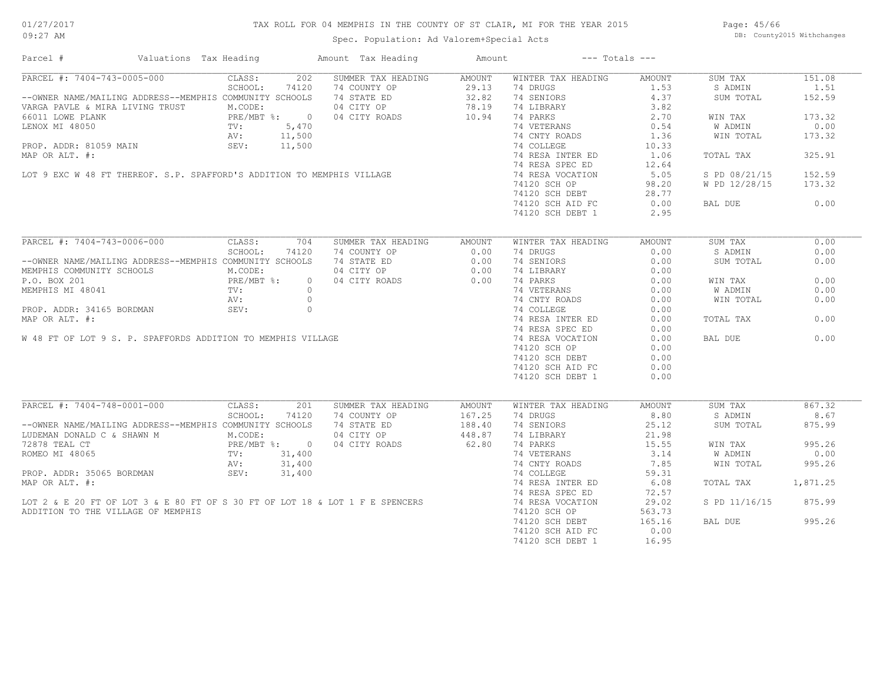## TAX ROLL FOR 04 MEMPHIS IN THE COUNTY OF ST CLAIR, MI FOR THE YEAR 2015

Spec. Population: Ad Valorem+Special Acts

Page: 45/66 DB: County2015 Withchanges

| PARCEL #: 7404-743-0005-000<br>202<br>SUMMER TAX HEADING<br>WINTER TAX HEADING<br>CLASS:<br>AMOUNT<br>AMOUNT<br>SUM TAX<br>151.08<br>SCHOOL:<br>74120<br>74 DRUGS<br>1.53<br>1.51<br>S ADMIN<br>74 COUNTY OP<br>74 STATE ED 32.82<br>04 CITY OP 78.19<br>04 CITY ROADS 10.94<br>--OWNER NAME/MAILING ADDRESS--MEMPHIS COMMUNITY SCHOOLS<br>74 SENIORS<br>4.37<br>SUM TOTAL<br>152.59<br>M.CODE:<br>74 LIBRARY<br>3.82<br>VARGA PAVLE & MIRA LIVING TRUST<br>PRE/MBT %: 0<br>PRE/MBT %: 0<br>TV: 5,470<br>N SEV: 11,500<br>SEV: 11,500<br>74 PARKS<br>2.70<br>173.32<br>66011 LOWE PLANK<br>WIN TAX<br>74 VETERANS<br>0.54<br>W ADMIN<br>0.00<br>LENOX MI 48050<br>SEV: 11,500<br>LOT 9 EXC W 48 FT THEREOF. S.P. SPAFFORD'S ADDITION TO MEMPHIS VILLAGE<br>74 CNTY ROADS<br>1.36<br>WIN TOTAL<br>173.32<br>74 COLLEGE<br>10.33<br>74 RESA INTER ED<br>325.91<br>1.06<br>TOTAL TAX<br>74 RESA SPEC ED<br>12.64<br>74 RESA VOCATION<br>152.59<br>5.05<br>S PD 08/21/15<br>74120 SCH OP<br>98.20<br>W PD 12/28/15<br>173.32<br>74120 SCH DEBT<br>28.77<br>74120 SCH AID FC<br>0.00<br>0.00<br>BAL DUE<br>74120 SCH DEBT 1<br>2.95<br>PARCEL #: 7404-743-0006-000<br>CLASS:<br>704<br>SUMMER TAX HEADING<br>WINTER TAX HEADING<br>SUM TAX<br>0.00<br>AMOUNT<br>AMOUNT<br>SCHOOL:<br>74120<br>74 COUNTY OP<br>0.00<br>74 DRUGS<br>0.00<br>S ADMIN<br>0.00<br>0.00<br>--OWNER NAME/MAILING ADDRESS--MEMPHIS COMMUNITY SCHOOLS<br>74 STATE ED<br>74 SENIORS<br>0.00<br>SUM TOTAL<br>0.00<br>04 CITY OP<br>0.00<br>M.CODE:<br>74 LIBRARY<br>0.00<br>04 CITY ROADS 0.00<br>$\begin{array}{ll}\n\text{PRE/MBT} & \text{*:} \\ \text{TV:} \\ \text{TV:} \\ \text{N.} \\ \end{array}$<br>74 PARKS<br>0.00<br>0.00<br>$\overline{0}$<br>WIN TAX<br>74 VETERANS<br>0.00<br>0.00<br>W ADMIN<br>MEMPHIS MI 48041<br>PROP. ADDR: 34165 BORDMAN<br>MAP OR ALT. #:<br>W 48 FT OF LOT 9 S. P. SPAFFORDS ADDITION TO MEMPHIS VILLAGE<br>74 CNTY ROADS<br>74 COLLEGE<br>0.00<br>WIN TOTAL<br>0.00<br>0.00<br>74 RESA INTER ED<br>0.00<br>0.00<br>TOTAL TAX<br>74 RESA SPEC ED<br>0.00<br>0.00<br>74 RESA VOCATION<br>0.00<br>BAL DUE<br>74120 SCH OP<br>0.00<br>74120 SCH DEBT<br>0.00<br>74120 SCH AID FC<br>0.00<br>74120 SCH DEBT 1<br>0.00<br>PARCEL #: 7404-748-0001-000<br>CLASS:<br>867.32<br>201<br>SUMMER TAX HEADING<br>AMOUNT<br>WINTER TAX HEADING<br>AMOUNT<br>SUM TAX<br>8.80<br>8.67<br>SCHOOL:<br>74120<br>74 COUNTY OP<br>167.25<br>74 DRUGS<br>S ADMIN<br>--OWNER NAME/MAILING ADDRESS--MEMPHIS COMMUNITY SCHOOLS<br>74 STATE ED<br>74 SENIORS<br>25.12<br>875.99<br>SUM TOTAL<br>188.40<br>448.87<br>LUDEMAN DONALD C & SHAWN M $M$ . CODE:<br>04 CITY OP<br>74 LIBRARY<br>21.98<br>PRE/MBT %: 0<br>04 CITY ROADS<br>62.80<br>74 PARKS<br>995.26<br>15.55<br>WIN TAX<br>31,400<br>74 VETERANS<br>3.14<br>W ADMIN<br>0.00<br>TV:<br>31,400<br>74 CNTY ROADS<br>7.85<br>995.26<br>AV:<br>WIN TOTAL<br>PROP. ADDR: 35065 BORDMAN SEV:<br>31,400<br>74 COLLEGE<br>59.31<br>6.08<br>MAP OR ALT. #:<br>74 RESA INTER ED<br>1,871.25<br>TOTAL TAX<br>74 RESA SPEC ED<br>72.57<br>LOT 2 & E 20 FT OF LOT 3 & E 80 FT OF S 30 FT OF LOT 18 & LOT 1 F E SPENCERS<br>74 RESA VOCATION<br>29.02<br>S PD 11/16/15<br>875.99<br>ADDITION TO THE VILLAGE OF MEMPHIS<br>74120 SCH OP<br>563.73<br>74120 SCH DEBT<br>165.16<br>995.26<br>BAL DUE<br>74120 SCH AID FC<br>0.00<br>74120 SCH DEBT 1<br>16.95 | Valuations Tax Heading<br>Parcel # | Amount Tax Heading | Amount | $---$ Totals $---$ |  |
|---------------------------------------------------------------------------------------------------------------------------------------------------------------------------------------------------------------------------------------------------------------------------------------------------------------------------------------------------------------------------------------------------------------------------------------------------------------------------------------------------------------------------------------------------------------------------------------------------------------------------------------------------------------------------------------------------------------------------------------------------------------------------------------------------------------------------------------------------------------------------------------------------------------------------------------------------------------------------------------------------------------------------------------------------------------------------------------------------------------------------------------------------------------------------------------------------------------------------------------------------------------------------------------------------------------------------------------------------------------------------------------------------------------------------------------------------------------------------------------------------------------------------------------------------------------------------------------------------------------------------------------------------------------------------------------------------------------------------------------------------------------------------------------------------------------------------------------------------------------------------------------------------------------------------------------------------------------------------------------------------------------------------------------------------------------------------------------------------------------------------------------------------------------------------------------------------------------------------------------------------------------------------------------------------------------------------------------------------------------------------------------------------------------------------------------------------------------------------------------------------------------------------------------------------------------------------------------------------------------------------------------------------------------------------------------------------------------------------------------------------------------------------------------------------------------------------------------------------------------------------------------------------------------------------------------------------------------------------------------------------------------------------------------------------------------------------------------------------------------------------------------------------------------------------------------------------------------------------------------------------------------------------------------------------------------------------------------------------------------------------------------|------------------------------------|--------------------|--------|--------------------|--|
|                                                                                                                                                                                                                                                                                                                                                                                                                                                                                                                                                                                                                                                                                                                                                                                                                                                                                                                                                                                                                                                                                                                                                                                                                                                                                                                                                                                                                                                                                                                                                                                                                                                                                                                                                                                                                                                                                                                                                                                                                                                                                                                                                                                                                                                                                                                                                                                                                                                                                                                                                                                                                                                                                                                                                                                                                                                                                                                                                                                                                                                                                                                                                                                                                                                                                                                                                                                       |                                    |                    |        |                    |  |
|                                                                                                                                                                                                                                                                                                                                                                                                                                                                                                                                                                                                                                                                                                                                                                                                                                                                                                                                                                                                                                                                                                                                                                                                                                                                                                                                                                                                                                                                                                                                                                                                                                                                                                                                                                                                                                                                                                                                                                                                                                                                                                                                                                                                                                                                                                                                                                                                                                                                                                                                                                                                                                                                                                                                                                                                                                                                                                                                                                                                                                                                                                                                                                                                                                                                                                                                                                                       |                                    |                    |        |                    |  |
|                                                                                                                                                                                                                                                                                                                                                                                                                                                                                                                                                                                                                                                                                                                                                                                                                                                                                                                                                                                                                                                                                                                                                                                                                                                                                                                                                                                                                                                                                                                                                                                                                                                                                                                                                                                                                                                                                                                                                                                                                                                                                                                                                                                                                                                                                                                                                                                                                                                                                                                                                                                                                                                                                                                                                                                                                                                                                                                                                                                                                                                                                                                                                                                                                                                                                                                                                                                       |                                    |                    |        |                    |  |
|                                                                                                                                                                                                                                                                                                                                                                                                                                                                                                                                                                                                                                                                                                                                                                                                                                                                                                                                                                                                                                                                                                                                                                                                                                                                                                                                                                                                                                                                                                                                                                                                                                                                                                                                                                                                                                                                                                                                                                                                                                                                                                                                                                                                                                                                                                                                                                                                                                                                                                                                                                                                                                                                                                                                                                                                                                                                                                                                                                                                                                                                                                                                                                                                                                                                                                                                                                                       |                                    |                    |        |                    |  |
|                                                                                                                                                                                                                                                                                                                                                                                                                                                                                                                                                                                                                                                                                                                                                                                                                                                                                                                                                                                                                                                                                                                                                                                                                                                                                                                                                                                                                                                                                                                                                                                                                                                                                                                                                                                                                                                                                                                                                                                                                                                                                                                                                                                                                                                                                                                                                                                                                                                                                                                                                                                                                                                                                                                                                                                                                                                                                                                                                                                                                                                                                                                                                                                                                                                                                                                                                                                       |                                    |                    |        |                    |  |
|                                                                                                                                                                                                                                                                                                                                                                                                                                                                                                                                                                                                                                                                                                                                                                                                                                                                                                                                                                                                                                                                                                                                                                                                                                                                                                                                                                                                                                                                                                                                                                                                                                                                                                                                                                                                                                                                                                                                                                                                                                                                                                                                                                                                                                                                                                                                                                                                                                                                                                                                                                                                                                                                                                                                                                                                                                                                                                                                                                                                                                                                                                                                                                                                                                                                                                                                                                                       |                                    |                    |        |                    |  |
|                                                                                                                                                                                                                                                                                                                                                                                                                                                                                                                                                                                                                                                                                                                                                                                                                                                                                                                                                                                                                                                                                                                                                                                                                                                                                                                                                                                                                                                                                                                                                                                                                                                                                                                                                                                                                                                                                                                                                                                                                                                                                                                                                                                                                                                                                                                                                                                                                                                                                                                                                                                                                                                                                                                                                                                                                                                                                                                                                                                                                                                                                                                                                                                                                                                                                                                                                                                       |                                    |                    |        |                    |  |
|                                                                                                                                                                                                                                                                                                                                                                                                                                                                                                                                                                                                                                                                                                                                                                                                                                                                                                                                                                                                                                                                                                                                                                                                                                                                                                                                                                                                                                                                                                                                                                                                                                                                                                                                                                                                                                                                                                                                                                                                                                                                                                                                                                                                                                                                                                                                                                                                                                                                                                                                                                                                                                                                                                                                                                                                                                                                                                                                                                                                                                                                                                                                                                                                                                                                                                                                                                                       |                                    |                    |        |                    |  |
|                                                                                                                                                                                                                                                                                                                                                                                                                                                                                                                                                                                                                                                                                                                                                                                                                                                                                                                                                                                                                                                                                                                                                                                                                                                                                                                                                                                                                                                                                                                                                                                                                                                                                                                                                                                                                                                                                                                                                                                                                                                                                                                                                                                                                                                                                                                                                                                                                                                                                                                                                                                                                                                                                                                                                                                                                                                                                                                                                                                                                                                                                                                                                                                                                                                                                                                                                                                       |                                    |                    |        |                    |  |
|                                                                                                                                                                                                                                                                                                                                                                                                                                                                                                                                                                                                                                                                                                                                                                                                                                                                                                                                                                                                                                                                                                                                                                                                                                                                                                                                                                                                                                                                                                                                                                                                                                                                                                                                                                                                                                                                                                                                                                                                                                                                                                                                                                                                                                                                                                                                                                                                                                                                                                                                                                                                                                                                                                                                                                                                                                                                                                                                                                                                                                                                                                                                                                                                                                                                                                                                                                                       |                                    |                    |        |                    |  |
|                                                                                                                                                                                                                                                                                                                                                                                                                                                                                                                                                                                                                                                                                                                                                                                                                                                                                                                                                                                                                                                                                                                                                                                                                                                                                                                                                                                                                                                                                                                                                                                                                                                                                                                                                                                                                                                                                                                                                                                                                                                                                                                                                                                                                                                                                                                                                                                                                                                                                                                                                                                                                                                                                                                                                                                                                                                                                                                                                                                                                                                                                                                                                                                                                                                                                                                                                                                       |                                    |                    |        |                    |  |
|                                                                                                                                                                                                                                                                                                                                                                                                                                                                                                                                                                                                                                                                                                                                                                                                                                                                                                                                                                                                                                                                                                                                                                                                                                                                                                                                                                                                                                                                                                                                                                                                                                                                                                                                                                                                                                                                                                                                                                                                                                                                                                                                                                                                                                                                                                                                                                                                                                                                                                                                                                                                                                                                                                                                                                                                                                                                                                                                                                                                                                                                                                                                                                                                                                                                                                                                                                                       |                                    |                    |        |                    |  |
|                                                                                                                                                                                                                                                                                                                                                                                                                                                                                                                                                                                                                                                                                                                                                                                                                                                                                                                                                                                                                                                                                                                                                                                                                                                                                                                                                                                                                                                                                                                                                                                                                                                                                                                                                                                                                                                                                                                                                                                                                                                                                                                                                                                                                                                                                                                                                                                                                                                                                                                                                                                                                                                                                                                                                                                                                                                                                                                                                                                                                                                                                                                                                                                                                                                                                                                                                                                       |                                    |                    |        |                    |  |
|                                                                                                                                                                                                                                                                                                                                                                                                                                                                                                                                                                                                                                                                                                                                                                                                                                                                                                                                                                                                                                                                                                                                                                                                                                                                                                                                                                                                                                                                                                                                                                                                                                                                                                                                                                                                                                                                                                                                                                                                                                                                                                                                                                                                                                                                                                                                                                                                                                                                                                                                                                                                                                                                                                                                                                                                                                                                                                                                                                                                                                                                                                                                                                                                                                                                                                                                                                                       |                                    |                    |        |                    |  |
|                                                                                                                                                                                                                                                                                                                                                                                                                                                                                                                                                                                                                                                                                                                                                                                                                                                                                                                                                                                                                                                                                                                                                                                                                                                                                                                                                                                                                                                                                                                                                                                                                                                                                                                                                                                                                                                                                                                                                                                                                                                                                                                                                                                                                                                                                                                                                                                                                                                                                                                                                                                                                                                                                                                                                                                                                                                                                                                                                                                                                                                                                                                                                                                                                                                                                                                                                                                       |                                    |                    |        |                    |  |
|                                                                                                                                                                                                                                                                                                                                                                                                                                                                                                                                                                                                                                                                                                                                                                                                                                                                                                                                                                                                                                                                                                                                                                                                                                                                                                                                                                                                                                                                                                                                                                                                                                                                                                                                                                                                                                                                                                                                                                                                                                                                                                                                                                                                                                                                                                                                                                                                                                                                                                                                                                                                                                                                                                                                                                                                                                                                                                                                                                                                                                                                                                                                                                                                                                                                                                                                                                                       |                                    |                    |        |                    |  |
|                                                                                                                                                                                                                                                                                                                                                                                                                                                                                                                                                                                                                                                                                                                                                                                                                                                                                                                                                                                                                                                                                                                                                                                                                                                                                                                                                                                                                                                                                                                                                                                                                                                                                                                                                                                                                                                                                                                                                                                                                                                                                                                                                                                                                                                                                                                                                                                                                                                                                                                                                                                                                                                                                                                                                                                                                                                                                                                                                                                                                                                                                                                                                                                                                                                                                                                                                                                       |                                    |                    |        |                    |  |
|                                                                                                                                                                                                                                                                                                                                                                                                                                                                                                                                                                                                                                                                                                                                                                                                                                                                                                                                                                                                                                                                                                                                                                                                                                                                                                                                                                                                                                                                                                                                                                                                                                                                                                                                                                                                                                                                                                                                                                                                                                                                                                                                                                                                                                                                                                                                                                                                                                                                                                                                                                                                                                                                                                                                                                                                                                                                                                                                                                                                                                                                                                                                                                                                                                                                                                                                                                                       |                                    |                    |        |                    |  |
|                                                                                                                                                                                                                                                                                                                                                                                                                                                                                                                                                                                                                                                                                                                                                                                                                                                                                                                                                                                                                                                                                                                                                                                                                                                                                                                                                                                                                                                                                                                                                                                                                                                                                                                                                                                                                                                                                                                                                                                                                                                                                                                                                                                                                                                                                                                                                                                                                                                                                                                                                                                                                                                                                                                                                                                                                                                                                                                                                                                                                                                                                                                                                                                                                                                                                                                                                                                       |                                    |                    |        |                    |  |
|                                                                                                                                                                                                                                                                                                                                                                                                                                                                                                                                                                                                                                                                                                                                                                                                                                                                                                                                                                                                                                                                                                                                                                                                                                                                                                                                                                                                                                                                                                                                                                                                                                                                                                                                                                                                                                                                                                                                                                                                                                                                                                                                                                                                                                                                                                                                                                                                                                                                                                                                                                                                                                                                                                                                                                                                                                                                                                                                                                                                                                                                                                                                                                                                                                                                                                                                                                                       |                                    |                    |        |                    |  |
|                                                                                                                                                                                                                                                                                                                                                                                                                                                                                                                                                                                                                                                                                                                                                                                                                                                                                                                                                                                                                                                                                                                                                                                                                                                                                                                                                                                                                                                                                                                                                                                                                                                                                                                                                                                                                                                                                                                                                                                                                                                                                                                                                                                                                                                                                                                                                                                                                                                                                                                                                                                                                                                                                                                                                                                                                                                                                                                                                                                                                                                                                                                                                                                                                                                                                                                                                                                       | MEMPHIS COMMUNITY SCHOOLS          |                    |        |                    |  |
|                                                                                                                                                                                                                                                                                                                                                                                                                                                                                                                                                                                                                                                                                                                                                                                                                                                                                                                                                                                                                                                                                                                                                                                                                                                                                                                                                                                                                                                                                                                                                                                                                                                                                                                                                                                                                                                                                                                                                                                                                                                                                                                                                                                                                                                                                                                                                                                                                                                                                                                                                                                                                                                                                                                                                                                                                                                                                                                                                                                                                                                                                                                                                                                                                                                                                                                                                                                       | P.O. BOX 201                       |                    |        |                    |  |
|                                                                                                                                                                                                                                                                                                                                                                                                                                                                                                                                                                                                                                                                                                                                                                                                                                                                                                                                                                                                                                                                                                                                                                                                                                                                                                                                                                                                                                                                                                                                                                                                                                                                                                                                                                                                                                                                                                                                                                                                                                                                                                                                                                                                                                                                                                                                                                                                                                                                                                                                                                                                                                                                                                                                                                                                                                                                                                                                                                                                                                                                                                                                                                                                                                                                                                                                                                                       |                                    |                    |        |                    |  |
|                                                                                                                                                                                                                                                                                                                                                                                                                                                                                                                                                                                                                                                                                                                                                                                                                                                                                                                                                                                                                                                                                                                                                                                                                                                                                                                                                                                                                                                                                                                                                                                                                                                                                                                                                                                                                                                                                                                                                                                                                                                                                                                                                                                                                                                                                                                                                                                                                                                                                                                                                                                                                                                                                                                                                                                                                                                                                                                                                                                                                                                                                                                                                                                                                                                                                                                                                                                       |                                    |                    |        |                    |  |
|                                                                                                                                                                                                                                                                                                                                                                                                                                                                                                                                                                                                                                                                                                                                                                                                                                                                                                                                                                                                                                                                                                                                                                                                                                                                                                                                                                                                                                                                                                                                                                                                                                                                                                                                                                                                                                                                                                                                                                                                                                                                                                                                                                                                                                                                                                                                                                                                                                                                                                                                                                                                                                                                                                                                                                                                                                                                                                                                                                                                                                                                                                                                                                                                                                                                                                                                                                                       |                                    |                    |        |                    |  |
|                                                                                                                                                                                                                                                                                                                                                                                                                                                                                                                                                                                                                                                                                                                                                                                                                                                                                                                                                                                                                                                                                                                                                                                                                                                                                                                                                                                                                                                                                                                                                                                                                                                                                                                                                                                                                                                                                                                                                                                                                                                                                                                                                                                                                                                                                                                                                                                                                                                                                                                                                                                                                                                                                                                                                                                                                                                                                                                                                                                                                                                                                                                                                                                                                                                                                                                                                                                       |                                    |                    |        |                    |  |
|                                                                                                                                                                                                                                                                                                                                                                                                                                                                                                                                                                                                                                                                                                                                                                                                                                                                                                                                                                                                                                                                                                                                                                                                                                                                                                                                                                                                                                                                                                                                                                                                                                                                                                                                                                                                                                                                                                                                                                                                                                                                                                                                                                                                                                                                                                                                                                                                                                                                                                                                                                                                                                                                                                                                                                                                                                                                                                                                                                                                                                                                                                                                                                                                                                                                                                                                                                                       |                                    |                    |        |                    |  |
|                                                                                                                                                                                                                                                                                                                                                                                                                                                                                                                                                                                                                                                                                                                                                                                                                                                                                                                                                                                                                                                                                                                                                                                                                                                                                                                                                                                                                                                                                                                                                                                                                                                                                                                                                                                                                                                                                                                                                                                                                                                                                                                                                                                                                                                                                                                                                                                                                                                                                                                                                                                                                                                                                                                                                                                                                                                                                                                                                                                                                                                                                                                                                                                                                                                                                                                                                                                       |                                    |                    |        |                    |  |
|                                                                                                                                                                                                                                                                                                                                                                                                                                                                                                                                                                                                                                                                                                                                                                                                                                                                                                                                                                                                                                                                                                                                                                                                                                                                                                                                                                                                                                                                                                                                                                                                                                                                                                                                                                                                                                                                                                                                                                                                                                                                                                                                                                                                                                                                                                                                                                                                                                                                                                                                                                                                                                                                                                                                                                                                                                                                                                                                                                                                                                                                                                                                                                                                                                                                                                                                                                                       |                                    |                    |        |                    |  |
|                                                                                                                                                                                                                                                                                                                                                                                                                                                                                                                                                                                                                                                                                                                                                                                                                                                                                                                                                                                                                                                                                                                                                                                                                                                                                                                                                                                                                                                                                                                                                                                                                                                                                                                                                                                                                                                                                                                                                                                                                                                                                                                                                                                                                                                                                                                                                                                                                                                                                                                                                                                                                                                                                                                                                                                                                                                                                                                                                                                                                                                                                                                                                                                                                                                                                                                                                                                       |                                    |                    |        |                    |  |
|                                                                                                                                                                                                                                                                                                                                                                                                                                                                                                                                                                                                                                                                                                                                                                                                                                                                                                                                                                                                                                                                                                                                                                                                                                                                                                                                                                                                                                                                                                                                                                                                                                                                                                                                                                                                                                                                                                                                                                                                                                                                                                                                                                                                                                                                                                                                                                                                                                                                                                                                                                                                                                                                                                                                                                                                                                                                                                                                                                                                                                                                                                                                                                                                                                                                                                                                                                                       |                                    |                    |        |                    |  |
|                                                                                                                                                                                                                                                                                                                                                                                                                                                                                                                                                                                                                                                                                                                                                                                                                                                                                                                                                                                                                                                                                                                                                                                                                                                                                                                                                                                                                                                                                                                                                                                                                                                                                                                                                                                                                                                                                                                                                                                                                                                                                                                                                                                                                                                                                                                                                                                                                                                                                                                                                                                                                                                                                                                                                                                                                                                                                                                                                                                                                                                                                                                                                                                                                                                                                                                                                                                       |                                    |                    |        |                    |  |
|                                                                                                                                                                                                                                                                                                                                                                                                                                                                                                                                                                                                                                                                                                                                                                                                                                                                                                                                                                                                                                                                                                                                                                                                                                                                                                                                                                                                                                                                                                                                                                                                                                                                                                                                                                                                                                                                                                                                                                                                                                                                                                                                                                                                                                                                                                                                                                                                                                                                                                                                                                                                                                                                                                                                                                                                                                                                                                                                                                                                                                                                                                                                                                                                                                                                                                                                                                                       |                                    |                    |        |                    |  |
|                                                                                                                                                                                                                                                                                                                                                                                                                                                                                                                                                                                                                                                                                                                                                                                                                                                                                                                                                                                                                                                                                                                                                                                                                                                                                                                                                                                                                                                                                                                                                                                                                                                                                                                                                                                                                                                                                                                                                                                                                                                                                                                                                                                                                                                                                                                                                                                                                                                                                                                                                                                                                                                                                                                                                                                                                                                                                                                                                                                                                                                                                                                                                                                                                                                                                                                                                                                       |                                    |                    |        |                    |  |
|                                                                                                                                                                                                                                                                                                                                                                                                                                                                                                                                                                                                                                                                                                                                                                                                                                                                                                                                                                                                                                                                                                                                                                                                                                                                                                                                                                                                                                                                                                                                                                                                                                                                                                                                                                                                                                                                                                                                                                                                                                                                                                                                                                                                                                                                                                                                                                                                                                                                                                                                                                                                                                                                                                                                                                                                                                                                                                                                                                                                                                                                                                                                                                                                                                                                                                                                                                                       |                                    |                    |        |                    |  |
|                                                                                                                                                                                                                                                                                                                                                                                                                                                                                                                                                                                                                                                                                                                                                                                                                                                                                                                                                                                                                                                                                                                                                                                                                                                                                                                                                                                                                                                                                                                                                                                                                                                                                                                                                                                                                                                                                                                                                                                                                                                                                                                                                                                                                                                                                                                                                                                                                                                                                                                                                                                                                                                                                                                                                                                                                                                                                                                                                                                                                                                                                                                                                                                                                                                                                                                                                                                       |                                    |                    |        |                    |  |
|                                                                                                                                                                                                                                                                                                                                                                                                                                                                                                                                                                                                                                                                                                                                                                                                                                                                                                                                                                                                                                                                                                                                                                                                                                                                                                                                                                                                                                                                                                                                                                                                                                                                                                                                                                                                                                                                                                                                                                                                                                                                                                                                                                                                                                                                                                                                                                                                                                                                                                                                                                                                                                                                                                                                                                                                                                                                                                                                                                                                                                                                                                                                                                                                                                                                                                                                                                                       |                                    |                    |        |                    |  |
|                                                                                                                                                                                                                                                                                                                                                                                                                                                                                                                                                                                                                                                                                                                                                                                                                                                                                                                                                                                                                                                                                                                                                                                                                                                                                                                                                                                                                                                                                                                                                                                                                                                                                                                                                                                                                                                                                                                                                                                                                                                                                                                                                                                                                                                                                                                                                                                                                                                                                                                                                                                                                                                                                                                                                                                                                                                                                                                                                                                                                                                                                                                                                                                                                                                                                                                                                                                       |                                    |                    |        |                    |  |
|                                                                                                                                                                                                                                                                                                                                                                                                                                                                                                                                                                                                                                                                                                                                                                                                                                                                                                                                                                                                                                                                                                                                                                                                                                                                                                                                                                                                                                                                                                                                                                                                                                                                                                                                                                                                                                                                                                                                                                                                                                                                                                                                                                                                                                                                                                                                                                                                                                                                                                                                                                                                                                                                                                                                                                                                                                                                                                                                                                                                                                                                                                                                                                                                                                                                                                                                                                                       | 72878 TEAL CT                      |                    |        |                    |  |
|                                                                                                                                                                                                                                                                                                                                                                                                                                                                                                                                                                                                                                                                                                                                                                                                                                                                                                                                                                                                                                                                                                                                                                                                                                                                                                                                                                                                                                                                                                                                                                                                                                                                                                                                                                                                                                                                                                                                                                                                                                                                                                                                                                                                                                                                                                                                                                                                                                                                                                                                                                                                                                                                                                                                                                                                                                                                                                                                                                                                                                                                                                                                                                                                                                                                                                                                                                                       | ROMEO MI 48065                     |                    |        |                    |  |
|                                                                                                                                                                                                                                                                                                                                                                                                                                                                                                                                                                                                                                                                                                                                                                                                                                                                                                                                                                                                                                                                                                                                                                                                                                                                                                                                                                                                                                                                                                                                                                                                                                                                                                                                                                                                                                                                                                                                                                                                                                                                                                                                                                                                                                                                                                                                                                                                                                                                                                                                                                                                                                                                                                                                                                                                                                                                                                                                                                                                                                                                                                                                                                                                                                                                                                                                                                                       |                                    |                    |        |                    |  |
|                                                                                                                                                                                                                                                                                                                                                                                                                                                                                                                                                                                                                                                                                                                                                                                                                                                                                                                                                                                                                                                                                                                                                                                                                                                                                                                                                                                                                                                                                                                                                                                                                                                                                                                                                                                                                                                                                                                                                                                                                                                                                                                                                                                                                                                                                                                                                                                                                                                                                                                                                                                                                                                                                                                                                                                                                                                                                                                                                                                                                                                                                                                                                                                                                                                                                                                                                                                       |                                    |                    |        |                    |  |
|                                                                                                                                                                                                                                                                                                                                                                                                                                                                                                                                                                                                                                                                                                                                                                                                                                                                                                                                                                                                                                                                                                                                                                                                                                                                                                                                                                                                                                                                                                                                                                                                                                                                                                                                                                                                                                                                                                                                                                                                                                                                                                                                                                                                                                                                                                                                                                                                                                                                                                                                                                                                                                                                                                                                                                                                                                                                                                                                                                                                                                                                                                                                                                                                                                                                                                                                                                                       |                                    |                    |        |                    |  |
|                                                                                                                                                                                                                                                                                                                                                                                                                                                                                                                                                                                                                                                                                                                                                                                                                                                                                                                                                                                                                                                                                                                                                                                                                                                                                                                                                                                                                                                                                                                                                                                                                                                                                                                                                                                                                                                                                                                                                                                                                                                                                                                                                                                                                                                                                                                                                                                                                                                                                                                                                                                                                                                                                                                                                                                                                                                                                                                                                                                                                                                                                                                                                                                                                                                                                                                                                                                       |                                    |                    |        |                    |  |
|                                                                                                                                                                                                                                                                                                                                                                                                                                                                                                                                                                                                                                                                                                                                                                                                                                                                                                                                                                                                                                                                                                                                                                                                                                                                                                                                                                                                                                                                                                                                                                                                                                                                                                                                                                                                                                                                                                                                                                                                                                                                                                                                                                                                                                                                                                                                                                                                                                                                                                                                                                                                                                                                                                                                                                                                                                                                                                                                                                                                                                                                                                                                                                                                                                                                                                                                                                                       |                                    |                    |        |                    |  |
|                                                                                                                                                                                                                                                                                                                                                                                                                                                                                                                                                                                                                                                                                                                                                                                                                                                                                                                                                                                                                                                                                                                                                                                                                                                                                                                                                                                                                                                                                                                                                                                                                                                                                                                                                                                                                                                                                                                                                                                                                                                                                                                                                                                                                                                                                                                                                                                                                                                                                                                                                                                                                                                                                                                                                                                                                                                                                                                                                                                                                                                                                                                                                                                                                                                                                                                                                                                       |                                    |                    |        |                    |  |
|                                                                                                                                                                                                                                                                                                                                                                                                                                                                                                                                                                                                                                                                                                                                                                                                                                                                                                                                                                                                                                                                                                                                                                                                                                                                                                                                                                                                                                                                                                                                                                                                                                                                                                                                                                                                                                                                                                                                                                                                                                                                                                                                                                                                                                                                                                                                                                                                                                                                                                                                                                                                                                                                                                                                                                                                                                                                                                                                                                                                                                                                                                                                                                                                                                                                                                                                                                                       |                                    |                    |        |                    |  |
|                                                                                                                                                                                                                                                                                                                                                                                                                                                                                                                                                                                                                                                                                                                                                                                                                                                                                                                                                                                                                                                                                                                                                                                                                                                                                                                                                                                                                                                                                                                                                                                                                                                                                                                                                                                                                                                                                                                                                                                                                                                                                                                                                                                                                                                                                                                                                                                                                                                                                                                                                                                                                                                                                                                                                                                                                                                                                                                                                                                                                                                                                                                                                                                                                                                                                                                                                                                       |                                    |                    |        |                    |  |
|                                                                                                                                                                                                                                                                                                                                                                                                                                                                                                                                                                                                                                                                                                                                                                                                                                                                                                                                                                                                                                                                                                                                                                                                                                                                                                                                                                                                                                                                                                                                                                                                                                                                                                                                                                                                                                                                                                                                                                                                                                                                                                                                                                                                                                                                                                                                                                                                                                                                                                                                                                                                                                                                                                                                                                                                                                                                                                                                                                                                                                                                                                                                                                                                                                                                                                                                                                                       |                                    |                    |        |                    |  |
|                                                                                                                                                                                                                                                                                                                                                                                                                                                                                                                                                                                                                                                                                                                                                                                                                                                                                                                                                                                                                                                                                                                                                                                                                                                                                                                                                                                                                                                                                                                                                                                                                                                                                                                                                                                                                                                                                                                                                                                                                                                                                                                                                                                                                                                                                                                                                                                                                                                                                                                                                                                                                                                                                                                                                                                                                                                                                                                                                                                                                                                                                                                                                                                                                                                                                                                                                                                       |                                    |                    |        |                    |  |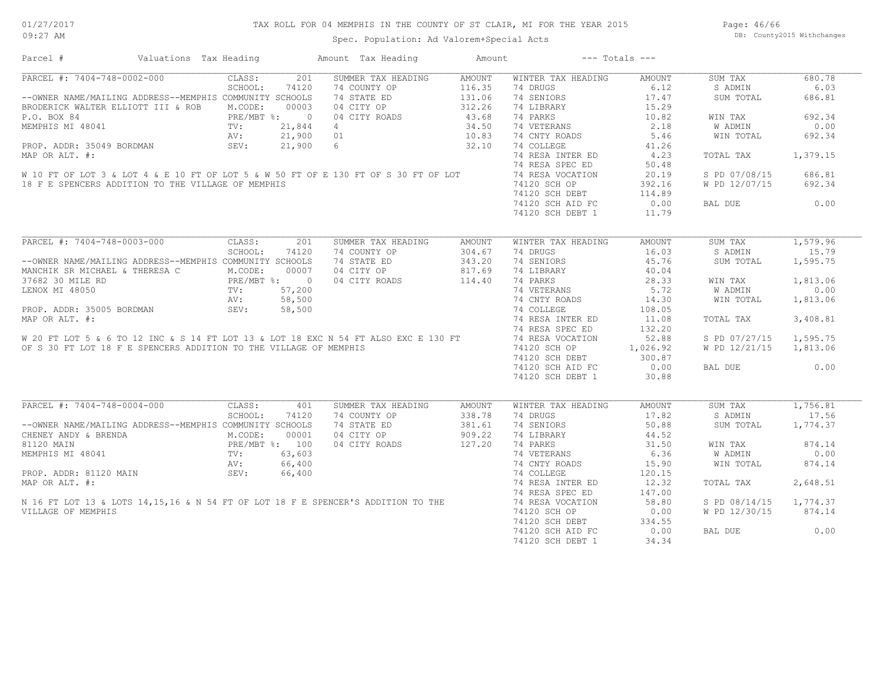## TAX ROLL FOR 04 MEMPHIS IN THE COUNTY OF ST CLAIR, MI FOR THE YEAR 2015

Spec. Population: Ad Valorem+Special Acts

Page: 46/66 DB: County2015 Withchanges

| Parcel #                                                                                                                                                                                                                             | Valuations Tax Heading                                                                                                                                                         | Amount Tax Heading | Amount        |                    | $---$ Totals $---$ |                        |          |
|--------------------------------------------------------------------------------------------------------------------------------------------------------------------------------------------------------------------------------------|--------------------------------------------------------------------------------------------------------------------------------------------------------------------------------|--------------------|---------------|--------------------|--------------------|------------------------|----------|
| PARCEL #: 7404-748-0002-000                                                                                                                                                                                                          | 201<br>CLASS:                                                                                                                                                                  | SUMMER TAX HEADING | AMOUNT        | WINTER TAX HEADING | AMOUNT             | SUM TAX                | 680.78   |
|                                                                                                                                                                                                                                      | SCHOOL:<br>74120                                                                                                                                                               | 74 COUNTY OP       | 116.35        | 74 DRUGS           | 6.12               | S ADMIN                | 6.03     |
| --OWNER NAME/MAILING ADDRESS--MEMPHIS COMMUNITY SCHOOLS                                                                                                                                                                              |                                                                                                                                                                                | 74 STATE ED        | 131.06        | 74 SENIORS         | 17.47              | SUM TOTAL              | 686.81   |
| BRODERICK WALTER ELLIOTT III & ROB M.CODE:                                                                                                                                                                                           | 00003                                                                                                                                                                          | 04 CITY OP         | 312.26        | 74 LIBRARY         | 15.29              |                        |          |
| P.O. BOX 84                                                                                                                                                                                                                          | PRE/MBT %: 0<br>TV: 21,844                                                                                                                                                     | 04 CITY ROADS      | 43.68         | 74 PARKS           | 10.82              | WIN TAX                | 692.34   |
| MEMPHIS MI 48041                                                                                                                                                                                                                     | 21,844                                                                                                                                                                         | $\overline{4}$     | 34.50         | 74 VETERANS        | 2.18               | W ADMIN                | 0.00     |
|                                                                                                                                                                                                                                      | AV:                                                                                                                                                                            | 21,900 01          | 10.83         | 74 CNTY ROADS      | 5.46               | WIN TOTAL              | 692.34   |
| PROP. ADDR: 35049 BORDMAN                                                                                                                                                                                                            | SEV:                                                                                                                                                                           | $21,900$ 6         | 32.10         | 74 COLLEGE         | 41.26              |                        |          |
| MAP OR ALT. #:                                                                                                                                                                                                                       |                                                                                                                                                                                |                    |               | 74 RESA INTER ED   | 4.23               | TOTAL TAX              | 1,379.15 |
|                                                                                                                                                                                                                                      |                                                                                                                                                                                |                    |               | 74 RESA SPEC ED    | 50.48              |                        |          |
| W 10 FT OF LOT 3 & LOT 4 & E 10 FT OF LOT 5 & W 50 FT OF E 130 FT OF S 30 FT OF LOT                                                                                                                                                  |                                                                                                                                                                                |                    |               | 74 RESA VOCATION   | 20.19              | S PD 07/08/15          | 686.81   |
| 18 F E SPENCERS ADDITION TO THE VILLAGE OF MEMPHIS                                                                                                                                                                                   |                                                                                                                                                                                |                    |               | 74120 SCH OP       | 392.16             | W PD 12/07/15          | 692.34   |
|                                                                                                                                                                                                                                      |                                                                                                                                                                                |                    |               |                    |                    |                        |          |
|                                                                                                                                                                                                                                      |                                                                                                                                                                                |                    |               | 74120 SCH DEBT     | 114.89             |                        |          |
|                                                                                                                                                                                                                                      |                                                                                                                                                                                |                    |               | 74120 SCH AID FC   | 0.00               | BAL DUE                | 0.00     |
|                                                                                                                                                                                                                                      |                                                                                                                                                                                |                    |               | 74120 SCH DEBT 1   | 11.79              |                        |          |
|                                                                                                                                                                                                                                      |                                                                                                                                                                                |                    |               |                    |                    |                        |          |
| PARCEL #: 7404-748-0003-000                                                                                                                                                                                                          | CLASS:<br>201                                                                                                                                                                  | SUMMER TAX HEADING | <b>AMOUNT</b> | WINTER TAX HEADING | <b>AMOUNT</b>      | SUM TAX                | 1,579.96 |
|                                                                                                                                                                                                                                      | SCHOOL:<br>74120                                                                                                                                                               | 74 COUNTY OP       | 304.67        | 74 DRUGS           | 16.03              | S ADMIN                | 15.79    |
| --OWNER NAME/MAILING ADDRESS--MEMPHIS COMMUNITY SCHOOLS                                                                                                                                                                              |                                                                                                                                                                                | 74 STATE ED        | 343.20        | 74 SENIORS         | 45.76              | SUM TOTAL              | 1,595.75 |
| MANCHIK SR MICHAEL & THERESA C                                                                                                                                                                                                       | $\begin{array}{cccc}\n\texttt{\&} \texttt{THERESA} & C & M.\texttt{CODE}: & 00007 \\  & PRE/MBT & \texttt{\&} 0 & 0007 \\  & TVI: & 57,200 \\  & & N'I: & 50,200\n\end{array}$ | 04 CITY OP         | 817.69        | 74 LIBRARY         | 40.04              |                        |          |
| 37682 30 MILE RD                                                                                                                                                                                                                     |                                                                                                                                                                                | 04 CITY ROADS      | 114.40        | 74 PARKS           | 28.33              | WIN TAX                | 1,813.06 |
| LENOX MI 48050                                                                                                                                                                                                                       |                                                                                                                                                                                |                    |               | 74 VETERANS        | 5.72               | W ADMIN                | 0.00     |
|                                                                                                                                                                                                                                      | 58,500<br>AV:                                                                                                                                                                  |                    |               | 74 CNTY ROADS      | 14.30              | WIN TOTAL              | 1,813.06 |
| PROP. ADDR: 35005 BORDMAN                                                                                                                                                                                                            | SEV:<br>58,500                                                                                                                                                                 |                    |               | 74 COLLEGE         | 108.05             |                        |          |
|                                                                                                                                                                                                                                      |                                                                                                                                                                                |                    |               |                    | 11.08              | TOTAL TAX              | 3,408.81 |
|                                                                                                                                                                                                                                      |                                                                                                                                                                                |                    |               |                    | 132.20             |                        |          |
| PROP. ADDR: 35005 BORDMAN SEV: 56,500<br>MAP OR ALT. #: 74 RESA INTER ED<br>W 20 FT LOT 5 & 6 TO 12 INC & S 14 FT LOT 13 & LOT 18 EXC N 54 FT ALSO EXC E 130 FT 74 RESA SPEC ED<br>W 20 FT LOT 5 & 6 TO 12 INC & S 14 FT LOT 13 & LO |                                                                                                                                                                                |                    |               |                    |                    |                        |          |
|                                                                                                                                                                                                                                      |                                                                                                                                                                                |                    |               |                    | 52.88              | S PD 07/27/15          | 1,595.75 |
| OF S 30 FT LOT 18 F E SPENCERS ADDITION TO THE VILLAGE OF MEMPHIS                                                                                                                                                                    |                                                                                                                                                                                |                    |               | 74120 SCH OP       | 1,026.92           | W PD 12/21/15 1,813.06 |          |
|                                                                                                                                                                                                                                      |                                                                                                                                                                                |                    |               | 74120 SCH DEBT     | 300.87             |                        |          |
|                                                                                                                                                                                                                                      |                                                                                                                                                                                |                    |               | 74120 SCH AID FC   | 0.00               | BAL DUE                | 0.00     |
|                                                                                                                                                                                                                                      |                                                                                                                                                                                |                    |               | 74120 SCH DEBT 1   | 30.88              |                        |          |
|                                                                                                                                                                                                                                      |                                                                                                                                                                                |                    |               |                    |                    |                        |          |
| PARCEL #: 7404-748-0004-000                                                                                                                                                                                                          | CLASS:<br>401                                                                                                                                                                  | SUMMER TAX HEADING | <b>AMOUNT</b> | WINTER TAX HEADING | <b>AMOUNT</b>      | SUM TAX                | 1,756.81 |
|                                                                                                                                                                                                                                      | SCHOOL:<br>74120                                                                                                                                                               | 74 COUNTY OP       | 338.78        | 74 DRUGS           | 17.82              | S ADMIN                | 17.56    |
| --OWNER NAME/MAILING ADDRESS--MEMPHIS COMMUNITY SCHOOLS                                                                                                                                                                              |                                                                                                                                                                                | 74 STATE ED        | 381.61        | 74 SENIORS         | 50.88              | SUM TOTAL              | 1,774.37 |
| CHENEY ANDY & BRENDA                                                                                                                                                                                                                 | M.CODE:<br>00001                                                                                                                                                               | 04 CITY OP         | 909.22        | 74 LIBRARY         | 44.52              |                        |          |
| 81120 MAIN                                                                                                                                                                                                                           |                                                                                                                                                                                | 04 CITY ROADS      | 127.20        | 74 PARKS           | 31.50              | WIN TAX                | 874.14   |
| MEMPHIS MI 48041                                                                                                                                                                                                                     |                                                                                                                                                                                |                    |               | 74 VETERANS        | 6.36               | W ADMIN                | 0.00     |
|                                                                                                                                                                                                                                      | PRE/MBT %: 100<br>PRE/MBT %: 100<br>TV: 63,603<br>AV: 66,400                                                                                                                   |                    |               | 74 CNTY ROADS      | 15.90              | WIN TOTAL              | 874.14   |
|                                                                                                                                                                                                                                      |                                                                                                                                                                                |                    |               | 74 COLLEGE         | 120.15             |                        |          |
| PROP. ADDR: 81120 MAIN<br>MAP OR ALT. #:<br>N 16 FT LOT 13 & LOTS 14,15,16 & N 54 FT OF LOT 18 F E SPENCER'S ADDITION TO THE                                                                                                         |                                                                                                                                                                                |                    |               | 74 RESA INTER ED   | 12.32              | TOTAL TAX              | 2,648.51 |
|                                                                                                                                                                                                                                      |                                                                                                                                                                                |                    |               | 74 RESA SPEC ED    | 147.00             |                        |          |
|                                                                                                                                                                                                                                      |                                                                                                                                                                                |                    |               | 74 RESA VOCATION   | 58.80              | S PD 08/14/15          | 1,774.37 |
| VILLAGE OF MEMPHIS                                                                                                                                                                                                                   |                                                                                                                                                                                |                    |               | 74120 SCH OP       | 0.00               | W PD 12/30/15          | 874.14   |
|                                                                                                                                                                                                                                      |                                                                                                                                                                                |                    |               | 74120 SCH DEBT     | 334.55             |                        |          |
|                                                                                                                                                                                                                                      |                                                                                                                                                                                |                    |               |                    |                    |                        | 0.00     |
|                                                                                                                                                                                                                                      |                                                                                                                                                                                |                    |               | 74120 SCH AID FC   | 0.00               | BAL DUE                |          |
|                                                                                                                                                                                                                                      |                                                                                                                                                                                |                    |               | 74120 SCH DEBT 1   | 34.34              |                        |          |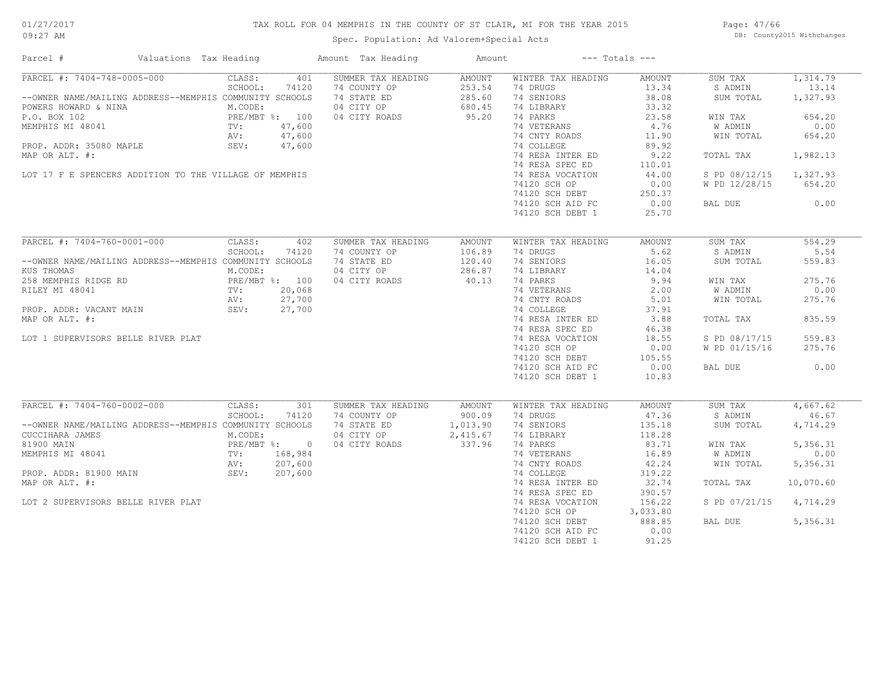## TAX ROLL FOR 04 MEMPHIS IN THE COUNTY OF ST CLAIR, MI FOR THE YEAR 2015

Spec. Population: Ad Valorem+Special Acts

Page: 47/66 DB: County2015 Withchanges

| Parcel #                                                                                                                                                                                                                          | Valuations Tax Heading |                                                                      |                                               | Amount Tax Heading                                                               | Amount                                               |                                                                                                                                                                                                                                                           | $---$ Totals $---$                                                                                                                           |                                                                                                                              |                                                                                                    |
|-----------------------------------------------------------------------------------------------------------------------------------------------------------------------------------------------------------------------------------|------------------------|----------------------------------------------------------------------|-----------------------------------------------|----------------------------------------------------------------------------------|------------------------------------------------------|-----------------------------------------------------------------------------------------------------------------------------------------------------------------------------------------------------------------------------------------------------------|----------------------------------------------------------------------------------------------------------------------------------------------|------------------------------------------------------------------------------------------------------------------------------|----------------------------------------------------------------------------------------------------|
| PARCEL #: 7404-748-0005-000<br>--OWNER NAME/MAILING ADDRESS--MEMPHIS COMMUNITY SCHOOLS<br>POWERS HOWARD & NINA<br>P.O. BOX 102<br>MEMPHIS MI 48041<br>PROP. ADDR: 35080 MAPLE<br>MAP OR ALT. #:                                   |                        | CLASS:<br>SCHOOL:<br>M.CODE:<br>PRE/MBT %: 100<br>TV:<br>AV:<br>SEV: | 401<br>74120<br>47,600<br>47,600<br>47,600    | SUMMER TAX HEADING<br>74 COUNTY OP<br>74 STATE ED<br>04 CITY OP<br>04 CITY ROADS | <b>AMOUNT</b><br>253.54<br>285.60<br>680.45<br>95.20 | WINTER TAX HEADING<br>74 DRUGS<br>74 SENIORS<br>74 LIBRARY<br>74 PARKS<br>74 VETERANS<br>74 CNTY ROADS<br>74 COLLEGE<br>74 RESA INTER ED<br>74 RESA SPEC ED                                                                                               | AMOUNT<br>13.34<br>38.08<br>33.32<br>23.58<br>4.76<br>11.90<br>89.92<br>9.22<br>110.01                                                       | SUM TAX<br>S ADMIN<br>SUM TOTAL<br>WIN TAX<br>W ADMIN<br>WIN TOTAL<br>TOTAL TAX                                              | 1,314.79<br>13.14<br>1,327.93<br>654.20<br>0.00<br>654.20<br>1,982.13                              |
| LOT 17 F E SPENCERS ADDITION TO THE VILLAGE OF MEMPHIS                                                                                                                                                                            |                        |                                                                      |                                               |                                                                                  |                                                      | 74 RESA VOCATION<br>74120 SCH OP<br>74120 SCH DEBT<br>74120 SCH AID FC<br>74120 SCH DEBT 1                                                                                                                                                                | 44.00<br>0.00<br>250.37<br>0.00<br>25.70                                                                                                     | S PD 08/12/15<br>W PD 12/28/15<br>BAL DUE                                                                                    | 1,327.93<br>654.20<br>0.00                                                                         |
| PARCEL #: 7404-760-0001-000<br>--OWNER NAME/MAILING ADDRESS--MEMPHIS COMMUNITY SCHOOLS<br>KUS THOMAS<br>258 MEMPHIS RIDGE RD<br>RILEY MI 48041<br>PROP. ADDR: VACANT MAIN<br>MAP OR ALT. #:<br>LOT 1 SUPERVISORS BELLE RIVER PLAT |                        | CLASS:<br>SCHOOL:<br>M.CODE:<br>PRE/MBT %: 100<br>TV:<br>AV:<br>SEV: | 402<br>74120<br>20,068<br>27,700<br>27,700    | SUMMER TAX HEADING<br>74 COUNTY OP<br>74 STATE ED<br>04 CITY OP<br>04 CITY ROADS | <b>AMOUNT</b><br>106.89<br>120.40<br>286.87<br>40.13 | WINTER TAX HEADING<br>74 DRUGS<br>74 SENIORS<br>74 LIBRARY<br>74 PARKS<br>74 VETERANS<br>74 CNTY ROADS<br>74 COLLEGE<br>74 RESA INTER ED<br>74 RESA SPEC ED<br>74 RESA VOCATION<br>74120 SCH OP<br>74120 SCH DEBT<br>74120 SCH AID FC<br>74120 SCH DEBT 1 | AMOUNT<br>5.62<br>16.05<br>14.04<br>9.94<br>2.00<br>5.01<br>37.91<br>3.88<br>46.38<br>18.55<br>0.00<br>105.55<br>0.00<br>10.83               | SUM TAX<br>S ADMIN<br>SUM TOTAL<br>WIN TAX<br>W ADMIN<br>WIN TOTAL<br>TOTAL TAX<br>S PD 08/17/15<br>W PD 01/15/16<br>BAL DUE | 554.29<br>5.54<br>559.83<br>275.76<br>0.00<br>275.76<br>835.59<br>559.83<br>275.76<br>0.00         |
| PARCEL #: 7404-760-0002-000<br>--OWNER NAME/MAILING ADDRESS--MEMPHIS COMMUNITY SCHOOLS<br>CUCCIHARA JAMES<br>81900 MAIN<br>MEMPHIS MI 48041<br>PROP. ADDR: 81900 MAIN<br>MAP OR ALT. #:<br>LOT 2 SUPERVISORS BELLE RIVER PLAT     |                        | CLASS:<br>SCHOOL:<br>M.CODE:<br>PRE/MBT %: 0<br>TV:<br>AV:<br>SEV:   | 301<br>74120<br>168,984<br>207,600<br>207,600 | SUMMER TAX HEADING<br>74 COUNTY OP<br>74 STATE ED<br>04 CITY OP<br>04 CITY ROADS | AMOUNT<br>900.09<br>1,013.90<br>2,415.67<br>337.96   | WINTER TAX HEADING<br>74 DRUGS<br>74 SENIORS<br>74 LIBRARY<br>74 PARKS<br>74 VETERANS<br>74 CNTY ROADS<br>74 COLLEGE<br>74 RESA INTER ED<br>74 RESA SPEC ED<br>74 RESA VOCATION<br>74120 SCH OP<br>74120 SCH DEBT<br>74120 SCH AID FC<br>74120 SCH DEBT 1 | AMOUNT<br>47.36<br>135.18<br>118.28<br>83.71<br>16.89<br>42.24<br>319.22<br>32.74<br>390.57<br>156.22<br>3,033.80<br>888.85<br>0.00<br>91.25 | SUM TAX<br>S ADMIN<br>SUM TOTAL<br>WIN TAX<br><b>W ADMIN</b><br>WIN TOTAL<br>TOTAL TAX<br>S PD 07/21/15<br>BAL DUE           | 4,667.62<br>46.67<br>4,714.29<br>5,356.31<br>0.00<br>5,356.31<br>10,070.60<br>4,714.29<br>5,356.31 |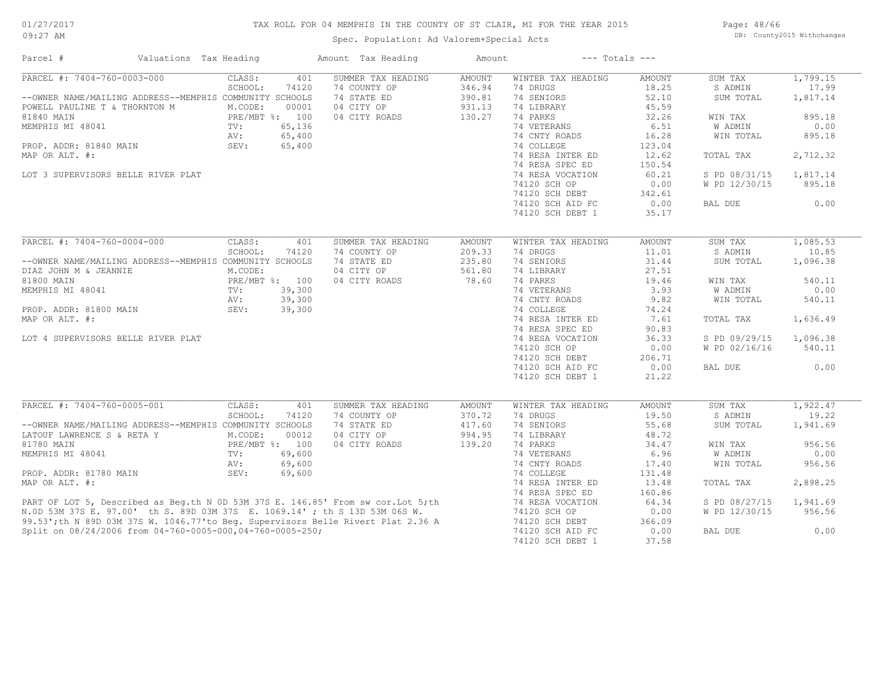## TAX ROLL FOR 04 MEMPHIS IN THE COUNTY OF ST CLAIR, MI FOR THE YEAR 2015

Spec. Population: Ad Valorem+Special Acts

Page: 48/66 DB: County2015 Withchanges

| Parcel #                                                                                                                                                                                                                             | Valuations Tax Heading | Amount Tax Heading | $---$ Totals $---$<br>Amount |                    |               |               |          |
|--------------------------------------------------------------------------------------------------------------------------------------------------------------------------------------------------------------------------------------|------------------------|--------------------|------------------------------|--------------------|---------------|---------------|----------|
| PARCEL #: 7404-760-0003-000                                                                                                                                                                                                          | CLASS:<br>401          | SUMMER TAX HEADING | <b>AMOUNT</b>                | WINTER TAX HEADING | AMOUNT        | SUM TAX       | 1,799.15 |
|                                                                                                                                                                                                                                      | SCHOOL:<br>74120       | 74 COUNTY OP       | 346.94                       | 74 DRUGS           | 18.25         | S ADMIN       | 17.99    |
| --OWNER NAME/MAILING ADDRESS--MEMPHIS COMMUNITY SCHOOLS                                                                                                                                                                              |                        | 74 STATE ED        | 390.81                       | 74 SENIORS         | 52.10         | SUM TOTAL     | 1,817.14 |
| POWELL PAULINE T & THORNTON M                                                                                                                                                                                                        | M.CODE:<br>00001       | 04 CITY OP         | 931.13                       | 74 LIBRARY         | 45.59         |               |          |
| 81840 MAIN                                                                                                                                                                                                                           | PRE/MBT %: 100         | 04 CITY ROADS      | 130.27                       | 74 PARKS           | 32.26         | WIN TAX       | 895.18   |
| MEMPHIS MI 48041                                                                                                                                                                                                                     | 65,136<br>TV:          |                    |                              | 74 VETERANS        | 6.51          | W ADMIN       | 0.00     |
|                                                                                                                                                                                                                                      | 65,400<br>AV:          |                    |                              | 74 CNTY ROADS      | 16.28         | WIN TOTAL     | 895.18   |
| PROP. ADDR: 81840 MAIN                                                                                                                                                                                                               | SEV:<br>65,400         |                    |                              | 74 COLLEGE         | 123.04        |               |          |
| MAP OR ALT. #:                                                                                                                                                                                                                       |                        |                    |                              | 74 RESA INTER ED   | 12.62         | TOTAL TAX     | 2,712.32 |
|                                                                                                                                                                                                                                      |                        |                    |                              | 74 RESA SPEC ED    | 150.54        |               |          |
| LOT 3 SUPERVISORS BELLE RIVER PLAT                                                                                                                                                                                                   |                        |                    |                              | 74 RESA VOCATION   | 60.21         | S PD 08/31/15 | 1,817.14 |
|                                                                                                                                                                                                                                      |                        |                    |                              | 74120 SCH OP       | 0.00          | W PD 12/30/15 | 895.18   |
|                                                                                                                                                                                                                                      |                        |                    |                              |                    |               |               |          |
|                                                                                                                                                                                                                                      |                        |                    |                              | 74120 SCH DEBT     | 342.61        |               |          |
|                                                                                                                                                                                                                                      |                        |                    |                              | 74120 SCH AID FC   | 0.00          | BAL DUE       | 0.00     |
|                                                                                                                                                                                                                                      |                        |                    |                              | 74120 SCH DEBT 1   | 35.17         |               |          |
|                                                                                                                                                                                                                                      |                        |                    |                              |                    |               |               |          |
| PARCEL #: 7404-760-0004-000                                                                                                                                                                                                          | CLASS:<br>401          | SUMMER TAX HEADING | <b>AMOUNT</b>                | WINTER TAX HEADING | <b>AMOUNT</b> | SUM TAX       | 1,085.53 |
|                                                                                                                                                                                                                                      | SCHOOL:<br>74120       | 74 COUNTY OP       | 209.33                       | 74 DRUGS           | 11.01         | S ADMIN       | 10.85    |
| --OWNER NAME/MAILING ADDRESS--MEMPHIS COMMUNITY SCHOOLS                                                                                                                                                                              |                        | 74 STATE ED        | 235.80                       | 74 SENIORS         | 31.44         | SUM TOTAL     | 1,096.38 |
| DIAZ JOHN M & JEANNIE                                                                                                                                                                                                                | M.CODE:                | 04 CITY OP         | 561.80                       | 74 LIBRARY         | 27.51         |               |          |
| 81800 MAIN                                                                                                                                                                                                                           | PRE/MBT %: 100         | 04 CITY ROADS      | 78.60                        | 74 PARKS           | 19.46         | WIN TAX       | 540.11   |
| MEMPHIS MI 48041                                                                                                                                                                                                                     | 39,300<br>TV:          |                    |                              | 74 VETERANS        | 3.93          | W ADMIN       | 0.00     |
|                                                                                                                                                                                                                                      | 39,300<br>AV:          |                    |                              | 74 CNTY ROADS      | 9.82          | WIN TOTAL     | 540.11   |
| PROP. ADDR: 81800 MAIN                                                                                                                                                                                                               | SEV:<br>39,300         |                    |                              | 74 COLLEGE         | 74.24         |               |          |
| MAP OR ALT. #:                                                                                                                                                                                                                       |                        |                    |                              | 74 RESA INTER ED   | 7.61          | TOTAL TAX     | 1,636.49 |
|                                                                                                                                                                                                                                      |                        |                    |                              | 74 RESA SPEC ED    | 90.83         |               |          |
| LOT 4 SUPERVISORS BELLE RIVER PLAT                                                                                                                                                                                                   |                        |                    |                              | 74 RESA VOCATION   | 36.33         | S PD 09/29/15 | 1,096.38 |
|                                                                                                                                                                                                                                      |                        |                    |                              | 74120 SCH OP       | 0.00          | W PD 02/16/16 | 540.11   |
|                                                                                                                                                                                                                                      |                        |                    |                              | 74120 SCH DEBT     | 206.71        |               |          |
|                                                                                                                                                                                                                                      |                        |                    |                              | 74120 SCH AID FC   | 0.00          | BAL DUE       | 0.00     |
|                                                                                                                                                                                                                                      |                        |                    |                              | 74120 SCH DEBT 1   | 21.22         |               |          |
|                                                                                                                                                                                                                                      |                        |                    |                              |                    |               |               |          |
| PARCEL #: 7404-760-0005-001                                                                                                                                                                                                          | CLASS:<br>401          | SUMMER TAX HEADING | AMOUNT                       | WINTER TAX HEADING | <b>AMOUNT</b> | SUM TAX       | 1,922.47 |
|                                                                                                                                                                                                                                      | SCHOOL:<br>74120       | 74 COUNTY OP       | 370.72                       | 74 DRUGS           | 19.50         | S ADMIN       | 19.22    |
| --OWNER NAME/MAILING ADDRESS--MEMPHIS COMMUNITY SCHOOLS                                                                                                                                                                              |                        | 74 STATE ED        | 417.60                       | 74 SENIORS         | 55.68         | SUM TOTAL     | 1,941.69 |
| LATOUF LAWRENCE S & RETA Y                                                                                                                                                                                                           | M.CODE:<br>00012       | 04 CITY OP         | 994.95                       | 74 LIBRARY         | 48.72         |               |          |
|                                                                                                                                                                                                                                      |                        |                    |                              |                    |               |               |          |
| 81780 MAIN                                                                                                                                                                                                                           | PRE/MBT %: 100         | 04 CITY ROADS      | 139.20                       | 74 PARKS           | 34.47         | WIN TAX       | 956.56   |
| MEMPHIS MI 48041                                                                                                                                                                                                                     | 69,600<br>TV:          |                    |                              | 74 VETERANS        | 6.96          | W ADMIN       | 0.00     |
|                                                                                                                                                                                                                                      | 69,600<br>AV:          |                    |                              | 74 CNTY ROADS      | 17.40         | WIN TOTAL     | 956.56   |
| PROP. ADDR: 81780 MAIN                                                                                                                                                                                                               | SEV:<br>69,600         |                    |                              | 74 COLLEGE         | 131.48        |               |          |
| MAP OR ALT. #:                                                                                                                                                                                                                       |                        |                    |                              | 74 RESA INTER ED   | 13.48         | TOTAL TAX     | 2,898.25 |
|                                                                                                                                                                                                                                      |                        |                    |                              | 74 RESA SPEC ED    | 160.86        |               |          |
|                                                                                                                                                                                                                                      |                        |                    |                              | 74 RESA VOCATION   | 64.34         | S PD 08/27/15 | 1,941.69 |
| PART OF LOT 5, Described as Beg.th N OD 53M 37S E. 146.85' From sw cor. Lot 5; th<br>N.OD 53M 37S E. 97.00' th S. 89D 03M 37S E. 1069.14' ; th S 13D 53M 06S W.<br>99.53'; th N 89D 03M 37S W. 1046.77' to Beg. Supervisors Belle Ri |                        |                    |                              | 74120 SCH OP       | 0.00          | W PD 12/30/15 | 956.56   |
|                                                                                                                                                                                                                                      |                        |                    |                              | 74120 SCH DEBT     | 366.09        |               |          |
| Split on 08/24/2006 from 04-760-0005-000,04-760-0005-250;                                                                                                                                                                            |                        |                    |                              | 74120 SCH AID FC   | 0.00          | BAL DUE       | 0.00     |
|                                                                                                                                                                                                                                      |                        |                    |                              | 74120 SCH DEBT 1   | 37.58         |               |          |
|                                                                                                                                                                                                                                      |                        |                    |                              |                    |               |               |          |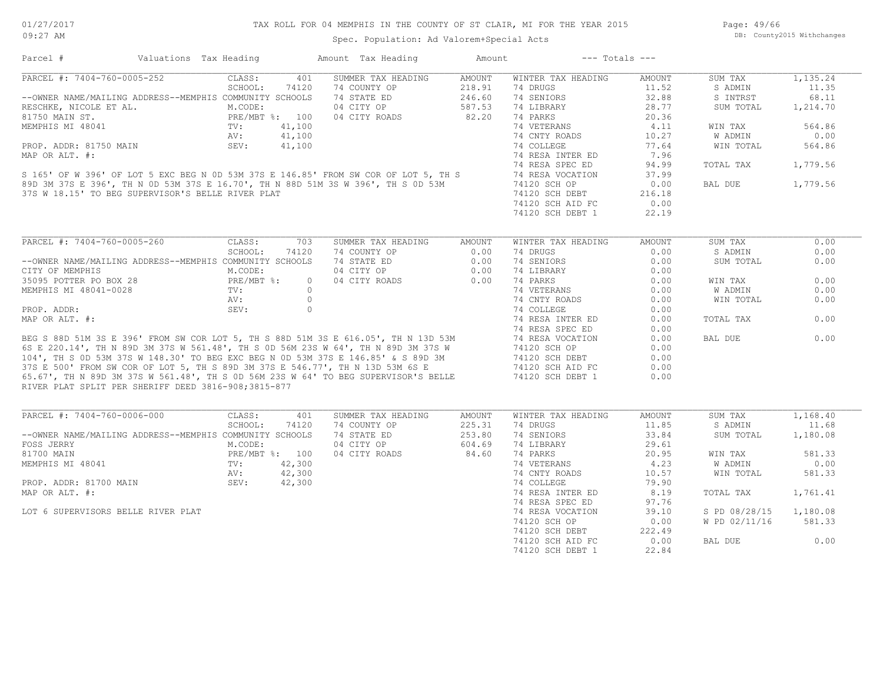## TAX ROLL FOR 04 MEMPHIS IN THE COUNTY OF ST CLAIR, MI FOR THE YEAR 2015

Spec. Population: Ad Valorem+Special Acts

Page: 49/66 DB: County2015 Withchanges

| Parcel #                                                                                                                                                                                                                            | Valuations Tax Heading |                |         | Amount Tax Heading                                                                                                                                                                                                           | Amount        |                    | $---$ Totals $---$ |               |          |
|-------------------------------------------------------------------------------------------------------------------------------------------------------------------------------------------------------------------------------------|------------------------|----------------|---------|------------------------------------------------------------------------------------------------------------------------------------------------------------------------------------------------------------------------------|---------------|--------------------|--------------------|---------------|----------|
| PARCEL #: 7404-760-0005-252                                                                                                                                                                                                         |                        | CLASS:         | 401     | SUMMER TAX HEADING                                                                                                                                                                                                           | <b>AMOUNT</b> | WINTER TAX HEADING | AMOUNT             | SUM TAX       | 1,135.24 |
|                                                                                                                                                                                                                                     |                        | SCHOOL:        | 74120   | 74 COUNTY OP                                                                                                                                                                                                                 | 218.91        | 74 DRUGS           | 11.52              | S ADMIN       | 11.35    |
| --OWNER NAME/MAILING ADDRESS--MEMPHIS COMMUNITY SCHOOLS                                                                                                                                                                             |                        |                |         | 74 STATE ED                                                                                                                                                                                                                  | 246.60        | 74 SENIORS         | 32.88              | S INTRST      | 68.11    |
| RESCHKE, NICOLE ET AL.                                                                                                                                                                                                              |                        | M.CODE:        |         | 04 CITY OP                                                                                                                                                                                                                   | 587.53        | 74 LIBRARY         | 28.77              | SUM TOTAL     | 1,214.70 |
| 81750 MAIN ST.                                                                                                                                                                                                                      |                        | PRE/MBT %: 100 |         | 04 CITY ROADS                                                                                                                                                                                                                | 82.20         | 74 PARKS           | 20.36              |               |          |
| MEMPHIS MI 48041                                                                                                                                                                                                                    |                        | TV:            | 41,100  |                                                                                                                                                                                                                              |               | 74 VETERANS        | 4.11               | WIN TAX       | 564.86   |
|                                                                                                                                                                                                                                     |                        | AV:            | 41,100  |                                                                                                                                                                                                                              |               | 74 CNTY ROADS      | 10.27              | W ADMIN       | 0.00     |
| PROP. ADDR: 81750 MAIN                                                                                                                                                                                                              |                        | SEV:           | 41,100  |                                                                                                                                                                                                                              |               | 74 COLLEGE         | 77.64              | WIN TOTAL     | 564.86   |
| MAP OR ALT. #:                                                                                                                                                                                                                      |                        |                |         |                                                                                                                                                                                                                              |               | 74 RESA INTER ED   | 7.96               |               |          |
|                                                                                                                                                                                                                                     |                        |                |         |                                                                                                                                                                                                                              |               | 74 RESA SPEC ED    | 94.99              | TOTAL TAX     | 1,779.56 |
|                                                                                                                                                                                                                                     |                        |                |         | S 165' OF W 396' OF LOT 5 EXC BEG N OD 53M 37S E 146.85' FROM SW COR OF LOT 5, TH S<br>89D 3M 37S E 396', TH N OD 53M 37S E 16.70', TH N 88D 51M 3S W 396', TH S OD 53M<br>379 W 19 15' TO PRO SUPPLYISONIS PILL RIVING ILLE |               | 74 RESA VOCATION   | 37.99              |               |          |
|                                                                                                                                                                                                                                     |                        |                |         |                                                                                                                                                                                                                              |               | 74120 SCH OP       | 0.00               | BAL DUE       | 1,779.56 |
| 37S W 18.15' TO BEG SUPERVISOR'S BELLE RIVER PLAT                                                                                                                                                                                   |                        |                |         |                                                                                                                                                                                                                              |               | 74120 SCH DEBT     | 216.18             |               |          |
|                                                                                                                                                                                                                                     |                        |                |         |                                                                                                                                                                                                                              |               | 74120 SCH AID FC   | 0.00               |               |          |
|                                                                                                                                                                                                                                     |                        |                |         |                                                                                                                                                                                                                              |               | 74120 SCH DEBT 1   | 22.19              |               |          |
|                                                                                                                                                                                                                                     |                        |                |         |                                                                                                                                                                                                                              |               |                    |                    |               |          |
| PARCEL #: 7404-760-0005-260                                                                                                                                                                                                         |                        | CLASS:         | 703     | SUMMER TAX HEADING                                                                                                                                                                                                           | AMOUNT        | WINTER TAX HEADING | AMOUNT             | SUM TAX       | 0.00     |
|                                                                                                                                                                                                                                     |                        | SCHOOL:        | 74120   | 74 COUNTY OP                                                                                                                                                                                                                 | 0.00          | 74 DRUGS           | 0.00               | S ADMIN       | 0.00     |
| --OWNER NAME/MAILING ADDRESS--MEMPHIS COMMUNITY SCHOOLS                                                                                                                                                                             |                        |                |         | 74 STATE ED                                                                                                                                                                                                                  | 0.00          | 74 SENIORS         | 0.00               | SUM TOTAL     | 0.00     |
|                                                                                                                                                                                                                                     |                        |                |         | 04 CITY OP                                                                                                                                                                                                                   | 0.00          | 74 LIBRARY         | 0.00               |               |          |
| CITY OF MEMPHIS<br>35095 POTTER PO BOX 28<br>MEMPHIS MI 48041-0028<br>TV:<br>NU.                                                                                                                                                    |                        |                | $\circ$ | 04 CITY ROADS                                                                                                                                                                                                                | 0.00          | 74 PARKS           | 0.00               | WIN TAX       | 0.00     |
|                                                                                                                                                                                                                                     |                        |                |         |                                                                                                                                                                                                                              |               |                    |                    |               |          |
|                                                                                                                                                                                                                                     |                        |                | $\circ$ |                                                                                                                                                                                                                              |               | 74 VETERANS        | 0.00               | W ADMIN       | 0.00     |
|                                                                                                                                                                                                                                     |                        | AV:            | $\circ$ |                                                                                                                                                                                                                              |               | 74 CNTY ROADS      | 0.00               | WIN TOTAL     | 0.00     |
| PROP. ADDR:                                                                                                                                                                                                                         |                        | SEV:           | $\circ$ |                                                                                                                                                                                                                              |               | 74 COLLEGE         | 0.00               |               |          |
| MAP OR ALT. #:                                                                                                                                                                                                                      |                        |                |         |                                                                                                                                                                                                                              |               | 74 RESA INTER ED   | 0.00               | TOTAL TAX     | 0.00     |
|                                                                                                                                                                                                                                     |                        |                |         |                                                                                                                                                                                                                              |               | 74 RESA SPEC ED    | 0.00               |               |          |
|                                                                                                                                                                                                                                     |                        |                |         |                                                                                                                                                                                                                              |               |                    | 0.00               | BAL DUE       | 0.00     |
|                                                                                                                                                                                                                                     |                        |                |         |                                                                                                                                                                                                                              |               |                    | 0.00               |               |          |
|                                                                                                                                                                                                                                     |                        |                |         |                                                                                                                                                                                                                              |               |                    | 0.00               |               |          |
|                                                                                                                                                                                                                                     |                        |                |         |                                                                                                                                                                                                                              |               |                    | 0.00               |               |          |
| BEG S 88D 51M 3S E 396' FROM SW COR LOT 5, TH S 88D 51M 3S E 616.05', TH N 13D 53M 44' RESA VOCATION<br>6S E 220.14', TH N 89D 3M 37S W 561.48', TH S 0D 56M 23S W 64', TH N 89D 3M 37S W 74 RESA VOCATION<br>104', TH S 0D 53M 37S |                        |                |         |                                                                                                                                                                                                                              |               |                    | 0.00               |               |          |
| RIVER PLAT SPLIT PER SHERIFF DEED 3816-908;3815-877                                                                                                                                                                                 |                        |                |         |                                                                                                                                                                                                                              |               |                    |                    |               |          |
|                                                                                                                                                                                                                                     |                        |                |         |                                                                                                                                                                                                                              |               |                    |                    |               |          |
| PARCEL #: 7404-760-0006-000                                                                                                                                                                                                         |                        | CLASS:         | 401     | SUMMER TAX HEADING                                                                                                                                                                                                           | AMOUNT        | WINTER TAX HEADING | AMOUNT             | SUM TAX       | 1,168.40 |
|                                                                                                                                                                                                                                     |                        | SCHOOL:        | 74120   | 74 COUNTY OP                                                                                                                                                                                                                 | 225.31        | 74 DRUGS           | 11.85              | S ADMIN       | 11.68    |
| --OWNER NAME/MAILING ADDRESS--MEMPHIS COMMUNITY SCHOOLS                                                                                                                                                                             |                        |                |         | 74 STATE ED                                                                                                                                                                                                                  | 253.80        | 74 SENIORS         | 33.84              | SUM TOTAL     | 1,180.08 |
| FOSS JERRY                                                                                                                                                                                                                          |                        | M.CODE:        |         | 04 CITY OP                                                                                                                                                                                                                   | 604.69        | 74 LIBRARY         | 29.61              |               |          |
| 81700 MAIN                                                                                                                                                                                                                          |                        | PRE/MBT %: 100 |         | 04 CITY ROADS                                                                                                                                                                                                                | 84.60         | 74 PARKS           | 20.95              | WIN TAX       | 581.33   |
| MEMPHIS MI 48041                                                                                                                                                                                                                    |                        | TV:            | 42,300  |                                                                                                                                                                                                                              |               | 74 VETERANS        | 4.23               | W ADMIN       | 0.00     |
|                                                                                                                                                                                                                                     |                        | AV:            |         |                                                                                                                                                                                                                              |               | 74 CNTY ROADS      | 10.57              | WIN TOTAL     | 581.33   |
| PROP. ADDR: 81700 MAIN                                                                                                                                                                                                              |                        | SEV:           |         |                                                                                                                                                                                                                              |               | 74 COLLEGE         | 79.90              |               |          |
| MAP OR ALT. #:                                                                                                                                                                                                                      |                        |                |         |                                                                                                                                                                                                                              |               | 74 RESA INTER ED   | 8.19               | TOTAL TAX     | 1,761.41 |
|                                                                                                                                                                                                                                     |                        |                |         | $42,300$<br>$42,300$<br>$42,300$                                                                                                                                                                                             |               | 74 RESA SPEC ED    | 97.76              |               |          |
| LOT 6 SUPERVISORS BELLE RIVER PLAT                                                                                                                                                                                                  |                        |                |         |                                                                                                                                                                                                                              |               | 74 RESA VOCATION   | 39.10              | S PD 08/28/15 | 1,180.08 |
|                                                                                                                                                                                                                                     |                        |                |         |                                                                                                                                                                                                                              |               | 74120 SCH OP       | 0.00               | W PD 02/11/16 | 581.33   |
|                                                                                                                                                                                                                                     |                        |                |         |                                                                                                                                                                                                                              |               | 74120 SCH DEBT     | 222.49             |               |          |
|                                                                                                                                                                                                                                     |                        |                |         |                                                                                                                                                                                                                              |               | 74120 SCH AID FC   | 0.00               | BAL DUE       | 0.00     |
|                                                                                                                                                                                                                                     |                        |                |         |                                                                                                                                                                                                                              |               | 74120 SCH DEBT 1   | 22.84              |               |          |
|                                                                                                                                                                                                                                     |                        |                |         |                                                                                                                                                                                                                              |               |                    |                    |               |          |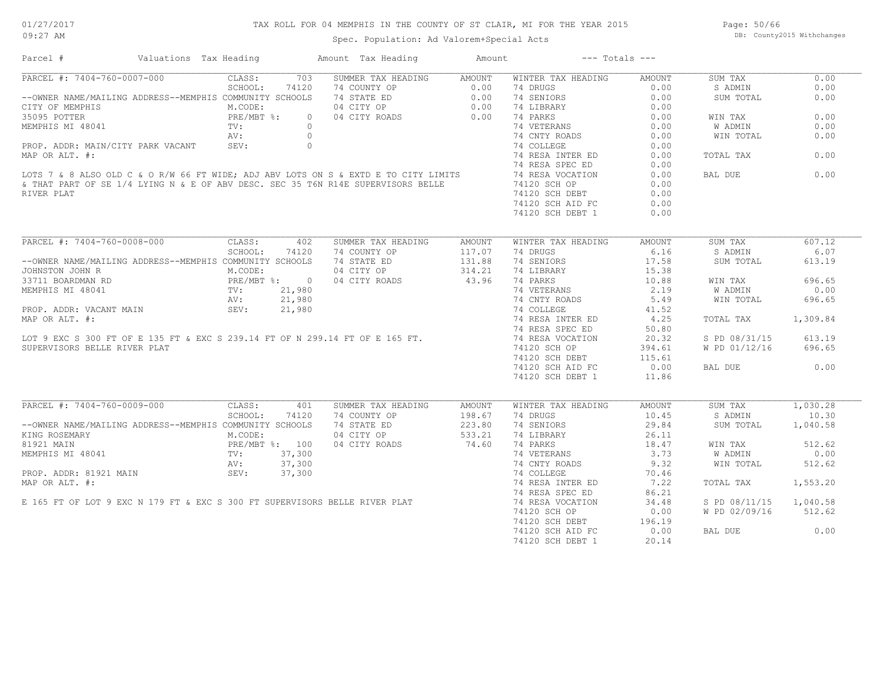## TAX ROLL FOR 04 MEMPHIS IN THE COUNTY OF ST CLAIR, MI FOR THE YEAR 2015

Spec. Population: Ad Valorem+Special Acts

Page: 50/66 DB: County2015 Withchanges

| Parcel #                                                                                                                                                                                                                                | Valuations Tax Heading       |         |       | Amount Tax Heading Mount                                                                                                                                                                                   |                                             | $---$ Totals $---$                                                                                                                           |                            |                        |             |
|-----------------------------------------------------------------------------------------------------------------------------------------------------------------------------------------------------------------------------------------|------------------------------|---------|-------|------------------------------------------------------------------------------------------------------------------------------------------------------------------------------------------------------------|---------------------------------------------|----------------------------------------------------------------------------------------------------------------------------------------------|----------------------------|------------------------|-------------|
| PARCEL #: 7404-760-0007-000                                                                                                                                                                                                             |                              | CLASS:  |       | 703 SUMMER TAX HEADING AMOUNT                                                                                                                                                                              |                                             | WINTER TAX HEADING                                                                                                                           | AMOUNT                     | SUM TAX                | 0.00        |
|                                                                                                                                                                                                                                         |                              |         |       | -0007-000<br>SCHOOL: 74120 74 COUNTY OP 0.00 74 DRUGS<br>NG ADDRESS--MEMPHIS COMMUNITY SCHOOLS 74 STATE ED 0.00 74 SENIORS<br>M.CODE: 04 CITY OP 0.00 74 LIBRARY<br>PRE/MBT %: 04 CITY ROADS 0.00 74 PARKS |                                             |                                                                                                                                              |                            | S ADMIN                | 0.00        |
| --OWNER NAME/MAILING ADDRESS--MEMPHIS COMMUNITY SCHOOLS                                                                                                                                                                                 |                              |         |       |                                                                                                                                                                                                            |                                             |                                                                                                                                              | $0.00$<br>$0.00$           | SUM TOTAL              | 0.00        |
| CITY OF MEMPHIS                                                                                                                                                                                                                         |                              |         |       |                                                                                                                                                                                                            |                                             | 14 SENDARY<br>14 LIBRARY 0.000<br>14 PARKS 0.000<br>14 COLLEGE 0.000<br>14 COLLEGE 0.000<br>14 RESA INTER ED 0.000<br>14 RESA INTER ED 0.000 |                            |                        |             |
| 35095 POTTER                                                                                                                                                                                                                            |                              |         |       |                                                                                                                                                                                                            |                                             |                                                                                                                                              |                            | WIN TAX                | 0.00        |
|                                                                                                                                                                                                                                         |                              |         |       |                                                                                                                                                                                                            |                                             |                                                                                                                                              |                            | W ADMIN                | 0.00        |
|                                                                                                                                                                                                                                         |                              |         |       |                                                                                                                                                                                                            |                                             |                                                                                                                                              |                            | WIN TOTAL              | 0.00        |
|                                                                                                                                                                                                                                         |                              |         |       |                                                                                                                                                                                                            |                                             |                                                                                                                                              |                            |                        |             |
|                                                                                                                                                                                                                                         |                              |         |       |                                                                                                                                                                                                            |                                             |                                                                                                                                              |                            |                        | 0.00        |
|                                                                                                                                                                                                                                         |                              |         |       |                                                                                                                                                                                                            |                                             |                                                                                                                                              |                            | TOTAL TAX              |             |
|                                                                                                                                                                                                                                         |                              |         |       |                                                                                                                                                                                                            |                                             |                                                                                                                                              | 0.00                       |                        |             |
|                                                                                                                                                                                                                                         |                              |         |       |                                                                                                                                                                                                            |                                             |                                                                                                                                              | 0.00                       | BAL DUE                | $\sim$ 0.00 |
|                                                                                                                                                                                                                                         |                              |         |       |                                                                                                                                                                                                            |                                             |                                                                                                                                              | 0.00                       |                        |             |
| RIVER PLAT                                                                                                                                                                                                                              |                              |         |       |                                                                                                                                                                                                            |                                             | 74120 SCH DEBT                                                                                                                               | 0.00                       |                        |             |
|                                                                                                                                                                                                                                         |                              |         |       |                                                                                                                                                                                                            |                                             | 74120 SCH AID FC                                                                                                                             | 0.00                       |                        |             |
|                                                                                                                                                                                                                                         |                              |         |       |                                                                                                                                                                                                            |                                             | 74120 SCH DEBT 1                                                                                                                             | 0.00                       |                        |             |
|                                                                                                                                                                                                                                         |                              |         |       |                                                                                                                                                                                                            |                                             |                                                                                                                                              |                            |                        |             |
| PARCEL #: 7404-760-0008-000 CLASS: 402 SUMMER TAX HEADING AMOUNT                                                                                                                                                                        |                              |         |       |                                                                                                                                                                                                            |                                             | WINTER TAX HEADING                                                                                                                           | AMOUNT                     | SUM TAX                | 607.12      |
|                                                                                                                                                                                                                                         |                              | SCHOOL: |       | 74120 74 COUNTY OP<br>74 COUNTY OP<br>74 STATE ED<br>74 STATE ED<br>74 SENIORS<br>74 SENIORS<br>74 LIBRARY<br>74 LIBRARY<br>74 CITY ROADS<br>74 PARKS                                                      |                                             |                                                                                                                                              | 6.16                       | S ADMIN                | 6.07        |
| --OWNER NAME/MAILING ADDRESS--MEMPHIS COMMUNITY SCHOOLS 74 STATE ED                                                                                                                                                                     |                              |         |       |                                                                                                                                                                                                            |                                             |                                                                                                                                              | 17.58                      | SUM TOTAL              | 613.19      |
| JOHNSTON JOHN R                                                                                                                                                                                                                         | M.CODE:                      |         |       |                                                                                                                                                                                                            |                                             | 74 SENIORS<br>74 LIBRARY 15.38<br>74 PARKS 10.88<br>74 CNTY ROADS 5.49<br>74 CNTY ROADS 5.49<br>71 COLLEGE 41.52                             |                            |                        |             |
| 33711 BOARDMAN RD                                                                                                                                                                                                                       |                              |         |       | PRE/MBT %: 0 04 CITY ROADS<br>TV: 21,980<br>AV: 21,980                                                                                                                                                     |                                             |                                                                                                                                              |                            | WIN TAX                | 696.65      |
|                                                                                                                                                                                                                                         |                              |         |       |                                                                                                                                                                                                            |                                             |                                                                                                                                              |                            | W ADMIN                | 0.00        |
|                                                                                                                                                                                                                                         |                              |         |       |                                                                                                                                                                                                            |                                             |                                                                                                                                              |                            | WIN TOTAL              | 696.65      |
|                                                                                                                                                                                                                                         |                              |         |       |                                                                                                                                                                                                            |                                             |                                                                                                                                              |                            |                        |             |
|                                                                                                                                                                                                                                         |                              |         |       |                                                                                                                                                                                                            |                                             | 74 RESA INTER ED 4.25                                                                                                                        |                            | TOTAL TAX 1,309.84     |             |
|                                                                                                                                                                                                                                         |                              |         |       |                                                                                                                                                                                                            |                                             |                                                                                                                                              |                            |                        |             |
|                                                                                                                                                                                                                                         |                              |         |       |                                                                                                                                                                                                            |                                             |                                                                                                                                              | 50.80                      |                        |             |
|                                                                                                                                                                                                                                         |                              |         |       |                                                                                                                                                                                                            |                                             |                                                                                                                                              | 20.32                      | S PD 08/31/15 613.19   |             |
| SUPERVISORS BELLE RIVER PLAT                                                                                                                                                                                                            |                              |         |       |                                                                                                                                                                                                            |                                             | 74120 SCH OP                                                                                                                                 | 394.61                     | W PD 01/12/16 696.65   |             |
|                                                                                                                                                                                                                                         |                              |         |       |                                                                                                                                                                                                            |                                             | 74120 SCH DEBT 115.61<br>74120 SCH AID FC 0.00                                                                                               |                            |                        |             |
|                                                                                                                                                                                                                                         |                              |         |       |                                                                                                                                                                                                            |                                             | 74120 SCH AID FC                                                                                                                             | 0.00                       | BAL DUE                | 0.00        |
|                                                                                                                                                                                                                                         |                              |         |       |                                                                                                                                                                                                            |                                             | 74120 SCH DEBT 1                                                                                                                             | 11.86                      |                        |             |
|                                                                                                                                                                                                                                         |                              |         |       |                                                                                                                                                                                                            |                                             |                                                                                                                                              |                            |                        |             |
| PARCEL #: 7404-760-0009-000 CLASS:                                                                                                                                                                                                      |                              |         | 401   | SUMMER TAX HEADING AMOUNT                                                                                                                                                                                  |                                             | WINTER TAX HEADING                                                                                                                           | AMOUNT                     | SUM TAX 1,030.28       |             |
|                                                                                                                                                                                                                                         |                              | SCHOOL: | 74120 | 74 COUNTY OP                                                                                                                                                                                               | $198.67$<br>$223.80$<br>$533.21$<br>$74.60$ | 74 DRUGS                                                                                                                                     | 10.45                      | S ADMIN                | 10.30       |
| --OWNER NAME/MAILING ADDRESS--MEMPHIS COMMUNITY SCHOOLS                                                                                                                                                                                 |                              |         |       | 74 STATE ED                                                                                                                                                                                                |                                             | 74 SENIORS                                                                                                                                   | 29.84                      | SUM TOTAL              | 1,040.58    |
| KING ROSEMARY                                                                                                                                                                                                                           | M.CODE:                      |         |       | 04 CITY OP                                                                                                                                                                                                 |                                             | 74 LIBRARY                                                                                                                                   | 26.11<br>$18.47$<br>$3.73$ |                        |             |
| 81921 MAIN                                                                                                                                                                                                                              | PRE/MBT %: 100<br>TV: 37,300 |         |       | 04 CITY ROADS                                                                                                                                                                                              |                                             | 74 PARKS                                                                                                                                     |                            | WIN TAX                | 512.62      |
|                                                                                                                                                                                                                                         |                              |         |       |                                                                                                                                                                                                            |                                             |                                                                                                                                              |                            | W ADMIN                | 0.00        |
|                                                                                                                                                                                                                                         |                              |         |       |                                                                                                                                                                                                            |                                             | 74 CNTY ROADS 9.32                                                                                                                           |                            | WIN TOTAL              | 512.62      |
|                                                                                                                                                                                                                                         |                              |         |       |                                                                                                                                                                                                            |                                             |                                                                                                                                              | 70.46                      |                        |             |
| MEMPHIS MI 48041<br>MEMPHIS MI 48041<br>PROP. ADDR: 81921 MAIN MIN SEV: 37,300<br>MAP OR ALT. #: 74 RESA INTERED<br>E 165 FT OF LOT 9 EXC N 179 FT & EXC S 300 FT SUPERVISORS BELLE RIVER PLAT 74 RESA INTERED<br>E 165 FT OF LOT 9 EXC |                              |         |       |                                                                                                                                                                                                            |                                             | 74 RESA INTER ED 7.22<br>74 RESA SPEC ED 86.21                                                                                               |                            | TOTAL TAX              | 1,553.20    |
|                                                                                                                                                                                                                                         |                              |         |       |                                                                                                                                                                                                            |                                             |                                                                                                                                              | 86.21                      |                        |             |
|                                                                                                                                                                                                                                         |                              |         |       |                                                                                                                                                                                                            |                                             |                                                                                                                                              | 34.48                      | S PD 08/11/15 1,040.58 |             |
|                                                                                                                                                                                                                                         |                              |         |       |                                                                                                                                                                                                            |                                             | 74120 SCH OP                                                                                                                                 | 0.00                       | W PD 02/09/16 512.62   |             |
|                                                                                                                                                                                                                                         |                              |         |       |                                                                                                                                                                                                            |                                             |                                                                                                                                              |                            |                        |             |
|                                                                                                                                                                                                                                         |                              |         |       |                                                                                                                                                                                                            |                                             | 74120 SCH DEBT 196.19<br>74120 SCH AID FC 0.00                                                                                               |                            | BAL DUE                | 0.00        |
|                                                                                                                                                                                                                                         |                              |         |       |                                                                                                                                                                                                            |                                             | 74120 SCH DEBT 1                                                                                                                             | 20.14                      |                        |             |
|                                                                                                                                                                                                                                         |                              |         |       |                                                                                                                                                                                                            |                                             |                                                                                                                                              |                            |                        |             |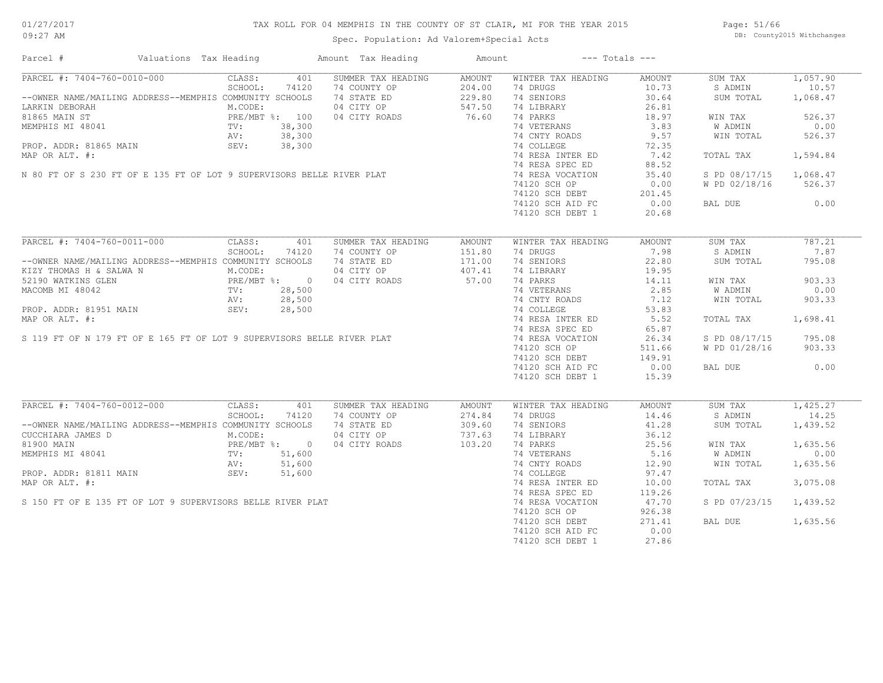## TAX ROLL FOR 04 MEMPHIS IN THE COUNTY OF ST CLAIR, MI FOR THE YEAR 2015

Spec. Population: Ad Valorem+Special Acts

Page: 51/66 DB: County2015 Withchanges

| PARCEL #: 7404-760-0010-000<br>CLASS: 401 SUMMER TAX HEADING<br>WINTER TAX HEADING<br>1,057.90<br>AMOUNT<br>AMOUNT<br>SUM TAX<br>SCHOOL:<br>74120<br>74 COUNTY OP<br>74 STATE ED<br>74 STATE ED<br>229.80<br>04 CITY ROADS<br>76.60<br>74 DRUGS<br>10.73<br>S ADMIN<br>10.57<br>74 STATE ED<br>30.64<br>1,068.47<br>--OWNER NAME/MAILING ADDRESS--MEMPHIS COMMUNITY SCHOOLS<br>74 SENIORS<br>SUM TOTAL<br>74 LIBRARY 26.81<br>74 PARKS 26.81<br>74 VETERANS 3.83<br>74 CNTY ROADS 9.57<br>1999)<br>1999 - LARKIN DEBORAH M.CODE:<br>1999 - M.CODE:<br>1999 - M.CODE:<br>1999 - M.CODE:<br>1999 - M.CODE:<br>1999 - M.CODE:<br>1999 - M.CODE:<br>1999 - M.CODE:<br>1999 - M.CODE:<br>1999 - M.CODE:<br>1999 - M.CODE:<br>299,300<br>299,300<br>299,30<br>526.37<br>WIN TAX<br>W ADMIN<br>0.00<br>MEMPHIS MIN ST<br>MEMPHIS MI 48041<br>MEMPHIS MI 48041<br>MEMPHIS MI 48041<br>MEMPHIS MI 48041<br>MRP OR ALIT. #:<br>MAP OR ALIT. #:<br>MAP OR ALIT. #:<br>MAP OR ALIT. #:<br>MAP OR ALIT. #:<br>MAP OR ALIT. #:<br>MAP OR ALIT. #:<br>MAP OR ALIT. #:<br>WIN TOTAL<br>526.37<br>74 COLLEGE<br>72.35<br>74 COLLEGE 72.35<br>74 RESA INTER ED 7.42<br>74 RESA INTER ED 7.42<br>TOTAL TAX<br>1,594.84<br>74 RESA SPEC ED<br>88.52<br>35.40<br>S PD 08/17/15 1,068.47<br>74120 SCH OP<br>0.00<br>W PD 02/18/16 526.37<br>74120 SCH DEBT 201.45<br>74120 SCH AID FC 0.00<br>BAL DUE 0.00<br>74120 SCH DEBT 1<br>20.68<br>787.21<br>SUM TAX<br>$\begin{tabular}{lcccccc} -\text{OWNER} \text{ NAME} / \text{MALING} & \text{SCHOOL}: & 74120 & 74 \text{ COMMER} \text{ TAX HEADING} & \text{AMOUNT} & \text{WINTER} \text{ TAX HEADING} & \text{AMOUNT} \\ --\text{OWNER} \text{ NAME} / \text{MALING} & \text{ADDRESS} --\text{MEMPHIS} \text{ COMMUNITY} & \text{SEHOOLS} & 74 \text{ OUNTY OP} & 151.80 & 74 \text{ DRUGS} & 7.98 \\ \text{KIZY THOMAS H & & & & & & & & & & & & & & & & & & & & & & &$<br>7.87<br>S ADMIN<br>SUM TOTAL<br>795.08<br>903.33<br>WIN TAX<br>74 PAKNS<br>74 VETERANS 2.85<br>74 CNTY ROADS 7.12<br>11 CNTY ROADS 53.83<br>W ADMIN<br>0.00<br>WIN TOTAL<br>903.33<br>74 RESA INTER ED 5.52<br>74 RESA SPEC ED 65.87<br>TOTAL TAX 1,698.41<br>74 RESA VOCATION<br>74120 SCH OP<br>26.34<br>S PD 08/17/15 795.08<br>W PD 01/28/16<br>511.66<br>903.33<br>74120 SCH DEBT 149.91<br>74120 SCH AID FC 0.00<br>BAL DUE 0.00<br>74120 SCH DEBT 1<br>15.39<br>PARCEL #: 7404-760-0012-000 CLASS:<br>SUM TAX 1,425.27<br>401<br>SUMMER TAX HEADING<br>WINTER TAX HEADING<br>AMOUNT<br>AMOUNT<br>SCHOOL: 74120<br>74 COUNTY OP 274.84<br>74 STATE ED 309.60<br>04 CITY OP 737.63<br>04 CITY ROADS 103.20<br>74 DRUGS<br>14.46<br>S ADMIN<br>14.25<br>--OWNER NAME/MAILING ADDRESS--MEMPHIS COMMUNITY SCHOOLS<br>SUM TOTAL<br>1,439.52<br>44.46<br>74 LIBRARY 41.28<br>74 PARKS 36.12<br>74 PARKS 25.56<br>74 CNTY ROADS 12.90<br>74 COLLEGE 97.47<br>74 RESA TNTEP TO<br>CUCCHIARA JAMES D<br>CUCCHIARA JAMES D<br>RE/MBT %: 0<br>MEMPHIS MI 48041 TV: 51,600<br>PROP. ADDR: 81811 MAIN SEV: 51,600<br>1,635.56<br>WIN TAX<br>W ADMIN<br>0.00<br>MEMPHIS MI 48041<br>PROP. ADDR: 81811 MAIN<br>MAP OR ALT. #:<br>S 150 FT OF E 135 FT OF LOT 9 SUPERVISORS BELLE RIVER PLAT<br>1,635.56<br>WIN TOTAL<br>3,075.08<br>.<br>74 RESA INTER ED<br>74 RESA SPEC ED<br>10.00<br>TOTAL TAX<br>119.26<br>74 RESA VOCATION<br>47.70<br>S PD 07/23/15 1,439.52<br>74 RESA VOCATION<br>74120 SCH OP<br>926.38<br>74120 SCH DEBT 271.41<br>74120 SCH AID FC 0.00<br>BAL DUE 1,635.56<br>74120 SCH DEBT 1<br>27.86 | Parcel # | Valuations Tax Heading | Amount Tax Heading Mount | $---$ Totals $---$ |  |  |
|-----------------------------------------------------------------------------------------------------------------------------------------------------------------------------------------------------------------------------------------------------------------------------------------------------------------------------------------------------------------------------------------------------------------------------------------------------------------------------------------------------------------------------------------------------------------------------------------------------------------------------------------------------------------------------------------------------------------------------------------------------------------------------------------------------------------------------------------------------------------------------------------------------------------------------------------------------------------------------------------------------------------------------------------------------------------------------------------------------------------------------------------------------------------------------------------------------------------------------------------------------------------------------------------------------------------------------------------------------------------------------------------------------------------------------------------------------------------------------------------------------------------------------------------------------------------------------------------------------------------------------------------------------------------------------------------------------------------------------------------------------------------------------------------------------------------------------------------------------------------------------------------------------------------------------------------------------------------------------------------------------------------------------------------------------------------------------------------------------------------------------------------------------------------------------------------------------------------------------------------------------------------------------------------------------------------------------------------------------------------------------------------------------------------------------------------------------------------------------------------------------------------------------------------------------------------------------------------------------------------------------------------------------------------------------------------------------------------------------------------------------------------------------------------------------------------------------------------------------------------------------------------------------------------------------------------------------------------------------------------------------------------------------------------------------------------------------------------------------------------------------------------------------------------------------------------------------------------------------------------------------------------------------------------------------------------------------------------------------------------------------------------------------------------------------------------------------------------------------------------------------------------------|----------|------------------------|--------------------------|--------------------|--|--|
|                                                                                                                                                                                                                                                                                                                                                                                                                                                                                                                                                                                                                                                                                                                                                                                                                                                                                                                                                                                                                                                                                                                                                                                                                                                                                                                                                                                                                                                                                                                                                                                                                                                                                                                                                                                                                                                                                                                                                                                                                                                                                                                                                                                                                                                                                                                                                                                                                                                                                                                                                                                                                                                                                                                                                                                                                                                                                                                                                                                                                                                                                                                                                                                                                                                                                                                                                                                                                                                                                                                       |          |                        |                          |                    |  |  |
|                                                                                                                                                                                                                                                                                                                                                                                                                                                                                                                                                                                                                                                                                                                                                                                                                                                                                                                                                                                                                                                                                                                                                                                                                                                                                                                                                                                                                                                                                                                                                                                                                                                                                                                                                                                                                                                                                                                                                                                                                                                                                                                                                                                                                                                                                                                                                                                                                                                                                                                                                                                                                                                                                                                                                                                                                                                                                                                                                                                                                                                                                                                                                                                                                                                                                                                                                                                                                                                                                                                       |          |                        |                          |                    |  |  |
|                                                                                                                                                                                                                                                                                                                                                                                                                                                                                                                                                                                                                                                                                                                                                                                                                                                                                                                                                                                                                                                                                                                                                                                                                                                                                                                                                                                                                                                                                                                                                                                                                                                                                                                                                                                                                                                                                                                                                                                                                                                                                                                                                                                                                                                                                                                                                                                                                                                                                                                                                                                                                                                                                                                                                                                                                                                                                                                                                                                                                                                                                                                                                                                                                                                                                                                                                                                                                                                                                                                       |          |                        |                          |                    |  |  |
|                                                                                                                                                                                                                                                                                                                                                                                                                                                                                                                                                                                                                                                                                                                                                                                                                                                                                                                                                                                                                                                                                                                                                                                                                                                                                                                                                                                                                                                                                                                                                                                                                                                                                                                                                                                                                                                                                                                                                                                                                                                                                                                                                                                                                                                                                                                                                                                                                                                                                                                                                                                                                                                                                                                                                                                                                                                                                                                                                                                                                                                                                                                                                                                                                                                                                                                                                                                                                                                                                                                       |          |                        |                          |                    |  |  |
|                                                                                                                                                                                                                                                                                                                                                                                                                                                                                                                                                                                                                                                                                                                                                                                                                                                                                                                                                                                                                                                                                                                                                                                                                                                                                                                                                                                                                                                                                                                                                                                                                                                                                                                                                                                                                                                                                                                                                                                                                                                                                                                                                                                                                                                                                                                                                                                                                                                                                                                                                                                                                                                                                                                                                                                                                                                                                                                                                                                                                                                                                                                                                                                                                                                                                                                                                                                                                                                                                                                       |          |                        |                          |                    |  |  |
|                                                                                                                                                                                                                                                                                                                                                                                                                                                                                                                                                                                                                                                                                                                                                                                                                                                                                                                                                                                                                                                                                                                                                                                                                                                                                                                                                                                                                                                                                                                                                                                                                                                                                                                                                                                                                                                                                                                                                                                                                                                                                                                                                                                                                                                                                                                                                                                                                                                                                                                                                                                                                                                                                                                                                                                                                                                                                                                                                                                                                                                                                                                                                                                                                                                                                                                                                                                                                                                                                                                       |          |                        |                          |                    |  |  |
|                                                                                                                                                                                                                                                                                                                                                                                                                                                                                                                                                                                                                                                                                                                                                                                                                                                                                                                                                                                                                                                                                                                                                                                                                                                                                                                                                                                                                                                                                                                                                                                                                                                                                                                                                                                                                                                                                                                                                                                                                                                                                                                                                                                                                                                                                                                                                                                                                                                                                                                                                                                                                                                                                                                                                                                                                                                                                                                                                                                                                                                                                                                                                                                                                                                                                                                                                                                                                                                                                                                       |          |                        |                          |                    |  |  |
|                                                                                                                                                                                                                                                                                                                                                                                                                                                                                                                                                                                                                                                                                                                                                                                                                                                                                                                                                                                                                                                                                                                                                                                                                                                                                                                                                                                                                                                                                                                                                                                                                                                                                                                                                                                                                                                                                                                                                                                                                                                                                                                                                                                                                                                                                                                                                                                                                                                                                                                                                                                                                                                                                                                                                                                                                                                                                                                                                                                                                                                                                                                                                                                                                                                                                                                                                                                                                                                                                                                       |          |                        |                          |                    |  |  |
|                                                                                                                                                                                                                                                                                                                                                                                                                                                                                                                                                                                                                                                                                                                                                                                                                                                                                                                                                                                                                                                                                                                                                                                                                                                                                                                                                                                                                                                                                                                                                                                                                                                                                                                                                                                                                                                                                                                                                                                                                                                                                                                                                                                                                                                                                                                                                                                                                                                                                                                                                                                                                                                                                                                                                                                                                                                                                                                                                                                                                                                                                                                                                                                                                                                                                                                                                                                                                                                                                                                       |          |                        |                          |                    |  |  |
|                                                                                                                                                                                                                                                                                                                                                                                                                                                                                                                                                                                                                                                                                                                                                                                                                                                                                                                                                                                                                                                                                                                                                                                                                                                                                                                                                                                                                                                                                                                                                                                                                                                                                                                                                                                                                                                                                                                                                                                                                                                                                                                                                                                                                                                                                                                                                                                                                                                                                                                                                                                                                                                                                                                                                                                                                                                                                                                                                                                                                                                                                                                                                                                                                                                                                                                                                                                                                                                                                                                       |          |                        |                          |                    |  |  |
|                                                                                                                                                                                                                                                                                                                                                                                                                                                                                                                                                                                                                                                                                                                                                                                                                                                                                                                                                                                                                                                                                                                                                                                                                                                                                                                                                                                                                                                                                                                                                                                                                                                                                                                                                                                                                                                                                                                                                                                                                                                                                                                                                                                                                                                                                                                                                                                                                                                                                                                                                                                                                                                                                                                                                                                                                                                                                                                                                                                                                                                                                                                                                                                                                                                                                                                                                                                                                                                                                                                       |          |                        |                          |                    |  |  |
|                                                                                                                                                                                                                                                                                                                                                                                                                                                                                                                                                                                                                                                                                                                                                                                                                                                                                                                                                                                                                                                                                                                                                                                                                                                                                                                                                                                                                                                                                                                                                                                                                                                                                                                                                                                                                                                                                                                                                                                                                                                                                                                                                                                                                                                                                                                                                                                                                                                                                                                                                                                                                                                                                                                                                                                                                                                                                                                                                                                                                                                                                                                                                                                                                                                                                                                                                                                                                                                                                                                       |          |                        |                          |                    |  |  |
|                                                                                                                                                                                                                                                                                                                                                                                                                                                                                                                                                                                                                                                                                                                                                                                                                                                                                                                                                                                                                                                                                                                                                                                                                                                                                                                                                                                                                                                                                                                                                                                                                                                                                                                                                                                                                                                                                                                                                                                                                                                                                                                                                                                                                                                                                                                                                                                                                                                                                                                                                                                                                                                                                                                                                                                                                                                                                                                                                                                                                                                                                                                                                                                                                                                                                                                                                                                                                                                                                                                       |          |                        |                          |                    |  |  |
|                                                                                                                                                                                                                                                                                                                                                                                                                                                                                                                                                                                                                                                                                                                                                                                                                                                                                                                                                                                                                                                                                                                                                                                                                                                                                                                                                                                                                                                                                                                                                                                                                                                                                                                                                                                                                                                                                                                                                                                                                                                                                                                                                                                                                                                                                                                                                                                                                                                                                                                                                                                                                                                                                                                                                                                                                                                                                                                                                                                                                                                                                                                                                                                                                                                                                                                                                                                                                                                                                                                       |          |                        |                          |                    |  |  |
|                                                                                                                                                                                                                                                                                                                                                                                                                                                                                                                                                                                                                                                                                                                                                                                                                                                                                                                                                                                                                                                                                                                                                                                                                                                                                                                                                                                                                                                                                                                                                                                                                                                                                                                                                                                                                                                                                                                                                                                                                                                                                                                                                                                                                                                                                                                                                                                                                                                                                                                                                                                                                                                                                                                                                                                                                                                                                                                                                                                                                                                                                                                                                                                                                                                                                                                                                                                                                                                                                                                       |          |                        |                          |                    |  |  |
|                                                                                                                                                                                                                                                                                                                                                                                                                                                                                                                                                                                                                                                                                                                                                                                                                                                                                                                                                                                                                                                                                                                                                                                                                                                                                                                                                                                                                                                                                                                                                                                                                                                                                                                                                                                                                                                                                                                                                                                                                                                                                                                                                                                                                                                                                                                                                                                                                                                                                                                                                                                                                                                                                                                                                                                                                                                                                                                                                                                                                                                                                                                                                                                                                                                                                                                                                                                                                                                                                                                       |          |                        |                          |                    |  |  |
|                                                                                                                                                                                                                                                                                                                                                                                                                                                                                                                                                                                                                                                                                                                                                                                                                                                                                                                                                                                                                                                                                                                                                                                                                                                                                                                                                                                                                                                                                                                                                                                                                                                                                                                                                                                                                                                                                                                                                                                                                                                                                                                                                                                                                                                                                                                                                                                                                                                                                                                                                                                                                                                                                                                                                                                                                                                                                                                                                                                                                                                                                                                                                                                                                                                                                                                                                                                                                                                                                                                       |          |                        |                          |                    |  |  |
|                                                                                                                                                                                                                                                                                                                                                                                                                                                                                                                                                                                                                                                                                                                                                                                                                                                                                                                                                                                                                                                                                                                                                                                                                                                                                                                                                                                                                                                                                                                                                                                                                                                                                                                                                                                                                                                                                                                                                                                                                                                                                                                                                                                                                                                                                                                                                                                                                                                                                                                                                                                                                                                                                                                                                                                                                                                                                                                                                                                                                                                                                                                                                                                                                                                                                                                                                                                                                                                                                                                       |          |                        |                          |                    |  |  |
|                                                                                                                                                                                                                                                                                                                                                                                                                                                                                                                                                                                                                                                                                                                                                                                                                                                                                                                                                                                                                                                                                                                                                                                                                                                                                                                                                                                                                                                                                                                                                                                                                                                                                                                                                                                                                                                                                                                                                                                                                                                                                                                                                                                                                                                                                                                                                                                                                                                                                                                                                                                                                                                                                                                                                                                                                                                                                                                                                                                                                                                                                                                                                                                                                                                                                                                                                                                                                                                                                                                       |          |                        |                          |                    |  |  |
|                                                                                                                                                                                                                                                                                                                                                                                                                                                                                                                                                                                                                                                                                                                                                                                                                                                                                                                                                                                                                                                                                                                                                                                                                                                                                                                                                                                                                                                                                                                                                                                                                                                                                                                                                                                                                                                                                                                                                                                                                                                                                                                                                                                                                                                                                                                                                                                                                                                                                                                                                                                                                                                                                                                                                                                                                                                                                                                                                                                                                                                                                                                                                                                                                                                                                                                                                                                                                                                                                                                       |          |                        |                          |                    |  |  |
|                                                                                                                                                                                                                                                                                                                                                                                                                                                                                                                                                                                                                                                                                                                                                                                                                                                                                                                                                                                                                                                                                                                                                                                                                                                                                                                                                                                                                                                                                                                                                                                                                                                                                                                                                                                                                                                                                                                                                                                                                                                                                                                                                                                                                                                                                                                                                                                                                                                                                                                                                                                                                                                                                                                                                                                                                                                                                                                                                                                                                                                                                                                                                                                                                                                                                                                                                                                                                                                                                                                       |          |                        |                          |                    |  |  |
|                                                                                                                                                                                                                                                                                                                                                                                                                                                                                                                                                                                                                                                                                                                                                                                                                                                                                                                                                                                                                                                                                                                                                                                                                                                                                                                                                                                                                                                                                                                                                                                                                                                                                                                                                                                                                                                                                                                                                                                                                                                                                                                                                                                                                                                                                                                                                                                                                                                                                                                                                                                                                                                                                                                                                                                                                                                                                                                                                                                                                                                                                                                                                                                                                                                                                                                                                                                                                                                                                                                       |          |                        |                          |                    |  |  |
|                                                                                                                                                                                                                                                                                                                                                                                                                                                                                                                                                                                                                                                                                                                                                                                                                                                                                                                                                                                                                                                                                                                                                                                                                                                                                                                                                                                                                                                                                                                                                                                                                                                                                                                                                                                                                                                                                                                                                                                                                                                                                                                                                                                                                                                                                                                                                                                                                                                                                                                                                                                                                                                                                                                                                                                                                                                                                                                                                                                                                                                                                                                                                                                                                                                                                                                                                                                                                                                                                                                       |          |                        |                          |                    |  |  |
|                                                                                                                                                                                                                                                                                                                                                                                                                                                                                                                                                                                                                                                                                                                                                                                                                                                                                                                                                                                                                                                                                                                                                                                                                                                                                                                                                                                                                                                                                                                                                                                                                                                                                                                                                                                                                                                                                                                                                                                                                                                                                                                                                                                                                                                                                                                                                                                                                                                                                                                                                                                                                                                                                                                                                                                                                                                                                                                                                                                                                                                                                                                                                                                                                                                                                                                                                                                                                                                                                                                       |          |                        |                          |                    |  |  |
|                                                                                                                                                                                                                                                                                                                                                                                                                                                                                                                                                                                                                                                                                                                                                                                                                                                                                                                                                                                                                                                                                                                                                                                                                                                                                                                                                                                                                                                                                                                                                                                                                                                                                                                                                                                                                                                                                                                                                                                                                                                                                                                                                                                                                                                                                                                                                                                                                                                                                                                                                                                                                                                                                                                                                                                                                                                                                                                                                                                                                                                                                                                                                                                                                                                                                                                                                                                                                                                                                                                       |          |                        |                          |                    |  |  |
|                                                                                                                                                                                                                                                                                                                                                                                                                                                                                                                                                                                                                                                                                                                                                                                                                                                                                                                                                                                                                                                                                                                                                                                                                                                                                                                                                                                                                                                                                                                                                                                                                                                                                                                                                                                                                                                                                                                                                                                                                                                                                                                                                                                                                                                                                                                                                                                                                                                                                                                                                                                                                                                                                                                                                                                                                                                                                                                                                                                                                                                                                                                                                                                                                                                                                                                                                                                                                                                                                                                       |          |                        |                          |                    |  |  |
|                                                                                                                                                                                                                                                                                                                                                                                                                                                                                                                                                                                                                                                                                                                                                                                                                                                                                                                                                                                                                                                                                                                                                                                                                                                                                                                                                                                                                                                                                                                                                                                                                                                                                                                                                                                                                                                                                                                                                                                                                                                                                                                                                                                                                                                                                                                                                                                                                                                                                                                                                                                                                                                                                                                                                                                                                                                                                                                                                                                                                                                                                                                                                                                                                                                                                                                                                                                                                                                                                                                       |          |                        |                          |                    |  |  |
|                                                                                                                                                                                                                                                                                                                                                                                                                                                                                                                                                                                                                                                                                                                                                                                                                                                                                                                                                                                                                                                                                                                                                                                                                                                                                                                                                                                                                                                                                                                                                                                                                                                                                                                                                                                                                                                                                                                                                                                                                                                                                                                                                                                                                                                                                                                                                                                                                                                                                                                                                                                                                                                                                                                                                                                                                                                                                                                                                                                                                                                                                                                                                                                                                                                                                                                                                                                                                                                                                                                       |          |                        |                          |                    |  |  |
|                                                                                                                                                                                                                                                                                                                                                                                                                                                                                                                                                                                                                                                                                                                                                                                                                                                                                                                                                                                                                                                                                                                                                                                                                                                                                                                                                                                                                                                                                                                                                                                                                                                                                                                                                                                                                                                                                                                                                                                                                                                                                                                                                                                                                                                                                                                                                                                                                                                                                                                                                                                                                                                                                                                                                                                                                                                                                                                                                                                                                                                                                                                                                                                                                                                                                                                                                                                                                                                                                                                       |          |                        |                          |                    |  |  |
|                                                                                                                                                                                                                                                                                                                                                                                                                                                                                                                                                                                                                                                                                                                                                                                                                                                                                                                                                                                                                                                                                                                                                                                                                                                                                                                                                                                                                                                                                                                                                                                                                                                                                                                                                                                                                                                                                                                                                                                                                                                                                                                                                                                                                                                                                                                                                                                                                                                                                                                                                                                                                                                                                                                                                                                                                                                                                                                                                                                                                                                                                                                                                                                                                                                                                                                                                                                                                                                                                                                       |          |                        |                          |                    |  |  |
|                                                                                                                                                                                                                                                                                                                                                                                                                                                                                                                                                                                                                                                                                                                                                                                                                                                                                                                                                                                                                                                                                                                                                                                                                                                                                                                                                                                                                                                                                                                                                                                                                                                                                                                                                                                                                                                                                                                                                                                                                                                                                                                                                                                                                                                                                                                                                                                                                                                                                                                                                                                                                                                                                                                                                                                                                                                                                                                                                                                                                                                                                                                                                                                                                                                                                                                                                                                                                                                                                                                       |          |                        |                          |                    |  |  |
|                                                                                                                                                                                                                                                                                                                                                                                                                                                                                                                                                                                                                                                                                                                                                                                                                                                                                                                                                                                                                                                                                                                                                                                                                                                                                                                                                                                                                                                                                                                                                                                                                                                                                                                                                                                                                                                                                                                                                                                                                                                                                                                                                                                                                                                                                                                                                                                                                                                                                                                                                                                                                                                                                                                                                                                                                                                                                                                                                                                                                                                                                                                                                                                                                                                                                                                                                                                                                                                                                                                       |          |                        |                          |                    |  |  |
|                                                                                                                                                                                                                                                                                                                                                                                                                                                                                                                                                                                                                                                                                                                                                                                                                                                                                                                                                                                                                                                                                                                                                                                                                                                                                                                                                                                                                                                                                                                                                                                                                                                                                                                                                                                                                                                                                                                                                                                                                                                                                                                                                                                                                                                                                                                                                                                                                                                                                                                                                                                                                                                                                                                                                                                                                                                                                                                                                                                                                                                                                                                                                                                                                                                                                                                                                                                                                                                                                                                       |          |                        |                          |                    |  |  |
|                                                                                                                                                                                                                                                                                                                                                                                                                                                                                                                                                                                                                                                                                                                                                                                                                                                                                                                                                                                                                                                                                                                                                                                                                                                                                                                                                                                                                                                                                                                                                                                                                                                                                                                                                                                                                                                                                                                                                                                                                                                                                                                                                                                                                                                                                                                                                                                                                                                                                                                                                                                                                                                                                                                                                                                                                                                                                                                                                                                                                                                                                                                                                                                                                                                                                                                                                                                                                                                                                                                       |          |                        |                          |                    |  |  |
|                                                                                                                                                                                                                                                                                                                                                                                                                                                                                                                                                                                                                                                                                                                                                                                                                                                                                                                                                                                                                                                                                                                                                                                                                                                                                                                                                                                                                                                                                                                                                                                                                                                                                                                                                                                                                                                                                                                                                                                                                                                                                                                                                                                                                                                                                                                                                                                                                                                                                                                                                                                                                                                                                                                                                                                                                                                                                                                                                                                                                                                                                                                                                                                                                                                                                                                                                                                                                                                                                                                       |          |                        |                          |                    |  |  |
|                                                                                                                                                                                                                                                                                                                                                                                                                                                                                                                                                                                                                                                                                                                                                                                                                                                                                                                                                                                                                                                                                                                                                                                                                                                                                                                                                                                                                                                                                                                                                                                                                                                                                                                                                                                                                                                                                                                                                                                                                                                                                                                                                                                                                                                                                                                                                                                                                                                                                                                                                                                                                                                                                                                                                                                                                                                                                                                                                                                                                                                                                                                                                                                                                                                                                                                                                                                                                                                                                                                       |          |                        |                          |                    |  |  |
|                                                                                                                                                                                                                                                                                                                                                                                                                                                                                                                                                                                                                                                                                                                                                                                                                                                                                                                                                                                                                                                                                                                                                                                                                                                                                                                                                                                                                                                                                                                                                                                                                                                                                                                                                                                                                                                                                                                                                                                                                                                                                                                                                                                                                                                                                                                                                                                                                                                                                                                                                                                                                                                                                                                                                                                                                                                                                                                                                                                                                                                                                                                                                                                                                                                                                                                                                                                                                                                                                                                       |          |                        |                          |                    |  |  |
|                                                                                                                                                                                                                                                                                                                                                                                                                                                                                                                                                                                                                                                                                                                                                                                                                                                                                                                                                                                                                                                                                                                                                                                                                                                                                                                                                                                                                                                                                                                                                                                                                                                                                                                                                                                                                                                                                                                                                                                                                                                                                                                                                                                                                                                                                                                                                                                                                                                                                                                                                                                                                                                                                                                                                                                                                                                                                                                                                                                                                                                                                                                                                                                                                                                                                                                                                                                                                                                                                                                       |          |                        |                          |                    |  |  |
|                                                                                                                                                                                                                                                                                                                                                                                                                                                                                                                                                                                                                                                                                                                                                                                                                                                                                                                                                                                                                                                                                                                                                                                                                                                                                                                                                                                                                                                                                                                                                                                                                                                                                                                                                                                                                                                                                                                                                                                                                                                                                                                                                                                                                                                                                                                                                                                                                                                                                                                                                                                                                                                                                                                                                                                                                                                                                                                                                                                                                                                                                                                                                                                                                                                                                                                                                                                                                                                                                                                       |          |                        |                          |                    |  |  |
|                                                                                                                                                                                                                                                                                                                                                                                                                                                                                                                                                                                                                                                                                                                                                                                                                                                                                                                                                                                                                                                                                                                                                                                                                                                                                                                                                                                                                                                                                                                                                                                                                                                                                                                                                                                                                                                                                                                                                                                                                                                                                                                                                                                                                                                                                                                                                                                                                                                                                                                                                                                                                                                                                                                                                                                                                                                                                                                                                                                                                                                                                                                                                                                                                                                                                                                                                                                                                                                                                                                       |          |                        |                          |                    |  |  |
|                                                                                                                                                                                                                                                                                                                                                                                                                                                                                                                                                                                                                                                                                                                                                                                                                                                                                                                                                                                                                                                                                                                                                                                                                                                                                                                                                                                                                                                                                                                                                                                                                                                                                                                                                                                                                                                                                                                                                                                                                                                                                                                                                                                                                                                                                                                                                                                                                                                                                                                                                                                                                                                                                                                                                                                                                                                                                                                                                                                                                                                                                                                                                                                                                                                                                                                                                                                                                                                                                                                       |          |                        |                          |                    |  |  |
|                                                                                                                                                                                                                                                                                                                                                                                                                                                                                                                                                                                                                                                                                                                                                                                                                                                                                                                                                                                                                                                                                                                                                                                                                                                                                                                                                                                                                                                                                                                                                                                                                                                                                                                                                                                                                                                                                                                                                                                                                                                                                                                                                                                                                                                                                                                                                                                                                                                                                                                                                                                                                                                                                                                                                                                                                                                                                                                                                                                                                                                                                                                                                                                                                                                                                                                                                                                                                                                                                                                       |          |                        |                          |                    |  |  |
|                                                                                                                                                                                                                                                                                                                                                                                                                                                                                                                                                                                                                                                                                                                                                                                                                                                                                                                                                                                                                                                                                                                                                                                                                                                                                                                                                                                                                                                                                                                                                                                                                                                                                                                                                                                                                                                                                                                                                                                                                                                                                                                                                                                                                                                                                                                                                                                                                                                                                                                                                                                                                                                                                                                                                                                                                                                                                                                                                                                                                                                                                                                                                                                                                                                                                                                                                                                                                                                                                                                       |          |                        |                          |                    |  |  |
|                                                                                                                                                                                                                                                                                                                                                                                                                                                                                                                                                                                                                                                                                                                                                                                                                                                                                                                                                                                                                                                                                                                                                                                                                                                                                                                                                                                                                                                                                                                                                                                                                                                                                                                                                                                                                                                                                                                                                                                                                                                                                                                                                                                                                                                                                                                                                                                                                                                                                                                                                                                                                                                                                                                                                                                                                                                                                                                                                                                                                                                                                                                                                                                                                                                                                                                                                                                                                                                                                                                       |          |                        |                          |                    |  |  |
|                                                                                                                                                                                                                                                                                                                                                                                                                                                                                                                                                                                                                                                                                                                                                                                                                                                                                                                                                                                                                                                                                                                                                                                                                                                                                                                                                                                                                                                                                                                                                                                                                                                                                                                                                                                                                                                                                                                                                                                                                                                                                                                                                                                                                                                                                                                                                                                                                                                                                                                                                                                                                                                                                                                                                                                                                                                                                                                                                                                                                                                                                                                                                                                                                                                                                                                                                                                                                                                                                                                       |          |                        |                          |                    |  |  |
|                                                                                                                                                                                                                                                                                                                                                                                                                                                                                                                                                                                                                                                                                                                                                                                                                                                                                                                                                                                                                                                                                                                                                                                                                                                                                                                                                                                                                                                                                                                                                                                                                                                                                                                                                                                                                                                                                                                                                                                                                                                                                                                                                                                                                                                                                                                                                                                                                                                                                                                                                                                                                                                                                                                                                                                                                                                                                                                                                                                                                                                                                                                                                                                                                                                                                                                                                                                                                                                                                                                       |          |                        |                          |                    |  |  |
|                                                                                                                                                                                                                                                                                                                                                                                                                                                                                                                                                                                                                                                                                                                                                                                                                                                                                                                                                                                                                                                                                                                                                                                                                                                                                                                                                                                                                                                                                                                                                                                                                                                                                                                                                                                                                                                                                                                                                                                                                                                                                                                                                                                                                                                                                                                                                                                                                                                                                                                                                                                                                                                                                                                                                                                                                                                                                                                                                                                                                                                                                                                                                                                                                                                                                                                                                                                                                                                                                                                       |          |                        |                          |                    |  |  |
|                                                                                                                                                                                                                                                                                                                                                                                                                                                                                                                                                                                                                                                                                                                                                                                                                                                                                                                                                                                                                                                                                                                                                                                                                                                                                                                                                                                                                                                                                                                                                                                                                                                                                                                                                                                                                                                                                                                                                                                                                                                                                                                                                                                                                                                                                                                                                                                                                                                                                                                                                                                                                                                                                                                                                                                                                                                                                                                                                                                                                                                                                                                                                                                                                                                                                                                                                                                                                                                                                                                       |          |                        |                          |                    |  |  |
|                                                                                                                                                                                                                                                                                                                                                                                                                                                                                                                                                                                                                                                                                                                                                                                                                                                                                                                                                                                                                                                                                                                                                                                                                                                                                                                                                                                                                                                                                                                                                                                                                                                                                                                                                                                                                                                                                                                                                                                                                                                                                                                                                                                                                                                                                                                                                                                                                                                                                                                                                                                                                                                                                                                                                                                                                                                                                                                                                                                                                                                                                                                                                                                                                                                                                                                                                                                                                                                                                                                       |          |                        |                          |                    |  |  |
|                                                                                                                                                                                                                                                                                                                                                                                                                                                                                                                                                                                                                                                                                                                                                                                                                                                                                                                                                                                                                                                                                                                                                                                                                                                                                                                                                                                                                                                                                                                                                                                                                                                                                                                                                                                                                                                                                                                                                                                                                                                                                                                                                                                                                                                                                                                                                                                                                                                                                                                                                                                                                                                                                                                                                                                                                                                                                                                                                                                                                                                                                                                                                                                                                                                                                                                                                                                                                                                                                                                       |          |                        |                          |                    |  |  |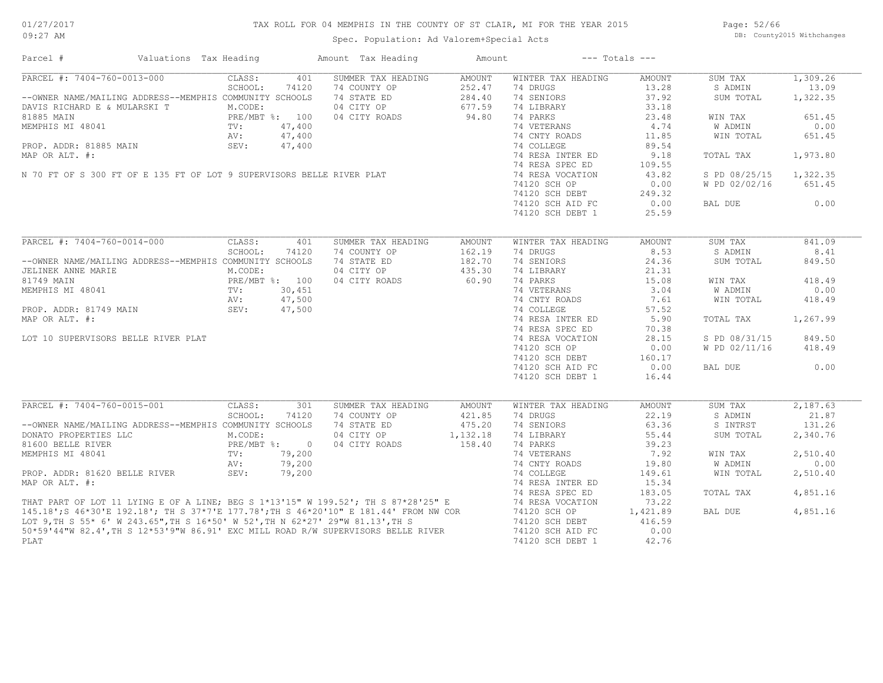## TAX ROLL FOR 04 MEMPHIS IN THE COUNTY OF ST CLAIR, MI FOR THE YEAR 2015

Spec. Population: Ad Valorem+Special Acts

Page: 52/66 DB: County2015 Withchanges

| Parcel #                                                                                                                                                                                                                                   | Valuations Tax Heading                   | Amount Tax Heading                                                          | Amount | --- Totals ---               |               |                |          |
|--------------------------------------------------------------------------------------------------------------------------------------------------------------------------------------------------------------------------------------------|------------------------------------------|-----------------------------------------------------------------------------|--------|------------------------------|---------------|----------------|----------|
| PARCEL #: 7404-760-0013-000                                                                                                                                                                                                                | 401<br>CLASS:                            | SUMMER TAX HEADING                                                          | AMOUNT | WINTER TAX HEADING           | AMOUNT        | SUM TAX        | 1,309.26 |
|                                                                                                                                                                                                                                            | SCHOOL:<br>74120                         | 74 COUNTY OP                                                                | 252.47 | 74 DRUGS                     | 13.28         | S ADMIN        | 13.09    |
| --OWNER NAME/MAILING ADDRESS--MEMPHIS COMMUNITY SCHOOLS                                                                                                                                                                                    |                                          | 74 STATE ED                                                                 | 284.40 | 74 SENIORS                   | 37.92         | SUM TOTAL      | 1,322.35 |
| DAVIS RICHARD E & MULARSKI T                                                                                                                                                                                                               | M.CODE:                                  | 04 CITY OP 677.59<br>04 CITY ROADS 94.80                                    |        | 74 LIBRARY                   | 33.18         |                |          |
| 81885 MAIN<br>MEMPHIS MI 48041<br>PROP. ADDR: 81885 MAIN<br>MAP OR ALT #:<br>MAP OR ALT #:<br>MAP OR ALT #:                                                                                                                                |                                          | 04 CITY ROADS                                                               |        | 74 PARKS                     | 23.48         | WIN TAX        | 651.45   |
|                                                                                                                                                                                                                                            |                                          |                                                                             |        | 74 VETERANS                  | 4,74          | W ADMIN        | 0.00     |
|                                                                                                                                                                                                                                            |                                          |                                                                             |        | 74 CNTY ROADS                | 11.85         | WIN TOTAL      | 651.45   |
|                                                                                                                                                                                                                                            |                                          |                                                                             |        | 74 COLLEGE                   | 89.54         |                |          |
|                                                                                                                                                                                                                                            |                                          |                                                                             |        | 74 RESA INTER ED             | 9.18          | TOTAL TAX      | 1,973.80 |
|                                                                                                                                                                                                                                            |                                          |                                                                             |        | 74 RESA SPEC ED              | 109.55        |                |          |
|                                                                                                                                                                                                                                            |                                          |                                                                             |        | 74 RESA VOCATION             | 43.82         | S PD 08/25/15  | 1,322.35 |
|                                                                                                                                                                                                                                            |                                          |                                                                             |        | 74120 SCH OP                 | 0.00          | W PD 02/02/16  | 651.45   |
|                                                                                                                                                                                                                                            |                                          |                                                                             |        | 74120 SCH DEBT               | 249.32        |                |          |
|                                                                                                                                                                                                                                            |                                          |                                                                             |        | 74120 SCH AID FC             | 0.00          | BAL DUE        | 0.00     |
|                                                                                                                                                                                                                                            |                                          |                                                                             |        | 74120 SCH DEBT 1             | 25.59         |                |          |
|                                                                                                                                                                                                                                            |                                          |                                                                             |        |                              |               |                |          |
| $\frac{1}{24.00}$<br>$\frac{47,400}{47,400}$<br>N 70 FT OF S 300 FT OF E 135 FT OF LOT 9 SUPERVISORS BELLE RIVER PLAT<br>$\frac{7}{100}$<br>$\frac{7}{100}$<br>$\frac{7}{100}$<br>$\frac{7}{100}$                                          |                                          |                                                                             | AMOUNT | WINTER TAX HEADING           | <b>AMOUNT</b> | SUM TAX        | 841.09   |
|                                                                                                                                                                                                                                            | SCHOOL:<br>74120                         | 74 COUNTY OP                                                                | 162.19 | 74 DRUGS                     | 8.53          | S ADMIN        | 8.41     |
|                                                                                                                                                                                                                                            |                                          |                                                                             |        |                              |               |                |          |
| --OWNER NAME/MAILING ADDRESS--MEMPHIS COMMUNITY SCHOOLS                                                                                                                                                                                    |                                          | 74 STATE ED                                                                 | 182.70 | 74 SENIORS                   | 24.36         | SUM TOTAL      | 849.50   |
|                                                                                                                                                                                                                                            |                                          | 04 CITY OP                                                                  | 435.30 | 74 LIBRARY                   | 21.31         |                |          |
|                                                                                                                                                                                                                                            |                                          | 04 CITY ROADS                                                               | 60.90  | 74 PARKS                     | 15.08         | WIN TAX        | 418.49   |
| UELINEK ANNE MARIE M.CODE:<br>81749 MAIN PRE/MBT %: 100<br>MEMPHIS MI 48041 TV: 30,451<br>PROP. ADDR: 81749 MAIN SEV: 47,500<br>PROP. ADDR: 81749 MAIN SEV: 47,500                                                                         |                                          | FREAD 3: 100 04 CITY ROADS 60.90<br>TV: 30,451<br>AV: 47,500<br>SEV: 47,500 |        | 74 VETERANS<br>74 CNTY ROADS | 3.04          | W ADMIN        | 0.00     |
|                                                                                                                                                                                                                                            |                                          |                                                                             |        |                              | 7.61          | WIN TOTAL      | 418.49   |
|                                                                                                                                                                                                                                            |                                          |                                                                             |        | 74 COLLEGE                   | 57.52         |                |          |
| MAP OR ALT. #:                                                                                                                                                                                                                             |                                          |                                                                             |        | 74 RESA INTER ED             | 5.90          | TOTAL TAX      | 1,267.99 |
|                                                                                                                                                                                                                                            |                                          |                                                                             |        | 74 RESA SPEC ED              | 70.38         |                |          |
| LOT 10 SUPERVISORS BELLE RIVER PLAT                                                                                                                                                                                                        |                                          |                                                                             |        | 74 RESA VOCATION             | 28.15         | S PD 08/31/15  | 849.50   |
|                                                                                                                                                                                                                                            |                                          |                                                                             |        | 74120 SCH OP                 | 0.00          | W PD 02/11/16  | 418.49   |
|                                                                                                                                                                                                                                            |                                          |                                                                             |        | 74120 SCH DEBT               | 160.17        |                |          |
|                                                                                                                                                                                                                                            |                                          |                                                                             |        | 74120 SCH AID FC             | 0.00          | BAL DUE        | 0.00     |
|                                                                                                                                                                                                                                            |                                          |                                                                             |        | 74120 SCH DEBT 1             | 16.44         |                |          |
|                                                                                                                                                                                                                                            |                                          |                                                                             |        |                              |               |                |          |
| PARCEL #: 7404-760-0015-001                                                                                                                                                                                                                | 301<br>CLASS:                            | SUMMER TAX HEADING                                                          | AMOUNT | WINTER TAX HEADING           | AMOUNT        | SUM TAX        | 2,187.63 |
|                                                                                                                                                                                                                                            | SCHOOL:<br>74120                         | 74 COUNTY OP                                                                | 421.85 | 74 DRUGS                     | 22.19         | S ADMIN        | 21.87    |
| --OWNER NAME/MAILING ADDRESS--MEMPHIS COMMUNITY SCHOOLS                                                                                                                                                                                    |                                          | 74 STATE ED 475.20                                                          |        | 74 SENIORS                   | 63.36         | S INTRST       | 131.26   |
| DONATO PROPERTIES LLC                                                                                                                                                                                                                      | LC M.CODE:<br>PRE/MBT %: 0<br>TV: 79,200 | 04 CITY OP 1,132.18                                                         |        | 74 LIBRARY                   | 55.44         | SUM TOTAL      | 2,340.76 |
| 81600 BELLE RIVER                                                                                                                                                                                                                          |                                          | 04 CITY ROADS                                                               | 158.40 | 74 PARKS                     | 39.23         |                |          |
|                                                                                                                                                                                                                                            |                                          |                                                                             |        |                              | 7.92          | WIN TAX        | 2,510.40 |
|                                                                                                                                                                                                                                            |                                          |                                                                             |        |                              | 19.80         | <b>W ADMIN</b> | 0.00     |
|                                                                                                                                                                                                                                            |                                          |                                                                             |        |                              | 149.61        | WIN TOTAL      | 2,510.40 |
|                                                                                                                                                                                                                                            |                                          |                                                                             |        |                              | 15.34         |                |          |
|                                                                                                                                                                                                                                            |                                          |                                                                             |        |                              | 183.05        | TOTAL TAX      | 4,851.16 |
|                                                                                                                                                                                                                                            |                                          |                                                                             |        |                              | 73.22         |                |          |
|                                                                                                                                                                                                                                            |                                          |                                                                             |        |                              | 1,421.89      | BAL DUE        | 4,851.16 |
|                                                                                                                                                                                                                                            |                                          |                                                                             |        |                              | 416.59        |                |          |
| MEMPHIS MI 48041<br>MEMPHIS MI 48041<br>PROP. ADDR: 81620 BELLE RIVER<br>MRP OR ALT. #:<br>MRP OR ALT. #:<br>TAT PART OF LOT 11 LYING E OF A LINE; BEG S 1*13'15" W 199.52'; TH S 37*28'25" E<br>THAT PART OF LOT 11 LYING E OF A LINE; BE |                                          |                                                                             |        |                              | 0.00          |                |          |
| PLAT                                                                                                                                                                                                                                       |                                          |                                                                             |        | 74120 SCH DEBT 1             | 42.76         |                |          |
|                                                                                                                                                                                                                                            |                                          |                                                                             |        |                              |               |                |          |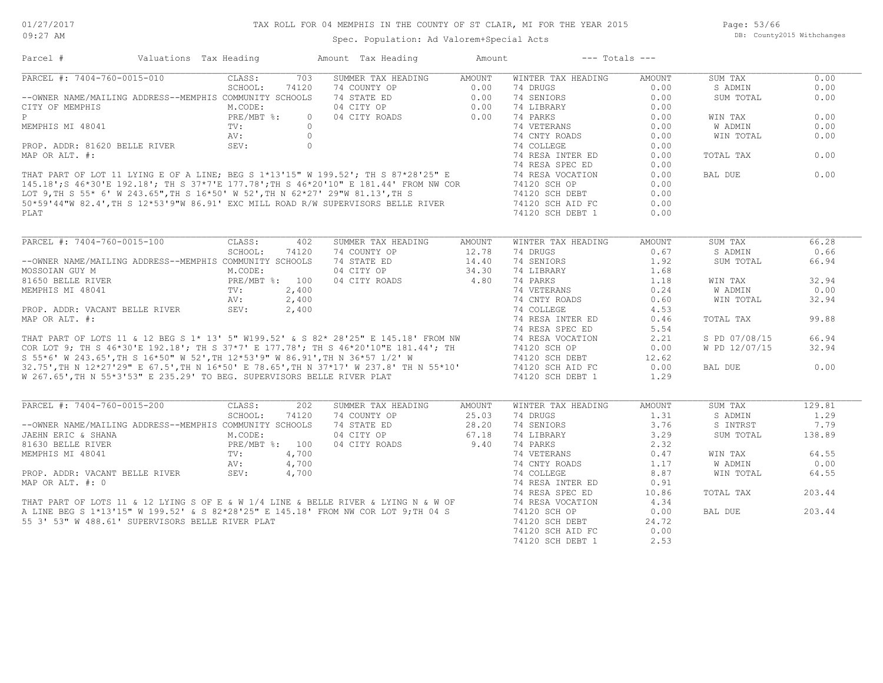Page: 53/66 DB: County2015 Withchanges

| Parcel #                                                                                                                                                                                                                                                       | Valuations Tax Heading | Amount Tax Heading        | Amount        | $---$ Totals $---$ |               |                |        |
|----------------------------------------------------------------------------------------------------------------------------------------------------------------------------------------------------------------------------------------------------------------|------------------------|---------------------------|---------------|--------------------|---------------|----------------|--------|
| PARCEL #: 7404-760-0015-010                                                                                                                                                                                                                                    | CLASS:<br>703          | SUMMER TAX HEADING        | AMOUNT        | WINTER TAX HEADING | <b>AMOUNT</b> | SUM TAX        | 0.00   |
|                                                                                                                                                                                                                                                                | SCHOOL:<br>74120       | 74 COUNTY OP              | 0.00          | 74 DRUGS           | 0.00          | S ADMIN        | 0.00   |
| --OWNER NAME/MAILING ADDRESS--MEMPHIS COMMUNITY SCHOOLS                                                                                                                                                                                                        |                        | 74 STATE ED               | 0.00          | 74 SENIORS         | 0.00          | SUM TOTAL      | 0.00   |
| CITY OF MEMPHIS                                                                                                                                                                                                                                                | M.CODE:                | 04 CITY OP                | 0.00          | 74 LIBRARY         | 0.00          |                |        |
| P                                                                                                                                                                                                                                                              | PRE/MBT %:             | 04 CITY ROADS<br>$\Omega$ | 0.00          | 74 PARKS           | 0.00          | WIN TAX        | 0.00   |
| MEMPHIS MI 48041                                                                                                                                                                                                                                               | TV:                    | $\bigcirc$                |               | 74 VETERANS        | 0.00          | <b>W ADMIN</b> | 0.00   |
|                                                                                                                                                                                                                                                                |                        |                           |               |                    | 0.00          | WIN TOTAL      | 0.00   |
|                                                                                                                                                                                                                                                                |                        |                           |               |                    | 0.00          |                |        |
|                                                                                                                                                                                                                                                                |                        |                           |               |                    | 0.00          | TOTAL TAX      | 0.00   |
|                                                                                                                                                                                                                                                                |                        |                           |               |                    | 0.00          |                |        |
|                                                                                                                                                                                                                                                                |                        |                           |               |                    | 0.00          | BAL DUE        | 0.00   |
|                                                                                                                                                                                                                                                                |                        |                           |               |                    | 0.00          |                |        |
|                                                                                                                                                                                                                                                                |                        |                           |               |                    |               |                |        |
|                                                                                                                                                                                                                                                                |                        |                           |               |                    | 0.00          |                |        |
|                                                                                                                                                                                                                                                                |                        |                           |               |                    | 0.00          |                |        |
| PLAT                                                                                                                                                                                                                                                           |                        |                           |               | 74120 SCH DEBT 1   | 0.00          |                |        |
|                                                                                                                                                                                                                                                                |                        |                           |               |                    |               |                |        |
| PARCEL #: 7404-760-0015-100                                                                                                                                                                                                                                    | CLASS:<br>402          | SUMMER TAX HEADING        | <b>AMOUNT</b> | WINTER TAX HEADING | <b>AMOUNT</b> | SUM TAX        | 66.28  |
|                                                                                                                                                                                                                                                                | SCHOOL:<br>74120       | 74 COUNTY OP              | 12.78         | 74 DRUGS           | 0.67          | S ADMIN        | 0.66   |
| --OWNER NAME/MAILING ADDRESS--MEMPHIS COMMUNITY SCHOOLS                                                                                                                                                                                                        |                        | 74 STATE ED               | 14.40         | 74 SENIORS         | 1.92          | SUM TOTAL      | 66.94  |
| MOSSOIAN GUY M                                                                                                                                                                                                                                                 | M.CODE:                | 04 CITY OP                | 34.30         | 74 LIBRARY         | 1.68          |                |        |
| 81650 BELLE RIVER                                                                                                                                                                                                                                              | PRE/MBT %: 100         | 04 CITY ROADS             | 4.80          | 74 PARKS           | 1.18          | WIN TAX        | 32.94  |
|                                                                                                                                                                                                                                                                |                        |                           |               |                    | 0.24          | W ADMIN        | 0.00   |
|                                                                                                                                                                                                                                                                |                        |                           |               |                    | 0.60          | WIN TOTAL      | 32.94  |
|                                                                                                                                                                                                                                                                |                        |                           |               |                    | 4.53          |                |        |
|                                                                                                                                                                                                                                                                |                        |                           |               |                    | 0.46          | TOTAL TAX      | 99.88  |
|                                                                                                                                                                                                                                                                |                        |                           |               |                    | 5.54          |                |        |
|                                                                                                                                                                                                                                                                |                        |                           |               |                    | 2.21          | S PD 07/08/15  | 66.94  |
|                                                                                                                                                                                                                                                                |                        |                           |               |                    | 0.00          | W PD 12/07/15  | 32.94  |
|                                                                                                                                                                                                                                                                |                        |                           |               |                    | 12.62         |                |        |
|                                                                                                                                                                                                                                                                |                        |                           |               |                    | 0.00          |                | 0.00   |
| MEMPHIS MI 48041<br>MEMPHIS MI 48041<br>MEMPHIS MI 48041<br>MEMPHIS MI 48041<br>MEMPHIS MI 48041<br>MEMPHIS MI 48041<br>MEMPHIS MI 48041<br>MEMPHIS MI 48041<br>MEMPHIS MI 48041<br>TV:<br>2,400<br>2,400<br>2,400<br>2,400<br>2,400<br>74 CELEGE<br>74 CELEGE |                        |                           |               |                    |               | BAL DUE        |        |
| W 267.65', TH N 55*3'53" E 235.29' TO BEG. SUPERVISORS BELLE RIVER PLAT                                                                                                                                                                                        |                        |                           |               | 74120 SCH DEBT 1   | 1.29          |                |        |
| PARCEL #: 7404-760-0015-200                                                                                                                                                                                                                                    | CLASS:<br>202          | SUMMER TAX HEADING        | <b>AMOUNT</b> | WINTER TAX HEADING | <b>AMOUNT</b> | SUM TAX        | 129.81 |
|                                                                                                                                                                                                                                                                | SCHOOL:<br>74120       | 74 COUNTY OP              | 25.03         | 74 DRUGS           | 1.31          | S ADMIN        | 1.29   |
| --OWNER NAME/MAILING ADDRESS--MEMPHIS COMMUNITY SCHOOLS                                                                                                                                                                                                        |                        | 74 STATE ED               | 28.20         | 74 SENIORS         | 3.76          | S INTRST       | 7.79   |
|                                                                                                                                                                                                                                                                |                        |                           |               |                    |               |                |        |
| JAEHN ERIC & SHANA                                                                                                                                                                                                                                             | M.CODE:                | 04 CITY OP                | 67.18         | 74 LIBRARY         | 3.29          | SUM TOTAL      | 138.89 |
| 81630 BELLE RIVER                                                                                                                                                                                                                                              | PRE/MBT %: 100         | 04 CITY ROADS             | 9.40          | 74 PARKS           | 2.32          |                |        |
|                                                                                                                                                                                                                                                                |                        |                           |               |                    | 0.47          | WIN TAX        | 64.55  |
| MEMPHIS MI 48041<br>PROP. ADDR: VACANT BELLE RIVER<br>MEMPHIS MI 48041<br>MEMPHIS MI 48041<br>TV: 4,700<br>PROP. ADDR: VACANT BELLE RIVER<br>SEV: 4,700<br>74 COLLEGE<br>MAP OR ALT. #: 0<br>74 COLLEGE<br>74 RESA INTER ED<br>74 RESA INTER ED<br>74          |                        |                           |               |                    | 1.17          | W ADMIN        | 0.00   |
|                                                                                                                                                                                                                                                                |                        |                           |               |                    | 8.87          | WIN TOTAL      | 64.55  |
|                                                                                                                                                                                                                                                                |                        |                           |               |                    | 0.91          |                |        |
|                                                                                                                                                                                                                                                                |                        |                           |               |                    | 10.86         | TOTAL TAX      | 203.44 |
|                                                                                                                                                                                                                                                                |                        |                           |               |                    | 4.34          |                |        |
|                                                                                                                                                                                                                                                                |                        |                           |               |                    | 0.00          | BAL DUE        | 203.44 |
| 55 3' 53" W 488.61' SUPERVISORS BELLE RIVER PLAT                                                                                                                                                                                                               |                        |                           |               | 74120 SCH DEBT     | 24.72         |                |        |
|                                                                                                                                                                                                                                                                |                        |                           |               | 74120 SCH AID FC   | 0.00          |                |        |
|                                                                                                                                                                                                                                                                |                        |                           |               | 74120 SCH DEBT 1   | 2.53          |                |        |
|                                                                                                                                                                                                                                                                |                        |                           |               |                    |               |                |        |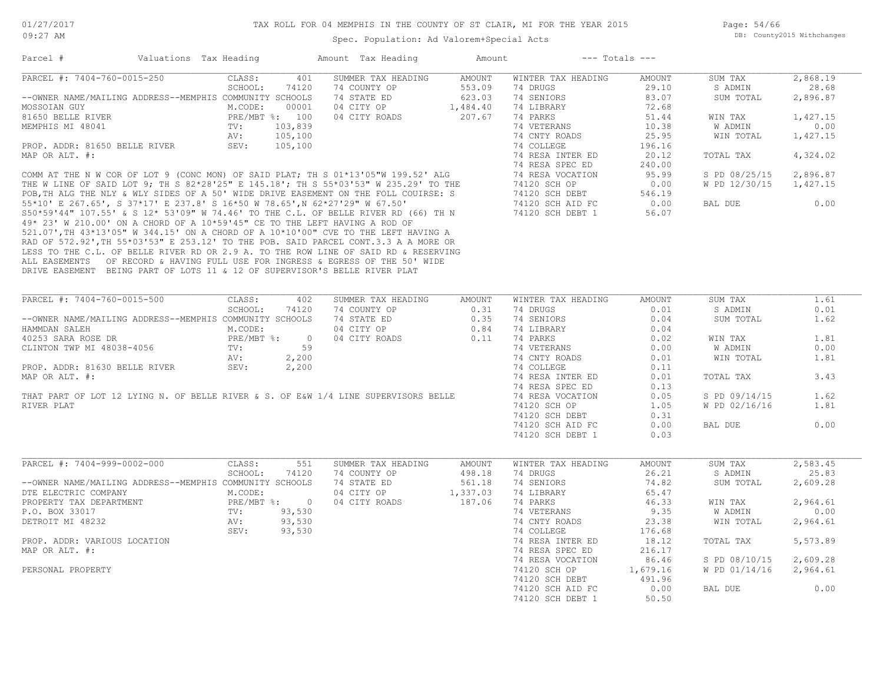Page: 54/66 DB: County2015 Withchanges

| PARCEL #: 7404-760-0015-250<br>401<br>SUMMER TAX HEADING<br>AMOUNT<br>WINTER TAX HEADING<br>CLASS:<br>AMOUNT<br>SUM TAX<br>553.09<br>SCHOOL:<br>74120<br>74 COUNTY OP<br>74 DRUGS<br>29.10<br>S ADMIN<br>28.68<br>--OWNER NAME/MAILING ADDRESS--MEMPHIS COMMUNITY SCHOOLS<br>74 STATE ED<br>623.03<br>74 SENIORS<br>83.07<br>2,896.87<br>SUM TOTAL<br>M.CODE:<br>00001<br>04 CITY OP<br>1,484.40<br>74 LIBRARY<br>72.68<br>PRE/MBT %: 100<br>04 CITY ROADS<br>207.67<br>74 PARKS<br>1,427.15<br>51.44<br>WIN TAX<br>74 VETERANS<br>10.38<br>0.00<br>TV:<br>103,839<br>W ADMIN<br>AV:<br>105,100<br>25.95<br>WIN TOTAL<br>1,427.15<br>74 CNTY ROADS<br>PROP. ADDR: 81650 BELLE RIVER<br>SEV:<br>105,100<br>74 COLLEGE<br>196.16<br>MAP OR ALT. #:<br>74 RESA INTER ED<br>20.12<br>4,324.02<br>TOTAL TAX<br>74 RESA SPEC ED<br>240.00<br>COMM AT THE N W COR OF LOT 9 (CONC MON) OF SAID PLAT; TH S 01*13'05"W 199.52' ALG<br>THE W LINE OF SAID LOT 9; TH S 82*28'25" E 145.18'; TH S 55*03'53" W 235.29' TO THE<br>POB,TH ALG THE NLY & WLY SIDES OF A 50' WIDE DRIVE EASEM<br>74 RESA VOCATION<br>95.99<br>S PD 08/25/15<br>2,896.87<br>74120 SCH OP<br>0.00<br>W PD 12/30/15<br>1,427.15<br>546.19<br>74120 SCH DEBT<br>74120 SCH AID FC<br>0.00<br>0.00<br>BAL DUE<br>74120 SCH DEBT 1<br>56.07<br>49* 23' W 210.00' ON A CHORD OF A 10*59'45" CE TO THE LEFT HAVING A ROD OF<br>521.07', TH 43*13'05" W 344.15' ON A CHORD OF A 10*10'00" CVE TO THE LEFT HAVING A<br>RAD OF 572.92', TH 55*03'53" E 253.12' TO THE POB. SAID PARCEL CONT.3.3 A A MORE OR<br>LESS TO THE C.L. OF BELLE RIVER RD OR 2.9 A. TO THE ROW LINE OF SAID RD & RESERVING<br>ALL EASEMENTS OF RECORD & HAVING FULL USE FOR INGRESS & EGRESS OF THE 50' WIDE<br>DRIVE EASEMENT BEING PART OF LOTS 11 & 12 OF SUPERVISOR'S BELLE RIVER PLAT<br>PARCEL #: 7404-760-0015-500<br>CLASS:<br>WINTER TAX HEADING<br>AMOUNT<br>SUM TAX<br>1.61<br>402<br>SUMMER TAX HEADING<br>AMOUNT<br>74 DRUGS<br>0.01<br>SCHOOL:<br>74120<br>74 COUNTY OP<br>0.31<br>0.01<br>S ADMIN<br>--OWNER NAME/MAILING ADDRESS--MEMPHIS COMMUNITY SCHOOLS<br>74 STATE ED<br>0.35<br>74 SENIORS<br>0.04<br>SUM TOTAL<br>1.62<br>0.84<br>74 LIBRARY<br>HAMMDAN SALEH<br>M.CODE:<br>04 CITY OP<br>0.04<br>40253 SARA ROSE DR<br>1.81<br>04 CITY ROADS<br>0.11<br>74 PARKS<br>0.02<br>$PRE/MBT$ %:<br>$\overline{0}$<br>WIN TAX<br>CLINTON TWP MI 48038-4056<br>59<br>74 VETERANS<br>W ADMIN<br>0.00<br>TV:<br>0.00<br>2,200<br>74 CNTY ROADS<br>0.01<br>WIN TOTAL<br>1.81<br>AV:<br>PROP. ADDR: 81630 BELLE RIVER<br>2,200<br>74 COLLEGE<br>0.11<br>SEV:<br>MAP OR ALT. #:<br>74 RESA INTER ED<br>0.01<br>TOTAL TAX<br>3.43<br>74 RESA SPEC ED<br>0.13<br>THAT PART OF LOT 12 LYING N. OF BELLE RIVER & S. OF E&W 1/4 LINE SUPERVISORS BELLE<br>74 RESA VOCATION<br>1.62<br>0.05<br>S PD 09/14/15<br>1.81<br>74120 SCH OP<br>1.05<br>W PD 02/16/16<br>74120 SCH DEBT<br>0.31<br>0.00<br>74120 SCH AID FC<br>0.00<br>BAL DUE<br>0.03<br>74120 SCH DEBT 1<br>PARCEL #: 7404-999-0002-000<br>2,583.45<br>CLASS:<br>551<br>SUMMER TAX HEADING<br>AMOUNT<br>WINTER TAX HEADING<br>AMOUNT<br>SUM TAX<br>25.83<br>SCHOOL:<br>74120<br>74 COUNTY OP<br>498.18<br>74 DRUGS<br>26.21<br>S ADMIN<br>--OWNER NAME/MAILING ADDRESS--MEMPHIS COMMUNITY SCHOOLS<br>74 STATE ED<br>561.18<br>74 SENIORS<br>74.82<br>SUM TOTAL<br>2,609.28<br>1,337.03<br>M.CODE:<br>04 CITY OP<br>74 LIBRARY<br>65.47<br>DTE ELECTRIC COMPANY<br>PRE/MBT %: 0<br>04 CITY ROADS<br>187.06<br>74 PARKS<br>46.33<br>PROPERTY TAX DEPARTMENT<br>WIN TAX<br>2,964.61<br>93,530<br>74 VETERANS<br>W ADMIN<br>P.O. BOX 33017<br>TV:<br>9.35<br>0.00<br>93,530<br>23.38<br>DETROIT MI 48232<br>AV:<br>74 CNTY ROADS<br>WIN TOTAL<br>2,964.61<br>93,530<br>74 COLLEGE<br>SEV:<br>176.68<br>74 RESA INTER ED<br>18.12<br>5,573.89<br>PROP. ADDR: VARIOUS LOCATION<br>TOTAL TAX<br>74 RESA SPEC ED<br>216.17<br>86.46<br>2,609.28<br>74 RESA VOCATION<br>S PD 08/10/15<br>1,679.16<br>W PD 01/14/16<br>2,964.61<br>74120 SCH OP<br>74120 SCH DEBT<br>491.96<br>0.00<br><b>BAL DUE</b><br>0.00<br>74120 SCH AID FC<br>74120 SCH DEBT 1<br>50.50 | Parcel #          | Valuations Tax Heading | Amount Tax Heading | Amount | $---$ Totals $---$ |          |
|----------------------------------------------------------------------------------------------------------------------------------------------------------------------------------------------------------------------------------------------------------------------------------------------------------------------------------------------------------------------------------------------------------------------------------------------------------------------------------------------------------------------------------------------------------------------------------------------------------------------------------------------------------------------------------------------------------------------------------------------------------------------------------------------------------------------------------------------------------------------------------------------------------------------------------------------------------------------------------------------------------------------------------------------------------------------------------------------------------------------------------------------------------------------------------------------------------------------------------------------------------------------------------------------------------------------------------------------------------------------------------------------------------------------------------------------------------------------------------------------------------------------------------------------------------------------------------------------------------------------------------------------------------------------------------------------------------------------------------------------------------------------------------------------------------------------------------------------------------------------------------------------------------------------------------------------------------------------------------------------------------------------------------------------------------------------------------------------------------------------------------------------------------------------------------------------------------------------------------------------------------------------------------------------------------------------------------------------------------------------------------------------------------------------------------------------------------------------------------------------------------------------------------------------------------------------------------------------------------------------------------------------------------------------------------------------------------------------------------------------------------------------------------------------------------------------------------------------------------------------------------------------------------------------------------------------------------------------------------------------------------------------------------------------------------------------------------------------------------------------------------------------------------------------------------------------------------------------------------------------------------------------------------------------------------------------------------------------------------------------------------------------------------------------------------------------------------------------------------------------------------------------------------------------------------------------------------------------------------------------------------------------------------------------------------------------------------------------------------------------------------------------------------------------------------------------------------------------------------------------------------------------------------------------------------------------------------------------------------------------------------------------------------------------------------------------------------------------------------------------------------------------|-------------------|------------------------|--------------------|--------|--------------------|----------|
|                                                                                                                                                                                                                                                                                                                                                                                                                                                                                                                                                                                                                                                                                                                                                                                                                                                                                                                                                                                                                                                                                                                                                                                                                                                                                                                                                                                                                                                                                                                                                                                                                                                                                                                                                                                                                                                                                                                                                                                                                                                                                                                                                                                                                                                                                                                                                                                                                                                                                                                                                                                                                                                                                                                                                                                                                                                                                                                                                                                                                                                                                                                                                                                                                                                                                                                                                                                                                                                                                                                                                                                                                                                                                                                                                                                                                                                                                                                                                                                                                                                                                                                                              |                   |                        |                    |        |                    | 2,868.19 |
|                                                                                                                                                                                                                                                                                                                                                                                                                                                                                                                                                                                                                                                                                                                                                                                                                                                                                                                                                                                                                                                                                                                                                                                                                                                                                                                                                                                                                                                                                                                                                                                                                                                                                                                                                                                                                                                                                                                                                                                                                                                                                                                                                                                                                                                                                                                                                                                                                                                                                                                                                                                                                                                                                                                                                                                                                                                                                                                                                                                                                                                                                                                                                                                                                                                                                                                                                                                                                                                                                                                                                                                                                                                                                                                                                                                                                                                                                                                                                                                                                                                                                                                                              |                   |                        |                    |        |                    |          |
|                                                                                                                                                                                                                                                                                                                                                                                                                                                                                                                                                                                                                                                                                                                                                                                                                                                                                                                                                                                                                                                                                                                                                                                                                                                                                                                                                                                                                                                                                                                                                                                                                                                                                                                                                                                                                                                                                                                                                                                                                                                                                                                                                                                                                                                                                                                                                                                                                                                                                                                                                                                                                                                                                                                                                                                                                                                                                                                                                                                                                                                                                                                                                                                                                                                                                                                                                                                                                                                                                                                                                                                                                                                                                                                                                                                                                                                                                                                                                                                                                                                                                                                                              |                   |                        |                    |        |                    |          |
|                                                                                                                                                                                                                                                                                                                                                                                                                                                                                                                                                                                                                                                                                                                                                                                                                                                                                                                                                                                                                                                                                                                                                                                                                                                                                                                                                                                                                                                                                                                                                                                                                                                                                                                                                                                                                                                                                                                                                                                                                                                                                                                                                                                                                                                                                                                                                                                                                                                                                                                                                                                                                                                                                                                                                                                                                                                                                                                                                                                                                                                                                                                                                                                                                                                                                                                                                                                                                                                                                                                                                                                                                                                                                                                                                                                                                                                                                                                                                                                                                                                                                                                                              | MOSSOIAN GUY      |                        |                    |        |                    |          |
|                                                                                                                                                                                                                                                                                                                                                                                                                                                                                                                                                                                                                                                                                                                                                                                                                                                                                                                                                                                                                                                                                                                                                                                                                                                                                                                                                                                                                                                                                                                                                                                                                                                                                                                                                                                                                                                                                                                                                                                                                                                                                                                                                                                                                                                                                                                                                                                                                                                                                                                                                                                                                                                                                                                                                                                                                                                                                                                                                                                                                                                                                                                                                                                                                                                                                                                                                                                                                                                                                                                                                                                                                                                                                                                                                                                                                                                                                                                                                                                                                                                                                                                                              | 81650 BELLE RIVER |                        |                    |        |                    |          |
|                                                                                                                                                                                                                                                                                                                                                                                                                                                                                                                                                                                                                                                                                                                                                                                                                                                                                                                                                                                                                                                                                                                                                                                                                                                                                                                                                                                                                                                                                                                                                                                                                                                                                                                                                                                                                                                                                                                                                                                                                                                                                                                                                                                                                                                                                                                                                                                                                                                                                                                                                                                                                                                                                                                                                                                                                                                                                                                                                                                                                                                                                                                                                                                                                                                                                                                                                                                                                                                                                                                                                                                                                                                                                                                                                                                                                                                                                                                                                                                                                                                                                                                                              | MEMPHIS MI 48041  |                        |                    |        |                    |          |
|                                                                                                                                                                                                                                                                                                                                                                                                                                                                                                                                                                                                                                                                                                                                                                                                                                                                                                                                                                                                                                                                                                                                                                                                                                                                                                                                                                                                                                                                                                                                                                                                                                                                                                                                                                                                                                                                                                                                                                                                                                                                                                                                                                                                                                                                                                                                                                                                                                                                                                                                                                                                                                                                                                                                                                                                                                                                                                                                                                                                                                                                                                                                                                                                                                                                                                                                                                                                                                                                                                                                                                                                                                                                                                                                                                                                                                                                                                                                                                                                                                                                                                                                              |                   |                        |                    |        |                    |          |
|                                                                                                                                                                                                                                                                                                                                                                                                                                                                                                                                                                                                                                                                                                                                                                                                                                                                                                                                                                                                                                                                                                                                                                                                                                                                                                                                                                                                                                                                                                                                                                                                                                                                                                                                                                                                                                                                                                                                                                                                                                                                                                                                                                                                                                                                                                                                                                                                                                                                                                                                                                                                                                                                                                                                                                                                                                                                                                                                                                                                                                                                                                                                                                                                                                                                                                                                                                                                                                                                                                                                                                                                                                                                                                                                                                                                                                                                                                                                                                                                                                                                                                                                              |                   |                        |                    |        |                    |          |
|                                                                                                                                                                                                                                                                                                                                                                                                                                                                                                                                                                                                                                                                                                                                                                                                                                                                                                                                                                                                                                                                                                                                                                                                                                                                                                                                                                                                                                                                                                                                                                                                                                                                                                                                                                                                                                                                                                                                                                                                                                                                                                                                                                                                                                                                                                                                                                                                                                                                                                                                                                                                                                                                                                                                                                                                                                                                                                                                                                                                                                                                                                                                                                                                                                                                                                                                                                                                                                                                                                                                                                                                                                                                                                                                                                                                                                                                                                                                                                                                                                                                                                                                              |                   |                        |                    |        |                    |          |
|                                                                                                                                                                                                                                                                                                                                                                                                                                                                                                                                                                                                                                                                                                                                                                                                                                                                                                                                                                                                                                                                                                                                                                                                                                                                                                                                                                                                                                                                                                                                                                                                                                                                                                                                                                                                                                                                                                                                                                                                                                                                                                                                                                                                                                                                                                                                                                                                                                                                                                                                                                                                                                                                                                                                                                                                                                                                                                                                                                                                                                                                                                                                                                                                                                                                                                                                                                                                                                                                                                                                                                                                                                                                                                                                                                                                                                                                                                                                                                                                                                                                                                                                              |                   |                        |                    |        |                    |          |
|                                                                                                                                                                                                                                                                                                                                                                                                                                                                                                                                                                                                                                                                                                                                                                                                                                                                                                                                                                                                                                                                                                                                                                                                                                                                                                                                                                                                                                                                                                                                                                                                                                                                                                                                                                                                                                                                                                                                                                                                                                                                                                                                                                                                                                                                                                                                                                                                                                                                                                                                                                                                                                                                                                                                                                                                                                                                                                                                                                                                                                                                                                                                                                                                                                                                                                                                                                                                                                                                                                                                                                                                                                                                                                                                                                                                                                                                                                                                                                                                                                                                                                                                              |                   |                        |                    |        |                    |          |
|                                                                                                                                                                                                                                                                                                                                                                                                                                                                                                                                                                                                                                                                                                                                                                                                                                                                                                                                                                                                                                                                                                                                                                                                                                                                                                                                                                                                                                                                                                                                                                                                                                                                                                                                                                                                                                                                                                                                                                                                                                                                                                                                                                                                                                                                                                                                                                                                                                                                                                                                                                                                                                                                                                                                                                                                                                                                                                                                                                                                                                                                                                                                                                                                                                                                                                                                                                                                                                                                                                                                                                                                                                                                                                                                                                                                                                                                                                                                                                                                                                                                                                                                              |                   |                        |                    |        |                    |          |
|                                                                                                                                                                                                                                                                                                                                                                                                                                                                                                                                                                                                                                                                                                                                                                                                                                                                                                                                                                                                                                                                                                                                                                                                                                                                                                                                                                                                                                                                                                                                                                                                                                                                                                                                                                                                                                                                                                                                                                                                                                                                                                                                                                                                                                                                                                                                                                                                                                                                                                                                                                                                                                                                                                                                                                                                                                                                                                                                                                                                                                                                                                                                                                                                                                                                                                                                                                                                                                                                                                                                                                                                                                                                                                                                                                                                                                                                                                                                                                                                                                                                                                                                              |                   |                        |                    |        |                    |          |
|                                                                                                                                                                                                                                                                                                                                                                                                                                                                                                                                                                                                                                                                                                                                                                                                                                                                                                                                                                                                                                                                                                                                                                                                                                                                                                                                                                                                                                                                                                                                                                                                                                                                                                                                                                                                                                                                                                                                                                                                                                                                                                                                                                                                                                                                                                                                                                                                                                                                                                                                                                                                                                                                                                                                                                                                                                                                                                                                                                                                                                                                                                                                                                                                                                                                                                                                                                                                                                                                                                                                                                                                                                                                                                                                                                                                                                                                                                                                                                                                                                                                                                                                              |                   |                        |                    |        |                    |          |
|                                                                                                                                                                                                                                                                                                                                                                                                                                                                                                                                                                                                                                                                                                                                                                                                                                                                                                                                                                                                                                                                                                                                                                                                                                                                                                                                                                                                                                                                                                                                                                                                                                                                                                                                                                                                                                                                                                                                                                                                                                                                                                                                                                                                                                                                                                                                                                                                                                                                                                                                                                                                                                                                                                                                                                                                                                                                                                                                                                                                                                                                                                                                                                                                                                                                                                                                                                                                                                                                                                                                                                                                                                                                                                                                                                                                                                                                                                                                                                                                                                                                                                                                              |                   |                        |                    |        |                    |          |
|                                                                                                                                                                                                                                                                                                                                                                                                                                                                                                                                                                                                                                                                                                                                                                                                                                                                                                                                                                                                                                                                                                                                                                                                                                                                                                                                                                                                                                                                                                                                                                                                                                                                                                                                                                                                                                                                                                                                                                                                                                                                                                                                                                                                                                                                                                                                                                                                                                                                                                                                                                                                                                                                                                                                                                                                                                                                                                                                                                                                                                                                                                                                                                                                                                                                                                                                                                                                                                                                                                                                                                                                                                                                                                                                                                                                                                                                                                                                                                                                                                                                                                                                              |                   |                        |                    |        |                    |          |
|                                                                                                                                                                                                                                                                                                                                                                                                                                                                                                                                                                                                                                                                                                                                                                                                                                                                                                                                                                                                                                                                                                                                                                                                                                                                                                                                                                                                                                                                                                                                                                                                                                                                                                                                                                                                                                                                                                                                                                                                                                                                                                                                                                                                                                                                                                                                                                                                                                                                                                                                                                                                                                                                                                                                                                                                                                                                                                                                                                                                                                                                                                                                                                                                                                                                                                                                                                                                                                                                                                                                                                                                                                                                                                                                                                                                                                                                                                                                                                                                                                                                                                                                              |                   |                        |                    |        |                    |          |
|                                                                                                                                                                                                                                                                                                                                                                                                                                                                                                                                                                                                                                                                                                                                                                                                                                                                                                                                                                                                                                                                                                                                                                                                                                                                                                                                                                                                                                                                                                                                                                                                                                                                                                                                                                                                                                                                                                                                                                                                                                                                                                                                                                                                                                                                                                                                                                                                                                                                                                                                                                                                                                                                                                                                                                                                                                                                                                                                                                                                                                                                                                                                                                                                                                                                                                                                                                                                                                                                                                                                                                                                                                                                                                                                                                                                                                                                                                                                                                                                                                                                                                                                              |                   |                        |                    |        |                    |          |
|                                                                                                                                                                                                                                                                                                                                                                                                                                                                                                                                                                                                                                                                                                                                                                                                                                                                                                                                                                                                                                                                                                                                                                                                                                                                                                                                                                                                                                                                                                                                                                                                                                                                                                                                                                                                                                                                                                                                                                                                                                                                                                                                                                                                                                                                                                                                                                                                                                                                                                                                                                                                                                                                                                                                                                                                                                                                                                                                                                                                                                                                                                                                                                                                                                                                                                                                                                                                                                                                                                                                                                                                                                                                                                                                                                                                                                                                                                                                                                                                                                                                                                                                              |                   |                        |                    |        |                    |          |
|                                                                                                                                                                                                                                                                                                                                                                                                                                                                                                                                                                                                                                                                                                                                                                                                                                                                                                                                                                                                                                                                                                                                                                                                                                                                                                                                                                                                                                                                                                                                                                                                                                                                                                                                                                                                                                                                                                                                                                                                                                                                                                                                                                                                                                                                                                                                                                                                                                                                                                                                                                                                                                                                                                                                                                                                                                                                                                                                                                                                                                                                                                                                                                                                                                                                                                                                                                                                                                                                                                                                                                                                                                                                                                                                                                                                                                                                                                                                                                                                                                                                                                                                              |                   |                        |                    |        |                    |          |
|                                                                                                                                                                                                                                                                                                                                                                                                                                                                                                                                                                                                                                                                                                                                                                                                                                                                                                                                                                                                                                                                                                                                                                                                                                                                                                                                                                                                                                                                                                                                                                                                                                                                                                                                                                                                                                                                                                                                                                                                                                                                                                                                                                                                                                                                                                                                                                                                                                                                                                                                                                                                                                                                                                                                                                                                                                                                                                                                                                                                                                                                                                                                                                                                                                                                                                                                                                                                                                                                                                                                                                                                                                                                                                                                                                                                                                                                                                                                                                                                                                                                                                                                              |                   |                        |                    |        |                    |          |
|                                                                                                                                                                                                                                                                                                                                                                                                                                                                                                                                                                                                                                                                                                                                                                                                                                                                                                                                                                                                                                                                                                                                                                                                                                                                                                                                                                                                                                                                                                                                                                                                                                                                                                                                                                                                                                                                                                                                                                                                                                                                                                                                                                                                                                                                                                                                                                                                                                                                                                                                                                                                                                                                                                                                                                                                                                                                                                                                                                                                                                                                                                                                                                                                                                                                                                                                                                                                                                                                                                                                                                                                                                                                                                                                                                                                                                                                                                                                                                                                                                                                                                                                              |                   |                        |                    |        |                    |          |
|                                                                                                                                                                                                                                                                                                                                                                                                                                                                                                                                                                                                                                                                                                                                                                                                                                                                                                                                                                                                                                                                                                                                                                                                                                                                                                                                                                                                                                                                                                                                                                                                                                                                                                                                                                                                                                                                                                                                                                                                                                                                                                                                                                                                                                                                                                                                                                                                                                                                                                                                                                                                                                                                                                                                                                                                                                                                                                                                                                                                                                                                                                                                                                                                                                                                                                                                                                                                                                                                                                                                                                                                                                                                                                                                                                                                                                                                                                                                                                                                                                                                                                                                              |                   |                        |                    |        |                    |          |
|                                                                                                                                                                                                                                                                                                                                                                                                                                                                                                                                                                                                                                                                                                                                                                                                                                                                                                                                                                                                                                                                                                                                                                                                                                                                                                                                                                                                                                                                                                                                                                                                                                                                                                                                                                                                                                                                                                                                                                                                                                                                                                                                                                                                                                                                                                                                                                                                                                                                                                                                                                                                                                                                                                                                                                                                                                                                                                                                                                                                                                                                                                                                                                                                                                                                                                                                                                                                                                                                                                                                                                                                                                                                                                                                                                                                                                                                                                                                                                                                                                                                                                                                              |                   |                        |                    |        |                    |          |
|                                                                                                                                                                                                                                                                                                                                                                                                                                                                                                                                                                                                                                                                                                                                                                                                                                                                                                                                                                                                                                                                                                                                                                                                                                                                                                                                                                                                                                                                                                                                                                                                                                                                                                                                                                                                                                                                                                                                                                                                                                                                                                                                                                                                                                                                                                                                                                                                                                                                                                                                                                                                                                                                                                                                                                                                                                                                                                                                                                                                                                                                                                                                                                                                                                                                                                                                                                                                                                                                                                                                                                                                                                                                                                                                                                                                                                                                                                                                                                                                                                                                                                                                              |                   |                        |                    |        |                    |          |
|                                                                                                                                                                                                                                                                                                                                                                                                                                                                                                                                                                                                                                                                                                                                                                                                                                                                                                                                                                                                                                                                                                                                                                                                                                                                                                                                                                                                                                                                                                                                                                                                                                                                                                                                                                                                                                                                                                                                                                                                                                                                                                                                                                                                                                                                                                                                                                                                                                                                                                                                                                                                                                                                                                                                                                                                                                                                                                                                                                                                                                                                                                                                                                                                                                                                                                                                                                                                                                                                                                                                                                                                                                                                                                                                                                                                                                                                                                                                                                                                                                                                                                                                              |                   |                        |                    |        |                    |          |
|                                                                                                                                                                                                                                                                                                                                                                                                                                                                                                                                                                                                                                                                                                                                                                                                                                                                                                                                                                                                                                                                                                                                                                                                                                                                                                                                                                                                                                                                                                                                                                                                                                                                                                                                                                                                                                                                                                                                                                                                                                                                                                                                                                                                                                                                                                                                                                                                                                                                                                                                                                                                                                                                                                                                                                                                                                                                                                                                                                                                                                                                                                                                                                                                                                                                                                                                                                                                                                                                                                                                                                                                                                                                                                                                                                                                                                                                                                                                                                                                                                                                                                                                              |                   |                        |                    |        |                    |          |
|                                                                                                                                                                                                                                                                                                                                                                                                                                                                                                                                                                                                                                                                                                                                                                                                                                                                                                                                                                                                                                                                                                                                                                                                                                                                                                                                                                                                                                                                                                                                                                                                                                                                                                                                                                                                                                                                                                                                                                                                                                                                                                                                                                                                                                                                                                                                                                                                                                                                                                                                                                                                                                                                                                                                                                                                                                                                                                                                                                                                                                                                                                                                                                                                                                                                                                                                                                                                                                                                                                                                                                                                                                                                                                                                                                                                                                                                                                                                                                                                                                                                                                                                              |                   |                        |                    |        |                    |          |
|                                                                                                                                                                                                                                                                                                                                                                                                                                                                                                                                                                                                                                                                                                                                                                                                                                                                                                                                                                                                                                                                                                                                                                                                                                                                                                                                                                                                                                                                                                                                                                                                                                                                                                                                                                                                                                                                                                                                                                                                                                                                                                                                                                                                                                                                                                                                                                                                                                                                                                                                                                                                                                                                                                                                                                                                                                                                                                                                                                                                                                                                                                                                                                                                                                                                                                                                                                                                                                                                                                                                                                                                                                                                                                                                                                                                                                                                                                                                                                                                                                                                                                                                              |                   |                        |                    |        |                    |          |
|                                                                                                                                                                                                                                                                                                                                                                                                                                                                                                                                                                                                                                                                                                                                                                                                                                                                                                                                                                                                                                                                                                                                                                                                                                                                                                                                                                                                                                                                                                                                                                                                                                                                                                                                                                                                                                                                                                                                                                                                                                                                                                                                                                                                                                                                                                                                                                                                                                                                                                                                                                                                                                                                                                                                                                                                                                                                                                                                                                                                                                                                                                                                                                                                                                                                                                                                                                                                                                                                                                                                                                                                                                                                                                                                                                                                                                                                                                                                                                                                                                                                                                                                              |                   |                        |                    |        |                    |          |
|                                                                                                                                                                                                                                                                                                                                                                                                                                                                                                                                                                                                                                                                                                                                                                                                                                                                                                                                                                                                                                                                                                                                                                                                                                                                                                                                                                                                                                                                                                                                                                                                                                                                                                                                                                                                                                                                                                                                                                                                                                                                                                                                                                                                                                                                                                                                                                                                                                                                                                                                                                                                                                                                                                                                                                                                                                                                                                                                                                                                                                                                                                                                                                                                                                                                                                                                                                                                                                                                                                                                                                                                                                                                                                                                                                                                                                                                                                                                                                                                                                                                                                                                              |                   |                        |                    |        |                    |          |
|                                                                                                                                                                                                                                                                                                                                                                                                                                                                                                                                                                                                                                                                                                                                                                                                                                                                                                                                                                                                                                                                                                                                                                                                                                                                                                                                                                                                                                                                                                                                                                                                                                                                                                                                                                                                                                                                                                                                                                                                                                                                                                                                                                                                                                                                                                                                                                                                                                                                                                                                                                                                                                                                                                                                                                                                                                                                                                                                                                                                                                                                                                                                                                                                                                                                                                                                                                                                                                                                                                                                                                                                                                                                                                                                                                                                                                                                                                                                                                                                                                                                                                                                              |                   |                        |                    |        |                    |          |
|                                                                                                                                                                                                                                                                                                                                                                                                                                                                                                                                                                                                                                                                                                                                                                                                                                                                                                                                                                                                                                                                                                                                                                                                                                                                                                                                                                                                                                                                                                                                                                                                                                                                                                                                                                                                                                                                                                                                                                                                                                                                                                                                                                                                                                                                                                                                                                                                                                                                                                                                                                                                                                                                                                                                                                                                                                                                                                                                                                                                                                                                                                                                                                                                                                                                                                                                                                                                                                                                                                                                                                                                                                                                                                                                                                                                                                                                                                                                                                                                                                                                                                                                              |                   |                        |                    |        |                    |          |
|                                                                                                                                                                                                                                                                                                                                                                                                                                                                                                                                                                                                                                                                                                                                                                                                                                                                                                                                                                                                                                                                                                                                                                                                                                                                                                                                                                                                                                                                                                                                                                                                                                                                                                                                                                                                                                                                                                                                                                                                                                                                                                                                                                                                                                                                                                                                                                                                                                                                                                                                                                                                                                                                                                                                                                                                                                                                                                                                                                                                                                                                                                                                                                                                                                                                                                                                                                                                                                                                                                                                                                                                                                                                                                                                                                                                                                                                                                                                                                                                                                                                                                                                              |                   |                        |                    |        |                    |          |
|                                                                                                                                                                                                                                                                                                                                                                                                                                                                                                                                                                                                                                                                                                                                                                                                                                                                                                                                                                                                                                                                                                                                                                                                                                                                                                                                                                                                                                                                                                                                                                                                                                                                                                                                                                                                                                                                                                                                                                                                                                                                                                                                                                                                                                                                                                                                                                                                                                                                                                                                                                                                                                                                                                                                                                                                                                                                                                                                                                                                                                                                                                                                                                                                                                                                                                                                                                                                                                                                                                                                                                                                                                                                                                                                                                                                                                                                                                                                                                                                                                                                                                                                              |                   |                        |                    |        |                    |          |
|                                                                                                                                                                                                                                                                                                                                                                                                                                                                                                                                                                                                                                                                                                                                                                                                                                                                                                                                                                                                                                                                                                                                                                                                                                                                                                                                                                                                                                                                                                                                                                                                                                                                                                                                                                                                                                                                                                                                                                                                                                                                                                                                                                                                                                                                                                                                                                                                                                                                                                                                                                                                                                                                                                                                                                                                                                                                                                                                                                                                                                                                                                                                                                                                                                                                                                                                                                                                                                                                                                                                                                                                                                                                                                                                                                                                                                                                                                                                                                                                                                                                                                                                              | RIVER PLAT        |                        |                    |        |                    |          |
|                                                                                                                                                                                                                                                                                                                                                                                                                                                                                                                                                                                                                                                                                                                                                                                                                                                                                                                                                                                                                                                                                                                                                                                                                                                                                                                                                                                                                                                                                                                                                                                                                                                                                                                                                                                                                                                                                                                                                                                                                                                                                                                                                                                                                                                                                                                                                                                                                                                                                                                                                                                                                                                                                                                                                                                                                                                                                                                                                                                                                                                                                                                                                                                                                                                                                                                                                                                                                                                                                                                                                                                                                                                                                                                                                                                                                                                                                                                                                                                                                                                                                                                                              |                   |                        |                    |        |                    |          |
|                                                                                                                                                                                                                                                                                                                                                                                                                                                                                                                                                                                                                                                                                                                                                                                                                                                                                                                                                                                                                                                                                                                                                                                                                                                                                                                                                                                                                                                                                                                                                                                                                                                                                                                                                                                                                                                                                                                                                                                                                                                                                                                                                                                                                                                                                                                                                                                                                                                                                                                                                                                                                                                                                                                                                                                                                                                                                                                                                                                                                                                                                                                                                                                                                                                                                                                                                                                                                                                                                                                                                                                                                                                                                                                                                                                                                                                                                                                                                                                                                                                                                                                                              |                   |                        |                    |        |                    |          |
|                                                                                                                                                                                                                                                                                                                                                                                                                                                                                                                                                                                                                                                                                                                                                                                                                                                                                                                                                                                                                                                                                                                                                                                                                                                                                                                                                                                                                                                                                                                                                                                                                                                                                                                                                                                                                                                                                                                                                                                                                                                                                                                                                                                                                                                                                                                                                                                                                                                                                                                                                                                                                                                                                                                                                                                                                                                                                                                                                                                                                                                                                                                                                                                                                                                                                                                                                                                                                                                                                                                                                                                                                                                                                                                                                                                                                                                                                                                                                                                                                                                                                                                                              |                   |                        |                    |        |                    |          |
|                                                                                                                                                                                                                                                                                                                                                                                                                                                                                                                                                                                                                                                                                                                                                                                                                                                                                                                                                                                                                                                                                                                                                                                                                                                                                                                                                                                                                                                                                                                                                                                                                                                                                                                                                                                                                                                                                                                                                                                                                                                                                                                                                                                                                                                                                                                                                                                                                                                                                                                                                                                                                                                                                                                                                                                                                                                                                                                                                                                                                                                                                                                                                                                                                                                                                                                                                                                                                                                                                                                                                                                                                                                                                                                                                                                                                                                                                                                                                                                                                                                                                                                                              |                   |                        |                    |        |                    |          |
|                                                                                                                                                                                                                                                                                                                                                                                                                                                                                                                                                                                                                                                                                                                                                                                                                                                                                                                                                                                                                                                                                                                                                                                                                                                                                                                                                                                                                                                                                                                                                                                                                                                                                                                                                                                                                                                                                                                                                                                                                                                                                                                                                                                                                                                                                                                                                                                                                                                                                                                                                                                                                                                                                                                                                                                                                                                                                                                                                                                                                                                                                                                                                                                                                                                                                                                                                                                                                                                                                                                                                                                                                                                                                                                                                                                                                                                                                                                                                                                                                                                                                                                                              |                   |                        |                    |        |                    |          |
|                                                                                                                                                                                                                                                                                                                                                                                                                                                                                                                                                                                                                                                                                                                                                                                                                                                                                                                                                                                                                                                                                                                                                                                                                                                                                                                                                                                                                                                                                                                                                                                                                                                                                                                                                                                                                                                                                                                                                                                                                                                                                                                                                                                                                                                                                                                                                                                                                                                                                                                                                                                                                                                                                                                                                                                                                                                                                                                                                                                                                                                                                                                                                                                                                                                                                                                                                                                                                                                                                                                                                                                                                                                                                                                                                                                                                                                                                                                                                                                                                                                                                                                                              |                   |                        |                    |        |                    |          |
|                                                                                                                                                                                                                                                                                                                                                                                                                                                                                                                                                                                                                                                                                                                                                                                                                                                                                                                                                                                                                                                                                                                                                                                                                                                                                                                                                                                                                                                                                                                                                                                                                                                                                                                                                                                                                                                                                                                                                                                                                                                                                                                                                                                                                                                                                                                                                                                                                                                                                                                                                                                                                                                                                                                                                                                                                                                                                                                                                                                                                                                                                                                                                                                                                                                                                                                                                                                                                                                                                                                                                                                                                                                                                                                                                                                                                                                                                                                                                                                                                                                                                                                                              |                   |                        |                    |        |                    |          |
|                                                                                                                                                                                                                                                                                                                                                                                                                                                                                                                                                                                                                                                                                                                                                                                                                                                                                                                                                                                                                                                                                                                                                                                                                                                                                                                                                                                                                                                                                                                                                                                                                                                                                                                                                                                                                                                                                                                                                                                                                                                                                                                                                                                                                                                                                                                                                                                                                                                                                                                                                                                                                                                                                                                                                                                                                                                                                                                                                                                                                                                                                                                                                                                                                                                                                                                                                                                                                                                                                                                                                                                                                                                                                                                                                                                                                                                                                                                                                                                                                                                                                                                                              |                   |                        |                    |        |                    |          |
|                                                                                                                                                                                                                                                                                                                                                                                                                                                                                                                                                                                                                                                                                                                                                                                                                                                                                                                                                                                                                                                                                                                                                                                                                                                                                                                                                                                                                                                                                                                                                                                                                                                                                                                                                                                                                                                                                                                                                                                                                                                                                                                                                                                                                                                                                                                                                                                                                                                                                                                                                                                                                                                                                                                                                                                                                                                                                                                                                                                                                                                                                                                                                                                                                                                                                                                                                                                                                                                                                                                                                                                                                                                                                                                                                                                                                                                                                                                                                                                                                                                                                                                                              |                   |                        |                    |        |                    |          |
|                                                                                                                                                                                                                                                                                                                                                                                                                                                                                                                                                                                                                                                                                                                                                                                                                                                                                                                                                                                                                                                                                                                                                                                                                                                                                                                                                                                                                                                                                                                                                                                                                                                                                                                                                                                                                                                                                                                                                                                                                                                                                                                                                                                                                                                                                                                                                                                                                                                                                                                                                                                                                                                                                                                                                                                                                                                                                                                                                                                                                                                                                                                                                                                                                                                                                                                                                                                                                                                                                                                                                                                                                                                                                                                                                                                                                                                                                                                                                                                                                                                                                                                                              |                   |                        |                    |        |                    |          |
|                                                                                                                                                                                                                                                                                                                                                                                                                                                                                                                                                                                                                                                                                                                                                                                                                                                                                                                                                                                                                                                                                                                                                                                                                                                                                                                                                                                                                                                                                                                                                                                                                                                                                                                                                                                                                                                                                                                                                                                                                                                                                                                                                                                                                                                                                                                                                                                                                                                                                                                                                                                                                                                                                                                                                                                                                                                                                                                                                                                                                                                                                                                                                                                                                                                                                                                                                                                                                                                                                                                                                                                                                                                                                                                                                                                                                                                                                                                                                                                                                                                                                                                                              |                   |                        |                    |        |                    |          |
|                                                                                                                                                                                                                                                                                                                                                                                                                                                                                                                                                                                                                                                                                                                                                                                                                                                                                                                                                                                                                                                                                                                                                                                                                                                                                                                                                                                                                                                                                                                                                                                                                                                                                                                                                                                                                                                                                                                                                                                                                                                                                                                                                                                                                                                                                                                                                                                                                                                                                                                                                                                                                                                                                                                                                                                                                                                                                                                                                                                                                                                                                                                                                                                                                                                                                                                                                                                                                                                                                                                                                                                                                                                                                                                                                                                                                                                                                                                                                                                                                                                                                                                                              |                   |                        |                    |        |                    |          |
|                                                                                                                                                                                                                                                                                                                                                                                                                                                                                                                                                                                                                                                                                                                                                                                                                                                                                                                                                                                                                                                                                                                                                                                                                                                                                                                                                                                                                                                                                                                                                                                                                                                                                                                                                                                                                                                                                                                                                                                                                                                                                                                                                                                                                                                                                                                                                                                                                                                                                                                                                                                                                                                                                                                                                                                                                                                                                                                                                                                                                                                                                                                                                                                                                                                                                                                                                                                                                                                                                                                                                                                                                                                                                                                                                                                                                                                                                                                                                                                                                                                                                                                                              |                   |                        |                    |        |                    |          |
|                                                                                                                                                                                                                                                                                                                                                                                                                                                                                                                                                                                                                                                                                                                                                                                                                                                                                                                                                                                                                                                                                                                                                                                                                                                                                                                                                                                                                                                                                                                                                                                                                                                                                                                                                                                                                                                                                                                                                                                                                                                                                                                                                                                                                                                                                                                                                                                                                                                                                                                                                                                                                                                                                                                                                                                                                                                                                                                                                                                                                                                                                                                                                                                                                                                                                                                                                                                                                                                                                                                                                                                                                                                                                                                                                                                                                                                                                                                                                                                                                                                                                                                                              |                   |                        |                    |        |                    |          |
|                                                                                                                                                                                                                                                                                                                                                                                                                                                                                                                                                                                                                                                                                                                                                                                                                                                                                                                                                                                                                                                                                                                                                                                                                                                                                                                                                                                                                                                                                                                                                                                                                                                                                                                                                                                                                                                                                                                                                                                                                                                                                                                                                                                                                                                                                                                                                                                                                                                                                                                                                                                                                                                                                                                                                                                                                                                                                                                                                                                                                                                                                                                                                                                                                                                                                                                                                                                                                                                                                                                                                                                                                                                                                                                                                                                                                                                                                                                                                                                                                                                                                                                                              | MAP OR ALT. #:    |                        |                    |        |                    |          |
|                                                                                                                                                                                                                                                                                                                                                                                                                                                                                                                                                                                                                                                                                                                                                                                                                                                                                                                                                                                                                                                                                                                                                                                                                                                                                                                                                                                                                                                                                                                                                                                                                                                                                                                                                                                                                                                                                                                                                                                                                                                                                                                                                                                                                                                                                                                                                                                                                                                                                                                                                                                                                                                                                                                                                                                                                                                                                                                                                                                                                                                                                                                                                                                                                                                                                                                                                                                                                                                                                                                                                                                                                                                                                                                                                                                                                                                                                                                                                                                                                                                                                                                                              |                   |                        |                    |        |                    |          |
|                                                                                                                                                                                                                                                                                                                                                                                                                                                                                                                                                                                                                                                                                                                                                                                                                                                                                                                                                                                                                                                                                                                                                                                                                                                                                                                                                                                                                                                                                                                                                                                                                                                                                                                                                                                                                                                                                                                                                                                                                                                                                                                                                                                                                                                                                                                                                                                                                                                                                                                                                                                                                                                                                                                                                                                                                                                                                                                                                                                                                                                                                                                                                                                                                                                                                                                                                                                                                                                                                                                                                                                                                                                                                                                                                                                                                                                                                                                                                                                                                                                                                                                                              | PERSONAL PROPERTY |                        |                    |        |                    |          |
|                                                                                                                                                                                                                                                                                                                                                                                                                                                                                                                                                                                                                                                                                                                                                                                                                                                                                                                                                                                                                                                                                                                                                                                                                                                                                                                                                                                                                                                                                                                                                                                                                                                                                                                                                                                                                                                                                                                                                                                                                                                                                                                                                                                                                                                                                                                                                                                                                                                                                                                                                                                                                                                                                                                                                                                                                                                                                                                                                                                                                                                                                                                                                                                                                                                                                                                                                                                                                                                                                                                                                                                                                                                                                                                                                                                                                                                                                                                                                                                                                                                                                                                                              |                   |                        |                    |        |                    |          |
|                                                                                                                                                                                                                                                                                                                                                                                                                                                                                                                                                                                                                                                                                                                                                                                                                                                                                                                                                                                                                                                                                                                                                                                                                                                                                                                                                                                                                                                                                                                                                                                                                                                                                                                                                                                                                                                                                                                                                                                                                                                                                                                                                                                                                                                                                                                                                                                                                                                                                                                                                                                                                                                                                                                                                                                                                                                                                                                                                                                                                                                                                                                                                                                                                                                                                                                                                                                                                                                                                                                                                                                                                                                                                                                                                                                                                                                                                                                                                                                                                                                                                                                                              |                   |                        |                    |        |                    |          |
|                                                                                                                                                                                                                                                                                                                                                                                                                                                                                                                                                                                                                                                                                                                                                                                                                                                                                                                                                                                                                                                                                                                                                                                                                                                                                                                                                                                                                                                                                                                                                                                                                                                                                                                                                                                                                                                                                                                                                                                                                                                                                                                                                                                                                                                                                                                                                                                                                                                                                                                                                                                                                                                                                                                                                                                                                                                                                                                                                                                                                                                                                                                                                                                                                                                                                                                                                                                                                                                                                                                                                                                                                                                                                                                                                                                                                                                                                                                                                                                                                                                                                                                                              |                   |                        |                    |        |                    |          |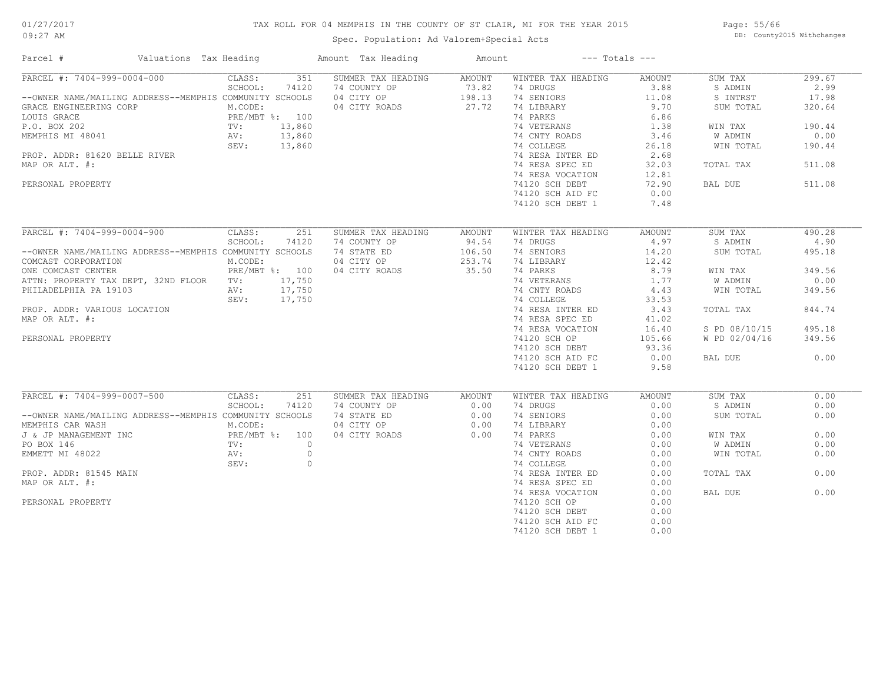## TAX ROLL FOR 04 MEMPHIS IN THE COUNTY OF ST CLAIR, MI FOR THE YEAR 2015

Spec. Population: Ad Valorem+Special Acts

Page: 55/66 DB: County2015 Withchanges

| Parcel #                                                | Valuations Tax Heading |                |                | Amount Tax Heading | Amount              |                    | $---$ Totals $---$ |               |        |
|---------------------------------------------------------|------------------------|----------------|----------------|--------------------|---------------------|--------------------|--------------------|---------------|--------|
| PARCEL #: 7404-999-0004-000                             |                        | CLASS:         | 351            | SUMMER TAX HEADING | AMOUNT              | WINTER TAX HEADING | AMOUNT             | SUM TAX       | 299.67 |
|                                                         |                        | SCHOOL:        | 74120          | 74 COUNTY OP       |                     | 74 DRUGS           | 3.88               | S ADMIN       | 2.99   |
| --OWNER NAME/MAILING ADDRESS--MEMPHIS COMMUNITY SCHOOLS |                        |                |                | 04 CITY OP         | $73.82$<br>$198.13$ | 74 SENIORS         | 11.08              | S INTRST      | 17.98  |
| GRACE ENGINEERING CORP                                  |                        | M.CODE:        |                | 04 CITY ROADS      | 27.72               | 74 LIBRARY         | 9.70               | SUM TOTAL     | 320.64 |
| LOUIS GRACE                                             |                        | PRE/MBT %: 100 |                |                    |                     | 74 PARKS           | 6.86               |               |        |
| P.O. BOX 202                                            | PRE/M<br>TV:<br>AV:    |                | 13,860         |                    |                     | 74 VETERANS        | 1.38               | WIN TAX       | 190.44 |
| MEMPHIS MI 48041                                        |                        |                | 13,860         |                    |                     | 74 CNTY ROADS      | 3.46               | W ADMIN       | 0.00   |
|                                                         |                        | SEV: 13,860    |                |                    |                     | 74 COLLEGE         | 26.18              | WIN TOTAL     | 190.44 |
| PROP. ADDR: 81620 BELLE RIVER                           |                        |                |                |                    |                     | 74 RESA INTER ED   | 2.68               |               |        |
| MAP OR ALT. #:                                          |                        |                |                |                    |                     | 74 RESA SPEC ED    | 32.03              | TOTAL TAX     | 511.08 |
|                                                         |                        |                |                |                    |                     | 74 RESA VOCATION   | 12.81              |               |        |
| PERSONAL PROPERTY                                       |                        |                |                |                    |                     | 74120 SCH DEBT     | 72.90              | BAL DUE       | 511.08 |
|                                                         |                        |                |                |                    |                     | 74120 SCH AID FC   | 0.00               |               |        |
|                                                         |                        |                |                |                    |                     |                    |                    |               |        |
|                                                         |                        |                |                |                    |                     | 74120 SCH DEBT 1   | 7.48               |               |        |
| PARCEL #: 7404-999-0004-900 CLASS:                      |                        |                | 251            | SUMMER TAX HEADING | AMOUNT              | WINTER TAX HEADING | AMOUNT             | SUM TAX       | 490.28 |
|                                                         |                        | SCHOOL:        | 74120          | 74 COUNTY OP       | 94.54               | 74 DRUGS           | 4.97               | S ADMIN       | 4.90   |
| --OWNER NAME/MAILING ADDRESS--MEMPHIS COMMUNITY SCHOOLS |                        |                |                | 74 STATE ED        | 106.50              | 74 SENIORS         | 14.20              | SUM TOTAL     | 495.18 |
| COMCAST CORPORATION                                     |                        | M.CODE:        |                | 04 CITY OP         | 253.74              | 74 LIBRARY         | 12.42              |               |        |
| ONE COMCAST CENTER                                      |                        | PRE/MBT %: 100 |                | 04 CITY ROADS      | 35.50               | 74 PARKS           | 8.79               | WIN TAX       | 349.56 |
| ATTN: PROPERTY TAX DEPT, 32ND FLOOR TV:                 |                        |                | 17,750         |                    |                     | 74 VETERANS        | 1.77               | W ADMIN       | 0.00   |
| PHILADELPHIA PA 19103                                   |                        | AV:            | 17,750         |                    |                     | 74 CNTY ROADS      | 4.43               | WIN TOTAL     | 349.56 |
|                                                         |                        | SEV:           | 17,750         |                    |                     | 74 COLLEGE         | 33.53              |               |        |
|                                                         |                        |                |                |                    |                     |                    |                    |               |        |
| PROP. ADDR: VARIOUS LOCATION                            |                        |                |                |                    |                     | 74 RESA INTER ED   | 3.43               | TOTAL TAX     | 844.74 |
| MAP OR ALT. #:                                          |                        |                |                |                    |                     | 74 RESA SPEC ED    | 41.02              |               |        |
|                                                         |                        |                |                |                    |                     | 74 RESA VOCATION   | 16.40              | S PD 08/10/15 | 495.18 |
| PERSONAL PROPERTY                                       |                        |                |                |                    |                     | 74120 SCH OP       | 105.66             | W PD 02/04/16 | 349.56 |
|                                                         |                        |                |                |                    |                     | 74120 SCH DEBT     | 93.36              |               |        |
|                                                         |                        |                |                |                    |                     | 74120 SCH AID FC   | 0.00               | BAL DUE       | 0.00   |
|                                                         |                        |                |                |                    |                     | 74120 SCH DEBT 1   | 9.58               |               |        |
| PARCEL #: 7404-999-0007-500                             |                        | CLASS:         | 251            | SUMMER TAX HEADING | AMOUNT              | WINTER TAX HEADING | AMOUNT             | SUM TAX       | 0.00   |
|                                                         |                        | SCHOOL:        | 74120          | 74 COUNTY OP       | 0.00                | 74 DRUGS           | 0.00               | S ADMIN       | 0.00   |
| --OWNER NAME/MAILING ADDRESS--MEMPHIS COMMUNITY SCHOOLS |                        |                |                | 74 STATE ED        | 0.00                | 74 SENIORS         | 0.00               | SUM TOTAL     | 0.00   |
| MEMPHIS CAR WASH                                        |                        | M.CODE:        |                | 04 CITY OP         | 0.00                | 74 LIBRARY         | 0.00               |               |        |
|                                                         |                        |                |                |                    |                     |                    |                    |               | 0.00   |
| J & JP MANAGEMENT INC                                   |                        | PRE/MBT %: 100 |                | 04 CITY ROADS      | 0.00                | 74 PARKS           | 0.00               | WIN TAX       |        |
| PO BOX 146                                              |                        | TV:            | $\overline{0}$ |                    |                     | 74 VETERANS        | 0.00               | W ADMIN       | 0.00   |
| EMMETT MI 48022                                         |                        | AV:            | $\circ$        |                    |                     | 74 CNTY ROADS      | 0.00               | WIN TOTAL     | 0.00   |
|                                                         |                        | SEV:           | $\circ$        |                    |                     | 74 COLLEGE         | 0.00               |               |        |
| PROP. ADDR: 81545 MAIN                                  |                        |                |                |                    |                     | 74 RESA INTER ED   | 0.00               | TOTAL TAX     | 0.00   |
| MAP OR ALT. #:                                          |                        |                |                |                    |                     | 74 RESA SPEC ED    | 0.00               |               |        |
|                                                         |                        |                |                |                    |                     | 74 RESA VOCATION   | 0.00               | BAL DUE       | 0.00   |
| PERSONAL PROPERTY                                       |                        |                |                |                    |                     | 74120 SCH OP       | 0.00               |               |        |
|                                                         |                        |                |                |                    |                     | 74120 SCH DEBT     | 0.00               |               |        |
|                                                         |                        |                |                |                    |                     | 74120 SCH AID FC   | 0.00               |               |        |
|                                                         |                        |                |                |                    |                     | 74120 SCH DEBT 1   | 0.00               |               |        |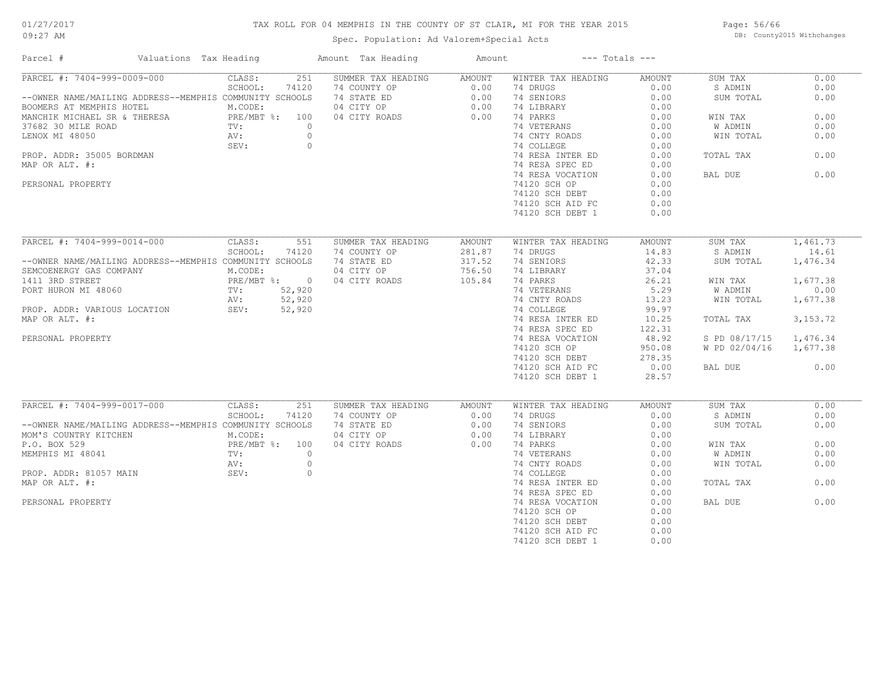## TAX ROLL FOR 04 MEMPHIS IN THE COUNTY OF ST CLAIR, MI FOR THE YEAR 2015

Spec. Population: Ad Valorem+Special Acts

Page: 56/66 DB: County2015 Withchanges

| Parcel #<br>Valuations Tax Heading                      |                  | Amount Tax Heading | Amount        | $---$ Totals $---$ |               |               |            |
|---------------------------------------------------------|------------------|--------------------|---------------|--------------------|---------------|---------------|------------|
| PARCEL #: 7404-999-0009-000                             | 251<br>CLASS:    | SUMMER TAX HEADING | <b>AMOUNT</b> | WINTER TAX HEADING | <b>AMOUNT</b> | SUM TAX       | 0.00       |
|                                                         | SCHOOL:<br>74120 | 74 COUNTY OP       | 0.00          | 74 DRUGS           | 0.00          | S ADMIN       | 0.00       |
| --OWNER NAME/MAILING ADDRESS--MEMPHIS COMMUNITY SCHOOLS |                  | 74 STATE ED        | 0.00          | 74 SENIORS         | 0.00          | SUM TOTAL     | 0.00       |
| BOOMERS AT MEMPHIS HOTEL                                | M.CODE:          | 04 CITY OP         | 0.00          | 74 LIBRARY         | 0.00          |               |            |
| MANCHIK MICHAEL SR & THERESA                            | PRE/MBT %: 100   | 04 CITY ROADS      | 0.00          | 74 PARKS           | 0.00          | WIN TAX       | 0.00       |
| 37682 30 MILE ROAD                                      | $\circ$<br>TV:   |                    |               | 74 VETERANS        | 0.00          | W ADMIN       | 0.00       |
| LENOX MI 48050                                          | AV:<br>$\circ$   |                    |               | 74 CNTY ROADS      | 0.00          | WIN TOTAL     | 0.00       |
|                                                         | SEV:<br>$\circ$  |                    |               | 74 COLLEGE         | 0.00          |               |            |
| PROP. ADDR: 35005 BORDMAN                               |                  |                    |               | 74 RESA INTER ED   | 0.00          | TOTAL TAX     | 0.00       |
| MAP OR ALT. #:                                          |                  |                    |               | 74 RESA SPEC ED    | 0.00          |               |            |
|                                                         |                  |                    |               |                    | 0.00          |               | 0.00       |
|                                                         |                  |                    |               | 74 RESA VOCATION   |               | BAL DUE       |            |
| PERSONAL PROPERTY                                       |                  |                    |               | 74120 SCH OP       | 0.00          |               |            |
|                                                         |                  |                    |               | 74120 SCH DEBT     | 0.00          |               |            |
|                                                         |                  |                    |               | 74120 SCH AID FC   | 0.00          |               |            |
|                                                         |                  |                    |               | 74120 SCH DEBT 1   | 0.00          |               |            |
| PARCEL #: 7404-999-0014-000                             | CLASS:<br>551    | SUMMER TAX HEADING | <b>AMOUNT</b> | WINTER TAX HEADING | <b>AMOUNT</b> | SUM TAX       | 1,461.73   |
|                                                         |                  |                    |               |                    | 14.83         |               | 14.61      |
|                                                         | SCHOOL:<br>74120 | 74 COUNTY OP       | 281.87        | 74 DRUGS           |               | S ADMIN       |            |
| --OWNER NAME/MAILING ADDRESS--MEMPHIS COMMUNITY SCHOOLS |                  | 74 STATE ED        | 317.52        | 74 SENIORS         | 42.33         | SUM TOTAL     | 1,476.34   |
| SEMCOENERGY GAS COMPANY                                 | M.CODE:          | 04 CITY OP         | 756.50        | 74 LIBRARY         | 37.04         |               |            |
| 1411 3RD STREET                                         | PRE/MBT %: 0     | 04 CITY ROADS      | 105.84        | 74 PARKS           | 26.21         | WIN TAX       | 1,677.38   |
| PORT HURON MI 48060                                     | TV:<br>52,920    |                    |               | 74 VETERANS        | 5.29          | W ADMIN       | 0.00       |
|                                                         | 52,920<br>AV:    |                    |               | 74 CNTY ROADS      | 13.23         | WIN TOTAL     | 1,677.38   |
| PROP. ADDR: VARIOUS LOCATION                            | 52,920<br>SEV:   |                    |               | 74 COLLEGE         | 99.97         |               |            |
| MAP OR ALT. #:                                          |                  |                    |               | 74 RESA INTER ED   | 10.25         | TOTAL TAX     | 3, 153. 72 |
|                                                         |                  |                    |               | 74 RESA SPEC ED    | 122.31        |               |            |
| PERSONAL PROPERTY                                       |                  |                    |               | 74 RESA VOCATION   | 48.92         | S PD 08/17/15 | 1,476.34   |
|                                                         |                  |                    |               | 74120 SCH OP       | 950.08        | W PD 02/04/16 | 1,677.38   |
|                                                         |                  |                    |               |                    | 278.35        |               |            |
|                                                         |                  |                    |               | 74120 SCH DEBT     |               |               |            |
|                                                         |                  |                    |               | 74120 SCH AID FC   | 0.00          | BAL DUE       | 0.00       |
|                                                         |                  |                    |               | 74120 SCH DEBT 1   | 28.57         |               |            |
| PARCEL #: 7404-999-0017-000                             | CLASS:<br>251    | SUMMER TAX HEADING | AMOUNT        | WINTER TAX HEADING | <b>AMOUNT</b> | SUM TAX       | 0.00       |
|                                                         | SCHOOL:<br>74120 | 74 COUNTY OP       | 0.00          | 74 DRUGS           | 0.00          | S ADMIN       | 0.00       |
| --OWNER NAME/MAILING ADDRESS--MEMPHIS COMMUNITY SCHOOLS |                  | 74 STATE ED        | 0.00          | 74 SENIORS         | 0.00          | SUM TOTAL     | 0.00       |
| MOM'S COUNTRY KITCHEN                                   | M.CODE:          | 04 CITY OP         | 0.00          | 74 LIBRARY         | 0.00          |               |            |
| P.O. BOX 529                                            | PRE/MBT %: 100   | 04 CITY ROADS      | 0.00          | 74 PARKS           | 0.00          | WIN TAX       | 0.00       |
| MEMPHIS MI 48041                                        | TV:<br>$\circ$   |                    |               | 74 VETERANS        | 0.00          | W ADMIN       | 0.00       |
|                                                         |                  |                    |               |                    |               |               |            |
|                                                         | $\circ$<br>AV:   |                    |               | 74 CNTY ROADS      | 0.00          | WIN TOTAL     | 0.00       |
| PROP. ADDR: 81057 MAIN                                  | SEV:<br>$\circ$  |                    |               | 74 COLLEGE         | 0.00          |               |            |
| MAP OR ALT. #:                                          |                  |                    |               | 74 RESA INTER ED   | 0.00          | TOTAL TAX     | 0.00       |
|                                                         |                  |                    |               | 74 RESA SPEC ED    | 0.00          |               |            |
| PERSONAL PROPERTY                                       |                  |                    |               | 74 RESA VOCATION   | 0.00          | BAL DUE       | 0.00       |
|                                                         |                  |                    |               | 74120 SCH OP       | 0.00          |               |            |
|                                                         |                  |                    |               | 74120 SCH DEBT     | 0.00          |               |            |
|                                                         |                  |                    |               | 74120 SCH AID FC   | 0.00          |               |            |
|                                                         |                  |                    |               | 74120 SCH DEBT 1   | 0.00          |               |            |
|                                                         |                  |                    |               |                    |               |               |            |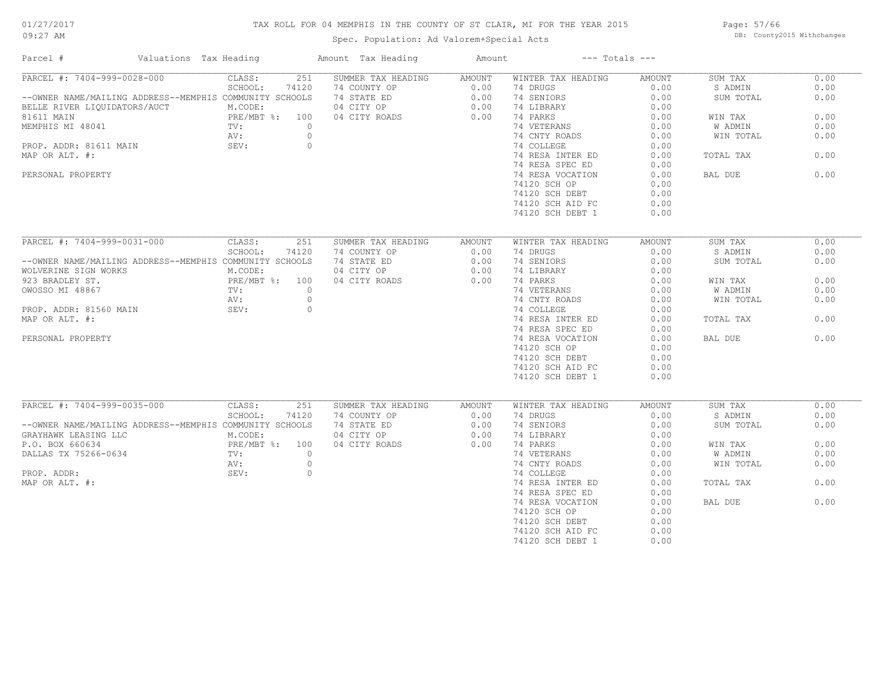## TAX ROLL FOR 04 MEMPHIS IN THE COUNTY OF ST CLAIR, MI FOR THE YEAR 2015

Spec. Population: Ad Valorem+Special Acts

Page: 57/66 DB: County2015 Withchanges

| Parcel #                                                | Valuations Tax Heading |                            | Amount Tax Heading        | Amount         |                    | $---$ Totals $---$    |           |              |
|---------------------------------------------------------|------------------------|----------------------------|---------------------------|----------------|--------------------|-----------------------|-----------|--------------|
| PARCEL #: 7404-999-0028-000                             |                        | CLASS:                     | 251<br>SUMMER TAX HEADING | AMOUNT         | WINTER TAX HEADING | AMOUNT                | SUM TAX   | 0.00         |
|                                                         |                        | SCHOOL:<br>74120           | 74 COUNTY OP              | 0.00           | 74 DRUGS           | 0.00                  | S ADMIN   | 0.00         |
| --OWNER NAME/MAILING ADDRESS--MEMPHIS COMMUNITY SCHOOLS |                        |                            | 74 STATE ED               | 0.00           | 74 SENIORS         | 0.00                  | SUM TOTAL | 0.00         |
| BELLE RIVER LIQUIDATORS/AUCT                            |                        | M.CODE:                    | 04 CITY OP                | 0.00           | 74 LIBRARY         | 0.00                  |           |              |
| 81611 MAIN                                              |                        | PRE/MBT %: 100             | 04 CITY ROADS             | 0.00           | 74 PARKS           | 0.00                  | WIN TAX   | 0.00         |
| MEMPHIS MI 48041                                        |                        | TV:                        | $\circ$                   |                | 74 VETERANS        | 0.00                  | W ADMIN   | 0.00         |
|                                                         |                        | AV:                        | $\circ$                   |                | 74 CNTY ROADS      | 0.00                  | WIN TOTAL | 0.00         |
| PROP. ADDR: 81611 MAIN                                  |                        | SEV:                       | $\circ$                   |                | 74 COLLEGE         | 0.00                  |           |              |
| MAP OR ALT. #:                                          |                        |                            |                           |                | 74 RESA INTER ED   | 0.00                  | TOTAL TAX | 0.00         |
|                                                         |                        |                            |                           |                | 74 RESA SPEC ED    | 0.00                  |           |              |
| PERSONAL PROPERTY                                       |                        |                            |                           |                | 74 RESA VOCATION   | 0.00                  | BAL DUE   | 0.00         |
|                                                         |                        |                            |                           |                | 74120 SCH OP       | 0.00                  |           |              |
|                                                         |                        |                            |                           |                | 74120 SCH DEBT     | 0.00                  |           |              |
|                                                         |                        |                            |                           |                | 74120 SCH AID FC   | 0.00                  |           |              |
|                                                         |                        |                            |                           |                | 74120 SCH DEBT 1   | 0.00                  |           |              |
|                                                         |                        |                            |                           |                |                    |                       |           |              |
| PARCEL #: 7404-999-0031-000                             |                        | CLASS:                     | 251<br>SUMMER TAX HEADING | AMOUNT         | WINTER TAX HEADING | <b>AMOUNT</b>         | SUM TAX   | 0.00         |
|                                                         |                        | SCHOOL:<br>74120           | 74 COUNTY OP              | 0.00           | 74 DRUGS           | 0.00                  | S ADMIN   | 0.00         |
| --OWNER NAME/MAILING ADDRESS--MEMPHIS COMMUNITY SCHOOLS |                        |                            | 74 STATE ED               | 0.00           | 74 SENIORS         | 0.00                  | SUM TOTAL | 0.00         |
| WOLVERINE SIGN WORKS                                    |                        | M.CODE:                    | 04 CITY OP                | 0.00           | 74 LIBRARY         | 0.00                  |           |              |
| 923 BRADLEY ST.                                         |                        | PRE/MBT %: 100             | 04 CITY ROADS             | 0.00           | 74 PARKS           | 0.00                  |           | 0.00         |
|                                                         |                        |                            | $\circ$                   |                |                    |                       | WIN TAX   |              |
| OWOSSO MI 48867                                         |                        | TV:                        |                           |                | 74 VETERANS        | 0.00                  | W ADMIN   | 0.00         |
|                                                         |                        | AV:                        | $\circ$                   |                | 74 CNTY ROADS      | 0.00                  | WIN TOTAL | 0.00         |
| PROP. ADDR: 81560 MAIN                                  |                        | SEV:                       | $\circ$                   |                | 74 COLLEGE         | 0.00                  |           |              |
| MAP OR ALT. #:                                          |                        |                            |                           |                | 74 RESA INTER ED   | 0.00                  | TOTAL TAX | 0.00         |
|                                                         |                        |                            |                           |                | 74 RESA SPEC ED    | 0.00                  |           |              |
| PERSONAL PROPERTY                                       |                        |                            |                           |                | 74 RESA VOCATION   | 0.00                  | BAL DUE   | 0.00         |
|                                                         |                        |                            |                           |                | 74120 SCH OP       | 0.00                  |           |              |
|                                                         |                        |                            |                           |                | 74120 SCH DEBT     | 0.00                  |           |              |
|                                                         |                        |                            |                           |                | 74120 SCH AID FC   | 0.00                  |           |              |
|                                                         |                        |                            |                           |                | 74120 SCH DEBT 1   | 0.00                  |           |              |
|                                                         |                        |                            |                           |                |                    |                       |           |              |
| PARCEL #: 7404-999-0035-000                             |                        | CLASS:<br>SCHOOL:<br>74120 | 251<br>SUMMER TAX HEADING | AMOUNT         | WINTER TAX HEADING | <b>AMOUNT</b><br>0.00 | SUM TAX   | 0.00<br>0.00 |
|                                                         |                        |                            | 74 COUNTY OP              | 0.00           | 74 DRUGS           |                       | S ADMIN   |              |
| --OWNER NAME/MAILING ADDRESS--MEMPHIS COMMUNITY SCHOOLS |                        |                            | 74 STATE ED               | 0.00           | 74 SENIORS         | 0.00                  | SUM TOTAL | 0.00         |
| GRAYHAWK LEASING LLC                                    |                        | M.CODE:                    | 04 CITY OP                | 0.00           | 74 LIBRARY         | 0.00                  |           |              |
| P.O. BOX 660634                                         |                        | PRE/MBT %: 100             | 04 CITY ROADS             | 0.00           | 74 PARKS           | 0.00                  | WIN TAX   | 0.00         |
| DALLAS TX 75266-0634                                    |                        | TV:                        | $\circ$                   |                | 74 VETERANS        | 0.00                  | W ADMIN   | 0.00         |
|                                                         |                        | AV:                        | $\circ$                   |                | 74 CNTY ROADS      | 0.00                  | WIN TOTAL | 0.00         |
| PROP. ADDR:                                             |                        | SEV:                       | $\circ$                   |                | 74 COLLEGE         | 0.00                  |           |              |
| MAP OR ALT. #:                                          |                        |                            |                           |                | 74 RESA INTER ED   | 0.00                  | TOTAL TAX | 0.00         |
|                                                         |                        |                            |                           |                | 74 RESA SPEC ED    | 0.00                  |           |              |
|                                                         |                        |                            |                           |                | 74 RESA VOCATION   | 0.00                  | BAL DUE   | 0.00         |
|                                                         |                        |                            |                           | 74120 SCH OP   | 0.00               |                       |           |              |
|                                                         |                        |                            |                           | 74120 SCH DEBT | 0.00               |                       |           |              |
|                                                         |                        |                            |                           |                | 74120 SCH AID FC   | 0.00                  |           |              |
|                                                         |                        |                            |                           |                | 74120 SCH DEBT 1   | 0.00                  |           |              |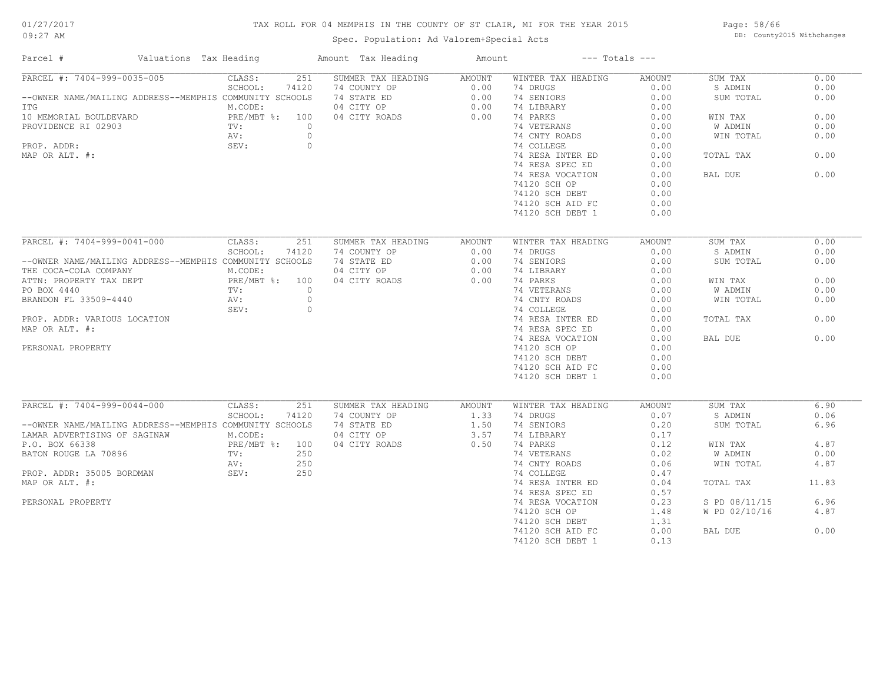## TAX ROLL FOR 04 MEMPHIS IN THE COUNTY OF ST CLAIR, MI FOR THE YEAR 2015

Spec. Population: Ad Valorem+Special Acts

Page: 58/66 DB: County2015 Withchanges

| PARCEL #: 7404-999-0035-005<br>251<br>CLASS:<br>SUMMER TAX HEADING<br>AMOUNT<br>WINTER TAX HEADING<br>AMOUNT<br>SUM TAX<br>SCHOOL:<br>74120<br>74 COUNTY OP<br>$0.00$<br>$0.00$<br>74 DRUGS<br>0.00<br>S ADMIN<br>74 SENIORS<br>--OWNER NAME/MAILING ADDRESS--MEMPHIS COMMUNITY SCHOOLS<br>74 STATE ED<br>0.00<br>SUM TOTAL<br>0.00<br>M.CODE:<br>04 CITY OP<br>74 LIBRARY<br>0.00<br>ITG<br>PRE/MBT %: 100<br>10 MEMORIAL BOULDEVARD<br>04 CITY ROADS<br>0.00<br>74 PARKS<br>0.00<br>WIN TAX<br>PROVIDENCE RI 02903<br>$\overline{0}$<br>74 VETERANS<br>0.00<br>$\text{TV}$ :<br>W ADMIN<br>$\circ$<br>0.00<br>0.00<br>AV:<br>74 CNTY ROADS<br>WIN TOTAL<br>SEV:<br>PROP. ADDR:<br>$\circ$<br>74 COLLEGE<br>0.00<br>MAP OR ALT. #:<br>74 RESA INTER ED<br>0.00<br>0.00<br>TOTAL TAX<br>74 RESA SPEC ED<br>0.00<br>0.00<br>74 RESA VOCATION<br>0.00<br>BAL DUE<br>74120 SCH OP<br>0.00<br>74120 SCH DEBT<br>0.00<br>0.00<br>74120 SCH AID FC<br>74120 SCH DEBT 1<br>0.00<br>PARCEL #: 7404-999-0041-000<br>CLASS:<br>251<br>SUMMER TAX HEADING<br>AMOUNT<br>WINTER TAX HEADING<br>AMOUNT<br>SUM TAX<br>SCHOOL:<br>74120<br>74 COUNTY OP<br>0.00<br>74 DRUGS<br>0.00<br>S ADMIN<br>--OWNER NAME/MAILING ADDRESS--MEMPHIS COMMUNITY SCHOOLS<br>74 STATE ED<br>0.00<br>74 SENIORS<br>0.00<br>SUM TOTAL<br>04 CITY OP<br>0.00<br>THE COCA-COLA COMPANY<br>M.CODE:<br>74 LIBRARY<br>0.00<br>PRE/MBT %: 100<br>TV: 0<br>AV: 0<br>0.00<br>04 CITY ROADS<br>0.00<br>74 PARKS<br>0.00<br>WIN TAX<br>ra DEPT کان به A440<br>BRANDON FL 33509-4440<br>ROP. ADDR MATH<br>0.00<br>0.00<br>74 VETERANS<br>W ADMIN<br>74 CNTY ROADS<br>0.00<br>0.00<br>WIN TOTAL<br>SEV:<br>$\overline{0}$<br>74 COLLEGE<br>0.00<br>74 RESA INTER ED<br>0.00<br>0.00<br>TOTAL TAX<br>MAP OR ALT. #:<br>74 RESA SPEC ED<br>0.00<br>0.00<br>74 RESA VOCATION<br>0.00<br>BAL DUE<br>0.00<br>PERSONAL PROPERTY<br>74120 SCH OP<br>74120 SCH DEBT<br>0.00<br>0.00<br>74120 SCH AID FC<br>74120 SCH DEBT 1<br>0.00<br>PARCEL #: 7404-999-0044-000<br>CLASS:<br>SUMMER TAX HEADING<br>251<br>AMOUNT<br>WINTER TAX HEADING<br>AMOUNT<br>SUM TAX | Parcel # | Valuations Tax Heading | Amount Tax Heading | Amount | $---$ Totals $---$ |  |       |
|----------------------------------------------------------------------------------------------------------------------------------------------------------------------------------------------------------------------------------------------------------------------------------------------------------------------------------------------------------------------------------------------------------------------------------------------------------------------------------------------------------------------------------------------------------------------------------------------------------------------------------------------------------------------------------------------------------------------------------------------------------------------------------------------------------------------------------------------------------------------------------------------------------------------------------------------------------------------------------------------------------------------------------------------------------------------------------------------------------------------------------------------------------------------------------------------------------------------------------------------------------------------------------------------------------------------------------------------------------------------------------------------------------------------------------------------------------------------------------------------------------------------------------------------------------------------------------------------------------------------------------------------------------------------------------------------------------------------------------------------------------------------------------------------------------------------------------------------------------------------------------------------------------------------------------------------------------------------------------------------------------------------------------------------------------------------------------------------------------|----------|------------------------|--------------------|--------|--------------------|--|-------|
|                                                                                                                                                                                                                                                                                                                                                                                                                                                                                                                                                                                                                                                                                                                                                                                                                                                                                                                                                                                                                                                                                                                                                                                                                                                                                                                                                                                                                                                                                                                                                                                                                                                                                                                                                                                                                                                                                                                                                                                                                                                                                                          |          |                        |                    |        |                    |  | 0.00  |
|                                                                                                                                                                                                                                                                                                                                                                                                                                                                                                                                                                                                                                                                                                                                                                                                                                                                                                                                                                                                                                                                                                                                                                                                                                                                                                                                                                                                                                                                                                                                                                                                                                                                                                                                                                                                                                                                                                                                                                                                                                                                                                          |          |                        |                    |        |                    |  | 0.00  |
|                                                                                                                                                                                                                                                                                                                                                                                                                                                                                                                                                                                                                                                                                                                                                                                                                                                                                                                                                                                                                                                                                                                                                                                                                                                                                                                                                                                                                                                                                                                                                                                                                                                                                                                                                                                                                                                                                                                                                                                                                                                                                                          |          |                        |                    |        |                    |  | 0.00  |
|                                                                                                                                                                                                                                                                                                                                                                                                                                                                                                                                                                                                                                                                                                                                                                                                                                                                                                                                                                                                                                                                                                                                                                                                                                                                                                                                                                                                                                                                                                                                                                                                                                                                                                                                                                                                                                                                                                                                                                                                                                                                                                          |          |                        |                    |        |                    |  |       |
|                                                                                                                                                                                                                                                                                                                                                                                                                                                                                                                                                                                                                                                                                                                                                                                                                                                                                                                                                                                                                                                                                                                                                                                                                                                                                                                                                                                                                                                                                                                                                                                                                                                                                                                                                                                                                                                                                                                                                                                                                                                                                                          |          |                        |                    |        |                    |  | 0.00  |
|                                                                                                                                                                                                                                                                                                                                                                                                                                                                                                                                                                                                                                                                                                                                                                                                                                                                                                                                                                                                                                                                                                                                                                                                                                                                                                                                                                                                                                                                                                                                                                                                                                                                                                                                                                                                                                                                                                                                                                                                                                                                                                          |          |                        |                    |        |                    |  | 0.00  |
|                                                                                                                                                                                                                                                                                                                                                                                                                                                                                                                                                                                                                                                                                                                                                                                                                                                                                                                                                                                                                                                                                                                                                                                                                                                                                                                                                                                                                                                                                                                                                                                                                                                                                                                                                                                                                                                                                                                                                                                                                                                                                                          |          |                        |                    |        |                    |  |       |
|                                                                                                                                                                                                                                                                                                                                                                                                                                                                                                                                                                                                                                                                                                                                                                                                                                                                                                                                                                                                                                                                                                                                                                                                                                                                                                                                                                                                                                                                                                                                                                                                                                                                                                                                                                                                                                                                                                                                                                                                                                                                                                          |          |                        |                    |        |                    |  |       |
|                                                                                                                                                                                                                                                                                                                                                                                                                                                                                                                                                                                                                                                                                                                                                                                                                                                                                                                                                                                                                                                                                                                                                                                                                                                                                                                                                                                                                                                                                                                                                                                                                                                                                                                                                                                                                                                                                                                                                                                                                                                                                                          |          |                        |                    |        |                    |  |       |
|                                                                                                                                                                                                                                                                                                                                                                                                                                                                                                                                                                                                                                                                                                                                                                                                                                                                                                                                                                                                                                                                                                                                                                                                                                                                                                                                                                                                                                                                                                                                                                                                                                                                                                                                                                                                                                                                                                                                                                                                                                                                                                          |          |                        |                    |        |                    |  |       |
|                                                                                                                                                                                                                                                                                                                                                                                                                                                                                                                                                                                                                                                                                                                                                                                                                                                                                                                                                                                                                                                                                                                                                                                                                                                                                                                                                                                                                                                                                                                                                                                                                                                                                                                                                                                                                                                                                                                                                                                                                                                                                                          |          |                        |                    |        |                    |  |       |
|                                                                                                                                                                                                                                                                                                                                                                                                                                                                                                                                                                                                                                                                                                                                                                                                                                                                                                                                                                                                                                                                                                                                                                                                                                                                                                                                                                                                                                                                                                                                                                                                                                                                                                                                                                                                                                                                                                                                                                                                                                                                                                          |          |                        |                    |        |                    |  |       |
|                                                                                                                                                                                                                                                                                                                                                                                                                                                                                                                                                                                                                                                                                                                                                                                                                                                                                                                                                                                                                                                                                                                                                                                                                                                                                                                                                                                                                                                                                                                                                                                                                                                                                                                                                                                                                                                                                                                                                                                                                                                                                                          |          |                        |                    |        |                    |  |       |
|                                                                                                                                                                                                                                                                                                                                                                                                                                                                                                                                                                                                                                                                                                                                                                                                                                                                                                                                                                                                                                                                                                                                                                                                                                                                                                                                                                                                                                                                                                                                                                                                                                                                                                                                                                                                                                                                                                                                                                                                                                                                                                          |          |                        |                    |        |                    |  |       |
|                                                                                                                                                                                                                                                                                                                                                                                                                                                                                                                                                                                                                                                                                                                                                                                                                                                                                                                                                                                                                                                                                                                                                                                                                                                                                                                                                                                                                                                                                                                                                                                                                                                                                                                                                                                                                                                                                                                                                                                                                                                                                                          |          |                        |                    |        |                    |  |       |
|                                                                                                                                                                                                                                                                                                                                                                                                                                                                                                                                                                                                                                                                                                                                                                                                                                                                                                                                                                                                                                                                                                                                                                                                                                                                                                                                                                                                                                                                                                                                                                                                                                                                                                                                                                                                                                                                                                                                                                                                                                                                                                          |          |                        |                    |        |                    |  |       |
|                                                                                                                                                                                                                                                                                                                                                                                                                                                                                                                                                                                                                                                                                                                                                                                                                                                                                                                                                                                                                                                                                                                                                                                                                                                                                                                                                                                                                                                                                                                                                                                                                                                                                                                                                                                                                                                                                                                                                                                                                                                                                                          |          |                        |                    |        |                    |  |       |
|                                                                                                                                                                                                                                                                                                                                                                                                                                                                                                                                                                                                                                                                                                                                                                                                                                                                                                                                                                                                                                                                                                                                                                                                                                                                                                                                                                                                                                                                                                                                                                                                                                                                                                                                                                                                                                                                                                                                                                                                                                                                                                          |          |                        |                    |        |                    |  | 0.00  |
|                                                                                                                                                                                                                                                                                                                                                                                                                                                                                                                                                                                                                                                                                                                                                                                                                                                                                                                                                                                                                                                                                                                                                                                                                                                                                                                                                                                                                                                                                                                                                                                                                                                                                                                                                                                                                                                                                                                                                                                                                                                                                                          |          |                        |                    |        |                    |  | 0.00  |
|                                                                                                                                                                                                                                                                                                                                                                                                                                                                                                                                                                                                                                                                                                                                                                                                                                                                                                                                                                                                                                                                                                                                                                                                                                                                                                                                                                                                                                                                                                                                                                                                                                                                                                                                                                                                                                                                                                                                                                                                                                                                                                          |          |                        |                    |        |                    |  | 0.00  |
|                                                                                                                                                                                                                                                                                                                                                                                                                                                                                                                                                                                                                                                                                                                                                                                                                                                                                                                                                                                                                                                                                                                                                                                                                                                                                                                                                                                                                                                                                                                                                                                                                                                                                                                                                                                                                                                                                                                                                                                                                                                                                                          |          |                        |                    |        |                    |  |       |
|                                                                                                                                                                                                                                                                                                                                                                                                                                                                                                                                                                                                                                                                                                                                                                                                                                                                                                                                                                                                                                                                                                                                                                                                                                                                                                                                                                                                                                                                                                                                                                                                                                                                                                                                                                                                                                                                                                                                                                                                                                                                                                          |          |                        |                    |        |                    |  |       |
|                                                                                                                                                                                                                                                                                                                                                                                                                                                                                                                                                                                                                                                                                                                                                                                                                                                                                                                                                                                                                                                                                                                                                                                                                                                                                                                                                                                                                                                                                                                                                                                                                                                                                                                                                                                                                                                                                                                                                                                                                                                                                                          |          |                        |                    |        |                    |  |       |
|                                                                                                                                                                                                                                                                                                                                                                                                                                                                                                                                                                                                                                                                                                                                                                                                                                                                                                                                                                                                                                                                                                                                                                                                                                                                                                                                                                                                                                                                                                                                                                                                                                                                                                                                                                                                                                                                                                                                                                                                                                                                                                          |          |                        |                    |        |                    |  |       |
|                                                                                                                                                                                                                                                                                                                                                                                                                                                                                                                                                                                                                                                                                                                                                                                                                                                                                                                                                                                                                                                                                                                                                                                                                                                                                                                                                                                                                                                                                                                                                                                                                                                                                                                                                                                                                                                                                                                                                                                                                                                                                                          |          |                        |                    |        |                    |  |       |
|                                                                                                                                                                                                                                                                                                                                                                                                                                                                                                                                                                                                                                                                                                                                                                                                                                                                                                                                                                                                                                                                                                                                                                                                                                                                                                                                                                                                                                                                                                                                                                                                                                                                                                                                                                                                                                                                                                                                                                                                                                                                                                          |          |                        |                    |        |                    |  |       |
|                                                                                                                                                                                                                                                                                                                                                                                                                                                                                                                                                                                                                                                                                                                                                                                                                                                                                                                                                                                                                                                                                                                                                                                                                                                                                                                                                                                                                                                                                                                                                                                                                                                                                                                                                                                                                                                                                                                                                                                                                                                                                                          |          |                        |                    |        |                    |  |       |
|                                                                                                                                                                                                                                                                                                                                                                                                                                                                                                                                                                                                                                                                                                                                                                                                                                                                                                                                                                                                                                                                                                                                                                                                                                                                                                                                                                                                                                                                                                                                                                                                                                                                                                                                                                                                                                                                                                                                                                                                                                                                                                          |          |                        |                    |        |                    |  |       |
|                                                                                                                                                                                                                                                                                                                                                                                                                                                                                                                                                                                                                                                                                                                                                                                                                                                                                                                                                                                                                                                                                                                                                                                                                                                                                                                                                                                                                                                                                                                                                                                                                                                                                                                                                                                                                                                                                                                                                                                                                                                                                                          |          |                        |                    |        |                    |  |       |
|                                                                                                                                                                                                                                                                                                                                                                                                                                                                                                                                                                                                                                                                                                                                                                                                                                                                                                                                                                                                                                                                                                                                                                                                                                                                                                                                                                                                                                                                                                                                                                                                                                                                                                                                                                                                                                                                                                                                                                                                                                                                                                          |          |                        |                    |        |                    |  |       |
|                                                                                                                                                                                                                                                                                                                                                                                                                                                                                                                                                                                                                                                                                                                                                                                                                                                                                                                                                                                                                                                                                                                                                                                                                                                                                                                                                                                                                                                                                                                                                                                                                                                                                                                                                                                                                                                                                                                                                                                                                                                                                                          |          |                        |                    |        |                    |  |       |
|                                                                                                                                                                                                                                                                                                                                                                                                                                                                                                                                                                                                                                                                                                                                                                                                                                                                                                                                                                                                                                                                                                                                                                                                                                                                                                                                                                                                                                                                                                                                                                                                                                                                                                                                                                                                                                                                                                                                                                                                                                                                                                          |          |                        |                    |        |                    |  |       |
|                                                                                                                                                                                                                                                                                                                                                                                                                                                                                                                                                                                                                                                                                                                                                                                                                                                                                                                                                                                                                                                                                                                                                                                                                                                                                                                                                                                                                                                                                                                                                                                                                                                                                                                                                                                                                                                                                                                                                                                                                                                                                                          |          |                        |                    |        |                    |  |       |
|                                                                                                                                                                                                                                                                                                                                                                                                                                                                                                                                                                                                                                                                                                                                                                                                                                                                                                                                                                                                                                                                                                                                                                                                                                                                                                                                                                                                                                                                                                                                                                                                                                                                                                                                                                                                                                                                                                                                                                                                                                                                                                          |          |                        |                    |        |                    |  |       |
|                                                                                                                                                                                                                                                                                                                                                                                                                                                                                                                                                                                                                                                                                                                                                                                                                                                                                                                                                                                                                                                                                                                                                                                                                                                                                                                                                                                                                                                                                                                                                                                                                                                                                                                                                                                                                                                                                                                                                                                                                                                                                                          |          |                        |                    |        |                    |  | 6.90  |
| SCHOOL:<br>74120<br>1.33<br>0.07<br>74 COUNTY OP<br>74 DRUGS<br>S ADMIN                                                                                                                                                                                                                                                                                                                                                                                                                                                                                                                                                                                                                                                                                                                                                                                                                                                                                                                                                                                                                                                                                                                                                                                                                                                                                                                                                                                                                                                                                                                                                                                                                                                                                                                                                                                                                                                                                                                                                                                                                                  |          |                        |                    |        |                    |  | 0.06  |
| --OWNER NAME/MAILING ADDRESS--MEMPHIS COMMUNITY SCHOOLS<br>74 STATE ED<br>1.50<br>74 SENIORS<br>0.20<br>SUM TOTAL                                                                                                                                                                                                                                                                                                                                                                                                                                                                                                                                                                                                                                                                                                                                                                                                                                                                                                                                                                                                                                                                                                                                                                                                                                                                                                                                                                                                                                                                                                                                                                                                                                                                                                                                                                                                                                                                                                                                                                                        |          |                        |                    |        |                    |  | 6.96  |
| 3.57<br>LAMAR ADVERTISING OF SAGINAW<br>M.CODE:<br>04 CITY OP<br>74 LIBRARY<br>0.17                                                                                                                                                                                                                                                                                                                                                                                                                                                                                                                                                                                                                                                                                                                                                                                                                                                                                                                                                                                                                                                                                                                                                                                                                                                                                                                                                                                                                                                                                                                                                                                                                                                                                                                                                                                                                                                                                                                                                                                                                      |          |                        |                    |        |                    |  |       |
| PRE/MBT %: 100<br>04 CITY ROADS<br>0.50<br>74 PARKS<br>P.O. BOX 66338<br>0.12<br>WIN TAX                                                                                                                                                                                                                                                                                                                                                                                                                                                                                                                                                                                                                                                                                                                                                                                                                                                                                                                                                                                                                                                                                                                                                                                                                                                                                                                                                                                                                                                                                                                                                                                                                                                                                                                                                                                                                                                                                                                                                                                                                 |          |                        |                    |        |                    |  | 4.87  |
| $\text{TV}$ :                                                                                                                                                                                                                                                                                                                                                                                                                                                                                                                                                                                                                                                                                                                                                                                                                                                                                                                                                                                                                                                                                                                                                                                                                                                                                                                                                                                                                                                                                                                                                                                                                                                                                                                                                                                                                                                                                                                                                                                                                                                                                            |          |                        |                    |        |                    |  |       |
| BATON ROUGE LA 70896<br>250<br>74 VETERANS<br>0.02<br>W ADMIN                                                                                                                                                                                                                                                                                                                                                                                                                                                                                                                                                                                                                                                                                                                                                                                                                                                                                                                                                                                                                                                                                                                                                                                                                                                                                                                                                                                                                                                                                                                                                                                                                                                                                                                                                                                                                                                                                                                                                                                                                                            |          |                        |                    |        |                    |  | 0.00  |
| 74 CNTY ROADS<br>AV:<br>250<br>0.06<br>WIN TOTAL                                                                                                                                                                                                                                                                                                                                                                                                                                                                                                                                                                                                                                                                                                                                                                                                                                                                                                                                                                                                                                                                                                                                                                                                                                                                                                                                                                                                                                                                                                                                                                                                                                                                                                                                                                                                                                                                                                                                                                                                                                                         |          |                        |                    |        |                    |  | 4.87  |
| SEV:<br>PROP. ADDR: 35005 BORDMAN<br>250<br>74 COLLEGE<br>0.47                                                                                                                                                                                                                                                                                                                                                                                                                                                                                                                                                                                                                                                                                                                                                                                                                                                                                                                                                                                                                                                                                                                                                                                                                                                                                                                                                                                                                                                                                                                                                                                                                                                                                                                                                                                                                                                                                                                                                                                                                                           |          |                        |                    |        |                    |  |       |
| MAP OR ALT. #:<br>0.04<br>74 RESA INTER ED<br>TOTAL TAX                                                                                                                                                                                                                                                                                                                                                                                                                                                                                                                                                                                                                                                                                                                                                                                                                                                                                                                                                                                                                                                                                                                                                                                                                                                                                                                                                                                                                                                                                                                                                                                                                                                                                                                                                                                                                                                                                                                                                                                                                                                  |          |                        |                    |        |                    |  | 11.83 |
| 74 RESA SPEC ED<br>0.57                                                                                                                                                                                                                                                                                                                                                                                                                                                                                                                                                                                                                                                                                                                                                                                                                                                                                                                                                                                                                                                                                                                                                                                                                                                                                                                                                                                                                                                                                                                                                                                                                                                                                                                                                                                                                                                                                                                                                                                                                                                                                  |          |                        |                    |        |                    |  |       |
| PERSONAL PROPERTY<br>74 RESA VOCATION<br>0.23<br>S PD 08/11/15                                                                                                                                                                                                                                                                                                                                                                                                                                                                                                                                                                                                                                                                                                                                                                                                                                                                                                                                                                                                                                                                                                                                                                                                                                                                                                                                                                                                                                                                                                                                                                                                                                                                                                                                                                                                                                                                                                                                                                                                                                           |          |                        |                    |        |                    |  | 6.96  |
| 1.48<br>W PD 02/10/16<br>74120 SCH OP                                                                                                                                                                                                                                                                                                                                                                                                                                                                                                                                                                                                                                                                                                                                                                                                                                                                                                                                                                                                                                                                                                                                                                                                                                                                                                                                                                                                                                                                                                                                                                                                                                                                                                                                                                                                                                                                                                                                                                                                                                                                    |          |                        |                    |        |                    |  | 4.87  |
| 74120 SCH DEBT<br>1.31                                                                                                                                                                                                                                                                                                                                                                                                                                                                                                                                                                                                                                                                                                                                                                                                                                                                                                                                                                                                                                                                                                                                                                                                                                                                                                                                                                                                                                                                                                                                                                                                                                                                                                                                                                                                                                                                                                                                                                                                                                                                                   |          |                        |                    |        |                    |  |       |
| 0.00<br>74120 SCH AID FC<br>BAL DUE                                                                                                                                                                                                                                                                                                                                                                                                                                                                                                                                                                                                                                                                                                                                                                                                                                                                                                                                                                                                                                                                                                                                                                                                                                                                                                                                                                                                                                                                                                                                                                                                                                                                                                                                                                                                                                                                                                                                                                                                                                                                      |          |                        |                    |        |                    |  | 0.00  |
| 74120 SCH DEBT 1<br>0.13                                                                                                                                                                                                                                                                                                                                                                                                                                                                                                                                                                                                                                                                                                                                                                                                                                                                                                                                                                                                                                                                                                                                                                                                                                                                                                                                                                                                                                                                                                                                                                                                                                                                                                                                                                                                                                                                                                                                                                                                                                                                                 |          |                        |                    |        |                    |  |       |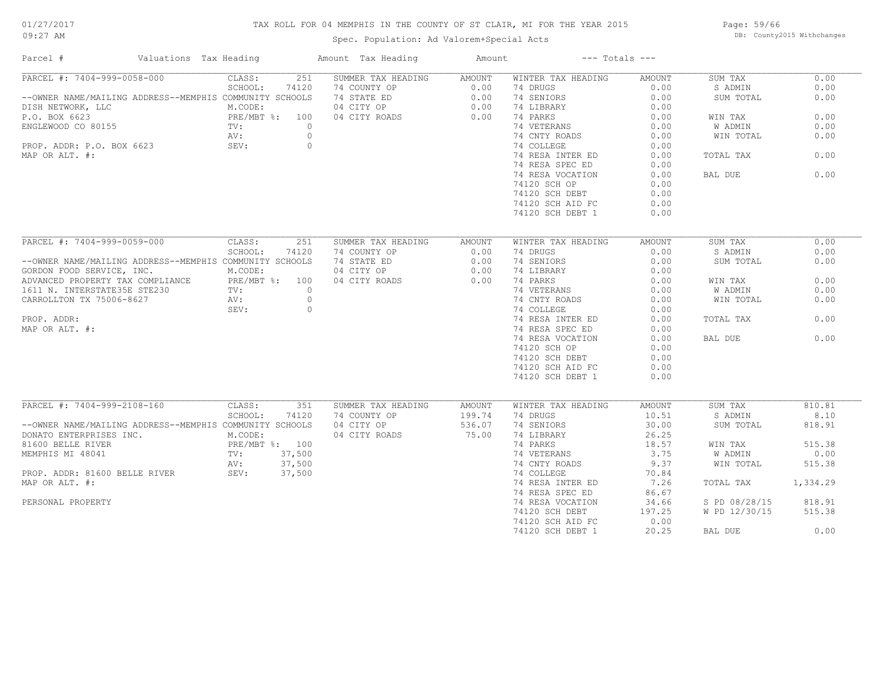## TAX ROLL FOR 04 MEMPHIS IN THE COUNTY OF ST CLAIR, MI FOR THE YEAR 2015

Spec. Population: Ad Valorem+Special Acts

Page: 59/66 DB: County2015 Withchanges

| Parcel #                                                | Valuations Tax Heading |                |                | Amount Tax Heading | Amount |                    | $---$ Totals $---$ |               |          |
|---------------------------------------------------------|------------------------|----------------|----------------|--------------------|--------|--------------------|--------------------|---------------|----------|
| PARCEL #: 7404-999-0058-000                             |                        | CLASS:         | 251            | SUMMER TAX HEADING | AMOUNT | WINTER TAX HEADING | AMOUNT             | SUM TAX       | 0.00     |
|                                                         |                        | SCHOOL:        | 74120          | 74 COUNTY OP       | 0.00   | 74 DRUGS           | 0.00               | S ADMIN       | 0.00     |
| --OWNER NAME/MAILING ADDRESS--MEMPHIS COMMUNITY SCHOOLS |                        |                |                | 74 STATE ED        | 0.00   | 74 SENIORS         | 0.00               | SUM TOTAL     | 0.00     |
| DISH NETWORK, LLC                                       |                        | M.CODE:        |                | 04 CITY OP         | 0.00   | 74 LIBRARY         | 0.00               |               |          |
| P.O. BOX 6623                                           |                        | PRE/MBT %: 100 |                | 04 CITY ROADS      | 0.00   | 74 PARKS           | 0.00               | WIN TAX       | 0.00     |
| ENGLEWOOD CO 80155                                      | TV:                    |                | $\overline{0}$ |                    |        | 74 VETERANS        | 0.00               | W ADMIN       | 0.00     |
|                                                         |                        | AV:            | $\overline{0}$ |                    |        | 74 CNTY ROADS      | 0.00               | WIN TOTAL     | 0.00     |
| AV:<br>PROP. ADDR: P.O. BOX 6623 SEV:                   |                        |                | $\circ$        |                    |        | 74 COLLEGE         | 0.00               |               |          |
| MAP OR ALT. #:                                          |                        |                |                |                    |        | 74 RESA INTER ED   | 0.00               | TOTAL TAX     | 0.00     |
|                                                         |                        |                |                |                    |        | 74 RESA SPEC ED    | 0.00               |               |          |
|                                                         |                        |                |                |                    |        |                    |                    | BAL DUE       | 0.00     |
|                                                         |                        |                |                |                    |        | 74 RESA VOCATION   | 0.00               |               |          |
|                                                         |                        |                |                |                    |        | 74120 SCH OP       | 0.00               |               |          |
|                                                         |                        |                |                |                    |        | 74120 SCH DEBT     | 0.00               |               |          |
|                                                         |                        |                |                |                    |        | 74120 SCH AID FC   | 0.00               |               |          |
|                                                         |                        |                |                |                    |        | 74120 SCH DEBT 1   | 0.00               |               |          |
|                                                         |                        |                |                |                    |        |                    |                    |               |          |
| PARCEL #: 7404-999-0059-000                             |                        | CLASS:         | 251            | SUMMER TAX HEADING | AMOUNT | WINTER TAX HEADING | AMOUNT             | SUM TAX       | 0.00     |
|                                                         |                        | SCHOOL:        | 74120          | 74 COUNTY OP       | 0.00   | 74 DRUGS           | 0.00               | S ADMIN       | 0.00     |
| --OWNER NAME/MAILING ADDRESS--MEMPHIS COMMUNITY SCHOOLS |                        |                |                | 74 STATE ED        | 0.00   | 74 SENIORS         | 0.00               | SUM TOTAL     | 0.00     |
| GORDON FOOD SERVICE, INC.                               |                        | M.CODE:        |                | 04 CITY OP         | 0.00   | 74 LIBRARY         | 0.00               |               |          |
| ADVANCED PROPERTY TAX COMPLIANCE $PRE/MBT$ %: 100       |                        |                |                | 04 CITY ROADS      | 0.00   | 74 PARKS           | 0.00               | WIN TAX       | 0.00     |
| 1611 N. INTERSTATE35E STE230 TV:                        |                        |                | $\overline{0}$ |                    |        | 74 VETERANS        | 0.00               | W ADMIN       | 0.00     |
| CARROLLTON TX 75006-8627                                |                        | AV:            | $\circ$        |                    |        | 74 CNTY ROADS      | 0.00               | WIN TOTAL     | 0.00     |
|                                                         |                        | SEV:           | $\circ$        |                    |        | 74 COLLEGE         | 0.00               |               |          |
|                                                         |                        |                |                |                    |        |                    |                    |               |          |
| PROP. ADDR:                                             |                        |                |                |                    |        | 74 RESA INTER ED   | 0.00               | TOTAL TAX     | 0.00     |
| MAP OR ALT. #:                                          |                        |                |                |                    |        | 74 RESA SPEC ED    | 0.00               |               |          |
|                                                         |                        |                |                |                    |        | 74 RESA VOCATION   | 0.00               | BAL DUE       | 0.00     |
|                                                         |                        |                |                |                    |        | 74120 SCH OP       | 0.00               |               |          |
|                                                         |                        |                |                |                    |        | 74120 SCH DEBT     | 0.00               |               |          |
|                                                         |                        |                |                |                    |        | 74120 SCH AID FC   | 0.00               |               |          |
|                                                         |                        |                |                |                    |        | 74120 SCH DEBT 1   | 0.00               |               |          |
|                                                         |                        |                |                |                    |        |                    |                    |               |          |
| PARCEL #: 7404-999-2108-160                             |                        | CLASS:         | 351            | SUMMER TAX HEADING | AMOUNT | WINTER TAX HEADING | AMOUNT             | SUM TAX       | 810.81   |
|                                                         |                        | SCHOOL:        | 74120          | 74 COUNTY OP       | 199.74 | 74 DRUGS           | 10.51              | S ADMIN       | 8.10     |
| --OWNER NAME/MAILING ADDRESS--MEMPHIS COMMUNITY SCHOOLS |                        |                |                | 04 CITY OP         | 536.07 | 74 SENIORS         | 30.00              | SUM TOTAL     | 818.91   |
| DONATO ENTERPRISES INC.                                 |                        | M.CODE:        |                | 04 CITY ROADS      | 75.00  | 74 LIBRARY         | 26.25              |               |          |
| 81600 BELLE RIVER                                       |                        | PRE/MBT %: 100 |                |                    |        | 74 PARKS           | 18.57              | WIN TAX       | 515.38   |
| MEMPHIS MI 48041                                        | TV: 37,500             |                |                |                    |        | 74 VETERANS        | 3.75               | W ADMIN       | 0.00     |
|                                                         |                        | AV:            | 37,500         |                    |        | 74 CNTY ROADS      | 9.37               | WIN TOTAL     | 515.38   |
| PROP. ADDR: 81600 BELLE RIVER                           |                        | SEV: 37,500    |                |                    |        | 74 COLLEGE         | 70.84              |               |          |
| MAP OR ALT. #:                                          |                        |                |                |                    |        | 74 RESA INTER ED   | 7.26               | TOTAL TAX     | 1,334.29 |
|                                                         |                        |                |                |                    |        | 74 RESA SPEC ED    | 86.67              |               |          |
| PERSONAL PROPERTY                                       |                        |                |                |                    |        | 74 RESA VOCATION   | 34.66              | S PD 08/28/15 | 818.91   |
|                                                         |                        |                |                |                    |        | 74120 SCH DEBT     | 197.25             | W PD 12/30/15 | 515.38   |
|                                                         |                        |                |                |                    |        |                    | 0.00               |               |          |
|                                                         |                        |                |                |                    |        | 74120 SCH AID FC   |                    |               |          |
|                                                         |                        |                |                |                    |        | 74120 SCH DEBT 1   | 20.25              | BAL DUE       | 0.00     |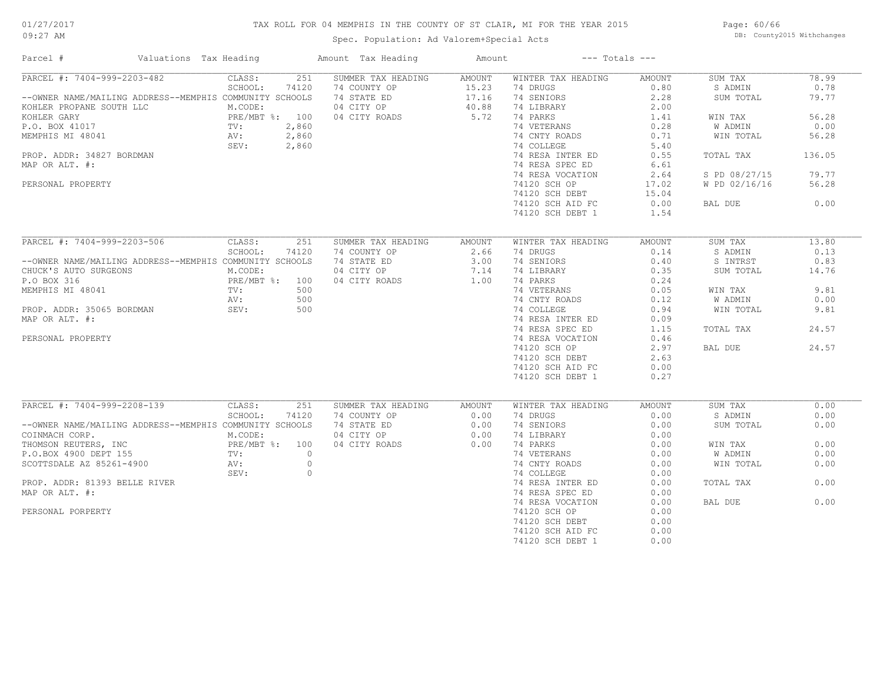## TAX ROLL FOR 04 MEMPHIS IN THE COUNTY OF ST CLAIR, MI FOR THE YEAR 2015

Spec. Population: Ad Valorem+Special Acts

Page: 60/66 DB: County2015 Withchanges

| Parcel #                                                                                                                  | Valuations Tax Heading                                              |         |              | Amount Tax Heading                                                             | Amount           | $---$ Totals $---$                     |                |                    |              |
|---------------------------------------------------------------------------------------------------------------------------|---------------------------------------------------------------------|---------|--------------|--------------------------------------------------------------------------------|------------------|----------------------------------------|----------------|--------------------|--------------|
| PARCEL #: 7404-999-2203-482                                                                                               |                                                                     | CLASS:  | 251          | SUMMER TAX HEADING                                                             | AMOUNT           | WINTER TAX HEADING                     | AMOUNT         | SUM TAX            | 78.99        |
|                                                                                                                           |                                                                     | SCHOOL: | 74120        | 74 COUNTY OP                                                                   |                  | 74 DRUGS                               | 0.80           | S ADMIN            | 0.78         |
| --OWNER NAME/MAILING ADDRESS--MEMPHIS COMMUNITY SCHOOLS                                                                   |                                                                     |         |              | 74 STATE ED                                                                    | 15.23<br>17.16   | 74 SENIORS                             | 2.28           | SUM TOTAL          | 79.77        |
| KOHLER PROPANE SOUTH LLC                                                                                                  |                                                                     | M.CODE: |              | 04 CITY OP 40.88<br>04 CITY ROADS 5.72                                         |                  | 74 LIBRARY                             | 2.00           |                    |              |
| KOHLER GARY                                                                                                               | 300TH LLC<br>PRE/MBT %: 100<br>TV: 2,860<br>AV: 2,860<br>SEV: 2,860 |         |              |                                                                                |                  | 74 PARKS                               | 1.41           | WIN TAX            | 56.28        |
| P.O. BOX 41017                                                                                                            |                                                                     |         |              |                                                                                |                  | 74 VETERANS                            | 0.28           | W ADMIN            | 0.00         |
| MEMPHIS MI 48041                                                                                                          |                                                                     |         |              | $\frac{360}{160}$                                                              |                  | 74 CNTY ROADS                          | 0.71           | WIN TOTAL          | 56.28        |
|                                                                                                                           |                                                                     |         |              |                                                                                |                  | 74 COLLEGE                             | 5.40           |                    |              |
| PROP. ADDR: 34827 BORDMAN                                                                                                 |                                                                     |         |              |                                                                                |                  | 74 RESA INTER ED                       | 0.55           | TOTAL TAX          | 136.05       |
| MAP OR ALT. #:                                                                                                            |                                                                     |         |              |                                                                                |                  | 74 RESA SPEC ED                        | 6.61           |                    |              |
|                                                                                                                           |                                                                     |         |              |                                                                                |                  | 74 RESA VOCATION                       | 2.64           | S PD 08/27/15      | 79.77        |
| PERSONAL PROPERTY                                                                                                         |                                                                     |         |              |                                                                                |                  | 74120 SCH OP                           | 17.02          | W PD 02/16/16      | 56.28        |
|                                                                                                                           |                                                                     |         |              |                                                                                |                  | 74120 SCH DEBT                         | 15.04          |                    |              |
|                                                                                                                           |                                                                     |         |              |                                                                                |                  | 74120 SCH AID FC                       | 0.00           | BAL DUE            | 0.00         |
|                                                                                                                           |                                                                     |         |              |                                                                                |                  | 74120 SCH DEBT 1                       | 1.54           |                    |              |
|                                                                                                                           |                                                                     |         |              |                                                                                |                  |                                        |                |                    |              |
| PARCEL #: 7404-999-2203-506 CLASS:                                                                                        |                                                                     |         | 251          | SUMMER TAX HEADING                                                             | AMOUNT           | WINTER TAX HEADING                     | AMOUNT         | SUM TAX            | 13.80        |
|                                                                                                                           |                                                                     | SCHOOL: | 74120        | 74 COUNTY OP                                                                   |                  | 74 DRUGS                               | 0.14           | S ADMIN            | 0.13         |
| --OWNER NAME/MAILING ADDRESS--MEMPHIS COMMUNITY SCHOOLS                                                                   |                                                                     |         |              | 74 STATE ED                                                                    | $2.66$<br>$3.00$ | 74 SENIORS                             | 0.40           | S INTRST           | 0.83         |
|                                                                                                                           |                                                                     |         |              |                                                                                |                  |                                        | 0.35           |                    | 14.76        |
| CHUCK'S AUTO SURGEONS<br>P.O BOX 316<br>MEMPHIS MI 48041<br>PROP. ADDR: 35065 BORDMAN<br>MAP OR ALT. #:<br>MAP OR ALT. #: | GEONS M.CODE:<br>PRE/MBT                                            |         |              | 04 CITY OP 7.14<br>04 CITY ROADS 1.00                                          | 1.00             | TIPARKY<br>74 PARKS<br>74 VEET         |                | SUM TOTAL          |              |
|                                                                                                                           |                                                                     |         |              | 04 CITY ROADS                                                                  |                  |                                        | 0.24           |                    |              |
|                                                                                                                           |                                                                     |         |              |                                                                                |                  | 74 VETERANS 0.05<br>74 CNTY ROADS 0.12 |                | WIN TAX            | 9.81         |
|                                                                                                                           |                                                                     |         |              |                                                                                |                  |                                        |                | W ADMIN            | 0.00         |
|                                                                                                                           |                                                                     |         |              |                                                                                |                  | 74 COLLEGE                             | 0.94           | WIN TOTAL          | 9.81         |
| MAP OR ALT. #:                                                                                                            |                                                                     |         |              |                                                                                |                  | 74 RESA INTER ED                       | 0.09           |                    |              |
|                                                                                                                           |                                                                     |         |              |                                                                                |                  | 74 RESA SPEC ED                        | 1.15           | TOTAL TAX          | 24.57        |
| PERSONAL PROPERTY                                                                                                         |                                                                     |         |              |                                                                                |                  | 74 RESA VOCATION                       | 0.46           |                    |              |
|                                                                                                                           |                                                                     |         |              |                                                                                |                  | 74120 SCH OP                           | 2.97           | BAL DUE            | 24.57        |
|                                                                                                                           |                                                                     |         |              |                                                                                |                  | 74120 SCH DEBT                         | 2.63           |                    |              |
|                                                                                                                           |                                                                     |         |              |                                                                                |                  | 74120 SCH AID FC                       | 0.00           |                    |              |
|                                                                                                                           |                                                                     |         |              |                                                                                |                  | 74120 SCH DEBT 1                       | 0.27           |                    |              |
|                                                                                                                           |                                                                     |         |              |                                                                                |                  |                                        |                |                    |              |
| PARCEL #: 7404-999-2208-139 CLASS:                                                                                        |                                                                     | SCHOOL: | 251<br>74120 | SUMMER TAX HEADING                                                             | AMOUNT           | WINTER TAX HEADING<br>74 DRUGS         | AMOUNT<br>0.00 | SUM TAX<br>S ADMIN | 0.00<br>0.00 |
| --OWNER NAME/MAILING ADDRESS--MEMPHIS COMMUNITY SCHOOLS                                                                   |                                                                     |         |              | 74 COUNTY OP 0.00<br>74 STATE ED 0.00<br>04 CITY OP 0.00<br>04 CITY ROADS 0.00 |                  | 74 SENIORS                             | 0.00           | SUM TOTAL          | 0.00         |
|                                                                                                                           |                                                                     |         |              |                                                                                |                  | 74 LIBRARY                             | 0.00           |                    |              |
|                                                                                                                           |                                                                     |         |              |                                                                                |                  | 74 PARKS                               | 0.00           | WIN TAX            | 0.00         |
|                                                                                                                           |                                                                     |         |              |                                                                                |                  |                                        |                | W ADMIN            | 0.00         |
|                                                                                                                           |                                                                     |         |              |                                                                                |                  | 74 VETERANS                            | 0.00           |                    |              |
|                                                                                                                           |                                                                     |         |              |                                                                                |                  | 74 CNTY ROADS                          | 0.00           | WIN TOTAL          | 0.00         |
|                                                                                                                           |                                                                     | SEV: 0  |              |                                                                                |                  | 74 COLLEGE                             | 0.00           |                    |              |
| PROP. ADDR: 81393 BELLE RIVER                                                                                             |                                                                     |         |              |                                                                                |                  | 74 RESA INTER ED                       | 0.00           | TOTAL TAX          | 0.00         |
| MAP OR ALT. #:                                                                                                            |                                                                     |         |              |                                                                                |                  | 74 RESA SPEC ED                        | 0.00           |                    |              |
|                                                                                                                           |                                                                     |         |              |                                                                                |                  | 74 RESA VOCATION                       | 0.00           | BAL DUE            | 0.00         |
| PERSONAL PORPERTY                                                                                                         |                                                                     |         |              |                                                                                |                  | 74120 SCH OP                           | 0.00           |                    |              |
|                                                                                                                           |                                                                     |         |              |                                                                                |                  | 74120 SCH DEBT                         | 0.00           |                    |              |
|                                                                                                                           |                                                                     |         |              |                                                                                |                  | 74120 SCH AID FC                       | 0.00           |                    |              |
|                                                                                                                           |                                                                     |         |              |                                                                                |                  | 74120 SCH DEBT 1                       | 0.00           |                    |              |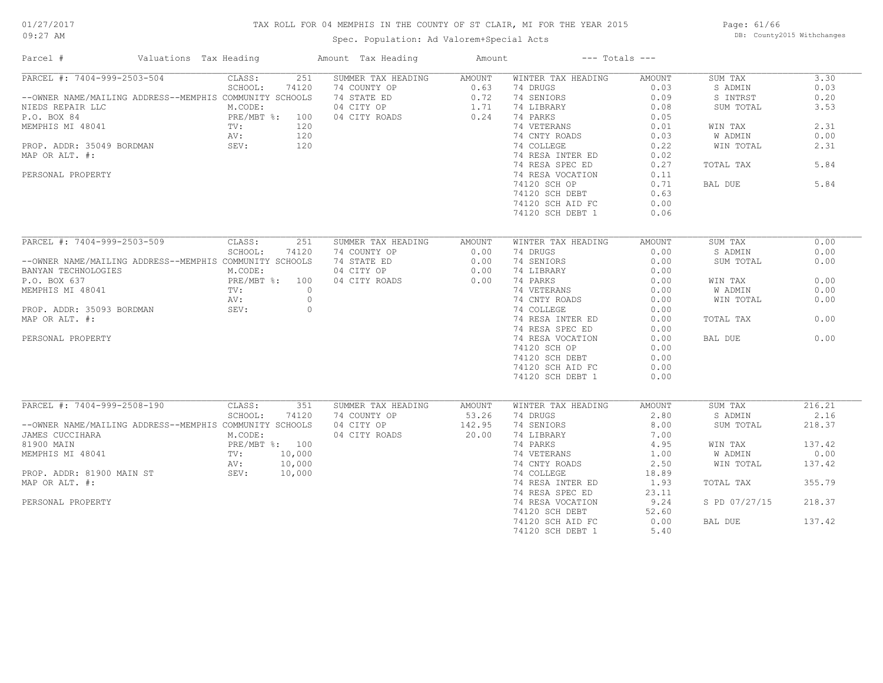## TAX ROLL FOR 04 MEMPHIS IN THE COUNTY OF ST CLAIR, MI FOR THE YEAR 2015

Spec. Population: Ad Valorem+Special Acts

Page: 61/66 DB: County2015 Withchanges

| Parcel #                                                | Valuations Tax Heading | Amount Tax Heading | Amount | $---$ Totals $---$ |               |               |        |
|---------------------------------------------------------|------------------------|--------------------|--------|--------------------|---------------|---------------|--------|
| PARCEL #: 7404-999-2503-504                             | CLASS:<br>251          | SUMMER TAX HEADING | AMOUNT | WINTER TAX HEADING | AMOUNT        | SUM TAX       | 3.30   |
|                                                         | SCHOOL:<br>74120       | 74 COUNTY OP       | 0.63   | 74 DRUGS           | 0.03          | S ADMIN       | 0.03   |
| --OWNER NAME/MAILING ADDRESS--MEMPHIS COMMUNITY SCHOOLS |                        | 74 STATE ED        | 0.72   | 74 SENIORS         | 0.09          | S INTRST      | 0.20   |
| NIEDS REPAIR LLC                                        | M.CODE:                | 04 CITY OP         | 1.71   | 74 LIBRARY         | 0.08          | SUM TOTAL     | 3.53   |
| P.O. BOX 84                                             | PRE/MBT %: 100         | 04 CITY ROADS      | 0.24   | 74 PARKS           | 0.05          |               |        |
| MEMPHIS MI 48041                                        | TV:<br>120             |                    |        | 74 VETERANS        | 0.01          | WIN TAX       | 2.31   |
|                                                         | AV:<br>120             |                    |        | 74 CNTY ROADS      | 0.03          | W ADMIN       | 0.00   |
| PROP. ADDR: 35049 BORDMAN                               | 120<br>SEV:            |                    |        | 74 COLLEGE         | 0.22          | WIN TOTAL     | 2.31   |
| MAP OR ALT. #:                                          |                        |                    |        | 74 RESA INTER ED   | 0.02          |               |        |
|                                                         |                        |                    |        | 74 RESA SPEC ED    | 0.27          | TOTAL TAX     | 5.84   |
|                                                         |                        |                    |        |                    | 0.11          |               |        |
| PERSONAL PROPERTY                                       |                        |                    |        | 74 RESA VOCATION   |               |               |        |
|                                                         |                        |                    |        | 74120 SCH OP       | 0.71          | BAL DUE       | 5.84   |
|                                                         |                        |                    |        | 74120 SCH DEBT     | 0.63          |               |        |
|                                                         |                        |                    |        | 74120 SCH AID FC   | 0.00          |               |        |
|                                                         |                        |                    |        | 74120 SCH DEBT 1   | 0.06          |               |        |
|                                                         |                        |                    |        |                    |               |               |        |
| PARCEL #: 7404-999-2503-509                             | CLASS:<br>251          | SUMMER TAX HEADING | AMOUNT | WINTER TAX HEADING | <b>AMOUNT</b> | SUM TAX       | 0.00   |
|                                                         | SCHOOL:<br>74120       | 74 COUNTY OP       | 0.00   | 74 DRUGS           | 0.00          | S ADMIN       | 0.00   |
| --OWNER NAME/MAILING ADDRESS--MEMPHIS COMMUNITY SCHOOLS |                        | 74 STATE ED        | 0.00   | 74 SENIORS         | 0.00          | SUM TOTAL     | 0.00   |
| BANYAN TECHNOLOGIES                                     | M.CODE:                | 04 CITY OP         | 0.00   | 74 LIBRARY         | 0.00          |               |        |
| P.O. BOX 637                                            | PRE/MBT %: 100         | 04 CITY ROADS      | 0.00   | 74 PARKS           | 0.00          | WIN TAX       | 0.00   |
|                                                         | $\overline{0}$         |                    |        | 74 VETERANS        | 0.00          | W ADMIN       | 0.00   |
| MEMPHIS MI 48041                                        | TV:                    |                    |        |                    |               |               |        |
|                                                         | $\circ$<br>AV:         |                    |        | 74 CNTY ROADS      | 0.00          | WIN TOTAL     | 0.00   |
| PROP. ADDR: 35093 BORDMAN                               | $\circ$<br>SEV:        |                    |        | 74 COLLEGE         | 0.00          |               |        |
| MAP OR ALT. #:                                          |                        |                    |        | 74 RESA INTER ED   | 0.00          | TOTAL TAX     | 0.00   |
|                                                         |                        |                    |        | 74 RESA SPEC ED    | 0.00          |               |        |
| PERSONAL PROPERTY                                       |                        |                    |        | 74 RESA VOCATION   | 0.00          | BAL DUE       | 0.00   |
|                                                         |                        |                    |        | 74120 SCH OP       | 0.00          |               |        |
|                                                         |                        |                    |        | 74120 SCH DEBT     | 0.00          |               |        |
|                                                         |                        |                    |        | 74120 SCH AID FC   | 0.00          |               |        |
|                                                         |                        |                    |        | 74120 SCH DEBT 1   | 0.00          |               |        |
|                                                         |                        |                    |        |                    |               |               |        |
| PARCEL #: 7404-999-2508-190                             | CLASS:<br>351          | SUMMER TAX HEADING | AMOUNT | WINTER TAX HEADING | <b>AMOUNT</b> | SUM TAX       | 216.21 |
|                                                         | SCHOOL:<br>74120       | 74 COUNTY OP       | 53.26  | 74 DRUGS           | 2.80          | S ADMIN       | 2.16   |
|                                                         |                        |                    |        |                    |               |               |        |
| --OWNER NAME/MAILING ADDRESS--MEMPHIS COMMUNITY SCHOOLS |                        | 04 CITY OP         | 142.95 | 74 SENIORS         | 8.00          | SUM TOTAL     | 218.37 |
| JAMES CUCCIHARA                                         | M.CODE:                | 04 CITY ROADS      | 20.00  | 74 LIBRARY         | 7.00          |               |        |
| 81900 MAIN                                              | PRE/MBT %: 100         |                    |        | 74 PARKS           | 4.95          | WIN TAX       | 137.42 |
| MEMPHIS MI 48041                                        | TV:<br>10,000          |                    |        | 74 VETERANS        | 1.00          | W ADMIN       | 0.00   |
|                                                         | 10,000<br>AV:          |                    |        | 74 CNTY ROADS      | 2.50          | WIN TOTAL     | 137.42 |
| PROP. ADDR: 81900 MAIN ST                               | SEV:<br>10,000         |                    |        | 74 COLLEGE         | 18.89         |               |        |
| MAP OR ALT. #:                                          |                        |                    |        | 74 RESA INTER ED   | 1.93          | TOTAL TAX     | 355.79 |
|                                                         |                        |                    |        | 74 RESA SPEC ED    | 23.11         |               |        |
| PERSONAL PROPERTY                                       |                        |                    |        | 74 RESA VOCATION   | 9.24          | S PD 07/27/15 | 218.37 |
|                                                         |                        |                    |        | 74120 SCH DEBT     | 52.60         |               |        |
|                                                         |                        |                    |        | 74120 SCH AID FC   | 0.00          | BAL DUE       | 137.42 |
|                                                         |                        |                    |        | 74120 SCH DEBT 1   | 5.40          |               |        |
|                                                         |                        |                    |        |                    |               |               |        |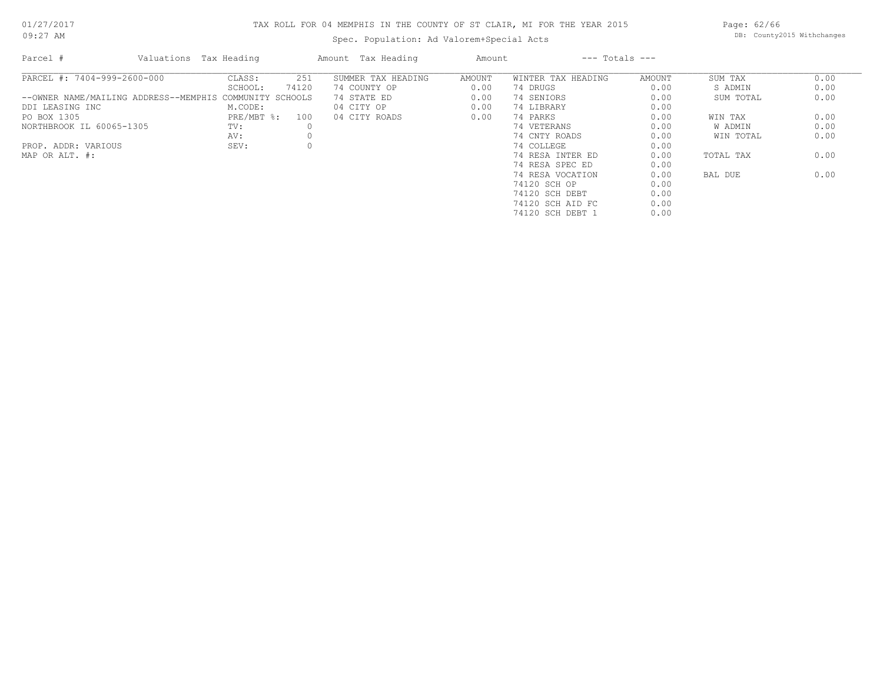## 01/27/2017

09:27 AM

## TAX ROLL FOR 04 MEMPHIS IN THE COUNTY OF ST CLAIR, MI FOR THE YEAR 2015

Spec. Population: Ad Valorem+Special Acts

Page: 62/66 DB: County2015 Withchanges

| Parcel #                                                | Valuations Tax Heading |              |       | Amount Tax Heading | Amount |                    | $---$ Totals $---$ |           |      |
|---------------------------------------------------------|------------------------|--------------|-------|--------------------|--------|--------------------|--------------------|-----------|------|
| PARCEL #: 7404-999-2600-000                             |                        | CLASS:       | 251   | SUMMER TAX HEADING | AMOUNT | WINTER TAX HEADING | AMOUNT             | SUM TAX   | 0.00 |
|                                                         |                        | SCHOOL:      | 74120 | 74 COUNTY OP       | 0.00   | 74 DRUGS           | 0.00               | S ADMIN   | 0.00 |
| --OWNER NAME/MAILING ADDRESS--MEMPHIS COMMUNITY SCHOOLS |                        |              |       | 74 STATE ED        | 0.00   | 74 SENIORS         | 0.00               | SUM TOTAL | 0.00 |
| DDI LEASING INC                                         |                        | M.CODE:      |       | 04 CITY OP         | 0.00   | 74 LIBRARY         | 0.00               |           |      |
| PO BOX 1305                                             |                        | $PRE/MBT$ %: | 100   | 04 CITY ROADS      | 0.00   | 74 PARKS           | 0.00               | WIN TAX   | 0.00 |
| NORTHBROOK IL 60065-1305                                |                        | TV:          |       |                    |        | 74 VETERANS        | 0.00               | W ADMIN   | 0.00 |
|                                                         |                        | AV:          |       |                    |        | 74 CNTY ROADS      | 0.00               | WIN TOTAL | 0.00 |
| PROP. ADDR: VARIOUS                                     |                        | SEV:         |       |                    |        | 74 COLLEGE         | 0.00               |           |      |
| MAP OR ALT. #:                                          |                        |              |       |                    |        | 74 RESA INTER ED   | 0.00               | TOTAL TAX | 0.00 |
|                                                         |                        |              |       |                    |        | 74 RESA SPEC ED    | 0.00               |           |      |
|                                                         |                        |              |       |                    |        | 74 RESA VOCATION   | 0.00               | BAL DUE   | 0.00 |
|                                                         |                        |              |       |                    |        | 74120 SCH OP       | 0.00               |           |      |
|                                                         |                        |              |       |                    |        | 74120 SCH DEBT     | 0.00               |           |      |
|                                                         |                        |              |       |                    |        | 74120 SCH AID FC   | 0.00               |           |      |
|                                                         |                        |              |       |                    |        | 74120 SCH DEBT 1   | 0.00               |           |      |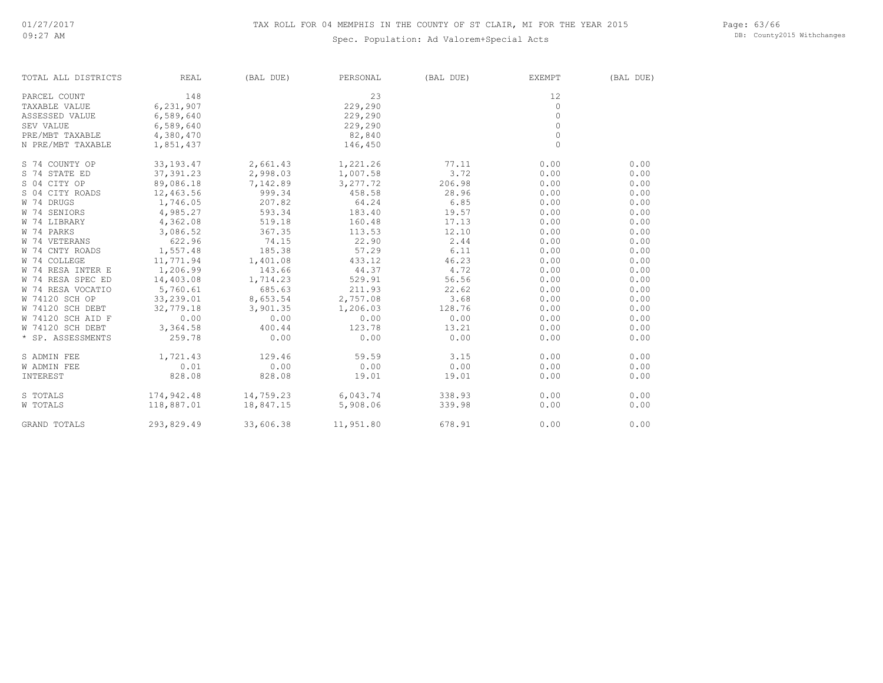Page: 63/66 DB: County2015 Withchanges

| TOTAL ALL DISTRICTS | <b>REAL</b> | (BAL DUE) | PERSONAL           | (BAL DUE) | EXEMPT  | (BAL DUE) |
|---------------------|-------------|-----------|--------------------|-----------|---------|-----------|
| PARCEL COUNT        | 148         |           | 23                 |           | 12      |           |
| TAXABLE VALUE       | 6,231,907   |           | 229,290            |           | 0       |           |
| ASSESSED VALUE      | 6,589,640   |           | 229,290            |           | $\circ$ |           |
| SEV VALUE           | 6,589,640   |           | 229,290            |           | $\circ$ |           |
| PRE/MBT TAXABLE     | 4,380,470   |           | 82,840             |           | $\circ$ |           |
| N PRE/MBT TAXABLE   | 1,851,437   |           | 146,450            |           | $\circ$ |           |
| S 74 COUNTY OP      | 33,193.47   | 2,661.43  | 1,221.26           | 77.11     | 0.00    | 0.00      |
| S 74 STATE ED       | 37,391.23   | 2,998.03  | 1,007.58           | 3.72      | 0.00    | 0.00      |
| S 04 CITY OP        | 89,086.18   | 7,142.89  | 3,277.72           | 206.98    | 0.00    | 0.00      |
| S 04 CITY ROADS     | 12,463.56   | 999.34    | 458.58             | 28.96     | 0.00    | 0.00      |
| W 74 DRUGS          | 1,746.05    | 207.82    | 64.24              | 6.85      | 0.00    | 0.00      |
| W 74 SENIORS        | 4,985.27    | 593.34    | 183.40             | 19.57     | 0.00    | 0.00      |
| W 74 LIBRARY        | 4,362.08    | 519.18    | 160.48             | 17.13     | 0.00    | 0.00      |
| W 74 PARKS          | 3,086.52    | 367.35    | 113.53             | 12.10     | 0.00    | 0.00      |
| W 74 VETERANS       | 622.96      | 74.15     | 22.90              | 2.44      | 0.00    | 0.00      |
| W 74 CNTY ROADS     | 1,557.48    | 185.38    | 57.29              | 6.11      | 0.00    | 0.00      |
| W 74 COLLEGE        | 11,771.94   | 1,401.08  | 433.12             | 46.23     | 0.00    | 0.00      |
| W 74 RESA INTER E   | 1,206.99    | 143.66    | 44.37              | 4.72      | 0.00    | 0.00      |
| W 74 RESA SPEC ED   | 14,403.08   | 1,714.23  | 529.91             | 56.56     | 0.00    | 0.00      |
| W 74 RESA VOCATIO   | 5,760.61    | 685.63    | 211.93             | 22.62     | 0.00    | 0.00      |
| W 74120 SCH OP      | 33,239.01   | 8,653.54  | 2,757.08           | 3.68      | 0.00    | 0.00      |
| W 74120 SCH DEBT    | 32,779.18   | 3,901.35  | 1,206.03           | 128.76    | 0.00    | 0.00      |
| W 74120 SCH AID F   | 0.00        | 0.00      | 0.00               | 0.00      | 0.00    | 0.00      |
| W 74120 SCH DEBT    | 3,364.58    | 400.44    | 123.78             | 13.21     | 0.00    | 0.00      |
| * SP. ASSESSMENTS   | 259.78      | 0.00      | 0.00               | 0.00      | 0.00    | 0.00      |
| S ADMIN FEE         | 1,721.43    | 129.46    | 59.59              | 3.15      | 0.00    | 0.00      |
| <b>W ADMIN FEE</b>  | 0.01        | 0.00      | 0.00               | 0.00      | 0.00    | 0.00      |
| INTEREST            | 828.08      | 828.08    | 19.01              | 19.01     | 0.00    | 0.00      |
| S TOTALS            | 174,942.48  |           | 14,759.23 6,043.74 | 338.93    | 0.00    | 0.00      |
| W TOTALS            | 118,887.01  | 18,847.15 | 5,908.06           | 339.98    | 0.00    | 0.00      |
| <b>GRAND TOTALS</b> | 293,829.49  | 33,606.38 | 11,951.80          | 678.91    | 0.00    | 0.00      |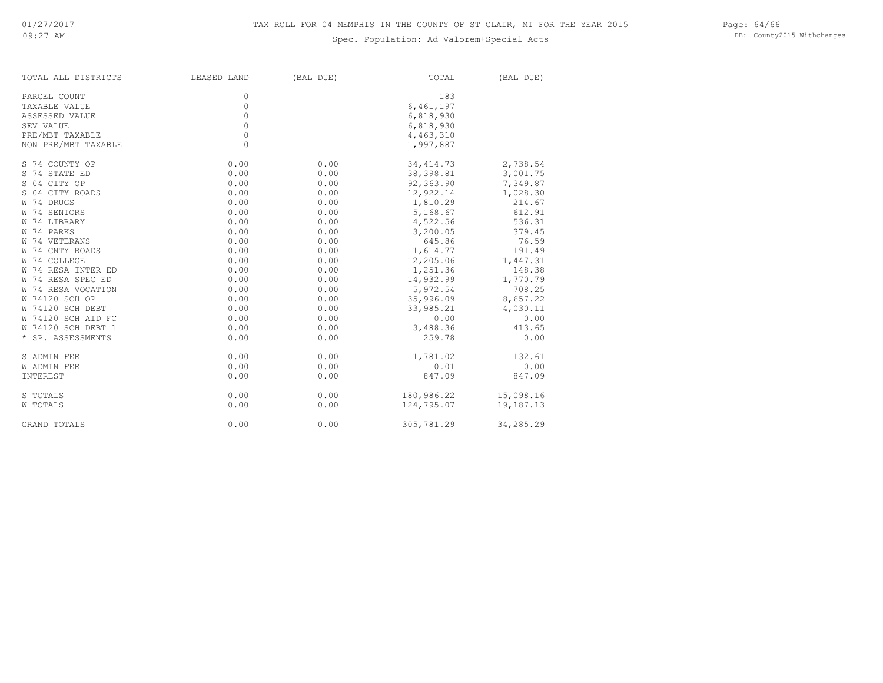Page: 64/66 DB: County2015 Withchanges

| TOTAL ALL DISTRICTS | LEASED LAND | (BAL DUE) | TOTAL      | (BAL DUE) |
|---------------------|-------------|-----------|------------|-----------|
| PARCEL COUNT        | 0           |           | 183        |           |
| TAXABLE VALUE       | $\circ$     |           | 6,461,197  |           |
| ASSESSED VALUE      | $\circ$     |           | 6,818,930  |           |
| SEV VALUE           | $\circ$     |           | 6,818,930  |           |
| PRE/MBT TAXABLE     | $\circ$     |           | 4,463,310  |           |
| NON PRE/MBT TAXABLE | $\Omega$    |           | 1,997,887  |           |
| S 74 COUNTY OP      | 0.00        | 0.00      | 34, 414.73 | 2,738.54  |
| S 74 STATE ED       | 0.00        | 0.00      | 38,398.81  | 3,001.75  |
| S 04 CITY OP        | 0.00        | 0.00      | 92,363.90  | 7,349.87  |
| S 04 CITY ROADS     | 0.00        | 0.00      | 12,922.14  | 1,028.30  |
| W 74 DRUGS          | 0.00        | 0.00      | 1,810.29   | 214.67    |
| W 74 SENIORS        | 0.00        | 0.00      | 5,168.67   | 612.91    |
| W 74 LIBRARY        | 0.00        | 0.00      | 4,522.56   | 536.31    |
| W 74 PARKS          | 0.00        | 0.00      | 3,200.05   | 379.45    |
| W 74 VETERANS       | 0.00        | 0.00      | 645.86     | 76.59     |
| W 74 CNTY ROADS     | 0.00        | 0.00      | 1,614.77   | 191.49    |
| W 74 COLLEGE        | 0.00        | 0.00      | 12,205.06  | 1,447.31  |
| W 74 RESA INTER ED  | 0.00        | 0.00      | 1,251.36   | 148.38    |
| W 74 RESA SPEC ED   | 0.00        | 0.00      | 14,932.99  | 1,770.79  |
| W 74 RESA VOCATION  | 0.00        | 0.00      | 5,972.54   | 708.25    |
| W 74120 SCH OP      | 0.00        | 0.00      | 35,996.09  | 8,657.22  |
| W 74120 SCH DEBT    | 0.00        | 0.00      | 33,985.21  | 4,030.11  |
| W 74120 SCH AID FC  | 0.00        | 0.00      | 0.00       | 0.00      |
| W 74120 SCH DEBT 1  | 0.00        | 0.00      | 3,488.36   | 413.65    |
| * SP. ASSESSMENTS   | 0.00        | 0.00      | 259.78     | 0.00      |
| S ADMIN FEE         | 0.00        | 0.00      | 1,781.02   | 132.61    |
| <b>W ADMIN FEE</b>  | 0.00        | 0.00      | 0.01       | 0.00      |
| INTEREST            | 0.00        | 0.00      | 847.09     | 847.09    |
| S TOTALS            | 0.00        | 0.00      | 180,986.22 | 15,098.16 |
| W TOTALS            | 0.00        | 0.00      | 124,795.07 | 19,187.13 |
| <b>GRAND TOTALS</b> | 0.00        | 0.00      | 305,781.29 | 34,285.29 |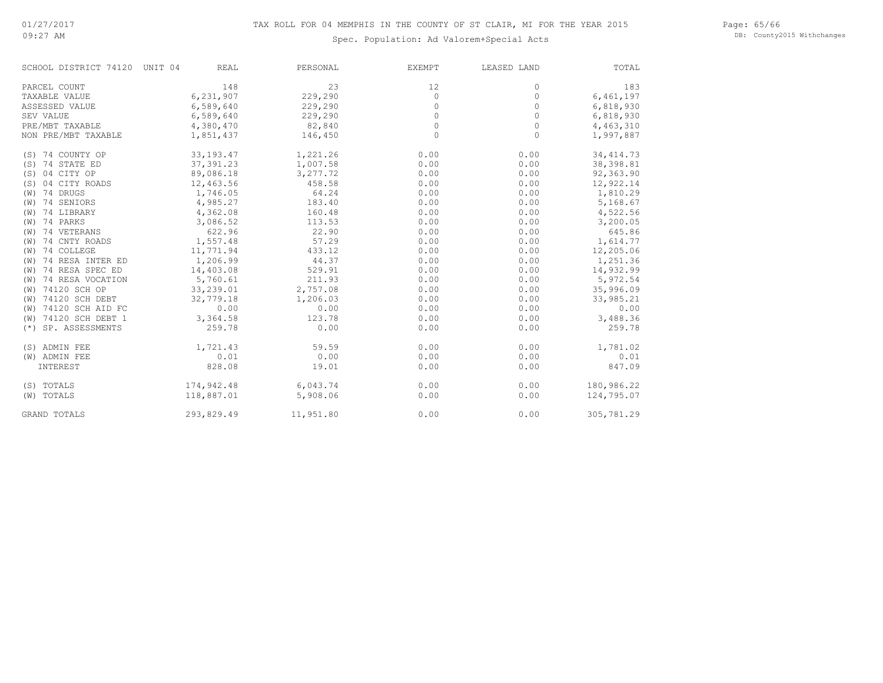Page: 65/66 DB: County2015 Withchanges

| SCHOOL DISTRICT 74120 UNIT 04 | <b>REAL</b> | PERSONAL  | <b>EXEMPT</b> | LEASED LAND | TOTAL      |
|-------------------------------|-------------|-----------|---------------|-------------|------------|
| PARCEL COUNT                  | 148         | 23        | 12            | 0           | 183        |
| TAXABLE VALUE                 | 6,231,907   | 229,290   | $\circ$       | 0           | 6,461,197  |
| ASSESSED VALUE                | 6,589,640   | 229,290   | $\circ$       | 0           | 6,818,930  |
| SEV VALUE                     | 6,589,640   | 229,290   | $\circ$       | 0           | 6,818,930  |
| PRE/MBT TAXABLE               | 4,380,470   | 82,840    | $\circ$       | $\circ$     | 4,463,310  |
| NON PRE/MBT TAXABLE           | 1,851,437   | 146,450   | $\Omega$      | $\Omega$    | 1,997,887  |
| (S) 74 COUNTY OP              | 33, 193. 47 | 1,221.26  | 0.00          | 0.00        | 34, 414.73 |
| (S) 74 STATE ED               | 37, 391.23  | 1,007.58  | 0.00          | 0.00        | 38, 398.81 |
| (S) 04 CITY OP                | 89,086.18   | 3,277.72  | 0.00          | 0.00        | 92,363.90  |
| (S) 04 CITY ROADS             | 12,463.56   | 458.58    | 0.00          | 0.00        | 12,922.14  |
| $(W)$ 74 DRUGS                | 1,746.05    | 64.24     | 0.00          | 0.00        | 1,810.29   |
| (W) 74 SENIORS                | 4,985.27    | 183.40    | 0.00          | 0.00        | 5,168.67   |
| (W) 74 LIBRARY                | 4,362.08    | 160.48    | 0.00          | 0.00        | 4,522.56   |
| (W) 74 PARKS                  | 3,086.52    | 113.53    | 0.00          | 0.00        | 3,200.05   |
| (W) 74 VETERANS               | 622.96      | 22.90     | 0.00          | 0.00        | 645.86     |
| (W) 74 CNTY ROADS             | 1,557.48    | 57.29     | 0.00          | 0.00        | 1,614.77   |
| (W) 74 COLLEGE                | 11,771.94   | 433.12    | 0.00          | 0.00        | 12,205.06  |
| (W) 74 RESA INTER ED          | 1,206.99    | 44.37     | 0.00          | 0.00        | 1,251.36   |
| (W) 74 RESA SPEC ED           | 14,403.08   | 529.91    | 0.00          | 0.00        | 14,932.99  |
| (W) 74 RESA VOCATION          | 5,760.61    | 211.93    | 0.00          | 0.00        | 5,972.54   |
| (W) 74120 SCH OP              | 33,239.01   | 2,757.08  | 0.00          | 0.00        | 35,996.09  |
| (W) 74120 SCH DEBT            | 32,779.18   | 1,206.03  | 0.00          | 0.00        | 33,985.21  |
| (W) 74120 SCH AID FC          | 0.00        | 0.00      | 0.00          | 0.00        | 0.00       |
| (W) 74120 SCH DEBT 1          | 3,364.58    | 123.78    | 0.00          | 0.00        | 3,488.36   |
| (*) SP. ASSESSMENTS           | 259.78      | 0.00      | 0.00          | 0.00        | 259.78     |
| (S) ADMIN FEE                 | 1,721.43    | 59.59     | 0.00          | 0.00        | 1,781.02   |
| (W) ADMIN FEE                 | 0.01        | 0.00      | 0.00          | 0.00        | 0.01       |
| INTEREST                      | 828.08      | 19.01     | 0.00          | 0.00        | 847.09     |
| (S) TOTALS                    | 174,942.48  | 6,043.74  | 0.00          | 0.00        | 180,986.22 |
| (W) TOTALS                    | 118,887.01  | 5,908.06  | 0.00          | 0.00        | 124,795.07 |
| <b>GRAND TOTALS</b>           | 293,829.49  | 11,951.80 | 0.00          | 0.00        | 305,781.29 |